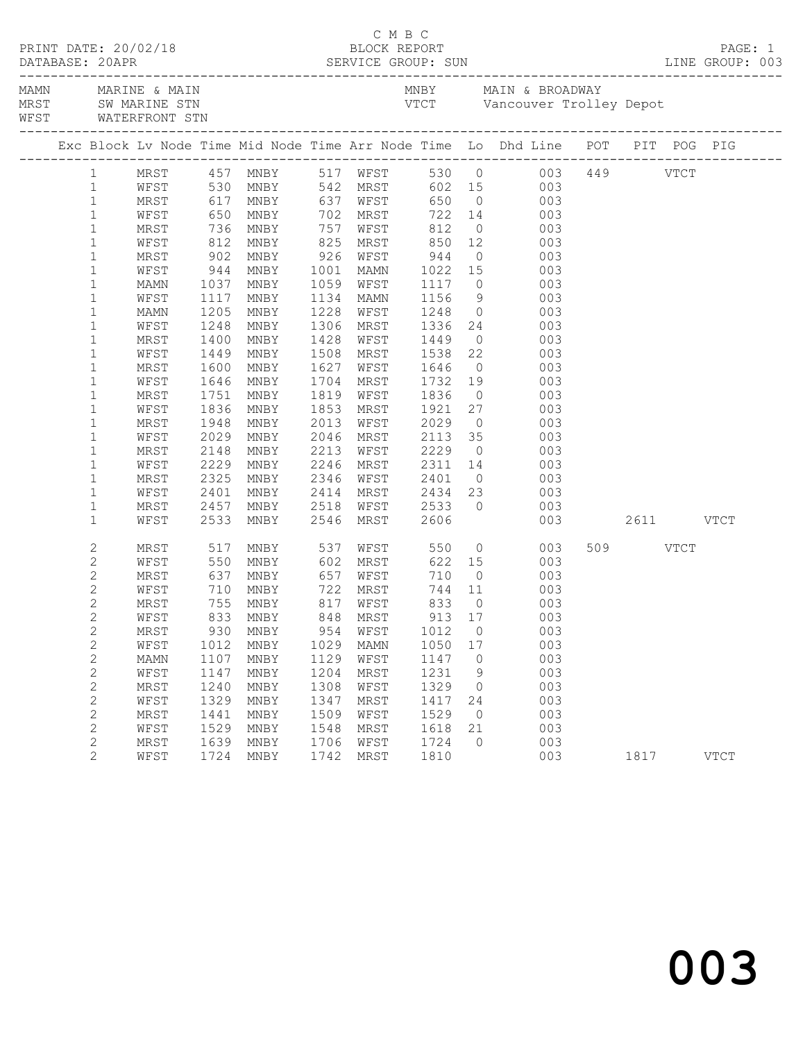| WFST WATERFRONT STN<br>_________________________________<br>Exc Block Lv Node Time Mid Node Time Arr Node Time Lo Dhd Line POT PIT POG PIG<br>MRST 457 MNBY 517 WFST 530 0 003 449 VTCT<br>WFST 530 MNBY 542 MRST 602 15 003 449 VTCT<br>MRST 617 MNBY 637 WFST 650 0 003<br>$1 -$<br>$\mathbf{1}$<br>$\mathbf{1}$<br>650 MNBY 702 MRST<br>722 14 003<br>$\mathbf{1}$<br>WFST<br>736<br>812<br>$\mathbf{1}$<br>757<br>MRST<br>MNBY<br>WFST<br>$\overline{O}$<br>003<br>812<br>902<br>850 12<br>944 0<br>$\mathbf{1}$<br>825 MRST<br>WFST<br>MNBY<br>003<br>$926$ WFST<br>$\mathbf{1}$<br>003<br>MRST<br>MNBY<br>1022 15<br>944<br>$\mathbf 1$<br>1001 MAMN<br>003<br>WFST<br>MNBY<br>$\mathbf{1}$<br>1059 WFST<br>1037<br>MNBY<br>1117<br>$\overline{O}$<br>003<br>MAMN<br>$\mathbf 1$<br>1156<br>1248<br>$\frac{9}{0}$<br>WFST<br>MNBY<br>1134 MAMN<br>003<br>$\frac{1117}{1205}$<br>$\mathbf 1$<br>1228<br>MNBY<br>MAMN<br>WFST<br>003 |  |
|------------------------------------------------------------------------------------------------------------------------------------------------------------------------------------------------------------------------------------------------------------------------------------------------------------------------------------------------------------------------------------------------------------------------------------------------------------------------------------------------------------------------------------------------------------------------------------------------------------------------------------------------------------------------------------------------------------------------------------------------------------------------------------------------------------------------------------------------------------------------------------------------------------------------------------------|--|
|                                                                                                                                                                                                                                                                                                                                                                                                                                                                                                                                                                                                                                                                                                                                                                                                                                                                                                                                          |  |
|                                                                                                                                                                                                                                                                                                                                                                                                                                                                                                                                                                                                                                                                                                                                                                                                                                                                                                                                          |  |
|                                                                                                                                                                                                                                                                                                                                                                                                                                                                                                                                                                                                                                                                                                                                                                                                                                                                                                                                          |  |
|                                                                                                                                                                                                                                                                                                                                                                                                                                                                                                                                                                                                                                                                                                                                                                                                                                                                                                                                          |  |
|                                                                                                                                                                                                                                                                                                                                                                                                                                                                                                                                                                                                                                                                                                                                                                                                                                                                                                                                          |  |
|                                                                                                                                                                                                                                                                                                                                                                                                                                                                                                                                                                                                                                                                                                                                                                                                                                                                                                                                          |  |
|                                                                                                                                                                                                                                                                                                                                                                                                                                                                                                                                                                                                                                                                                                                                                                                                                                                                                                                                          |  |
|                                                                                                                                                                                                                                                                                                                                                                                                                                                                                                                                                                                                                                                                                                                                                                                                                                                                                                                                          |  |
|                                                                                                                                                                                                                                                                                                                                                                                                                                                                                                                                                                                                                                                                                                                                                                                                                                                                                                                                          |  |
|                                                                                                                                                                                                                                                                                                                                                                                                                                                                                                                                                                                                                                                                                                                                                                                                                                                                                                                                          |  |
|                                                                                                                                                                                                                                                                                                                                                                                                                                                                                                                                                                                                                                                                                                                                                                                                                                                                                                                                          |  |
|                                                                                                                                                                                                                                                                                                                                                                                                                                                                                                                                                                                                                                                                                                                                                                                                                                                                                                                                          |  |
|                                                                                                                                                                                                                                                                                                                                                                                                                                                                                                                                                                                                                                                                                                                                                                                                                                                                                                                                          |  |
| 1336 24<br>1248<br>$\mathbf 1$<br>1306<br>WFST<br>MNBY<br>MRST<br>003                                                                                                                                                                                                                                                                                                                                                                                                                                                                                                                                                                                                                                                                                                                                                                                                                                                                    |  |
| 1400<br>$\mathbf 1$<br>MRST<br>MNBY<br>1428<br>WFST<br>1449<br>$\overline{0}$<br>003<br>$\mathbf 1$<br>1449<br>1538<br>WFST<br>MNBY<br>1508<br>MRST<br>003                                                                                                                                                                                                                                                                                                                                                                                                                                                                                                                                                                                                                                                                                                                                                                               |  |
| $\begin{array}{c} 22 \\ 0 \end{array}$<br>1646<br>$\mathbf{1}$<br>1627<br>MRST<br>1600<br>MNBY<br>WFST<br>003                                                                                                                                                                                                                                                                                                                                                                                                                                                                                                                                                                                                                                                                                                                                                                                                                            |  |
| 19<br>1732<br>1704<br>$\mathbf 1$<br>WFST<br>1646<br>MNBY<br>MRST<br>003                                                                                                                                                                                                                                                                                                                                                                                                                                                                                                                                                                                                                                                                                                                                                                                                                                                                 |  |
| $\mathbf 1$<br>1751<br>MNBY<br>1819 WFST<br>1836<br>$\overline{0}$<br>003<br>MRST                                                                                                                                                                                                                                                                                                                                                                                                                                                                                                                                                                                                                                                                                                                                                                                                                                                        |  |
| $\mathbf 1$<br>1836<br>1853<br>MRST<br>27<br>003<br>WFST<br>MNBY                                                                                                                                                                                                                                                                                                                                                                                                                                                                                                                                                                                                                                                                                                                                                                                                                                                                         |  |
| 1921<br>2029<br>$\mathbf 1$<br>1948<br>2013<br>$\overline{0}$<br>003<br>MRST<br>MNBY<br>WFST                                                                                                                                                                                                                                                                                                                                                                                                                                                                                                                                                                                                                                                                                                                                                                                                                                             |  |
| 2113<br>$\mathbf 1$<br>2029<br>2046<br>35<br>003<br>WFST<br>MNBY<br>MRST                                                                                                                                                                                                                                                                                                                                                                                                                                                                                                                                                                                                                                                                                                                                                                                                                                                                 |  |
| $\mathbf 1$<br>2148<br>2213<br>2229<br>MRST<br>MNBY<br>WFST<br>$\overline{0}$<br>003                                                                                                                                                                                                                                                                                                                                                                                                                                                                                                                                                                                                                                                                                                                                                                                                                                                     |  |
| 2229<br>2246<br>$\mathbf 1$<br>WFST<br>MNBY<br>MRST<br>14<br>003                                                                                                                                                                                                                                                                                                                                                                                                                                                                                                                                                                                                                                                                                                                                                                                                                                                                         |  |
| 2311<br>2401<br>$\mathbf 1$<br>2325<br>2346<br>$\overline{0}$<br>003<br>MRST<br>MNBY<br>WFST                                                                                                                                                                                                                                                                                                                                                                                                                                                                                                                                                                                                                                                                                                                                                                                                                                             |  |
| 23<br>2434<br>$\mathbf{1}$<br>2401<br>2414<br>003<br>WFST<br>MNBY<br>MRST                                                                                                                                                                                                                                                                                                                                                                                                                                                                                                                                                                                                                                                                                                                                                                                                                                                                |  |
| $\overline{0}$<br>WFST 2533<br>$\mathbf 1$<br>2457<br>2518<br>MNBY<br>003<br>MRST                                                                                                                                                                                                                                                                                                                                                                                                                                                                                                                                                                                                                                                                                                                                                                                                                                                        |  |
| $\mathbf{1}$<br>2533<br>2546<br>2606<br>003 2611 VTCT<br>WFST<br>MNBY<br>MRST                                                                                                                                                                                                                                                                                                                                                                                                                                                                                                                                                                                                                                                                                                                                                                                                                                                            |  |
| $\overline{0}$<br>517<br>WFST<br>509 VTCT<br>537<br>2<br>550<br>MRST<br>MNBY<br>003                                                                                                                                                                                                                                                                                                                                                                                                                                                                                                                                                                                                                                                                                                                                                                                                                                                      |  |
| $\mathbf{2}$<br>550<br>602 MRST<br>622 15<br>WFST<br>MNBY<br>003                                                                                                                                                                                                                                                                                                                                                                                                                                                                                                                                                                                                                                                                                                                                                                                                                                                                         |  |
| $\mathbf{2}$<br>637<br>657<br>710<br>MRST<br>MNBY<br>WFST<br>$\overline{0}$<br>003                                                                                                                                                                                                                                                                                                                                                                                                                                                                                                                                                                                                                                                                                                                                                                                                                                                       |  |
| $\mathbf{2}$<br>710 MNBY<br>755 MNBY<br>722 MRST<br>817 WFST<br>744 11<br>WFST<br>$\begin{array}{c} 003 \\ 003 \end{array}$                                                                                                                                                                                                                                                                                                                                                                                                                                                                                                                                                                                                                                                                                                                                                                                                              |  |
| $\mathbf{2}$<br>833<br>$\overline{0}$<br>MRST                                                                                                                                                                                                                                                                                                                                                                                                                                                                                                                                                                                                                                                                                                                                                                                                                                                                                            |  |
| $\mathbf{2}$<br>WFST 833 MNBY 848 MRST<br>913 17 003                                                                                                                                                                                                                                                                                                                                                                                                                                                                                                                                                                                                                                                                                                                                                                                                                                                                                     |  |
| 2<br>1012<br>$\circ$<br>003<br>MRST<br>930<br>MNBY<br>954<br>WFST                                                                                                                                                                                                                                                                                                                                                                                                                                                                                                                                                                                                                                                                                                                                                                                                                                                                        |  |
| $\mathbf{2}$<br>003<br>1012<br>1029<br>1050<br>WFST<br>MNBY<br>MAMN<br>17                                                                                                                                                                                                                                                                                                                                                                                                                                                                                                                                                                                                                                                                                                                                                                                                                                                                |  |
| $\mathbf{2}$<br>1129<br>1147<br>003<br>MAMN<br>1107<br>MNBY<br>WFST<br>$\circ$                                                                                                                                                                                                                                                                                                                                                                                                                                                                                                                                                                                                                                                                                                                                                                                                                                                           |  |
| $\mathbf{2}$<br>1204<br>1231<br>003<br>WFST<br>1147<br>MRST<br>9<br>MNBY<br>1329<br>003                                                                                                                                                                                                                                                                                                                                                                                                                                                                                                                                                                                                                                                                                                                                                                                                                                                  |  |
| $\mathbf{2}$<br>MRST<br>1240<br>MNBY<br>1308<br>WFST<br>0<br>$\mathbf{2}$<br>1329<br>003<br>1347<br>1417<br>WFST<br>MNBY<br>MRST<br>24                                                                                                                                                                                                                                                                                                                                                                                                                                                                                                                                                                                                                                                                                                                                                                                                   |  |
| $\mathbf{2}$<br>1509<br>MRST<br>1441<br>1529<br>$\overline{0}$<br>003<br>MNBY<br>WFST                                                                                                                                                                                                                                                                                                                                                                                                                                                                                                                                                                                                                                                                                                                                                                                                                                                    |  |
| $\mathbf{2}$<br>WFST<br>1529<br>1548<br>1618<br>003<br>MNBY<br>MRST<br>21                                                                                                                                                                                                                                                                                                                                                                                                                                                                                                                                                                                                                                                                                                                                                                                                                                                                |  |
| $\mathbf{2}$<br>003<br><b>MRST</b><br>1639<br>MNBY<br>1706<br>WFST<br>1724<br>$\Omega$                                                                                                                                                                                                                                                                                                                                                                                                                                                                                                                                                                                                                                                                                                                                                                                                                                                   |  |
| 2<br>1810<br>003<br>WFST<br>1724<br>MNBY<br>1742<br>MRST<br>1817<br><b>VTCT</b>                                                                                                                                                                                                                                                                                                                                                                                                                                                                                                                                                                                                                                                                                                                                                                                                                                                          |  |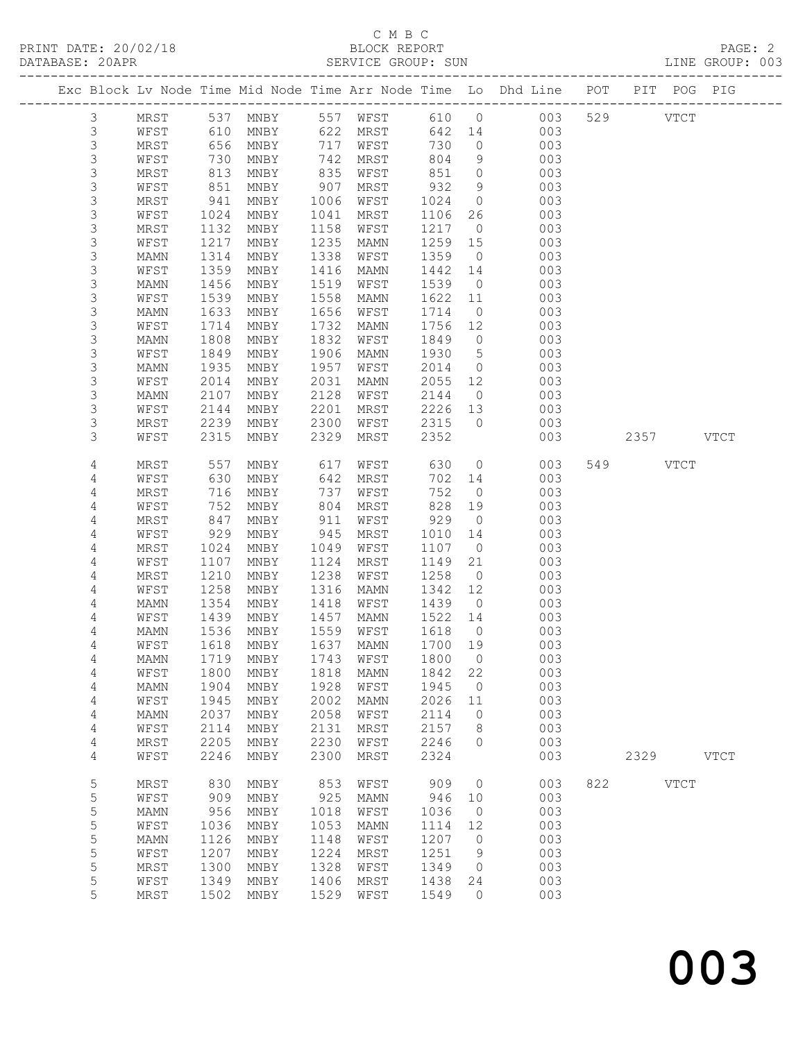# C M B C<br>BLOCK REPORT

| PRINT DATE: 20/02/18<br>DATABASE: 20APR |                |               |      |           |                                                                                                        | BLOCK REPORT<br>SERVICE GROUP: SUN<br>------------------------------------- |         |                | ------------------------------                                     |     |          |             | PAGE: 2<br>LINE GROUP: 003 |
|-----------------------------------------|----------------|---------------|------|-----------|--------------------------------------------------------------------------------------------------------|-----------------------------------------------------------------------------|---------|----------------|--------------------------------------------------------------------|-----|----------|-------------|----------------------------|
|                                         |                |               |      |           |                                                                                                        |                                                                             |         |                | Exc Block Lv Node Time Mid Node Time Arr Node Time Lo Dhd Line POT |     |          | PIT POG PIG |                            |
|                                         | 3              | MRST 537 MNBY |      |           |                                                                                                        | 557 WFST 610 0                                                              |         |                | 003                                                                | 529 | VTCT     |             |                            |
|                                         | 3              | WFST          |      | 610 MNBY  | 622                                                                                                    | MRST                                                                        | 642 14  |                | 003                                                                |     |          |             |                            |
|                                         | $\mathsf 3$    | MRST          |      | 656 MNBY  | 717                                                                                                    | WFST                                                                        | 730     | $\overline{0}$ | 003                                                                |     |          |             |                            |
|                                         | $\mathfrak{Z}$ | WFST          | 730  | MNBY      | $\begin{array}{c} \n \stackrel{1}{\cancel{0}} \\ \n 835 \\ \n \stackrel{1}{\cancel{0}} \n \end{array}$ | MRST                                                                        | 804     | 9              | 003                                                                |     |          |             |                            |
|                                         | $\mathfrak{Z}$ | MRST          | 813  | MNBY      |                                                                                                        | WFST                                                                        | 851 0   |                | 003                                                                |     |          |             |                            |
|                                         | 3              | WFST          | 851  | MNBY      | 907                                                                                                    | MRST                                                                        | 932     | 9              | 003                                                                |     |          |             |                            |
|                                         | $\mathsf 3$    | MRST          | 941  | MNBY      | 1006                                                                                                   | WFST                                                                        | 1024    | $\Omega$       | 003                                                                |     |          |             |                            |
|                                         | $\mathcal{S}$  | WFST          | 1024 | MNBY      | 1041                                                                                                   | MRST                                                                        | 1106    | 26             | 003                                                                |     |          |             |                            |
|                                         | $\mathfrak{Z}$ | MRST          | 1132 | MNBY      | 1158                                                                                                   | WFST                                                                        | 1217    | $\overline{0}$ | 003                                                                |     |          |             |                            |
|                                         | 3              | WFST          | 1217 | MNBY      | 1235                                                                                                   | MAMN                                                                        | 1259 15 |                | 003                                                                |     |          |             |                            |
|                                         | $\mathfrak{Z}$ | MAMN          | 1314 | MNBY      | 1338                                                                                                   | WFST                                                                        | 1359    | $\overline{0}$ | 003                                                                |     |          |             |                            |
|                                         | $\mathfrak{Z}$ | WFST          | 1359 | MNBY      | 1416                                                                                                   | MAMN                                                                        | 1442    | 14             | 003                                                                |     |          |             |                            |
|                                         | $\mathfrak{Z}$ | MAMN          | 1456 | MNBY      | 1519                                                                                                   | WFST                                                                        | 1539    | $\overline{0}$ | 003                                                                |     |          |             |                            |
|                                         | 3              | WFST          | 1539 | MNBY      | 1558                                                                                                   | MAMN                                                                        | 1622    | - 11           | 003                                                                |     |          |             |                            |
|                                         | $\mathsf 3$    | MAMN          | 1633 | MNBY      | 1656                                                                                                   | WFST                                                                        | 1714    | $\overline{0}$ | 003                                                                |     |          |             |                            |
|                                         | $\mathfrak{Z}$ | WFST          | 1714 | MNBY      | 1732                                                                                                   | MAMN                                                                        | 1756    | 12             | 003                                                                |     |          |             |                            |
|                                         | $\mathcal{S}$  | MAMN          | 1808 | MNBY      | 1832                                                                                                   | WFST                                                                        | 1849    | $\overline{0}$ | 003                                                                |     |          |             |                            |
|                                         | 3              | WFST          | 1849 | MNBY      | 1906                                                                                                   | MAMN                                                                        | 1930    | 5              | 003                                                                |     |          |             |                            |
|                                         | 3              | MAMN          | 1935 | MNBY      | 1957                                                                                                   | WFST                                                                        | 2014    | $\overline{0}$ | 003                                                                |     |          |             |                            |
|                                         | $\mathfrak{Z}$ | WFST          | 2014 | MNBY      | 2031                                                                                                   | MAMN                                                                        | 2055    | 12             | 003                                                                |     |          |             |                            |
|                                         | $\mathcal{S}$  | MAMN          | 2107 | MNBY      | 2128                                                                                                   | WFST                                                                        | 2144    | $\overline{0}$ | 003                                                                |     |          |             |                            |
|                                         | $\mathfrak{Z}$ | WFST          | 2144 | MNBY      | 2201                                                                                                   | MRST                                                                        | 2226    | 13             | 003                                                                |     |          |             |                            |
|                                         | 3              | MRST          | 2239 | MNBY      | 2300                                                                                                   | WFST                                                                        | 2315    | $\bigcirc$     | 003                                                                |     |          |             |                            |
|                                         | 3              | WFST          | 2315 | MNBY      | 2329                                                                                                   | MRST                                                                        | 2352    |                | 003                                                                |     |          | 2357 VTCT   |                            |
|                                         | 4              | MRST          | 557  | MNBY      | 617                                                                                                    | WFST                                                                        | 630     | $\overline{0}$ | 003                                                                |     | 549 VTCT |             |                            |
|                                         | 4              | WFST          | 630  | MNBY      | 642                                                                                                    | MRST                                                                        | 702     | 14             | 003                                                                |     |          |             |                            |
|                                         | 4              | MRST          | 716  | MNBY      | 737                                                                                                    | WFST                                                                        | 752     | $\bigcirc$     | 003                                                                |     |          |             |                            |
|                                         | 4              | WFST          | 752  | MNBY      | 804                                                                                                    | MRST                                                                        | 828     | 19             | 003                                                                |     |          |             |                            |
|                                         | 4              | MRST          | 847  | MNBY      | 911                                                                                                    | WFST                                                                        | 929     | $\overline{0}$ | 003                                                                |     |          |             |                            |
|                                         | 4              | WFST          | 929  | MNBY      | 945                                                                                                    | MRST                                                                        | 1010    | 14             | 003                                                                |     |          |             |                            |
|                                         | 4              | MRST          | 1024 | MNBY      | 1049                                                                                                   | WFST                                                                        | 1107    | $\overline{0}$ | 003                                                                |     |          |             |                            |
|                                         | 4              | WFST          | 1107 | MNBY      | 1124                                                                                                   | MRST                                                                        | 1149    | 21             | 003                                                                |     |          |             |                            |
|                                         | 4              | MRST          | 1210 | MNBY      | 1238                                                                                                   | WFST                                                                        | 1258    | $\overline{0}$ | 003                                                                |     |          |             |                            |
|                                         | 4              | WFST          | 1258 | MNBY      | 1316                                                                                                   | MAMN                                                                        | 1342    | 12             | 003                                                                |     |          |             |                            |
|                                         | 4              | MAMN          | 1354 | MNBY      | 1418                                                                                                   | WFST                                                                        | 1439    | $\overline{0}$ | 003                                                                |     |          |             |                            |
|                                         | 4              | WFST          | 1439 | MNBY      | 1457                                                                                                   | <b>MAMN</b>                                                                 | 1522 14 |                | 003                                                                |     |          |             |                            |
|                                         | $\overline{4}$ | MAMN          |      | 1536 MNBY | 1559                                                                                                   | WFST                                                                        | 1618    | $\Omega$       | 003                                                                |     |          |             |                            |

| 4 | WF ST | TTO \ | MNRX | 1124 | MKST.       | エエタン | 21          | UU3 |     |      |             |
|---|-------|-------|------|------|-------------|------|-------------|-----|-----|------|-------------|
| 4 | MRST  | 1210  | MNBY | 1238 | WFST        | 1258 | $\circ$     | 003 |     |      |             |
| 4 | WFST  | 1258  | MNBY | 1316 | <b>MAMN</b> | 1342 | 12          | 003 |     |      |             |
| 4 | MAMN  | 1354  | MNBY | 1418 | WFST        | 1439 | $\circ$     | 003 |     |      |             |
| 4 | WFST  | 1439  | MNBY | 1457 | <b>MAMN</b> | 1522 | 14          | 003 |     |      |             |
| 4 | MAMN  | 1536  | MNBY | 1559 | WFST        | 1618 | $\circ$     | 003 |     |      |             |
| 4 | WFST  | 1618  | MNBY | 1637 | MAMN        | 1700 | 19          | 003 |     |      |             |
| 4 | MAMN  | 1719  | MNBY | 1743 | WFST        | 1800 | $\mathbf 0$ | 003 |     |      |             |
| 4 | WFST  | 1800  | MNBY | 1818 | MAMN        | 1842 | 22          | 003 |     |      |             |
| 4 | MAMN  | 1904  | MNBY | 1928 | WFST        | 1945 | $\circ$     | 003 |     |      |             |
| 4 | WFST  | 1945  | MNBY | 2002 | MAMN        | 2026 | 11          | 003 |     |      |             |
| 4 | MAMN  | 2037  | MNBY | 2058 | WFST        | 2114 | 0           | 003 |     |      |             |
| 4 | WFST  | 2114  | MNBY | 2131 | MRST        | 2157 | 8           | 003 |     |      |             |
| 4 | MRST  | 2205  | MNBY | 2230 | WFST        | 2246 | $\Omega$    | 003 |     |      |             |
| 4 | WFST  | 2246  | MNBY | 2300 | MRST        | 2324 |             | 003 |     | 2329 | <b>VTCT</b> |
| 5 | MRST  | 830   | MNBY | 853  | WFST        | 909  | $\circ$     | 003 | 822 |      | <b>VTCT</b> |
| 5 | WFST  | 909   | MNBY | 925  | <b>MAMN</b> | 946  | 10          | 003 |     |      |             |
| 5 | MAMN  | 956   | MNBY | 1018 | WFST        | 1036 | $\circ$     | 003 |     |      |             |
| 5 | WFST  | 1036  | MNBY | 1053 | <b>MAMN</b> | 1114 | 12          | 003 |     |      |             |
| 5 | MAMN  | 1126  | MNBY | 1148 | WFST        | 1207 | $\circ$     | 003 |     |      |             |
| 5 | WFST  | 1207  | MNBY | 1224 | MRST        | 1251 | 9           | 003 |     |      |             |
| 5 | MRST  | 1300  | MNBY | 1328 | WFST        | 1349 | 0           | 003 |     |      |             |
| 5 | WFST  | 1349  | MNBY | 1406 | MRST        | 1438 | 24          | 003 |     |      |             |
| 5 | MRST  | 1502  | MNBY | 1529 | WFST        | 1549 | $\circ$     | 003 |     |      |             |
|   |       |       |      |      |             |      |             |     |     |      |             |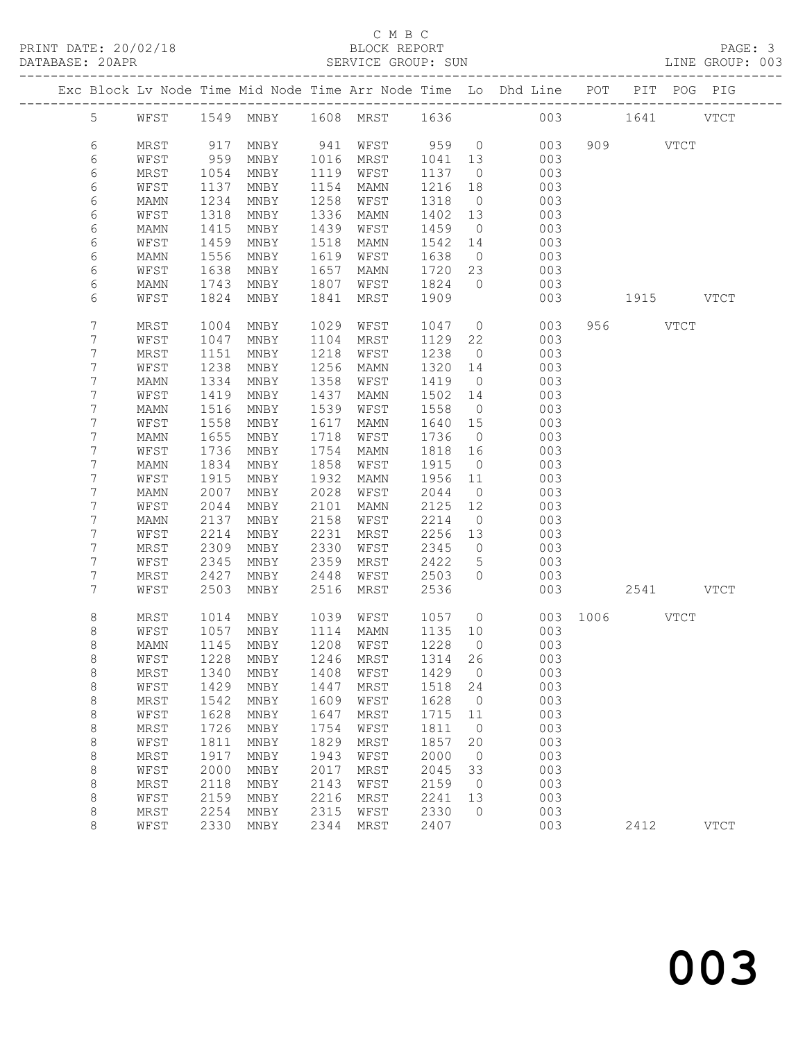#### C M B C<br>BLOCK REPORT SERVICE GROUP: SUN

|  |                |              |              |                               |              |              |              |                          | Exc Block Lv Node Time Mid Node Time Arr Node Time Lo Dhd Line POT |               |           | PIT POG PIG |
|--|----------------|--------------|--------------|-------------------------------|--------------|--------------|--------------|--------------------------|--------------------------------------------------------------------|---------------|-----------|-------------|
|  | 5 <sup>5</sup> |              |              | WFST 1549 MNBY 1608 MRST 1636 |              |              |              |                          |                                                                    | 003 1641 VTCT |           |             |
|  | 6              | MRST         | 917          | MNBY                          |              | 941 WFST     | 959 0        |                          | 003                                                                |               | 909 VTCT  |             |
|  | 6              | WFST         | 959          | MNBY                          | 1016         | MRST         | 1041         | 13                       | 003                                                                |               |           |             |
|  | 6              | MRST         | 1054         | MNBY                          | 1119         | WFST         | 1137         | $\overline{0}$           | 003                                                                |               |           |             |
|  | 6              | WFST         | 1137         | MNBY                          | 1154         | MAMN         | 1216         | 18                       | 003                                                                |               |           |             |
|  | 6              | MAMN         | 1234         | MNBY                          | 1258         | WFST         | 1318         | $\overline{0}$           | 003                                                                |               |           |             |
|  | 6              | WFST         | 1318         | MNBY                          | 1336         | MAMN         | 1402         | 13                       | 003                                                                |               |           |             |
|  | 6              | MAMN         | 1415         | MNBY                          | 1439         | WFST         | 1459         | $\overline{0}$           | 003                                                                |               |           |             |
|  | 6              | WFST         | 1459         | MNBY                          | 1518         | MAMN         | 1542         | 14                       | 003                                                                |               |           |             |
|  | 6              | MAMN         | 1556         | MNBY                          | 1619         | WFST         | 1638         | $\overline{0}$           | 003                                                                |               |           |             |
|  | 6              | WFST         | 1638         | MNBY                          | 1657         | MAMN         | 1720         | 23                       | 003                                                                |               |           |             |
|  | 6              | MAMN         | 1743         | MNBY                          | 1807         | WFST         | 1824         | $\overline{0}$           | 003                                                                |               |           |             |
|  | 6              | WFST         | 1824         | MNBY                          | 1841         | MRST         | 1909         |                          | 003                                                                |               | 1915 VTCT |             |
|  | 7              | MRST         | 1004         | MNBY                          | 1029         | WFST         | 1047         | $\overline{0}$           | 003                                                                |               | 956 VTCT  |             |
|  | 7              | WFST         | 1047         | MNBY                          | 1104         | MRST         | 1129         | 22                       | 003                                                                |               |           |             |
|  | 7              | MRST         | 1151         | MNBY                          | 1218         | WFST         | 1238         | $\overline{0}$           | 003                                                                |               |           |             |
|  | 7              | WFST         | 1238         | MNBY                          | 1256         | MAMN         | 1320         | 14                       | 003                                                                |               |           |             |
|  | 7              | MAMN         | 1334         | MNBY                          | 1358         | WFST         | 1419         | $\overline{0}$           | 003                                                                |               |           |             |
|  | 7              | WFST         | 1419         | MNBY                          | 1437         | MAMN         | 1502         | 14                       | 003                                                                |               |           |             |
|  | 7              | MAMN         | 1516         | MNBY                          | 1539         | WFST         | 1558         | $\overline{0}$           | 003                                                                |               |           |             |
|  | 7              | WFST         | 1558         | MNBY                          | 1617         | MAMN         | 1640         | 15                       | 003                                                                |               |           |             |
|  | 7              | MAMN         | 1655         | MNBY                          | 1718         | WFST         | 1736         | $\overline{0}$           | 003                                                                |               |           |             |
|  | 7              | WFST         | 1736         | MNBY                          | 1754         | MAMN         | 1818         | 16                       | 003                                                                |               |           |             |
|  | 7              | MAMN         | 1834         | MNBY                          | 1858         | WFST         | 1915         | $\overline{0}$           | 003                                                                |               |           |             |
|  | 7              | WFST         | 1915         | MNBY                          | 1932         | MAMN         | 1956         | 11                       | 003                                                                |               |           |             |
|  | 7              | MAMN         | 2007         | MNBY                          | 2028         | WFST         | 2044         | $\overline{0}$           | 003                                                                |               |           |             |
|  | 7              | WFST         | 2044         | MNBY                          | 2101         | MAMN         | 2125         | 12                       | 003                                                                |               |           |             |
|  | 7              | MAMN         | 2137         | MNBY                          | 2158         | WFST         | 2214         | $\overline{0}$           | 003                                                                |               |           |             |
|  | 7              | WFST         | 2214         | MNBY                          | 2231         | MRST         | 2256         | 13                       | 003                                                                |               |           |             |
|  | 7              | MRST         | 2309         | MNBY                          | 2330         | WFST         | 2345         | $\overline{0}$           | 003                                                                |               |           |             |
|  | 7              | WFST         | 2345         | MNBY                          | 2359         | MRST         | 2422         | 5                        | 003                                                                |               |           |             |
|  | 7              | MRST         | 2427         | MNBY                          | 2448         | WFST         | 2503         | $\Omega$                 | 003                                                                |               |           |             |
|  | $7\phantom{.}$ | WFST         | 2503         | MNBY                          | 2516         | MRST         | 2536         |                          | 003                                                                |               | 2541 VTCT |             |
|  | 8              | MRST         | 1014         | MNBY                          | 1039         | WFST         | 1057         | $\overline{0}$           |                                                                    | 003 1006 VTCT |           |             |
|  | 8              | WFST         | 1057         | MNBY                          | 1114         | MAMN         | 1135 10      |                          | 003                                                                |               |           |             |
|  | $\,8\,$        | MAMN         | 1145         | MNBY                          |              | 1208 WFST    | 1228         | $\overline{0}$           | 003                                                                |               |           |             |
|  | 8              | WFST         |              | 1228 MNBY 1246 MRST 1314 26   |              |              |              |                          | 003                                                                |               |           |             |
|  | 8              | MRST         | 1340         | MNBY                          | 1408         | WFST         | 1429         | $\overline{\phantom{0}}$ | 003                                                                |               |           |             |
|  | 8              | WFST         | 1429         | MNBY                          | 1447         | MRST         | 1518         | 24                       | 003                                                                |               |           |             |
|  | $\,8\,$        | MRST         | 1542         | MNBY                          | 1609         | WFST         | 1628         | $\overline{0}$           | 003                                                                |               |           |             |
|  | 8              | WFST         | 1628         | MNBY                          | 1647         | MRST         | 1715         | 11                       | 003                                                                |               |           |             |
|  | 8              | MRST         | 1726         | MNBY                          | 1754         | WFST         | 1811         | $\overline{0}$           | 003                                                                |               |           |             |
|  | 8              | WFST<br>MRST | 1811<br>1917 | MNBY                          | 1829<br>1943 | MRST         | 1857<br>2000 | 20<br>$\overline{0}$     | 003<br>003                                                         |               |           |             |
|  | $\,8\,$<br>8   | WFST         | 2000         | MNBY<br>MNBY                  | 2017         | WFST<br>MRST | 2045         | 33                       | 003                                                                |               |           |             |
|  | 8              | MRST         | 2118         | $\operatorname{MNBY}$         | 2143         | WFST         | 2159         | $\overline{0}$           | 003                                                                |               |           |             |
|  | 8              | WFST         | 2159         | MNBY                          | 2216         | MRST         | 2241         | 13                       | 003                                                                |               |           |             |
|  | 8              | MRST         | 2254         | MNBY                          | 2315         | WFST         | 2330         | $\circ$                  | 003                                                                |               |           |             |
|  | $\,8\,$        | WFST         | 2330         | MNBY                          | 2344         | MRST         | 2407         |                          | 003                                                                |               | 2412      | <b>VTCT</b> |
|  |                |              |              |                               |              |              |              |                          |                                                                    |               |           |             |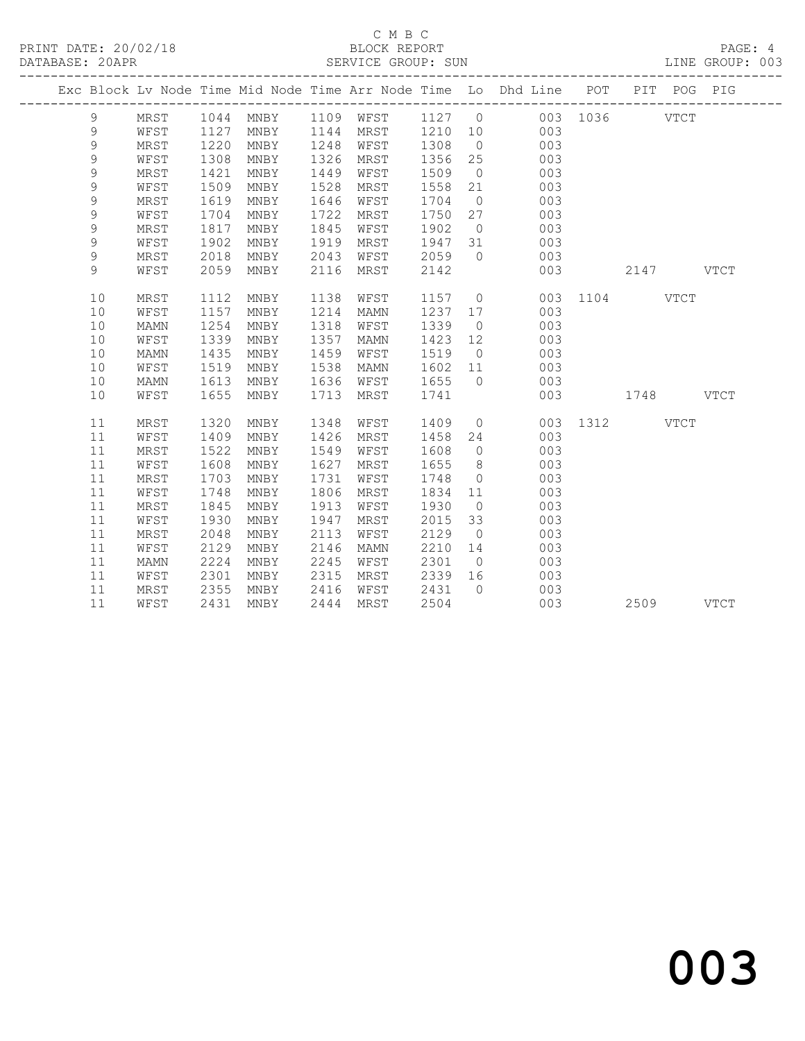#### C M B C<br>BLOCK REPORT SERVICE GROUP: SUN

|  |             |             |      |                       |      |             |                |                | Exc Block Lv Node Time Mid Node Time Arr Node Time Io Dhd Line POT |               |           | PIT POG PIG |  |
|--|-------------|-------------|------|-----------------------|------|-------------|----------------|----------------|--------------------------------------------------------------------|---------------|-----------|-------------|--|
|  | 9           | MRST        | 1044 | MNBY                  | 1109 |             | -------------- |                | WFST 1127 0 003 1036 VTCT                                          |               |           |             |  |
|  | 9           | WFST        | 1127 | MNBY                  | 1144 | MRST        | 1210 10        |                | 003                                                                |               |           |             |  |
|  | 9           | MRST        | 1220 | MNBY                  | 1248 | WFST        | 1308           | $\overline{0}$ | 003                                                                |               |           |             |  |
|  | 9           | WFST        | 1308 | MNBY                  | 1326 | MRST        | 1356           | 25             | 003                                                                |               |           |             |  |
|  | 9           | MRST        | 1421 | MNBY                  | 1449 | WFST        | 1509           | $\overline{0}$ | 003                                                                |               |           |             |  |
|  | $\mathsf 9$ | WFST        | 1509 | MNBY                  | 1528 | MRST        | 1558           | 21             | 003                                                                |               |           |             |  |
|  | 9           | MRST        | 1619 | MNBY                  | 1646 | WFST        | 1704           | $\overline{0}$ | 003                                                                |               |           |             |  |
|  | 9           | WFST        | 1704 | MNBY                  | 1722 | MRST        | 1750           | 27             | 003                                                                |               |           |             |  |
|  | 9           | MRST        | 1817 | MNBY                  | 1845 | WFST        | 1902           | $\overline{0}$ | 003                                                                |               |           |             |  |
|  | 9           | WFST        | 1902 | MNBY                  | 1919 | MRST        | 1947           | 31             | 003                                                                |               |           |             |  |
|  | 9           | MRST        | 2018 | MNBY                  | 2043 | WFST        | 2059           | $\overline{0}$ | 003                                                                |               |           |             |  |
|  | 9           | WFST        | 2059 | MNBY                  | 2116 | MRST        | 2142           |                | 003                                                                |               | 2147 VTCT |             |  |
|  | 10          | MRST        | 1112 | MNBY                  | 1138 | WFST        | 1157           |                | $\overline{0}$                                                     | 003 1104 VTCT |           |             |  |
|  | 10          | WFST        | 1157 | MNBY                  | 1214 | <b>MAMN</b> | 1237 17        |                | 003                                                                |               |           |             |  |
|  | 10          | MAMN        | 1254 | MNBY                  | 1318 | WFST        | 1339           | $\overline{0}$ | 003                                                                |               |           |             |  |
|  | 10          | WFST        | 1339 | MNBY                  | 1357 | MAMN        | 1423           | 12             | 003                                                                |               |           |             |  |
|  | 10          | MAMN        | 1435 | MNBY                  | 1459 | WFST        | 1519           | $\overline{0}$ | 003                                                                |               |           |             |  |
|  | 10          | WFST        | 1519 | MNBY                  | 1538 | MAMN        | 1602           | 11             | 003                                                                |               |           |             |  |
|  | 10          | <b>MAMN</b> | 1613 | MNBY                  | 1636 | WFST        | 1655           | $\bigcirc$     | 003                                                                |               |           |             |  |
|  | 10          | WFST        | 1655 | MNBY                  | 1713 | MRST        | 1741           |                | 003                                                                |               | 1748 VTCT |             |  |
|  | 11          | MRST        | 1320 | MNBY                  | 1348 | WFST        | 1409           |                | $\overline{0}$<br>003                                              | 1312 VTCT     |           |             |  |
|  | 11          | WFST        | 1409 | MNBY                  | 1426 | MRST        | 1458           | 24             | 003                                                                |               |           |             |  |
|  | 11          | MRST        | 1522 | MNBY                  | 1549 | WFST        | 1608           | $\overline{0}$ | 003                                                                |               |           |             |  |
|  | 11          | WFST        | 1608 | MNBY                  | 1627 | MRST        | 1655           | 8 <sup>8</sup> | 003                                                                |               |           |             |  |
|  | 11          | MRST        | 1703 | MNBY                  | 1731 | WFST        | 1748           | $\overline{0}$ | 003                                                                |               |           |             |  |
|  | 11          | WFST        | 1748 | $\operatorname{MNBY}$ | 1806 | MRST        | 1834           | 11             | 003                                                                |               |           |             |  |
|  | 11          | MRST        | 1845 | MNBY                  | 1913 | WFST        | 1930           | $\overline{0}$ | 003                                                                |               |           |             |  |
|  | 11          | WFST        | 1930 | MNBY                  | 1947 | MRST        | 2015           | 33             | 003                                                                |               |           |             |  |
|  | 11          | MRST        | 2048 | MNBY                  | 2113 | WFST        | 2129           | $\overline{0}$ | 003                                                                |               |           |             |  |
|  | 11          | WFST        | 2129 | MNBY                  | 2146 | <b>MAMN</b> | 2210           | 14             | 003                                                                |               |           |             |  |
|  | 11          | MAMN        | 2224 | MNBY                  | 2245 | WFST        | 2301           | $\overline{0}$ | 003                                                                |               |           |             |  |
|  | 11          | WFST        | 2301 | MNBY                  | 2315 | MRST        | 2339           | 16             | 003                                                                |               |           |             |  |
|  | 11          | MRST        | 2355 | MNBY                  | 2416 | WFST        | 2431           | $\bigcirc$     | 003                                                                |               |           |             |  |
|  | 11          | WFST        | 2431 | MNBY                  | 2444 | MRST        | 2504           |                | 003                                                                |               | 2509 VTCT |             |  |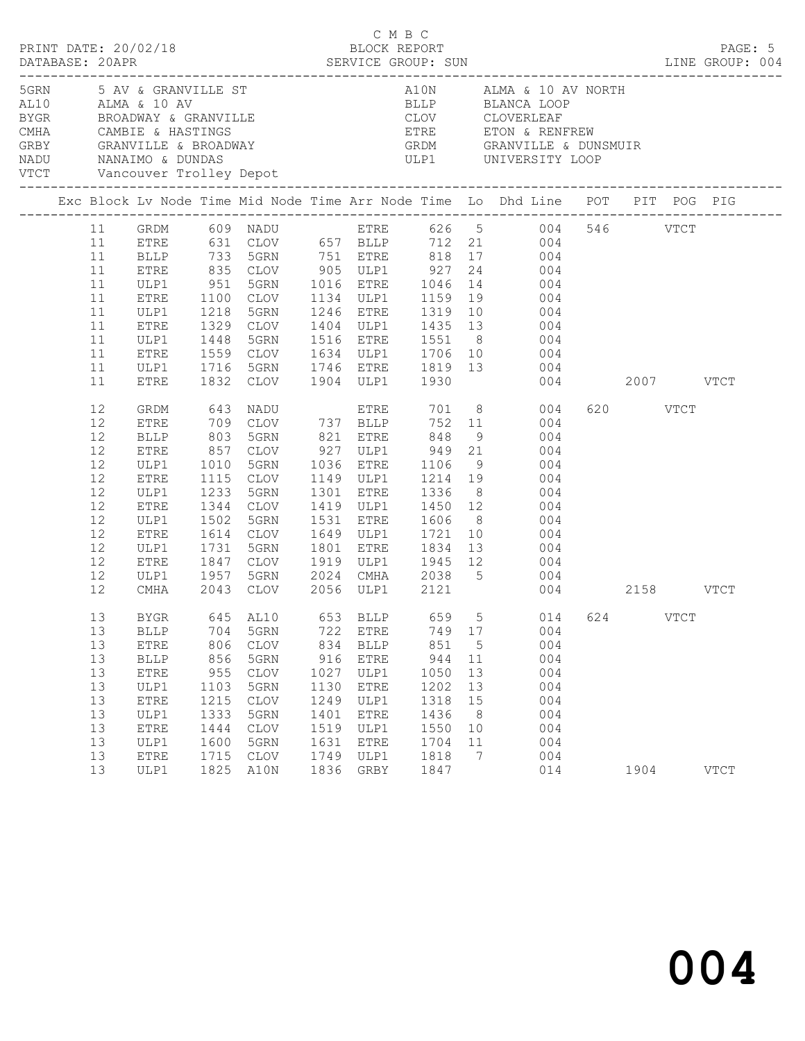|                                                                      |                                                                                                                                       |                                                                                  |                                                                                                                                                      |                                                                                   | C M B C                                                                                                                        |                                                                                   |                                                       | LINE GROUP: 004                                                                                                                                                                                                                                                                                                                                                                                                                                                                                                                                                                  |          | PAGE: 5       |  |
|----------------------------------------------------------------------|---------------------------------------------------------------------------------------------------------------------------------------|----------------------------------------------------------------------------------|------------------------------------------------------------------------------------------------------------------------------------------------------|-----------------------------------------------------------------------------------|--------------------------------------------------------------------------------------------------------------------------------|-----------------------------------------------------------------------------------|-------------------------------------------------------|----------------------------------------------------------------------------------------------------------------------------------------------------------------------------------------------------------------------------------------------------------------------------------------------------------------------------------------------------------------------------------------------------------------------------------------------------------------------------------------------------------------------------------------------------------------------------------|----------|---------------|--|
|                                                                      |                                                                                                                                       |                                                                                  |                                                                                                                                                      |                                                                                   |                                                                                                                                |                                                                                   |                                                       | 5 AV & GRANVILLE ST AND ALMA & 10 AV NORTH AL10 ALMA & 10 AV ALMA & 10 AV ALMA & 10 AV ALMA & 10 AV ALMA & 10 AV ALMA & 10 AV ALMA & 10 AV ALMA & 10 AV ALMA & 10 AV ALMA & 10 AV ALMA & 10 AV ALMA & 10 AV ALMA & 10 AV ALMA                                                                                                                                                                                                                                                                                                                                                    |          |               |  |
|                                                                      |                                                                                                                                       |                                                                                  |                                                                                                                                                      |                                                                                   |                                                                                                                                |                                                                                   |                                                       | Exc Block Lv Node Time Mid Node Time Arr Node Time Lo Dhd Line POT PIT POG PIG                                                                                                                                                                                                                                                                                                                                                                                                                                                                                                   |          |               |  |
| 11<br>11<br>11<br>11<br>11<br>11<br>11<br>11<br>11<br>11<br>12<br>12 | <b>BLLP</b><br><b>ETRE</b><br>ULP1<br><b>ETRE</b><br>ULP1<br>ETRE<br>ULP1<br><b>ETRE</b><br>ULP1<br>ETRE<br>GRDM<br>ETRE              | 1218                                                                             | 1832 CLOV 1904 ULP1 1930                                                                                                                             |                                                                                   |                                                                                                                                |                                                                                   |                                                       | $\begin{tabular}{lcccccc} 11 & & GRDM & & 609 & NADU & & ETRE & & 626 & 5 & & 004 & 546 & & VTCT \\ 11 & ETRE & & 631 & CLOV & & 657 & BLLP & & 712 & 21 & & 004 & & \\ \end{tabular}$<br>733 5GRN 751 ETRE 818 17 004<br>835 CLOV 905 ULP1 927 24 004<br>951 5GRN 1016 ETRE 1046 14 004<br>1100 CLOV 1134 ULP1 1159 19 004<br>5GRN 1246 ETRE 1319 10 004<br>1329 CLOV 1404 ULP1 1435 13 004<br>1448 5GRN 1516 ETRE 1551 8 004<br>1559 CLOV 1634 ULP1 1706 10 004<br>1716 5GRN 1746 ETRE 1819 13 004<br>004 2007 VTCT<br>643 NADU ETRE 701 8 004<br>709 CLOV 737 BLLP 752 11 004 | 620 VTCT |               |  |
| 12<br>12<br>12<br>12<br>12<br>12<br>12<br>12<br>12<br>12<br>12<br>12 | BLLP<br>ETRE<br>ULP1<br>ETRE<br>ULP1<br>ETRE<br>ULP1<br>ETRE<br>ULP1<br>ETRE<br>ULP1<br>CMHA                                          | 1233<br>1344<br>1502<br>1731                                                     | 5GRN<br>5GRN                                                                                                                                         |                                                                                   | 1301 ETRE                                                                                                                      |                                                                                   |                                                       | 803 5GRN 821 ETRE 848 9 004<br>857 CLOV 927 ULP1 949 21 004<br>1010 5GRN 1036 ETRE 1106 9 004<br>1115 CLOV 1149 ULP1 1214 19 004<br>1336 8 004<br>CLOV 1419 ULP1 1450 12 004<br>5GRN 1531 ETRE 1606 8 004<br>1614 CLOV 1649 ULP1 1721 10 004<br>1801 ETRE 1834 13 004<br>1847 CLOV 1919 ULP1 1945 12 004<br>1957 5GRN 2024 CMHA 2038 5 004<br>2043 CLOV 2056 ULP1 2121 004 2158 VTCT                                                                                                                                                                                             |          |               |  |
| 13<br>13<br>13<br>13<br>13<br>13<br>13<br>13<br>13<br>13<br>13<br>13 | <b>BLLP</b><br><b>ETRE</b><br><b>BLLP</b><br><b>ETRE</b><br>ULP1<br><b>ETRE</b><br>ULP1<br><b>ETRE</b><br>ULP1<br><b>ETRE</b><br>ULP1 | 704<br>806<br>856<br>955<br>1103<br>1215<br>1333<br>1444<br>1600<br>1715<br>1825 | BYGR 645 AL10<br>5GRN<br>$\mathtt{CLOV}$<br>5GRN<br>$\mathtt{CLOV}$<br>5GRN<br>$\mathtt{CLOV}$<br>5GRN<br><b>CLOV</b><br>5GRN<br><b>CLOV</b><br>A10N | 722<br>834<br>916<br>1027<br>1130<br>1249<br>1401<br>1519<br>1631<br>1749<br>1836 | <b>ETRE</b><br><b>BLLP</b><br><b>ETRE</b><br>ULP1<br><b>ETRE</b><br>ULP1<br><b>ETRE</b><br>ULP1<br><b>ETRE</b><br>ULP1<br>GRBY | 749<br>851<br>944<br>1050<br>1202<br>1318<br>1436<br>1550<br>1704<br>1818<br>1847 | 17<br>5<br>11<br>13<br>13<br>15<br>8<br>10<br>11<br>7 | 653 BLLP 659 5 014 624 VTCT<br>004<br>004<br>004<br>004<br>004<br>004<br>004<br>004<br>004<br>004<br>014                                                                                                                                                                                                                                                                                                                                                                                                                                                                         | 1904     | $_{\rm VTCT}$ |  |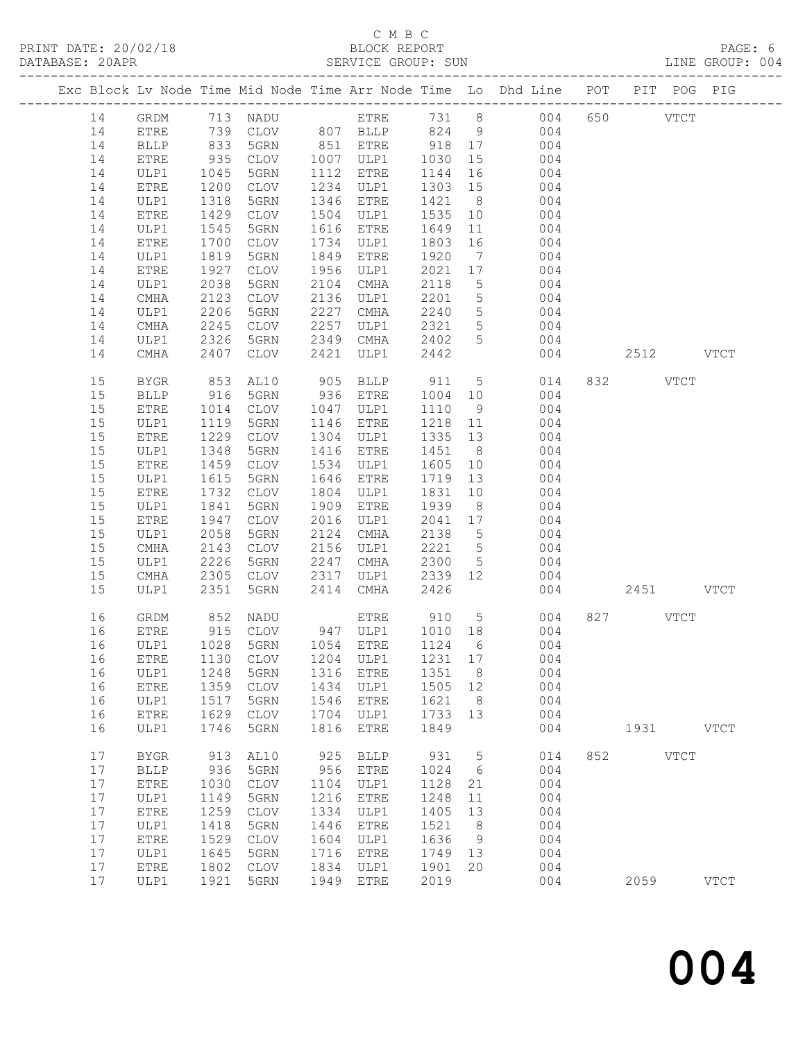# C M B C<br>BLOCK REPORT

LINE GROUP: 004

|          |              |                                            |                                     |              |                                                   |              |                 | Exc Block Lv Node Time Mid Node Time Arr Node Time Lo Dhd Line POT |     |           | PIT POG PIG |             |
|----------|--------------|--------------------------------------------|-------------------------------------|--------------|---------------------------------------------------|--------------|-----------------|--------------------------------------------------------------------|-----|-----------|-------------|-------------|
| 14       | GRDM         |                                            |                                     |              |                                                   |              |                 |                                                                    |     | 650 VTCT  |             |             |
| 14       | <b>ETRE</b>  |                                            |                                     |              |                                                   |              |                 |                                                                    |     |           |             |             |
| 14       | <b>BLLP</b>  |                                            |                                     |              | 851 ETRE                                          | 918 17       |                 |                                                                    |     |           |             |             |
| 14       | ETRE         | 935                                        | CLOV                                |              | 1007 ULP1                                         | 1030         | 15              | 004                                                                |     |           |             |             |
| 14       | ULP1         |                                            | 5GRN                                |              | 1112 ETRE                                         | 1144         | 16              | 004                                                                |     |           |             |             |
| 14       | ETRE         | 1045<br>1200                               | CLOV                                |              | 1234 ULP1                                         | 1303 15      |                 | 004                                                                |     |           |             |             |
| 14       | ULP1         | 1318                                       | 5GRN                                |              | 1346 ETRE                                         |              |                 | 1421 8<br>004                                                      |     |           |             |             |
| 14       | <b>ETRE</b>  | 1429                                       | CLOV                                |              | 1504 ULP1                                         | 1535         |                 | 10<br>004                                                          |     |           |             |             |
| 14       | ULP1         | 1545                                       | 5GRN                                |              | 1616 ETRE                                         | 1649         | 11              | 004                                                                |     |           |             |             |
| 14       | ETRE         | 1700                                       | CLOV                                |              | 1734 ULP1                                         | 1803         | 16              | 004                                                                |     |           |             |             |
| 14       | ULP1         | 1819                                       | 5GRN                                | 1849         | ETRE                                              | 1920         | $7\overline{ }$ | 004                                                                |     |           |             |             |
| 14       | ETRE         | 1927                                       | CLOV                                |              | 1956 ULP1                                         | 2021 17      |                 | 004                                                                |     |           |             |             |
| 14       | ULP1         | 2038                                       | 5GRN                                | 2104         | CMHA                                              | 2118         | $5\overline{)}$ | 004                                                                |     |           |             |             |
| 14       | CMHA         | 2123                                       | CLOV                                |              | 2136 ULP1                                         | 2201         | 5 <sup>5</sup>  | 004                                                                |     |           |             |             |
| 14       | ULP1         | 2206                                       | 5GRN                                |              | 2227 CMHA                                         | 2240         | 5 <sup>5</sup>  | 004                                                                |     |           |             |             |
| 14       | CMHA         | 2245                                       | CLOV                                | 2257         | ULP1                                              | 2321         | 5 <sup>5</sup>  | 004                                                                |     |           |             |             |
| 14       | ULP1         | 2326                                       | 5GRN                                |              | 2349 CMHA                                         | 2402         | 5 <sup>5</sup>  | 004                                                                |     |           |             |             |
| 14       | CMHA         | 2407                                       | CLOV                                | 2421         | ULP1                                              | 2442         |                 | 004                                                                |     | 2512 VTCT |             |             |
|          |              |                                            |                                     |              |                                                   |              |                 |                                                                    |     |           |             |             |
| 15       | BYGR         | 853                                        | AL10                                |              | 905 BLLP                                          | 911          |                 | 5 <sub>1</sub><br>014                                              |     | 832 VTCT  |             |             |
| 15       | <b>BLLP</b>  | 916                                        | 5GRN                                |              | 936 ETRE                                          | 1004 10      |                 | 004                                                                |     |           |             |             |
| 15       | ETRE         | 1014                                       | CLOV                                |              | 1047 ULP1                                         | 1110         | 9               | 004                                                                |     |           |             |             |
| 15       | ULP1         | 1119                                       | 5GRN                                |              | 1146 ETRE                                         | 1218 11      |                 | 004                                                                |     |           |             |             |
| 15       | ${\tt ETRE}$ | 1229                                       | CLOV                                |              | 1304 ULP1                                         | 1335 13      |                 | 004                                                                |     |           |             |             |
| 15       | ULP1         | 1348                                       | 5GRN                                |              | 1416 ETRE                                         | 1451         | 8 <sup>8</sup>  | 004                                                                |     |           |             |             |
| 15       | ${\tt ETRE}$ | 1459                                       | CLOV                                |              | 1534 ULP1                                         | 1605         | 10              | 004                                                                |     |           |             |             |
| 15       | ULP1         | 1615                                       | 5GRN                                | 1646         | ETRE                                              | 1719         | 13              | 004                                                                |     |           |             |             |
| 15       | ${\tt ETRE}$ | 1732                                       | CLOV                                | 1804         | ULP1                                              | 1831         | 10              | 004                                                                |     |           |             |             |
| 15       | ULP1         | 1841                                       | 5GRN                                | 1909         | ETRE                                              | 1939         | 8 <sup>8</sup>  | 004                                                                |     |           |             |             |
| 15       | ETRE         | 1947                                       | CLOV                                | 2016         | ULP1                                              | 2041 17      |                 | 004                                                                |     |           |             |             |
| 15       | ULP1         | 2058                                       | 5GRN                                | 2124         | CMHA                                              | 2138 5       |                 | 004                                                                |     |           |             |             |
| 15       | CMHA         | 2143                                       | CLOV                                | 2156         | ULP1                                              | 2221 5       |                 | 004                                                                |     |           |             |             |
| 15       | ULP1         | 2226                                       | 5GRN                                | 2247         | CMHA                                              | 2300         | 5 <sup>5</sup>  | 004                                                                |     |           |             |             |
| 15       | CMHA         | 2305                                       | CLOV                                | 2317         | ULP1                                              | 2339         | 12              | 004                                                                |     |           |             |             |
| 15       | ULP1         | 2351                                       | 5GRN                                | 2414         | CMHA                                              | 2426         |                 |                                                                    | 004 | 2451 VTCT |             |             |
| 16       | GRDM         | 852                                        | NADU                                |              | ETRE 910 5                                        |              |                 | 004                                                                |     | 827 VTCT  |             |             |
| 16       | ETRE         |                                            | CLOV                                |              |                                                   |              |                 | 004                                                                |     |           |             |             |
| 16       | ULP1         | $\begin{array}{c} 915 \\ 1028 \end{array}$ | 5GRN                                |              | 947 ULP1 1010 18<br>1054 ETRE 1124 6<br>1054 ETRE | 1124 6       |                 | 004                                                                |     |           |             |             |
|          |              |                                            | 16 ETRE 1130 CLOV 1204 ULP1 1231 17 |              |                                                   |              |                 | 004                                                                |     |           |             |             |
| 16       | ULP1         | 1248                                       | 5GRN                                | 1316         | ETRE                                              | 1351         | 8               | 004                                                                |     |           |             |             |
| 16       | ETRE         | 1359                                       | CLOV                                | 1434         | ULP1                                              | 1505         | 12              | 004                                                                |     |           |             |             |
| 16       | ULP1         | 1517                                       | 5GRN                                | 1546         | ETRE                                              | 1621         | 8               | 004                                                                |     |           |             |             |
| 16       | ETRE         | 1629                                       | <b>CLOV</b>                         | 1704         | ULP1                                              | 1733         | 13              | 004                                                                |     |           |             |             |
| 16       | ULP1         | 1746                                       | 5GRN                                | 1816         | ETRE                                              | 1849         |                 | 004                                                                |     | 1931      |             | <b>VTCT</b> |
|          |              |                                            |                                     |              |                                                   |              |                 |                                                                    |     |           |             |             |
| 17       | <b>BYGR</b>  | 913                                        | AL10                                | 925          | <b>BLLP</b>                                       | 931          | 5               | 014                                                                | 852 |           | <b>VTCT</b> |             |
| 17       | <b>BLLP</b>  | 936                                        | 5GRN                                | 956          | <b>ETRE</b>                                       | 1024         | 6               | 004                                                                |     |           |             |             |
| 17       | ETRE         | 1030                                       | $\mathtt{CLOV}$                     | 1104         | ULP1                                              | 1128         | 21              | 004                                                                |     |           |             |             |
| 17       | ULP1         | 1149                                       | 5GRN                                | 1216         | ETRE                                              | 1248         | 11              | 004                                                                |     |           |             |             |
| 17       | ${\tt ETRE}$ | 1259                                       | <b>CLOV</b>                         | 1334         | ULP1                                              | 1405         | 13              | 004                                                                |     |           |             |             |
| 17<br>17 | ULP1         | 1418<br>1529                               | 5GRN<br>$\mathtt{CLOV}$             | 1446<br>1604 | <b>ETRE</b>                                       | 1521<br>1636 | 8               | 004<br>004                                                         |     |           |             |             |
| 17       | ${\tt ETRE}$ | 1645                                       |                                     | 1716         | ULP1                                              |              | $\overline{9}$  | 004                                                                |     |           |             |             |
| 17       | ULP1<br>ETRE | 1802                                       | 5GRN<br><b>CLOV</b>                 | 1834         | <b>ETRE</b><br>ULP1                               | 1749<br>1901 | 13<br>20        | 004                                                                |     |           |             |             |
| 17       | ULP1         | 1921                                       | 5GRN                                | 1949         | ${\tt ETRE}$                                      | 2019         |                 | 004                                                                |     | 2059      |             | <b>VTCT</b> |
|          |              |                                            |                                     |              |                                                   |              |                 |                                                                    |     |           |             |             |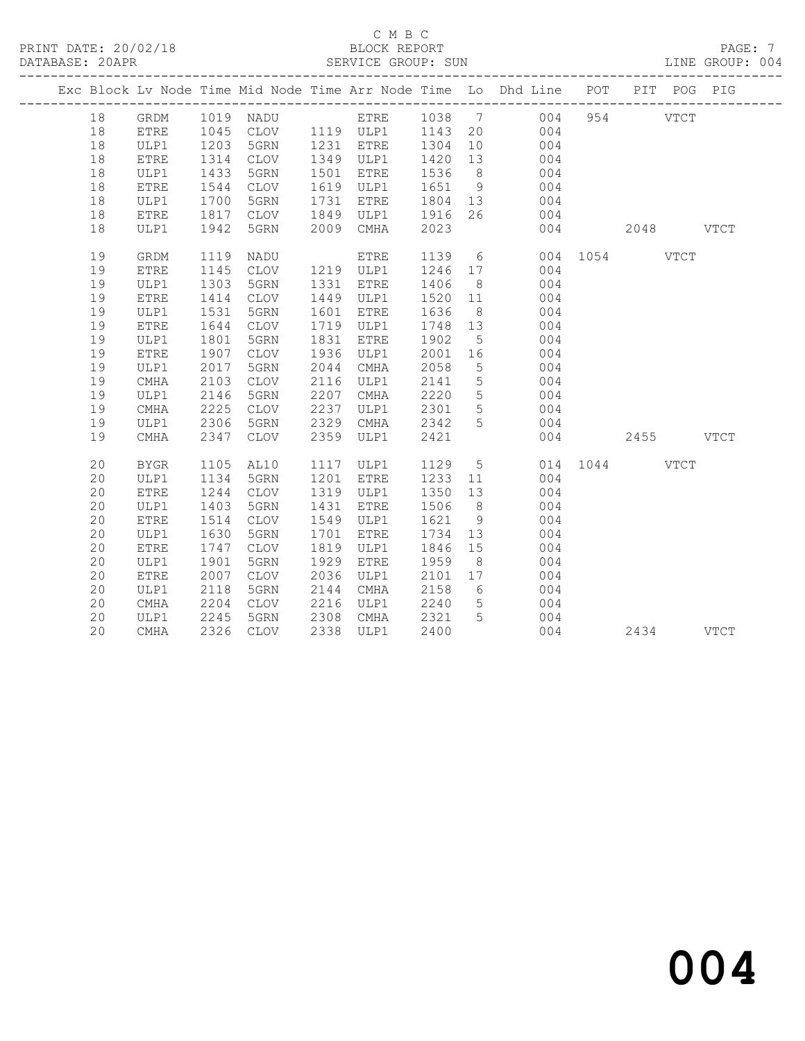#### C M B C<br>BLOCK REPORT SERVICE GROUP: SUN

|  |          |                   |              |                                                            |              |              |              |                                    | Exc Block Lv Node Time Mid Node Time Arr Node Time Lo Dhd Line POT |               |           | PIT POG PIG |  |
|--|----------|-------------------|--------------|------------------------------------------------------------|--------------|--------------|--------------|------------------------------------|--------------------------------------------------------------------|---------------|-----------|-------------|--|
|  | 18       | GRDM              |              | 1019 NADU                                                  |              |              |              |                                    | ETRE 1038 7 004                                                    |               | 954 VTCT  |             |  |
|  | 18       | ETRE              |              | 1045 CLOV 1119 ULP1 1143 20<br>1203 5GRN 1231 ETRE 1304 10 |              |              |              |                                    | 004                                                                |               |           |             |  |
|  | 18       | ULP1              |              |                                                            |              |              |              |                                    | 004                                                                |               |           |             |  |
|  | 18       | ETRE              | 1314         | CLOV                                                       |              | 1349 ULP1    | 1420         | 13                                 | 004                                                                |               |           |             |  |
|  | 18       | ULP1              | 1433         | 5GRN                                                       | 1501         | ETRE         | 1536         | 8 <sup>8</sup>                     | 004                                                                |               |           |             |  |
|  | 18       | ETRE              | 1544         | CLOV                                                       | 1619         | ULP1         | 1651         | 9                                  | 004                                                                |               |           |             |  |
|  | 18       | ULP1              | 1700         | 5GRN                                                       | 1731         | ETRE         | 1804         | 13                                 | 004                                                                |               |           |             |  |
|  | 18       | ETRE              | 1817         | CLOV                                                       | 1849         | ULP1         | 1916         | 26                                 | 004                                                                |               |           |             |  |
|  | 18       | ULP1              | 1942         | 5GRN                                                       | 2009         | CMHA         | 2023         |                                    | 004                                                                | 2048 VTCT     |           |             |  |
|  | 19       | GRDM              | 1119         | NADU                                                       |              | ETRE         | 1139         |                                    | $6\overline{6}$                                                    | 004 1054 VTCT |           |             |  |
|  | 19       | <b>ETRE</b>       | 1145         | CLOV                                                       |              | 1219 ULP1    | 1246         | 17                                 | 004                                                                |               |           |             |  |
|  | 19       | ULP1              | 1303         | 5GRN                                                       | 1331         | ETRE         | 1406         | 8 <sup>8</sup>                     | 004                                                                |               |           |             |  |
|  | 19       | ${\tt ETRE}$      | 1414         | CLOV                                                       | 1449         | ULP1         | 1520         | 11                                 | 004                                                                |               |           |             |  |
|  | 19       | ULP1              | 1531         | 5GRN                                                       | 1601         | ETRE         | 1636         | 8 <sup>8</sup>                     | 004                                                                |               |           |             |  |
|  | 19       | ETRE              | 1644         | CLOV                                                       | 1719         | ULP1         | 1748         | 13                                 | 004                                                                |               |           |             |  |
|  | 19       | ULP1              | 1801         | 5GRN                                                       | 1831         | ETRE         | 1902         | 5                                  | 004                                                                |               |           |             |  |
|  | 19       | ${\tt ETRE}$      | 1907         | CLOV                                                       | 1936         | ULP1         | 2001         | 16                                 | 004                                                                |               |           |             |  |
|  | 19<br>19 | ULP1<br>$\rm CMA$ | 2017<br>2103 | 5GRN<br>CLOV                                               | 2044<br>2116 | CMHA         | 2058<br>2141 | $5\phantom{.0}$<br>$5\phantom{.0}$ | 004<br>004                                                         |               |           |             |  |
|  | 19       | ULP1              | 2146         | 5GRN                                                       | 2207         | ULP1<br>CMHA | 2220         | $5\overline{)}$                    | 004                                                                |               |           |             |  |
|  | 19       | $\rm CMA$         | 2225         | CLOV                                                       | 2237         | ULP1         | 2301         | $5\overline{)}$                    | 004                                                                |               |           |             |  |
|  | 19       | ULP1              | 2306         | 5GRN                                                       | 2329         | CMHA         | 2342         | $5^{\circ}$                        | 004                                                                |               |           |             |  |
|  | 19       | CMHA              | 2347         | CLOV                                                       | 2359         | ULP1         | 2421         |                                    |                                                                    | 004           | 2455 VTCT |             |  |
|  | 20       | <b>BYGR</b>       | 1105         | AL10                                                       | 1117         | ULP1         | 1129         |                                    | 5 <sub>5</sub>                                                     | 014 1044 VTCT |           |             |  |
|  | 20       | ULP1              | 1134         | 5GRN                                                       | 1201         | <b>ETRE</b>  | 1233         | 11                                 | 004                                                                |               |           |             |  |
|  | 20       | ETRE              | 1244         | CLOV                                                       | 1319         | ULP1         | 1350         | 13                                 | 004                                                                |               |           |             |  |
|  | 20       | ULP1              | 1403         | 5GRN                                                       | 1431         | ETRE         | 1506         | 8 <sup>8</sup>                     | 004                                                                |               |           |             |  |
|  | 20       | ETRE              | 1514         | CLOV                                                       | 1549         | ULP1         | 1621         | 9                                  | 004                                                                |               |           |             |  |
|  | 20       | ULP1              | 1630         | 5GRN                                                       | 1701         | ETRE         | 1734         | 13                                 | 004                                                                |               |           |             |  |
|  | 20       | ETRE              | 1747         | CLOV                                                       | 1819         | ULP1         | 1846         | 15                                 | 004                                                                |               |           |             |  |
|  | 20       | ULP1              | 1901         | 5GRN                                                       | 1929         | ETRE         | 1959         | 8 <sup>8</sup>                     | 004                                                                |               |           |             |  |
|  | 20       | <b>ETRE</b>       | 2007         | CLOV                                                       | 2036         | ULP1         | 2101         | 17                                 | 004                                                                |               |           |             |  |
|  | 20       | ULP1              | 2118         | 5GRN                                                       | 2144         | CMHA         | 2158         | $6\overline{6}$                    | 004                                                                |               |           |             |  |
|  | 20       | CMHA              | 2204         | CLOV                                                       | 2216         | ULP1         | 2240         | $5\overline{)}$                    | 004                                                                |               |           |             |  |
|  | 20       | ULP1              | 2245         | 5GRN                                                       | 2308         | CMHA         | 2321         | $5^{\circ}$                        | 004                                                                |               |           |             |  |
|  | 20       | CMHA              |              | 2326 CLOV                                                  | 2338         | ULP1         | 2400         |                                    |                                                                    | 004 00        | 2434 VTCT |             |  |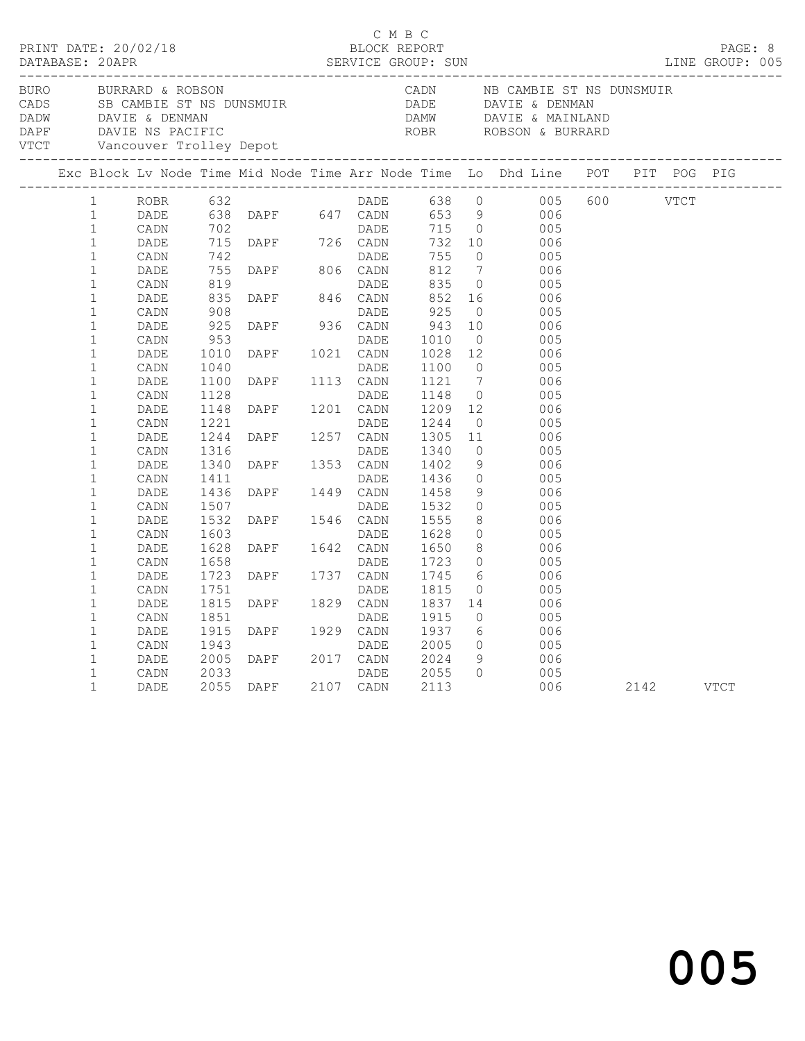|                  |                                                              |                              |                              |                                                                                                                    | C M B C      |                              |                                        |                                                                                                                                                                                                                                                     |           |  |
|------------------|--------------------------------------------------------------|------------------------------|------------------------------|--------------------------------------------------------------------------------------------------------------------|--------------|------------------------------|----------------------------------------|-----------------------------------------------------------------------------------------------------------------------------------------------------------------------------------------------------------------------------------------------------|-----------|--|
| ________________ |                                                              | BURRARD & ROBSON             |                              |                                                                                                                    |              |                              |                                        | BURO BURRARD & ROBSON CADN NB CAMBIE ST NS DUNSMUIR<br>CADS SB CAMBIE ST NS DUNSMUIR<br>DADW DAVIE & DENMAN DADE DAVIE & DENMAN<br>DADW DAVIE & DENMAN DAMW DAVIE & MAINLAND<br>DAPF DAVIE NS PACIFIC<br>VTCT Vancouver Trolley Depot<br>P          |           |  |
|                  |                                                              |                              |                              |                                                                                                                    |              |                              |                                        | Exc Block Lv Node Time Mid Node Time Arr Node Time Lo Dhd Line POT PIT POG PIG                                                                                                                                                                      |           |  |
|                  | $\mathbf{1}$<br>$\mathbf{1}$<br>$\mathbf{1}$                 |                              |                              |                                                                                                                    |              |                              |                                        | ROBR 632<br>DADE 638 DAPF 647 CADN 653 9 006<br>CADN 702<br>DADE 715 DAPF 726 CADN 732 10 006<br>CADN 742<br>DADE 715 DAPF 726 CADN 732 10 006<br>CADN 742<br>DADE 75 0 005<br>DADE 755 DAPF 806 CADN 812 7 006<br>CADN 819<br>CADN 819<br>DADE 835 |           |  |
|                  | $\mathbf{1}$<br>$\mathbf{1}$<br>$\mathbf{1}$<br>$\mathbf{1}$ |                              |                              |                                                                                                                    |              |                              |                                        |                                                                                                                                                                                                                                                     |           |  |
|                  | $1\,$<br>$\mathbf{1}$<br>$\mathbf{1}$<br>$\mathbf{1}$        | DADE<br>CADN<br>DADE<br>CADN | 835<br>908<br>925<br>953     | DADE DADE<br>DAPF 846 CADN<br>DAPF 936 CADN                                                                        | DADE<br>DADE | 852<br>925<br>943<br>1010    | $\overline{0}$<br>10<br>$\overline{0}$ | 16 006<br>005<br>006<br>005                                                                                                                                                                                                                         |           |  |
|                  | $\mathbf{1}$<br>$\mathbf{1}$<br>$\mathbf{1}$                 | DADE<br>CADN<br>DADE         | 1010<br>1040<br>1100         | DAPF 1021 CADN<br>DADE<br>DAPF 1113 CADN                                                                           |              | 1028 12<br>1100<br>1121      | $\overline{0}$                         | 006<br>005<br>$\frac{6}{7}$<br>006                                                                                                                                                                                                                  |           |  |
|                  | $\mathbf{1}$<br>$\mathbf{1}$<br>$\mathbf{1}$<br>$\mathbf{1}$ | CADN<br>DADE<br>CADN<br>DADE | 1128<br>1148<br>1221<br>1244 | DAPE 1115 CADN<br>DADE DAPE 1201 CADN<br>DADE DAPE 1257 CADN<br>DAPE 1353 CADN<br>DAPE 1353 CADN<br>DAPE 1449 CADN |              | 1148<br>1209<br>1244<br>1305 | 11                                     | $\begin{matrix}0\\12\end{matrix}$<br>005<br>006<br>$\overline{0}$<br>005<br>- 006                                                                                                                                                                   |           |  |
|                  | $\mathbf{1}$<br>$\mathbf 1$<br>$\mathbf{1}$<br>$\mathbf{1}$  | CADN<br>DADE<br>CADN<br>DADE | 1316<br>1340<br>1411<br>1436 |                                                                                                                    |              | 1340<br>1402<br>1436<br>1458 | 9<br>$\overline{0}$<br>9               | $\overline{0}$<br>005<br>006<br>005<br>006                                                                                                                                                                                                          |           |  |
|                  | $\mathbf{1}$<br>$\mathbf{1}$<br>$\mathbf{1}$                 | CADN<br>DADE<br>CADN         | 1507<br>1532<br>1603         | DADE<br>DAPF 1546 CADN<br>DADE                                                                                     |              | 1532<br>1555<br>1628         |                                        | $\begin{array}{ccc}\n0 & 0 & 0 \\ 0 & 0 & 0\n\end{array}$<br>8 006<br>0 005                                                                                                                                                                         |           |  |
|                  | $\mathbf{1}$<br>$\mathbf{1}$<br>$\mathbf{1}$<br>$\mathbf{1}$ | DADE<br>CADN<br>DADE<br>CADN | 1628<br>1658<br>1723<br>1751 | DAPE 1642 CADN<br>DAPE 1642 CADN<br>DAPE 1737 CADN<br>DAPE 1737 CADN                                               |              | 1650<br>1723<br>1745<br>1815 | $\overline{0}$                         | $\begin{matrix} 8 \\ 0 \end{matrix}$<br>- 006<br>005<br>$\frac{6}{1}$<br>006<br>005                                                                                                                                                                 |           |  |
|                  | $\mathbf{1}$<br>$\mathbf{1}$<br>$\mathbf{1}$                 | DADE<br>CADN<br>DADE         | 1815<br>1851<br>1915         | DAPF 1829 CADN<br>DAPF 1929 CADN<br>DAPF 1929 CADN                                                                 |              | 1837<br>1915<br>1937         | $\overline{0}$                         | 14 006<br>005<br>6 006                                                                                                                                                                                                                              |           |  |
|                  | 1<br>$\mathbf{1}$<br>$\mathbf 1$<br>$\mathbf{1}$             | CADN<br>DADE<br>CADN<br>DADE | 1943<br>2005<br>2033         | DAPF 2017 CADN<br>DADE<br>2055 DAPF 2107 CADN                                                                      | DADE         | 2005<br>2024<br>2055<br>2113 | $\Omega$                               | $\begin{array}{ccc} 0 & \quad & 005 \\ 9 & \quad & 006 \end{array}$<br>005<br>006                                                                                                                                                                   | 2142 VTCT |  |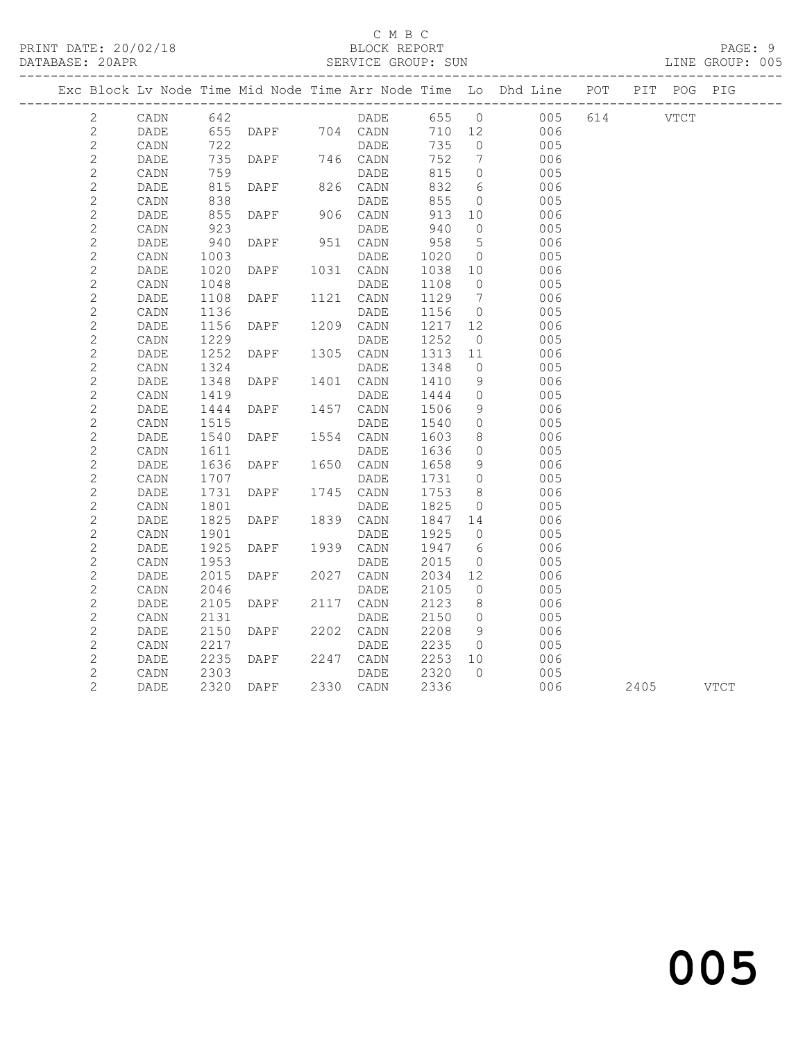### C M B C<br>BLOCK REPORT

#### SERVICE GROUP: SUN

PRINT DATE: 20/02/18 BLOCK REPORT PAGE: 9

|                      |                 |            |                     |           |                                   |                 | Exc Block Lv Node Time Mid Node Time Arr Node Time Lo Dhd Line POT PIT POG PIG |           |  |
|----------------------|-----------------|------------|---------------------|-----------|-----------------------------------|-----------------|--------------------------------------------------------------------------------|-----------|--|
| $\mathbf{2}^{\circ}$ |                 |            |                     |           |                                   |                 | CADN 642 DADE 655 0 005 614 VTCT                                               |           |  |
| $\mathbf{2}$         | DADE            |            |                     |           |                                   |                 | 710 12 006                                                                     |           |  |
| $\mathbf{2}$         | CADN            |            |                     |           | 735                               | $\overline{0}$  | 005                                                                            |           |  |
| $\mathbf{2}$         | DADE            |            | 735 DAPF 746 CADN   |           | 752                               | $7\phantom{0}$  | 006                                                                            |           |  |
| $\mathbf{2}$         | CADN            | 759        |                     |           | 815                               | $\overline{0}$  | 005                                                                            |           |  |
| $\sqrt{2}$           | DADE            |            |                     |           | 832                               | 6               | 006                                                                            |           |  |
| $\mathbf{2}$         | CADN            | 838        |                     | DADE      | 855                               | $\overline{0}$  | 005                                                                            |           |  |
| 2                    | DADE            | 855<br>923 | DAPF 906 CADN       |           | 913                               | 10              | 006                                                                            |           |  |
| $\sqrt{2}$           | CADN            |            |                     | DADE      | 940                               | $\overline{0}$  | 005                                                                            |           |  |
| $\sqrt{2}$           | DADE            | 940        | DAPF                | 951 CADN  | 958                               | $5\overline{)}$ | 006                                                                            |           |  |
| $\mathbf{2}$         | CADN            | 1003       |                     | DADE      | 1020 0<br>1038 10                 |                 | 005                                                                            |           |  |
| $\mathbf{2}$         | DADE            | 1020       | DAPF 1031 CADN      |           |                                   |                 | 006                                                                            |           |  |
| $\mathbf{2}$         | CADN            | 1048       |                     | DADE      | 1108                              | $\overline{0}$  | 005                                                                            |           |  |
| $\mathbf{2}$         | DADE            | 1108       | DAPF 1121 CADN      |           | 1129                              | $7\phantom{0}$  | 006                                                                            |           |  |
| $\mathbf{2}$         | CADN            | 1136       |                     | DADE      | 1156                              | $\overline{0}$  | 005                                                                            |           |  |
| $\mathbf{2}$         | DADE            | 1156       | <b>DAPF</b>         | 1209 CADN | 1217 12                           |                 | 006                                                                            |           |  |
| $\mathbf{2}$         | CADN            | 1229       |                     | DADE      | 1252                              | $\overline{0}$  | 005                                                                            |           |  |
| $\mathbf{2}$         | DADE            | 1252       | DAPF 1305 CADN      |           | $\overline{1313}$ $\overline{11}$ |                 | 006                                                                            |           |  |
| $\mathbf{2}$         | CADN            | 1324       |                     | DADE      | 1348                              | $\overline{0}$  | 005                                                                            |           |  |
| $\mathbf{2}$         | DADE            | 1348       | DAPF 1401 CADN      |           | 1410                              | 9               | 006                                                                            |           |  |
| $\sqrt{2}$           | CADN            | 1419       |                     | DADE      | 1444                              | $\overline{0}$  | 005                                                                            |           |  |
| $\mathbf{2}$         | DADE            | 1444       | DAPF 1457 CADN      |           | 1506                              | 9               | 006                                                                            |           |  |
| $\sqrt{2}$           | CADN            | 1515       |                     | DADE      | 1540                              | $\overline{0}$  | 005                                                                            |           |  |
| $\mathbf{2}$         | DADE            |            | 1540 DAPF 1554 CADN |           | 1603                              | 8 <sup>8</sup>  | 006                                                                            |           |  |
| $\mathbf{2}$         | CADN            | 1611       |                     | DADE      | 1636                              | $\overline{0}$  | 005                                                                            |           |  |
| $\mathbf{2}$         | DADE            | 1636       | DAPF 1650 CADN      |           | 1658                              | 9               | 006                                                                            |           |  |
| $\mathbf{2}$         | CADN            | 1707       |                     | DADE      | 1731                              | $\overline{0}$  | 005                                                                            |           |  |
| $\mathbf{2}$         | DADE            | 1731       | DAPF 1745 CADN      |           | 1753                              | 8 <sup>8</sup>  | 006                                                                            |           |  |
| $\mathbf{2}$         | CADN            | 1801       |                     | DADE      | 1825                              | $\overline{0}$  | 005                                                                            |           |  |
| $\mathbf{2}$         | DADE            | 1825       | DAPF 1839 CADN      |           | 1847 14                           |                 | 006                                                                            |           |  |
| $\mathbf{2}$         | $\mathtt{CADN}$ | 1901       |                     | DADE      | 1925<br>$1947$ 6                  | $\overline{0}$  | 005                                                                            |           |  |
| $\mathbf{2}$         | DADE            | 1925       | DAPF 1939 CADN      |           |                                   |                 | 006                                                                            |           |  |
| $\mathbf{2}$         | CADN            | 1953       |                     | DADE      | 2015                              | $\overline{0}$  | 005                                                                            |           |  |
| $\sqrt{2}$           | DADE            | 2015       | DAPF                | 2027 CADN | 2034                              | 12              | 006                                                                            |           |  |
| $\mathbf{2}$         | CADN            | 2046       |                     | DADE      | 2105                              | $\overline{0}$  | 005                                                                            |           |  |
| $\mathbf{2}$         | DADE            | 2105       | DAPF                | 2117 CADN | 2123                              | 8 <sup>8</sup>  | 006                                                                            |           |  |
| 2                    | CADN            | 2131       |                     | DADE      | 2150                              | $\overline{0}$  | 005                                                                            |           |  |
| $\mathbf{2}$         | DADE            | 2150       | <b>DAPF</b>         | 2202 CADN | 2208                              | 9               | 006                                                                            |           |  |
| $\mathbf{2}$         | CADN            | 2217       |                     | DADE      | 2235                              | $\overline{0}$  | 005                                                                            |           |  |
| $\sqrt{2}$           | DADE            | 2235       | DAPF                | 2247 CADN | 2253 10<br>2320 0                 |                 | 006                                                                            |           |  |
| $\sqrt{2}$           | CADN            | 2303       |                     | DADE      |                                   |                 | 005                                                                            |           |  |
| 2                    | DADE            |            | 2320 DAPF 2330 CADN |           | 2336                              |                 | 006                                                                            | 2405 VTCT |  |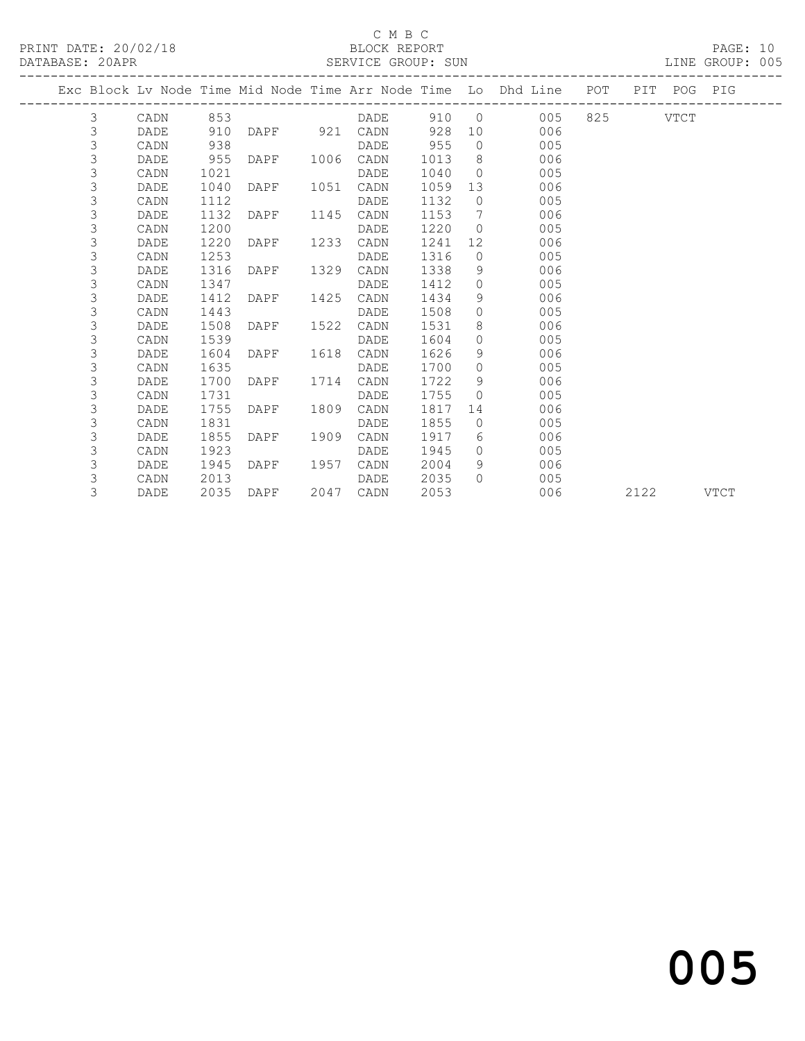#### C M B C<br>BLOCK REPORT

#### SERVICE GROUP: SUN

|  |   |      |      |      |      |                                |      |                 | Exc Block Lv Node Time Mid Node Time Arr Node Time Lo Dhd Line POT |          | PIT POG PIG |  |
|--|---|------|------|------|------|--------------------------------|------|-----------------|--------------------------------------------------------------------|----------|-------------|--|
|  | 3 | CADN | 853  |      |      | ----------------------<br>DADE |      |                 | 005<br>910 0                                                       | 825 VTCT |             |  |
|  | 3 | DADE | 910  |      |      | DAPF 921 CADN                  | 928  |                 | 10<br>006                                                          |          |             |  |
|  | 3 | CADN | 938  |      |      | DADE                           | 955  |                 | $\overline{0}$<br>005                                              |          |             |  |
|  | 3 | DADE | 955  | DAPF |      | 1006 CADN                      | 1013 | 8 <sup>1</sup>  | 006                                                                |          |             |  |
|  | 3 | CADN | 1021 |      |      | DADE                           | 1040 | $\bigcirc$      | 005                                                                |          |             |  |
|  | 3 | DADE | 1040 | DAPF | 1051 | CADN                           | 1059 | 13              | 006                                                                |          |             |  |
|  | 3 | CADN | 1112 |      |      | DADE                           | 1132 |                 | $\overline{0}$<br>005                                              |          |             |  |
|  | 3 | DADE | 1132 | DAPF | 1145 | CADN                           | 1153 | $7\overline{ }$ | 006                                                                |          |             |  |
|  | 3 | CADN | 1200 |      |      | DADE                           | 1220 | $\bigcirc$      | 005                                                                |          |             |  |
|  | 3 | DADE | 1220 | DAPF | 1233 | CADN                           | 1241 | 12              | 006                                                                |          |             |  |
|  | 3 | CADN | 1253 |      |      | DADE                           | 1316 |                 | $\overline{0}$<br>005                                              |          |             |  |
|  | 3 | DADE | 1316 | DAPF | 1329 | CADN                           | 1338 | - 9             | 006                                                                |          |             |  |
|  | 3 | CADN | 1347 |      |      | DADE                           | 1412 | $\circ$         | 005                                                                |          |             |  |
|  | 3 | DADE | 1412 | DAPF | 1425 | CADN                           | 1434 | 9               | 006                                                                |          |             |  |
|  | 3 | CADN | 1443 |      |      | DADE                           | 1508 |                 | $\Omega$<br>005                                                    |          |             |  |
|  | 3 | DADE | 1508 | DAPF | 1522 | CADN                           | 1531 | 8               | 006                                                                |          |             |  |
|  | 3 | CADN | 1539 |      |      | DADE                           | 1604 | $\Omega$        | 005                                                                |          |             |  |
|  | 3 | DADE | 1604 | DAPF | 1618 | CADN                           | 1626 | 9               | 006                                                                |          |             |  |
|  | 3 | CADN | 1635 |      |      | DADE                           | 1700 | $\Omega$        | 005                                                                |          |             |  |
|  | 3 | DADE | 1700 | DAPF | 1714 | CADN                           | 1722 | - 9             | 006                                                                |          |             |  |
|  | 3 | CADN | 1731 |      |      | DADE                           | 1755 | $\Omega$        | 005                                                                |          |             |  |
|  | 3 | DADE | 1755 | DAPF | 1809 | CADN                           | 1817 | 14              | 006                                                                |          |             |  |
|  | 3 | CADN | 1831 |      |      | DADE                           | 1855 |                 | $\Omega$<br>005                                                    |          |             |  |
|  | 3 | DADE | 1855 | DAPF | 1909 | CADN                           | 1917 | 6               | 006                                                                |          |             |  |
|  | 3 | CADN | 1923 |      |      | DADE                           | 1945 | $\Omega$        | 005                                                                |          |             |  |
|  | 3 | DADE | 1945 | DAPF | 1957 | CADN                           | 2004 | 9               | 006                                                                |          |             |  |
|  | 3 | CADN | 2013 |      |      | DADE                           | 2035 | $\Omega$        | 005                                                                |          |             |  |

3 DADE 2035 DAPF 2047 CADN 2053 006 2122 VTCT

# and the contract of  $\sim$  005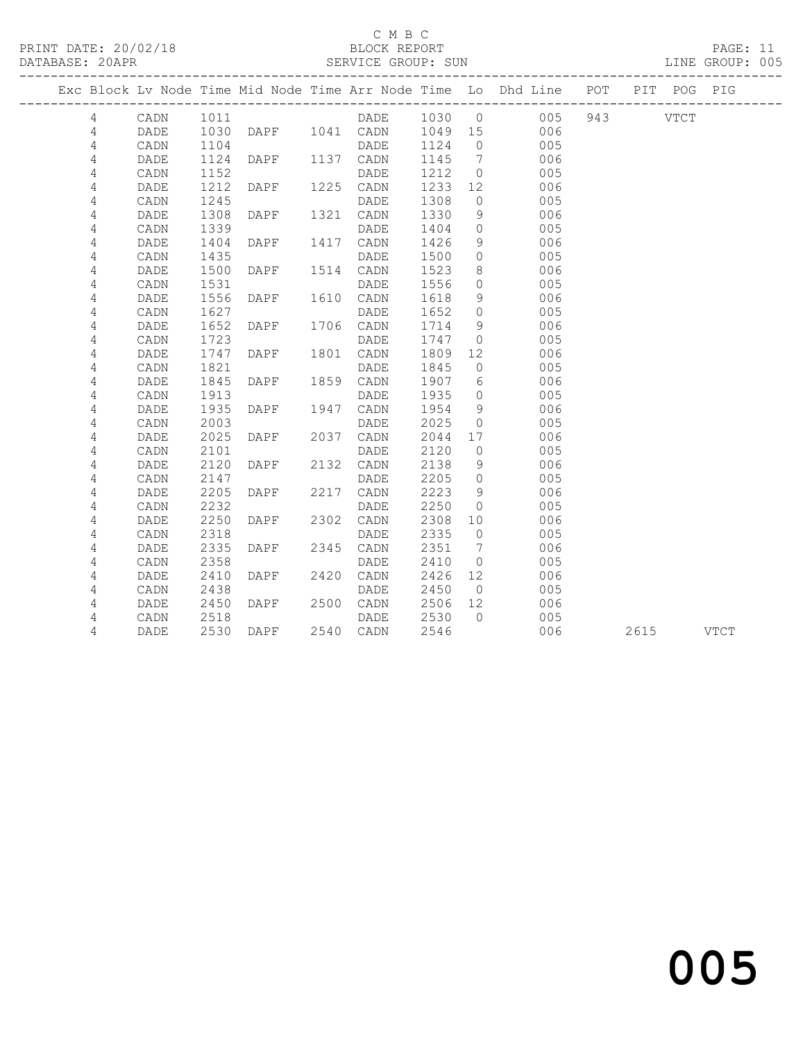#### C M B C<br>BLOCK REPORT

PAGE: 11<br>LINE GROUP: 005

|  |                |      |              |                 |                                       |      |                | Exc Block Lv Node Time Mid Node Time Arr Node Time Lo Dhd Line POT PIT POG PIG |  |           |  |
|--|----------------|------|--------------|-----------------|---------------------------------------|------|----------------|--------------------------------------------------------------------------------|--|-----------|--|
|  | 4              | CADN | 1011         |                 |                                       |      |                | DADE 1030 0 005 943 VTCT                                                       |  |           |  |
|  | $\overline{4}$ | DADE |              |                 | DAPF 1041 CADN 1049 15<br>DADE 1124 0 |      |                | 006                                                                            |  |           |  |
|  | $\overline{4}$ | CADN | 1030<br>1104 |                 |                                       |      |                | 005                                                                            |  |           |  |
|  | $\overline{4}$ | DADE | 1124         | DAPF            | 1137 CADN                             | 1145 | $\overline{7}$ | 006                                                                            |  |           |  |
|  | 4              | CADN | 1152         |                 | DADE                                  | 1212 | $\overline{0}$ | 005                                                                            |  |           |  |
|  | 4              | DADE | 1212         | DAPF 1225 CADN  |                                       | 1233 | 12             | 006                                                                            |  |           |  |
|  | $\sqrt{4}$     | CADN | 1245         |                 | DADE                                  | 1308 | $\overline{0}$ | 005                                                                            |  |           |  |
|  | 4              | DADE | 1308         | DAPF            | 1321 CADN                             | 1330 | 9              | 006                                                                            |  |           |  |
|  | 4              | CADN | 1339         |                 | DADE                                  | 1404 | $\overline{0}$ | 005                                                                            |  |           |  |
|  | 4              | DADE | 1404         | DAPF            | 1417 CADN                             | 1426 | 9              | 006                                                                            |  |           |  |
|  | 4              | CADN | 1435         |                 | DADE                                  | 1500 | $\overline{0}$ | 005                                                                            |  |           |  |
|  | 4              | DADE | 1500         | DAPF            | 1514 CADN                             | 1523 | 8              | 006                                                                            |  |           |  |
|  | $\overline{4}$ | CADN | 1531         |                 | DADE                                  | 1556 | $\overline{0}$ | 005                                                                            |  |           |  |
|  | 4              | DADE | 1556         | DAPF            | 1610 CADN                             | 1618 | 9              | 006                                                                            |  |           |  |
|  | 4              | CADN | 1627         |                 | DADE                                  | 1652 | $\bigcirc$     | 005                                                                            |  |           |  |
|  | 4              | DADE | 1652         | DAPF            | 1706 CADN                             | 1714 | 9              | 006                                                                            |  |           |  |
|  | 4              | CADN | 1723         |                 | DADE                                  | 1747 | $\overline{0}$ | 005                                                                            |  |           |  |
|  | 4              | DADE | 1747         | DAPF            | 1801 CADN                             | 1809 | 12             | 006                                                                            |  |           |  |
|  | 4              | CADN | 1821         |                 | DADE                                  | 1845 | $\overline{0}$ | 005                                                                            |  |           |  |
|  | 4              | DADE | 1845         | DAPF            | 1859 CADN                             | 1907 | 6              | 006                                                                            |  |           |  |
|  | 4              | CADN | 1913         |                 | DADE                                  | 1935 | $\overline{0}$ | 005                                                                            |  |           |  |
|  | 4              | DADE | 1935         | DAPF            | 1947 CADN                             | 1954 | 9              | 006                                                                            |  |           |  |
|  | 4              | CADN | 2003         |                 | DADE                                  | 2025 | $\overline{0}$ | 005                                                                            |  |           |  |
|  | 4              | DADE | 2025         | DAPF            | 2037 CADN                             | 2044 | 17             | 006                                                                            |  |           |  |
|  | 4              | CADN | 2101         |                 | DADE                                  | 2120 | $\overline{0}$ | 005                                                                            |  |           |  |
|  | 4              | DADE | 2120         | $\texttt{DAPF}$ | 2132 CADN                             | 2138 | 9              | 006                                                                            |  |           |  |
|  | 4              | CADN | 2147         |                 | DADE                                  | 2205 | $\overline{0}$ | 005                                                                            |  |           |  |
|  | 4              | DADE | 2205         | DAPF            | 2217 CADN                             | 2223 | - 9            | 006                                                                            |  |           |  |
|  | 4              | CADN | 2232         |                 | DADE                                  | 2250 | $\overline{0}$ | 005                                                                            |  |           |  |
|  | 4              | DADE | 2250         | DAPF 2302 CADN  |                                       | 2308 | 10             | 006                                                                            |  |           |  |
|  | 4              | CADN | 2318         |                 | DADE                                  | 2335 | $\overline{0}$ | 005                                                                            |  |           |  |
|  | 4              | DADE | 2335         | DAPF            | 2345 CADN                             | 2351 | $\overline{7}$ | 006                                                                            |  |           |  |
|  | 4              | CADN | 2358         |                 | DADE                                  | 2410 | $\overline{0}$ | 005                                                                            |  |           |  |
|  | 4              | DADE | 2410         | DAPF            | 2420 CADN                             | 2426 | 12             | 006                                                                            |  |           |  |
|  | 4              | CADN | 2438         |                 | DADE                                  | 2450 | $\overline{0}$ | 005                                                                            |  |           |  |
|  | 4              | DADE | 2450         | DAPF 2500 CADN  |                                       | 2506 | 12             | 006                                                                            |  |           |  |
|  | 4              | CADN | 2518         |                 | DADE                                  | 2530 | $\bigcirc$     | 005                                                                            |  |           |  |
|  | 4              | DADE | 2530         | DAPF            | 2540 CADN                             | 2546 |                | 006                                                                            |  | 2615 VTCT |  |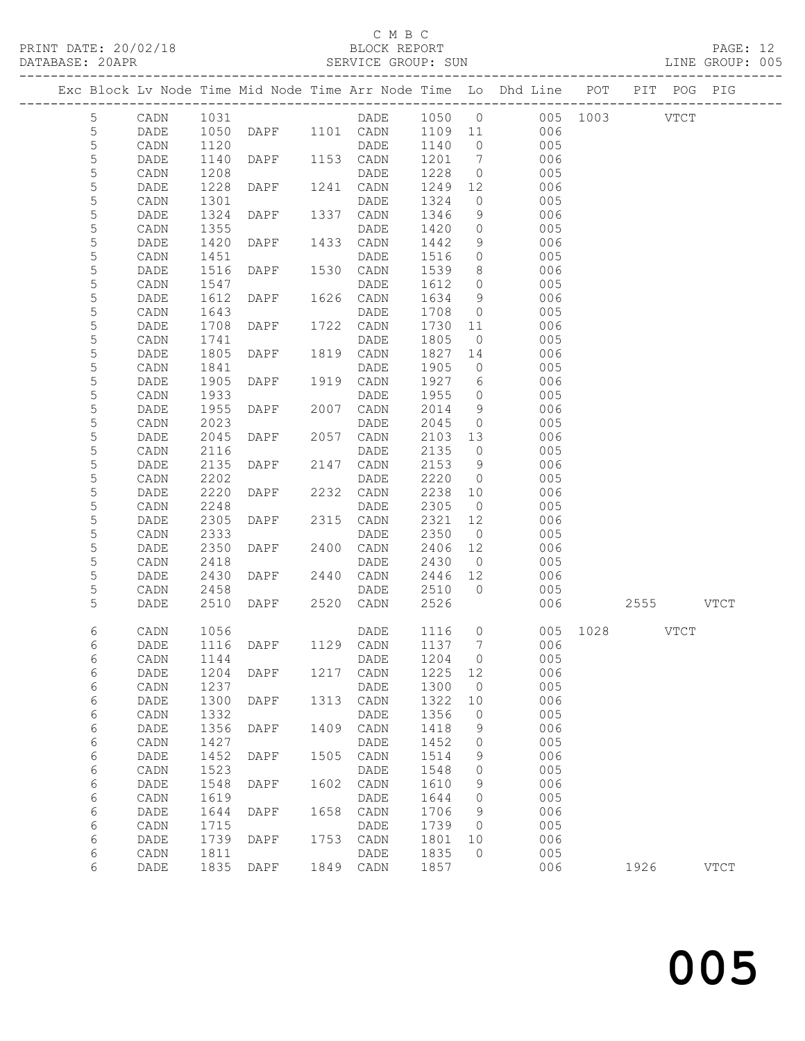#### C M B C<br>BLOCK REPORT

PAGE: 12<br>LINE GROUP: 005

|  |             |              |              |                |      |                   |              |                                  | Exc Block Lv Node Time Mid Node Time Arr Node Time Lo Dhd Line POT PIT POG PIG |          |           |             |
|--|-------------|--------------|--------------|----------------|------|-------------------|--------------|----------------------------------|--------------------------------------------------------------------------------|----------|-----------|-------------|
|  |             |              |              |                |      |                   |              |                                  |                                                                                |          |           |             |
|  | 5           | CADN         | 1031         |                |      | DADE              | 1050 0       |                                  | 005 1003 VTCT                                                                  |          |           |             |
|  | 5           | DADE         | 1050         | DAPF 1101 CADN |      |                   | 1109 11      |                                  | 006                                                                            |          |           |             |
|  | $\mathsf S$ | CADN         | 1120         |                |      | DADE              | 1140         | $\overline{0}$                   | 005                                                                            |          |           |             |
|  | 5           | DADE         | 1140         | DAPF           |      | 1153 CADN         | 1201         | 7                                | 006                                                                            |          |           |             |
|  | 5           | CADN         | 1208         |                |      | DADE              | 1228         | $\overline{0}$                   | 005                                                                            |          |           |             |
|  | 5           | DADE         | 1228         | DAPF           |      | 1241 CADN         | 1249         | 12                               | 006                                                                            |          |           |             |
|  | 5           | CADN         | 1301         |                |      | DADE              | 1324         | $\circ$                          | 005                                                                            |          |           |             |
|  | 5           | DADE         | 1324         | DAPF           | 1337 | CADN              | 1346         | 9                                | 006                                                                            |          |           |             |
|  | 5           | CADN         | 1355         |                |      | DADE              | 1420         | $\circ$                          | 005                                                                            |          |           |             |
|  | 5           | DADE         | 1420         | DAPF           | 1433 | CADN              | 1442         | 9                                | 006                                                                            |          |           |             |
|  | 5           | CADN         | 1451         |                |      | DADE              | 1516         | $\circ$                          | 005                                                                            |          |           |             |
|  | 5           | DADE         | 1516         | DAPF           | 1530 | CADN              | 1539         | 8                                | 006                                                                            |          |           |             |
|  | 5           | CADN         | 1547         |                |      | DADE              | 1612         | $\circ$                          | 005                                                                            |          |           |             |
|  | 5           | DADE         | 1612         | DAPF           | 1626 | CADN              | 1634         | 9                                | 006                                                                            |          |           |             |
|  | $\mathsf S$ | CADN         | 1643         |                |      | DADE              | 1708         | $\circ$                          | 005                                                                            |          |           |             |
|  | 5<br>5      | DADE         | 1708         | DAPF           |      | 1722 CADN<br>DADE | 1730<br>1805 | 11<br>$\overline{0}$             | 006<br>005                                                                     |          |           |             |
|  | 5           | CADN         | 1741         |                | 1819 |                   | 1827         |                                  | 006                                                                            |          |           |             |
|  | $\mathsf S$ | DADE<br>CADN | 1805<br>1841 | DAPF           |      | CADN<br>DADE      | 1905         | 14<br>$\circ$                    | 005                                                                            |          |           |             |
|  | 5           | DADE         | 1905         | DAPF           |      | 1919 CADN         | 1927         | 6                                | 006                                                                            |          |           |             |
|  | 5           | CADN         | 1933         |                |      | DADE              | 1955         | $\circ$                          | 005                                                                            |          |           |             |
|  | 5           | DADE         | 1955         | DAPF           | 2007 | CADN              | 2014         | 9                                | 006                                                                            |          |           |             |
|  | 5           | CADN         | 2023         |                |      | DADE              | 2045         | $\circ$                          | 005                                                                            |          |           |             |
|  | 5           | DADE         | 2045         | DAPF           |      | 2057 CADN         | 2103         | 13                               | 006                                                                            |          |           |             |
|  | 5           | CADN         | 2116         |                |      | DADE              | 2135         | $\overline{0}$                   | 005                                                                            |          |           |             |
|  | 5           | DADE         | 2135         | DAPF           | 2147 | CADN              | 2153         | 9                                | 006                                                                            |          |           |             |
|  | 5           | CADN         | 2202         |                |      | DADE              | 2220         | $\overline{0}$                   | 005                                                                            |          |           |             |
|  | 5           | DADE         | 2220         | DAPF           |      | 2232 CADN         | 2238         | 10                               | 006                                                                            |          |           |             |
|  | 5           | CADN         | 2248         |                |      | DADE              | 2305         | $\overline{0}$                   | 005                                                                            |          |           |             |
|  | 5           | DADE         | 2305         | DAPF           | 2315 | CADN              | 2321         | 12                               | 006                                                                            |          |           |             |
|  | 5           | CADN         | 2333         |                |      | DADE              | 2350         | $\overline{0}$                   | 005                                                                            |          |           |             |
|  | 5           | DADE         | 2350         | DAPF           | 2400 | CADN              | 2406         | 12                               | 006                                                                            |          |           |             |
|  | 5           | CADN         | 2418         |                |      | DADE              | 2430         | $\overline{0}$                   | 005                                                                            |          |           |             |
|  | 5           | DADE         | 2430         | DAPF           | 2440 | CADN              | 2446         | 12                               | 006                                                                            |          |           |             |
|  | 5           | CADN         | 2458         |                |      | DADE              | 2510         | $\bigcirc$                       | 005                                                                            |          |           |             |
|  | 5           | DADE         | 2510         | DAPF           |      | 2520 CADN         | 2526         |                                  | 006                                                                            |          | 2555 VTCT |             |
|  |             |              |              |                |      |                   |              |                                  |                                                                                |          |           |             |
|  | 6<br>6      | CADN<br>DADE | 1056<br>1116 | DAPF 1129 CADN |      | DADE              | 1116<br>1137 | $\overline{0}$<br>$\overline{7}$ | 006                                                                            | 005 1028 | VTCT      |             |
|  | 6           | CADN 1144    |              |                |      | DADE 1204 0       |              |                                  | 005                                                                            |          |           |             |
|  | 6           | DADE         | 1204         | DAPF           | 1217 | CADN              | 1225         | 12                               | 006                                                                            |          |           |             |
|  | 6           | CADN         | 1237         |                |      | DADE              | 1300         | 0                                | 005                                                                            |          |           |             |
|  | 6           | DADE         | 1300         | DAPF           | 1313 | CADN              | 1322         | 10                               | 006                                                                            |          |           |             |
|  | 6           | CADN         | 1332         |                |      | DADE              | 1356         | 0                                | 005                                                                            |          |           |             |
|  | 6           | DADE         | 1356         | DAPF           | 1409 | CADN              | 1418         | 9                                | 006                                                                            |          |           |             |
|  | 6           | CADN         | 1427         |                |      | DADE              | 1452         | 0                                | 005                                                                            |          |           |             |
|  | 6           | DADE         | 1452         | <b>DAPF</b>    | 1505 | CADN              | 1514         | 9                                | 006                                                                            |          |           |             |
|  | 6           | CADN         | 1523         |                |      | DADE              | 1548         | 0                                | 005                                                                            |          |           |             |
|  | 6           | DADE         | 1548         | DAPF           | 1602 | CADN              | 1610         | 9                                | 006                                                                            |          |           |             |
|  | 6           | CADN         | 1619         |                |      | DADE              | 1644         | 0                                | 005                                                                            |          |           |             |
|  | 6           | DADE         | 1644         | DAPF           | 1658 | CADN              | 1706         | 9                                | 006                                                                            |          |           |             |
|  | $\epsilon$  | CADN         | 1715         |                |      | DADE              | 1739         | 0                                | 005                                                                            |          |           |             |
|  | 6           | DADE         | 1739         | DAPF           | 1753 | CADN              | 1801         | 10                               | 006                                                                            |          |           |             |
|  | 6           | CADN         | 1811         |                |      | $\mathtt{DADE}$   | 1835         | $\mathbf 0$                      | 005                                                                            |          |           |             |
|  | 6           | DADE         | 1835         | DAPF           | 1849 | CADN              | 1857         |                                  | 006                                                                            |          | 1926      | <b>VTCT</b> |
|  |             |              |              |                |      |                   |              |                                  |                                                                                |          |           |             |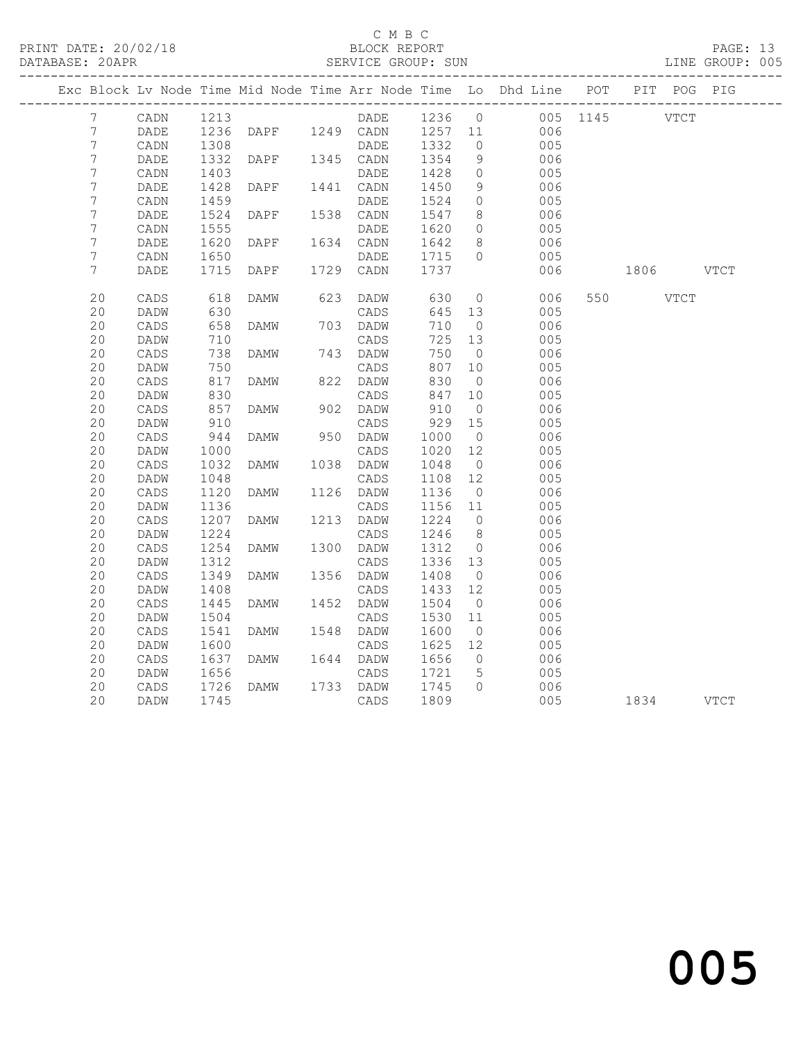# C M B C<br>BLOCK REPORT<br>SERVICE GROUP: SUN

|  | DATABASE: 20APR  |                 |      |             |      | SERVICE GROUP: SUN |         |                 |                                                                                |          |             |           | LINE GROUP: 005 |
|--|------------------|-----------------|------|-------------|------|--------------------|---------|-----------------|--------------------------------------------------------------------------------|----------|-------------|-----------|-----------------|
|  |                  |                 |      |             |      |                    |         |                 | Exc Block Lv Node Time Mid Node Time Arr Node Time Lo Dhd Line POT PIT POG PIG |          |             |           |                 |
|  | 7                | CADN            | 1213 |             |      | DADE               | 1236 0  |                 |                                                                                | 005 1145 | <b>VTCT</b> |           |                 |
|  | 7                | DADE            | 1236 | DAPF        |      | 1249 CADN          | 1257 11 |                 | 006                                                                            |          |             |           |                 |
|  | 7                | CADN            | 1308 |             |      | DADE               | 1332    | $\overline{0}$  | 005                                                                            |          |             |           |                 |
|  | 7                | DADE            | 1332 | DAPF        |      | 1345 CADN          | 1354    | 9               | 006                                                                            |          |             |           |                 |
|  | 7                | CADN            | 1403 |             |      | DADE               | 1428    | $\circ$         | 005                                                                            |          |             |           |                 |
|  | 7                | DADE            | 1428 | DAPF        |      | 1441 CADN          | 1450    | 9               | 006                                                                            |          |             |           |                 |
|  | $\boldsymbol{7}$ | CADN            | 1459 |             |      | DADE               | 1524    | $\circ$         | 005                                                                            |          |             |           |                 |
|  | $\overline{7}$   | $\mathtt{DADE}$ | 1524 | DAPF        |      | 1538 CADN          | 1547    | 8               | 006                                                                            |          |             |           |                 |
|  | $\overline{7}$   | CADN            | 1555 |             |      | DADE               | 1620    | $\overline{0}$  | 005                                                                            |          |             |           |                 |
|  | 7                | DADE            | 1620 | DAPF        |      | 1634 CADN          | 1642    | 8               | 006                                                                            |          |             |           |                 |
|  | $\boldsymbol{7}$ | CADN            | 1650 |             |      | DADE               | 1715    | $\circ$         | 005                                                                            |          |             |           |                 |
|  | 7                | DADE            | 1715 | DAPF        | 1729 | CADN               | 1737    |                 | 006                                                                            |          |             | 1806 VTCT |                 |
|  | 20               | CADS            | 618  | DAMW        | 623  | DADW               | 630     | $\overline{0}$  | 006                                                                            |          | 550 VTCT    |           |                 |
|  | 20               | DADW            | 630  |             |      | CADS               | 645     | 13              | 005                                                                            |          |             |           |                 |
|  | 20               | CADS            | 658  | DAMW        |      | 703 DADW           | 710     | $\overline{0}$  | 006                                                                            |          |             |           |                 |
|  | 20               | DADW            | 710  |             |      | CADS               | 725     | 13              | 005                                                                            |          |             |           |                 |
|  | 20               | CADS            | 738  | DAMW        |      | 743 DADW           | 750     | $\overline{0}$  | 006                                                                            |          |             |           |                 |
|  | 20               | DADW            | 750  |             |      | CADS               | 807     | 10              | 005                                                                            |          |             |           |                 |
|  | 20               | $\mathtt{CADS}$ | 817  | DAMW        |      | 822 DADW           | 830     | $\overline{0}$  | 006                                                                            |          |             |           |                 |
|  | 20               | DADW            | 830  |             |      | CADS               | 847     | 10              | 005                                                                            |          |             |           |                 |
|  | 20               | $\mathtt{CADS}$ | 857  | DAMW        |      | 902 DADW           | 910     | $\overline{0}$  | 006                                                                            |          |             |           |                 |
|  | 20               | DADW            | 910  |             |      | CADS               | 929     | 15              | 005                                                                            |          |             |           |                 |
|  | 20               | CADS            | 944  | DAMW        | 950  | DADW               | 1000    | $\overline{0}$  | 006                                                                            |          |             |           |                 |
|  | 20               | DADW            | 1000 |             |      | CADS               | 1020    | 12              | 005                                                                            |          |             |           |                 |
|  | 20               | $\mathtt{CADS}$ | 1032 | DAMW        | 1038 | DADW               | 1048    | $\overline{0}$  | 006                                                                            |          |             |           |                 |
|  | 20               | DADW            | 1048 |             |      | CADS               | 1108    | 12              | 005                                                                            |          |             |           |                 |
|  | 20               | CADS            | 1120 | DAMW        | 1126 | DADW               | 1136    | $\overline{0}$  | 006                                                                            |          |             |           |                 |
|  | 20               | DADW            | 1136 |             |      | CADS               | 1156    | 11              | 005                                                                            |          |             |           |                 |
|  | 20               | CADS            | 1207 | DAMW        | 1213 | DADW               | 1224    | $\overline{0}$  | 006                                                                            |          |             |           |                 |
|  | 20               | DADW            | 1224 |             |      | CADS               | 1246    | 8 <sup>8</sup>  | 005                                                                            |          |             |           |                 |
|  | 20               | $\mathtt{CADS}$ | 1254 | DAMW        | 1300 | DADW               | 1312    | $\overline{0}$  | 006                                                                            |          |             |           |                 |
|  | 20               | DADW            | 1312 |             |      | CADS               | 1336    | 13              | 005                                                                            |          |             |           |                 |
|  | 20               | CADS            | 1349 | DAMW        | 1356 | DADW               | 1408    | $\overline{0}$  | 006                                                                            |          |             |           |                 |
|  | 20               | DADW            | 1408 |             |      | CADS               | 1433    | 12 <sup>°</sup> | 005                                                                            |          |             |           |                 |
|  | 20               | CADS            | 1445 | <b>DAMW</b> | 1452 | DADW               | 1504    | $\overline{0}$  | 006                                                                            |          |             |           |                 |
|  | 20               | DADW            | 1504 |             |      | CADS               | 1530    | 11              | 005                                                                            |          |             |           |                 |
|  | 20               | $\mathtt{CADS}$ | 1541 | DAMW        | 1548 | DADW               | 1600    | $\overline{0}$  | 006                                                                            |          |             |           |                 |
|  | 20               | DADW            | 1600 |             |      | CADS               | 1625    | 12              | 005                                                                            |          |             |           |                 |
|  | 20               | CADS            | 1637 | DAMW        | 1644 | DADW               | 1656    | $\overline{0}$  | 006                                                                            |          |             |           |                 |
|  | 20               |                 | 1656 |             |      |                    | 1721    | $5\phantom{.0}$ |                                                                                |          |             |           |                 |
|  | 20               | DADW            | 1726 |             |      | CADS               | 1745    | $\Omega$        | 005<br>006                                                                     |          |             |           |                 |
|  |                  | CADS            |      | DAMW        | 1733 | DADW               |         |                 |                                                                                |          |             |           |                 |
|  | 20               | DADW            | 1745 |             |      | CADS               | 1809    |                 | 005                                                                            |          | 1834 VTCT   |           |                 |
|  |                  |                 |      |             |      |                    |         |                 |                                                                                |          |             |           |                 |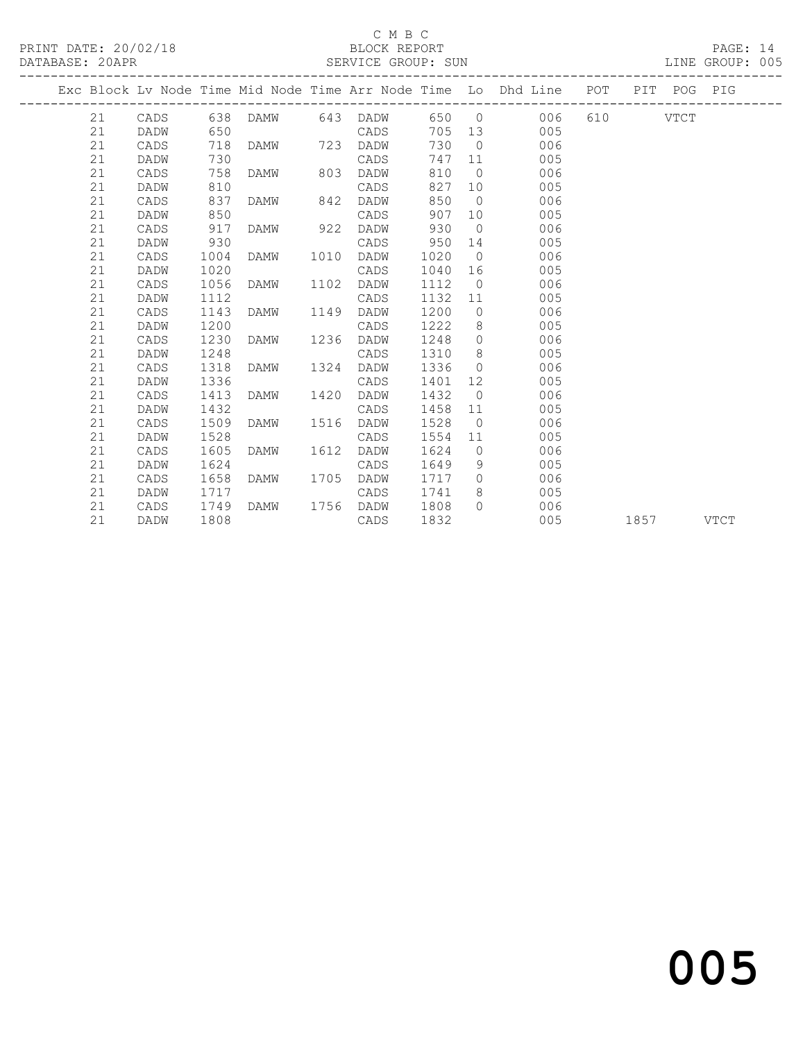### C M B C<br>BLOCK REPORT

PAGE: 14<br>LINE GROUP: 005

|  |    |      |      |          |      |           |        |                | Exc Block Lv Node Time Mid Node Time Arr Node Time Lo Dhd Line POT |      | PIT POG PIG |             |
|--|----|------|------|----------|------|-----------|--------|----------------|--------------------------------------------------------------------|------|-------------|-------------|
|  | 21 | CADS |      | 638 DAMW |      | 643 DADW  |        |                | 650 0<br>006 -                                                     |      | VTCT        |             |
|  | 21 | DADW | 650  |          |      | CADS      | 705 13 |                | 005                                                                |      |             |             |
|  | 21 | CADS | 718  | DAMW     | 723  | DADW      | 730    | $\bigcirc$     | 006                                                                |      |             |             |
|  | 21 | DADW | 730  |          |      | CADS      | 747    | 11             | 005                                                                |      |             |             |
|  | 21 | CADS | 758  | DAMW     | 803  | DADW      | 810    | $\bigcirc$     | 006                                                                |      |             |             |
|  | 21 | DADW | 810  |          |      | CADS      | 827    | 10             | 005                                                                |      |             |             |
|  | 21 | CADS | 837  | DAMW     | 842  | DADW      | 850    | $\bigcirc$     | 006                                                                |      |             |             |
|  | 21 | DADW | 850  |          |      | CADS      | 907    | 10             | 005                                                                |      |             |             |
|  | 21 | CADS | 917  | DAMW     | 922  | DADW      | 930    | $\overline{0}$ | 006                                                                |      |             |             |
|  | 21 | DADW | 930  |          |      | CADS      | 950    | 14             | 005                                                                |      |             |             |
|  | 21 | CADS | 1004 | DAMW     | 1010 | DADW      | 1020   | $\overline{0}$ | 006                                                                |      |             |             |
|  | 21 | DADW | 1020 |          |      | CADS      | 1040   | 16             | 005                                                                |      |             |             |
|  | 21 | CADS | 1056 | DAMW     | 1102 | DADW      | 1112   | $\overline{0}$ | 006                                                                |      |             |             |
|  | 21 | DADW | 1112 |          |      | CADS      | 1132   | 11             | 005                                                                |      |             |             |
|  | 21 | CADS | 1143 | DAMW     | 1149 | DADW      | 1200   | $\circ$        | 006                                                                |      |             |             |
|  | 21 | DADW | 1200 |          |      | CADS      | 1222   | 8 <sup>8</sup> | 005                                                                |      |             |             |
|  | 21 | CADS | 1230 | DAMW     | 1236 | DADW      | 1248   | $\overline{0}$ | 006                                                                |      |             |             |
|  | 21 | DADW | 1248 |          |      | CADS      | 1310   | 8 <sup>8</sup> | 005                                                                |      |             |             |
|  | 21 | CADS | 1318 | DAMW     | 1324 | DADW      | 1336   | $\Omega$       | 006                                                                |      |             |             |
|  | 21 | DADW | 1336 |          |      | CADS      | 1401   | 12             | 005                                                                |      |             |             |
|  | 21 | CADS | 1413 | DAMW     | 1420 | DADW      | 1432   | $\bigcirc$     | 006                                                                |      |             |             |
|  | 21 | DADW | 1432 |          |      | CADS      | 1458   | 11             | 005                                                                |      |             |             |
|  | 21 | CADS | 1509 | DAMW     | 1516 | DADW      | 1528   | $\overline{0}$ | 006                                                                |      |             |             |
|  | 21 | DADW | 1528 |          |      | CADS      | 1554   | 11             | 005                                                                |      |             |             |
|  | 21 | CADS | 1605 | DAMW     | 1612 | DADW      | 1624   | $\overline{0}$ | 006                                                                |      |             |             |
|  | 21 | DADW | 1624 |          |      | CADS      | 1649   | 9              | 005                                                                |      |             |             |
|  | 21 | CADS | 1658 | DAMW     | 1705 | DADW      | 1717   | $\Omega$       | 006                                                                |      |             |             |
|  | 21 | DADW | 1717 |          |      | CADS      | 1741   | 8              | 005                                                                |      |             |             |
|  | 21 | CADS | 1749 | DAMW     |      | 1756 DADW | 1808   | $\Omega$       | 006                                                                |      |             |             |
|  | 21 | DADW | 1808 |          |      | CADS      | 1832   |                | 005                                                                | 1857 |             | <b>VTCT</b> |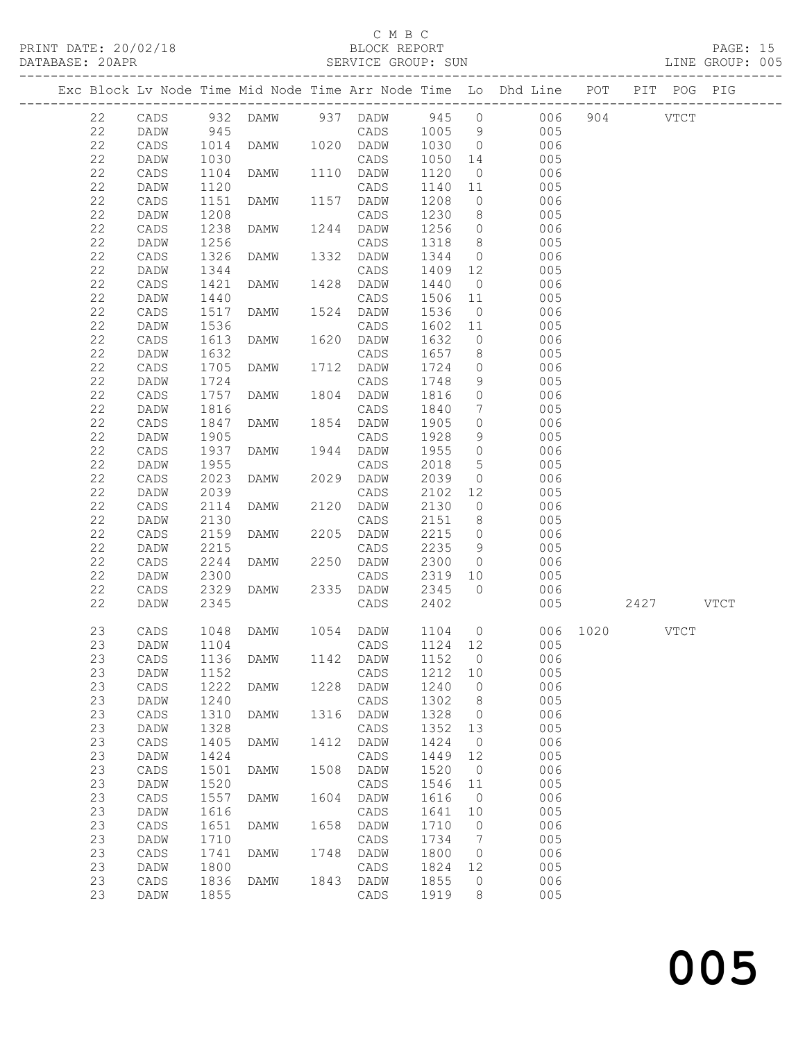### C M B C<br>BLOCK REPORT

#### SERVICE GROUP: SU

|                      | <u>U 11 D U </u>   |                 |  |
|----------------------|--------------------|-----------------|--|
| PRINT DATE: 20/02/18 | BLOCK REPORT       | PAGE: 15        |  |
| DATABASE: 20APR      | SERVICE GROUP: SUN | LINE GROUP: 005 |  |

|             | ---------------------- |      |                                           |      |           |         |                 | Exc Block Lv Node Time Mid Node Time Arr Node Time Lo Dhd Line POT |               | PIT POG PIG |  |
|-------------|------------------------|------|-------------------------------------------|------|-----------|---------|-----------------|--------------------------------------------------------------------|---------------|-------------|--|
| 22          | CADS                   |      |                                           |      |           |         |                 | 006 904 VTCT                                                       |               |             |  |
| 22          | DADW                   |      |                                           |      |           |         |                 | 005                                                                |               |             |  |
| 22          | CADS                   |      | 1014 DAMW 1020 DADW                       |      |           | 1030    | $\overline{0}$  | 006                                                                |               |             |  |
| 22          | DADW                   | 1030 |                                           |      | CADS      | 1050    | 14              | 005                                                                |               |             |  |
| 22          | CADS                   | 1104 | DAMW                                      |      | 1110 DADW | 1120    | $\overline{0}$  | 006                                                                |               |             |  |
| 22          | DADW                   | 1120 |                                           |      | CADS      | 1140    | 11              | 005                                                                |               |             |  |
| $2\sqrt{2}$ | CADS                   | 1151 | DAMW                                      |      | 1157 DADW | 1208    | $\overline{0}$  | 006                                                                |               |             |  |
| $2\sqrt{2}$ | DADW                   | 1208 |                                           |      | CADS      | 1230    | 8 <sup>8</sup>  | 005                                                                |               |             |  |
| $2\sqrt{2}$ | CADS                   | 1238 | DAMW                                      |      | 1244 DADW | 1256    | $\circ$         | 006                                                                |               |             |  |
| 22          | DADW                   | 1256 |                                           |      | CADS      | 1318    | 8 <sup>8</sup>  | 005                                                                |               |             |  |
| $2\sqrt{2}$ | CADS                   | 1326 | DAMW                                      |      | 1332 DADW | 1344    | $\overline{0}$  | 006                                                                |               |             |  |
| 22          | DADW                   | 1344 |                                           |      | CADS      | 1409    | 12              | 005                                                                |               |             |  |
| $2\sqrt{2}$ | CADS                   | 1421 | DAMW                                      |      | 1428 DADW | 1440    | $\overline{0}$  | 006                                                                |               |             |  |
| 22          | DADW                   | 1440 |                                           |      | CADS      | 1506    | 11              | 005                                                                |               |             |  |
| $2\sqrt{2}$ | CADS                   | 1517 | DAMW                                      |      | 1524 DADW | 1536    | $\overline{0}$  | 006                                                                |               |             |  |
| 22          | DADW                   | 1536 |                                           |      | CADS      | 1602    | 11              | 005                                                                |               |             |  |
| $2\sqrt{2}$ | CADS                   | 1613 | DAMW                                      |      | 1620 DADW | 1632    | $\circ$         | 006                                                                |               |             |  |
| $2\sqrt{2}$ | DADW                   | 1632 |                                           |      | CADS      | 1657    | 8               | 005                                                                |               |             |  |
| $2\sqrt{2}$ | CADS                   | 1705 | DAMW                                      |      | 1712 DADW | 1724    | $\circ$         | 006                                                                |               |             |  |
| 22          | DADW                   | 1724 |                                           |      | CADS      | 1748    | 9               | 005                                                                |               |             |  |
| 22          | CADS                   | 1757 | DAMW                                      |      | 1804 DADW | 1816    | $\circ$         | 006                                                                |               |             |  |
| 22          | DADW                   | 1816 |                                           |      | CADS      | 1840    | $7\overline{ }$ | 005                                                                |               |             |  |
| 22          | CADS                   | 1847 | DAMW                                      |      | 1854 DADW | 1905    | $\circ$         | 006                                                                |               |             |  |
| $2\sqrt{2}$ | DADW                   | 1905 |                                           |      | CADS      | 1928    | 9               | 005                                                                |               |             |  |
| 22          | CADS                   | 1937 | DAMW                                      |      | 1944 DADW | 1955    | $\circ$         | 006                                                                |               |             |  |
| $2\sqrt{2}$ | DADW                   | 1955 |                                           |      | CADS      | 2018    | $5^{\circ}$     | 005                                                                |               |             |  |
| 22          | CADS                   | 2023 | DAMW                                      |      | 2029 DADW | 2039    | $\circ$         | 006                                                                |               |             |  |
| 22          | DADW                   | 2039 |                                           |      | CADS      | 2102    | 12              | 005                                                                |               |             |  |
| 22          | CADS                   | 2114 | DAMW                                      | 2120 | DADW      | 2130    | $\overline{0}$  | 006                                                                |               |             |  |
| 22          | DADW                   | 2130 |                                           |      | CADS      | 2151    | 8               | 005                                                                |               |             |  |
| 22          | CADS                   | 2159 | DAMW                                      |      | 2205 DADW | 2215    | $\circ$         | 006                                                                |               |             |  |
| $2\sqrt{2}$ | DADW                   | 2215 |                                           |      | CADS      | 2235    | 9               | 005                                                                |               |             |  |
| 22          | CADS                   | 2244 | DAMW                                      |      | 2250 DADW | 2300    | $\overline{0}$  | 006                                                                |               |             |  |
| 22          | DADW                   | 2300 |                                           |      | CADS      | 2319    | 10              | 005                                                                |               |             |  |
| 22          | CADS                   | 2329 | DAMW                                      |      | 2335 DADW | 2345    | $\overline{0}$  | 006                                                                |               |             |  |
| 22          | <b>DADW</b>            | 2345 |                                           |      | CADS      | 2402    |                 | 005                                                                |               | 2427 VTCT   |  |
|             |                        |      |                                           |      |           |         |                 |                                                                    |               |             |  |
| 23          | CADS                   | 1048 | DAMW                                      |      | 1054 DADW | 1104    | $\overline{0}$  |                                                                    | 006 1020 VTCT |             |  |
| 23          | DADW                   | 1104 |                                           |      | CADS      | 1124 12 |                 | 005                                                                |               |             |  |
|             |                        |      | 23  CADS  1136  DAMW  1142  DADW  1152  0 |      |           |         |                 | 006                                                                |               |             |  |
| 23          | DADW                   | 1152 |                                           |      | CADS      | 1212    | 10              | 005                                                                |               |             |  |
| 23          | CADS                   | 1222 | <b>DAMW</b>                               | 1228 | DADW      | 1240    | $\circ$         | 006                                                                |               |             |  |
| 23          | DADW                   | 1240 |                                           |      | CADS      | 1302    | 8               | 005                                                                |               |             |  |
| 23          | CADS                   | 1310 | DAMW                                      | 1316 | DADW      | 1328    | $\circ$         | 006                                                                |               |             |  |
| 23          | DADW                   | 1328 |                                           |      | CADS      | 1352    | 13              | 005                                                                |               |             |  |
| 23          | CADS                   | 1405 | <b>DAMW</b>                               | 1412 | DADW      | 1424    | $\circ$         | 006                                                                |               |             |  |
| 23          | DADW                   | 1424 |                                           |      | CADS      | 1449    | 12              | 005                                                                |               |             |  |
| 23          | CADS                   | 1501 | DAMW                                      | 1508 | DADW      | 1520    | $\overline{0}$  | 006                                                                |               |             |  |
| 23          | DADW                   | 1520 |                                           |      | CADS      | 1546    | 11              | 005                                                                |               |             |  |
| 23          | CADS                   | 1557 | DAMW                                      | 1604 | DADW      | 1616    | $\circ$         | 006                                                                |               |             |  |
| 23          | DADW                   | 1616 |                                           |      | CADS      | 1641    | 10              | 005                                                                |               |             |  |
| 23          | $\mathtt{CADS}$        | 1651 | <b>DAMW</b>                               | 1658 | DADW      | 1710    | $\circ$         | 006                                                                |               |             |  |
| 23          | DADW                   | 1710 |                                           |      | CADS      | 1734    | $7\phantom{.0}$ | 005                                                                |               |             |  |
| 23          | CADS                   | 1741 | <b>DAMW</b>                               | 1748 | DADW      | 1800    | $\circ$         | 006                                                                |               |             |  |
| 23          | DADW                   | 1800 |                                           |      | CADS      | 1824    | 12              | 005                                                                |               |             |  |
| 23          | CADS                   | 1836 | DAMW                                      |      | 1843 DADW | 1855    | $\circ$         | 006                                                                |               |             |  |
| 23          | DADW                   | 1855 |                                           |      | CADS      | 1919    | 8               | 005                                                                |               |             |  |

and the contract of  $\sim$  005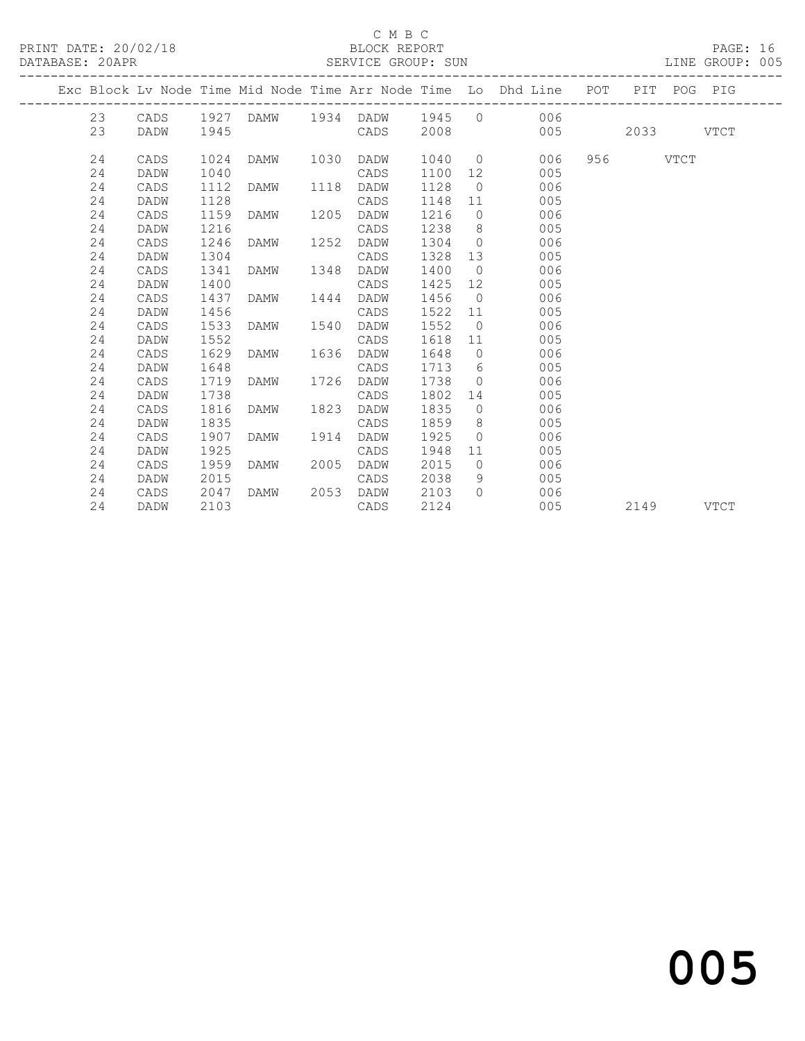#### C M B C<br>BLOCK REPORT

#### PRINT DATE: 20/02/18 BLOCK REPORT PAGE: 16 SERVICE GROUP: SUN

|  |    |      |      |           |      |           |         |                | Exc Block Lv Node Time Mid Node Time Arr Node Time Lo Dhd Line POT PIT POG PIG |             |             |
|--|----|------|------|-----------|------|-----------|---------|----------------|--------------------------------------------------------------------------------|-------------|-------------|
|  | 23 | CADS |      |           |      |           |         |                | 1927 DAMW 1934 DADW 1945 0 006                                                 |             |             |
|  | 23 | DADW | 1945 |           |      | CADS      | 2008    |                | 005                                                                            | 2033 — 2033 | <b>VTCT</b> |
|  |    |      |      |           |      |           |         |                |                                                                                |             |             |
|  | 24 | CADS | 1024 | DAMW 1030 |      | DADW      |         |                | 1040 0 006                                                                     | 956 VTCT    |             |
|  | 24 | DADW | 1040 |           |      | CADS      | 1100 12 |                | 005                                                                            |             |             |
|  | 24 | CADS | 1112 | DAMW      | 1118 | DADW      | 1128    |                | 006<br>$\overline{O}$                                                          |             |             |
|  | 24 | DADW | 1128 |           |      | CADS      | 1148    | 11             | 005                                                                            |             |             |
|  | 24 | CADS | 1159 | DAMW      | 1205 | DADW      | 1216    | $\overline{0}$ | 006                                                                            |             |             |
|  | 24 | DADW | 1216 |           |      | CADS      | 1238    |                | $8 \overline{)}$<br>005                                                        |             |             |
|  | 24 | CADS | 1246 | DAMW      | 1252 | DADW      | 1304    | $\overline{0}$ | 006                                                                            |             |             |
|  | 24 | DADW | 1304 |           |      | CADS      | 1328    |                | 13<br>005                                                                      |             |             |
|  | 24 | CADS | 1341 | DAMW      | 1348 | DADW      | 1400    |                | 006<br>$\overline{0}$                                                          |             |             |
|  | 24 | DADW | 1400 |           |      | CADS      | 1425    | 12             | 005                                                                            |             |             |
|  | 24 | CADS | 1437 | DAMW      | 1444 | DADW      | 1456    | $\overline{0}$ | 006                                                                            |             |             |
|  | 24 | DADW | 1456 |           |      | CADS      | 1522 11 |                | 005                                                                            |             |             |
|  | 24 | CADS | 1533 | DAMW      | 1540 | DADW      | 1552    | $\overline{0}$ | 006                                                                            |             |             |
|  | 24 | DADW | 1552 |           |      | CADS      | 1618    |                | 005<br>11                                                                      |             |             |
|  | 24 | CADS | 1629 | DAMW      |      | 1636 DADW | 1648    | $\overline{0}$ | 006                                                                            |             |             |
|  | 24 | DADW | 1648 |           |      | CADS      | 1713 6  |                | 005                                                                            |             |             |
|  | 24 | CADS | 1719 | DAMW      | 1726 | DADW      | 1738    | $\overline{0}$ | 006                                                                            |             |             |
|  | 24 | DADW | 1738 |           |      | CADS      | 1802    | 14             | 005                                                                            |             |             |
|  | 24 | CADS | 1816 | DAMW      | 1823 | DADW      | 1835    | $\overline{0}$ | 006                                                                            |             |             |
|  | 24 | DADW | 1835 |           |      | CADS      | 1859    |                | $8\degree$<br>005                                                              |             |             |
|  | 24 | CADS | 1907 | DAMW      | 1914 | DADW      | 1925    | $\overline{0}$ | 006                                                                            |             |             |
|  | 24 | DADW | 1925 |           |      | CADS      | 1948    | 11             | 005                                                                            |             |             |
|  | 24 | CADS | 1959 | DAMW      | 2005 | DADW      | 2015    |                | 006<br>$\overline{0}$                                                          |             |             |
|  | 24 | DADW | 2015 |           |      | CADS      | 2038    | 9 <sup>°</sup> | 005                                                                            |             |             |
|  | 24 | CADS | 2047 | DAMW      | 2053 | DADW      | 2103    | $\Omega$       | 006                                                                            |             |             |
|  | 24 | DADW | 2103 |           |      | CADS      | 2124    |                | 005                                                                            | 2149        | VTCT        |

# and the contract of  $\sim$  005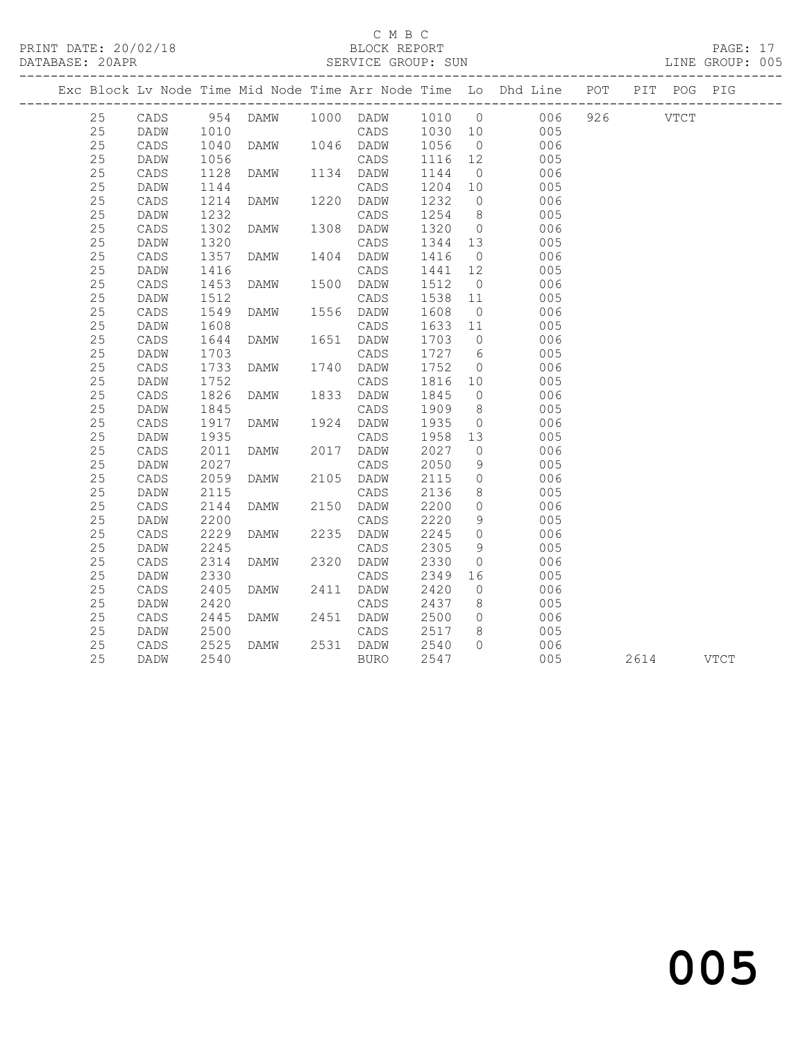#### C M B C<br>BLOCK REPORT

PAGE: 17<br>LINE GROUP: 005

|    |                 |      |                |                     |         |                | Exc Block Lv Node Time Mid Node Time Arr Node Time Lo Dhd Line POT PIT POG PIG |      |      |
|----|-----------------|------|----------------|---------------------|---------|----------------|--------------------------------------------------------------------------------|------|------|
| 25 |                 |      |                |                     |         |                | CADS 954 DAMW 1000 DADW 1010 0 006 926 VTCT                                    |      |      |
| 25 | <b>DADW</b>     | 1010 |                |                     |         |                | CADS 1030 10 005                                                               |      |      |
| 25 | CADS            | 1040 |                | DAMW 1046 DADW 1056 |         | $\overline{0}$ | 006                                                                            |      |      |
| 25 | DADW            | 1056 |                | CADS                | 1116 12 |                | 005                                                                            |      |      |
| 25 | CADS            | 1128 | DAMW 1134 DADW |                     | 1144    | $\overline{0}$ | 006                                                                            |      |      |
| 25 | DADW            | 1144 |                | CADS                | 1204 10 |                | 005                                                                            |      |      |
| 25 | CADS            | 1214 | DAMW           | 1220 DADW           | 1232    | $\overline{0}$ | 006                                                                            |      |      |
| 25 | DADW            | 1232 |                | CADS                | 1254 8  |                | 005                                                                            |      |      |
| 25 | CADS            | 1302 |                |                     | 1320 0  |                | 006                                                                            |      |      |
| 25 | DADW            | 1320 |                | CADS                | 1344 13 |                | 005                                                                            |      |      |
| 25 | CADS            | 1357 | DAMW 1404 DADW |                     | 1416    | $\overline{0}$ | 006                                                                            |      |      |
| 25 | DADW            | 1416 |                | CADS                | 1441 12 |                | 005                                                                            |      |      |
| 25 | CADS            | 1453 | DAMW 1500 DADW |                     | 1512    | $\overline{0}$ | 006                                                                            |      |      |
| 25 | DADW            | 1512 |                | CADS                | 1538 11 |                | 005                                                                            |      |      |
| 25 | CADS            | 1549 | DAMW           | 1556 DADW           | 1608    | $\overline{0}$ | 006                                                                            |      |      |
| 25 | DADW            | 1608 | DAMW 1651      | CADS                | 1633 11 |                | 005                                                                            |      |      |
| 25 | CADS            | 1644 | DAMW           | 1651 DADW           | 1703 0  |                | 006                                                                            |      |      |
| 25 | DADW            | 1703 |                | CADS                | 1727 6  |                | 005                                                                            |      |      |
| 25 | $\mathtt{CADS}$ | 1733 | DAMW           | 1740 DADW           | 1752    | $\overline{0}$ | 006                                                                            |      |      |
| 25 | DADW            | 1752 |                | CADS                | 1816 10 |                | 005                                                                            |      |      |
| 25 | CADS            | 1826 | DAMW 1833 DADW |                     | 1845    | $\overline{0}$ | 006                                                                            |      |      |
| 25 | DADW            | 1845 |                | CADS                | 1909    | 8 <sup>8</sup> | 005                                                                            |      |      |
| 25 | CADS            | 1917 | DAMW           | 1924 DADW           | 1935    | $\overline{0}$ | 006                                                                            |      |      |
| 25 | DADW            | 1935 | DAMW 2017      | CADS                | 1958 13 |                | 005                                                                            |      |      |
| 25 | CADS            | 2011 | DAMW           | 2017 DADW           | 2027    | $\overline{0}$ | 006                                                                            |      |      |
| 25 | DADW            | 2027 |                | CADS                | 2050    | 9              | 005                                                                            |      |      |
| 25 | CADS            | 2059 | DAMW           | 2105 DADW           | 2115    | $\overline{0}$ | 006                                                                            |      |      |
| 25 | DADW            | 2115 |                | CADS                | 2136    | 8 <sup>8</sup> | 005                                                                            |      |      |
| 25 | CADS            | 2144 | DAMW           | 2150 DADW           | 2200    | $\overline{0}$ | 006                                                                            |      |      |
| 25 | DADW            | 2200 |                | CADS                | 2220    | 9              | 005                                                                            |      |      |
| 25 | CADS            | 2229 | DAMW           | 2235 DADW           | 2245    | $\overline{0}$ | 006                                                                            |      |      |
| 25 | DADW            | 2245 | DAMW 2320      | CADS                | 2305    | 9              | 005                                                                            |      |      |
| 25 | CADS            | 2314 | DAMW           | 2320 DADW           | 2330    | $\overline{0}$ | 006                                                                            |      |      |
| 25 | DADW            | 2330 |                | CADS                | 2349    | 16             | 005                                                                            |      |      |
| 25 | CADS            | 2405 | DAMW           | 2411 DADW           | 2420    | $\overline{0}$ | 006                                                                            |      |      |
| 25 | DADW            | 2420 |                | CADS                | 2437    | 8 <sup>8</sup> | 005                                                                            |      |      |
| 25 | CADS            | 2445 | DAMW           | 2451 DADW           | 2500    | $\overline{0}$ | 006                                                                            |      |      |
| 25 | DADW            | 2500 |                | CADS                | 2517    | 8 <sup>8</sup> | 005                                                                            |      |      |
| 25 | CADS            | 2525 | DAMW           | 2531 DADW           | 2540    | $\bigcap$      | 006                                                                            |      |      |
| 25 | DADW            | 2540 |                | BURO                | 2547    |                | 005                                                                            | 2614 | VTCT |

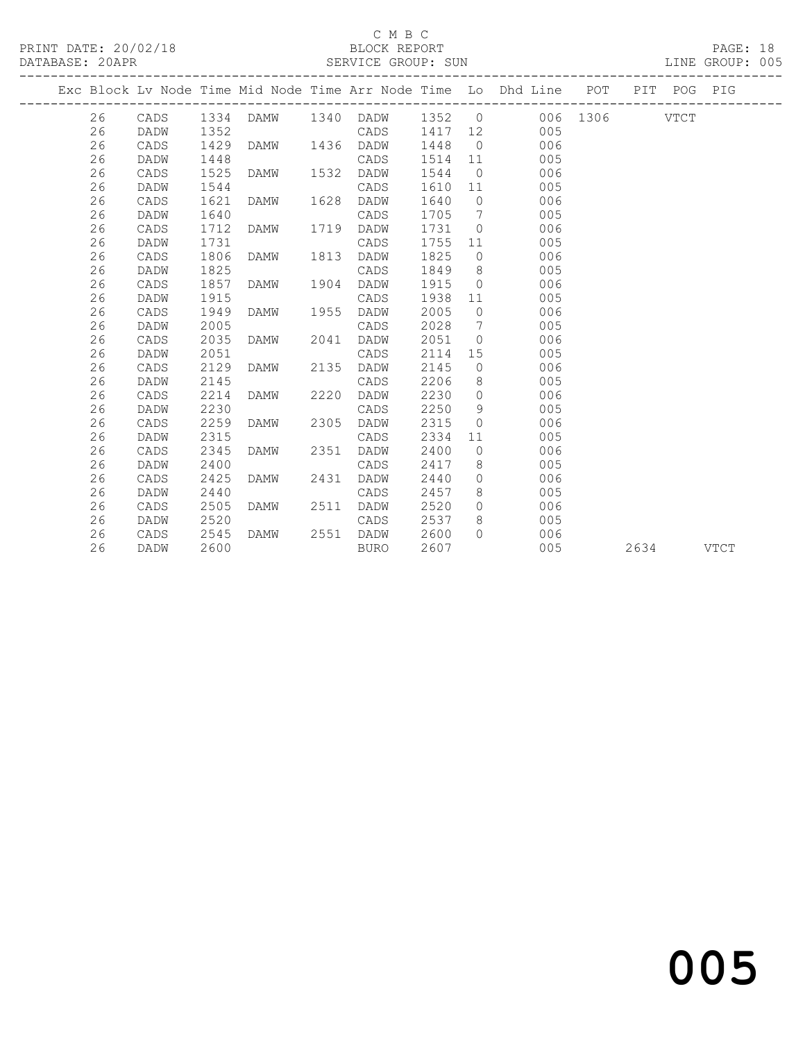#### C M B C<br>BLOCK REPORT

#### SERVICE GROUP: SUN

|    |      |      |      |      |           |         |                | Exc Block Lv Node Time Mid Node Time Arr Node Time Lo Dhd Line POT |               |      | PIT POG PIG |      |
|----|------|------|------|------|-----------|---------|----------------|--------------------------------------------------------------------|---------------|------|-------------|------|
| 26 | CADS | 1334 | DAMW |      | 1340 DADW | 1352 0  |                |                                                                    | 006 1306 VTCT |      |             |      |
| 26 | DADW | 1352 |      |      | CADS      | 1417 12 |                | 005                                                                |               |      |             |      |
| 26 | CADS | 1429 | DAMW | 1436 | DADW      | 1448    | $\overline{0}$ | 006                                                                |               |      |             |      |
| 26 | DADW | 1448 |      |      | CADS      | 1514    | 11             | 005                                                                |               |      |             |      |
| 26 | CADS | 1525 | DAMW | 1532 | DADW      | 1544    | $\overline{0}$ | 006                                                                |               |      |             |      |
| 26 | DADW | 1544 |      |      | CADS      | 1610    | 11             | 005                                                                |               |      |             |      |
| 26 | CADS | 1621 | DAMW | 1628 | DADW      | 1640    | $\overline{0}$ | 006                                                                |               |      |             |      |
| 26 | DADW | 1640 |      |      | CADS      | 1705    | 7              | 005                                                                |               |      |             |      |
| 26 | CADS | 1712 | DAMW | 1719 | DADW      | 1731    | $\circ$        | 006                                                                |               |      |             |      |
| 26 | DADW | 1731 |      |      | CADS      | 1755    | 11             | 005                                                                |               |      |             |      |
| 26 | CADS | 1806 | DAMW | 1813 | DADW      | 1825    | $\overline{0}$ | 006                                                                |               |      |             |      |
| 26 | DADW | 1825 |      |      | CADS      | 1849    | 8 <sup>8</sup> | 005                                                                |               |      |             |      |
| 26 | CADS | 1857 | DAMW | 1904 | DADW      | 1915    | $\overline{0}$ | 006                                                                |               |      |             |      |
| 26 | DADW | 1915 |      |      | CADS      | 1938    | 11             | 005                                                                |               |      |             |      |
| 26 | CADS | 1949 | DAMW | 1955 | DADW      | 2005    | $\circ$        | 006                                                                |               |      |             |      |
| 26 | DADW | 2005 |      |      | CADS      | 2028    | 7              | 005                                                                |               |      |             |      |
| 26 | CADS | 2035 | DAMW | 2041 | DADW      | 2051    | $\Omega$       | 006                                                                |               |      |             |      |
| 26 | DADW | 2051 |      |      | CADS      | 2114    | 15             | 005                                                                |               |      |             |      |
| 26 | CADS | 2129 | DAMW | 2135 | DADW      | 2145    | $\circ$        | 006                                                                |               |      |             |      |
| 26 | DADW | 2145 |      |      | CADS      | 2206    | 8              | 005                                                                |               |      |             |      |
| 26 | CADS | 2214 | DAMW | 2220 | DADW      | 2230    | $\circ$        | 006                                                                |               |      |             |      |
| 26 | DADW | 2230 |      |      | CADS      | 2250    | 9              | 005                                                                |               |      |             |      |
| 26 | CADS | 2259 | DAMW | 2305 | DADW      | 2315    | $\circ$        | 006                                                                |               |      |             |      |
| 26 | DADW | 2315 |      |      | CADS      | 2334    | 11             | 005                                                                |               |      |             |      |
| 26 | CADS | 2345 | DAMW | 2351 | DADW      | 2400    | $\circ$        | 006                                                                |               |      |             |      |
| 26 | DADW | 2400 |      |      | CADS      | 2417    | 8              | 005                                                                |               |      |             |      |
| 26 | CADS | 2425 | DAMW | 2431 | DADW      | 2440    | $\circ$        | 006                                                                |               |      |             |      |
| 26 | DADW | 2440 |      |      | CADS      | 2457    | 8              | 005                                                                |               |      |             |      |
| 26 | CADS | 2505 | DAMW | 2511 | DADW      | 2520    | $\circ$        | 006                                                                |               |      |             |      |
| 26 | DADW | 2520 |      |      | CADS      | 2537    | 8              | 005                                                                |               |      |             |      |
| 26 | CADS | 2545 | DAMW | 2551 | DADW      | 2600    | $\cap$         | 006                                                                |               |      |             |      |
| 26 | DADW | 2600 |      |      | BURO      | 2607    |                | 005                                                                |               | 2634 |             | VTCT |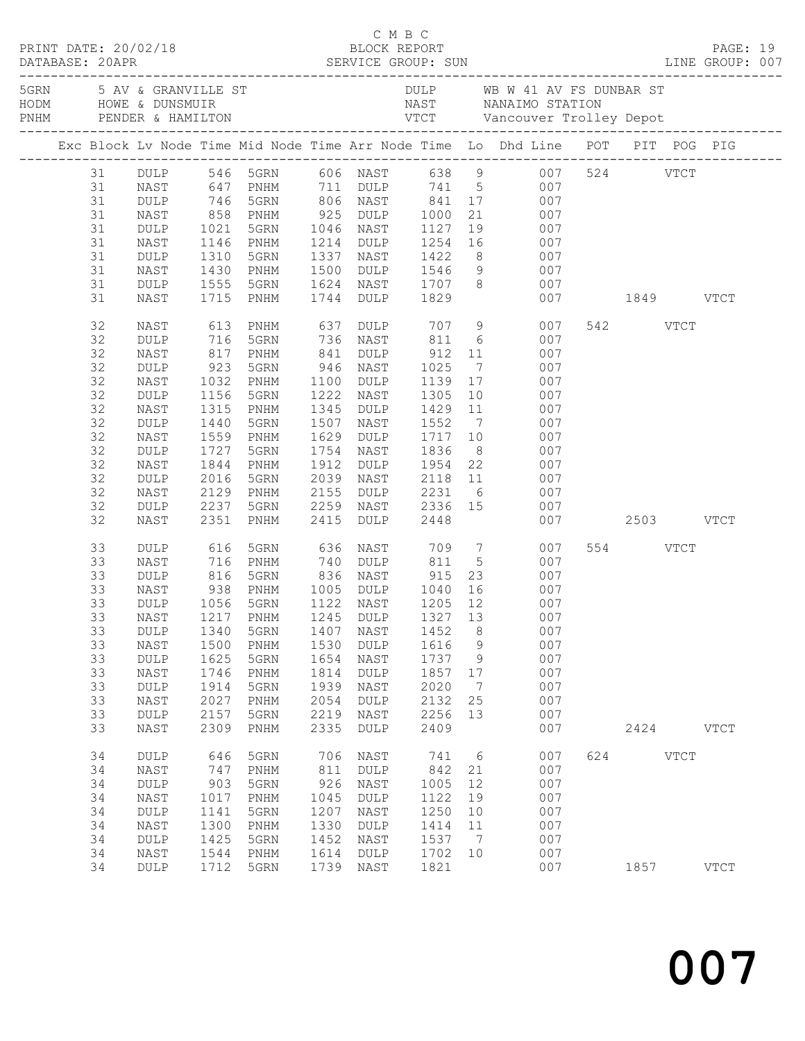|                                                                                  |                                                                                                                                           |                                                                                     |                                                                                                                                                                                                                        |                                                                           |                                                                                                              |                                                                            |                                                         | 5 AV & GRANVILLE ST AN B W 41 AV FS DUNBAR ST AND HOWE & DUNSMUIR<br>FRIM PENDER & HAMILTON TO VICT Vancouver Trolley Depot<br>TRIM PENDER & HAMILTON VICT Vancouver Trolley Depot                                                                                                                                                                    |               |              |             |                            |  |
|----------------------------------------------------------------------------------|-------------------------------------------------------------------------------------------------------------------------------------------|-------------------------------------------------------------------------------------|------------------------------------------------------------------------------------------------------------------------------------------------------------------------------------------------------------------------|---------------------------------------------------------------------------|--------------------------------------------------------------------------------------------------------------|----------------------------------------------------------------------------|---------------------------------------------------------|-------------------------------------------------------------------------------------------------------------------------------------------------------------------------------------------------------------------------------------------------------------------------------------------------------------------------------------------------------|---------------|--------------|-------------|----------------------------|--|
|                                                                                  |                                                                                                                                           |                                                                                     |                                                                                                                                                                                                                        |                                                                           |                                                                                                              |                                                                            |                                                         | Exc Block Lv Node Time Mid Node Time Arr Node Time Lo Dhd Line POT PIT POG PIG                                                                                                                                                                                                                                                                        |               |              |             |                            |  |
| 31<br>31<br>31<br>31<br>31<br>31<br>31<br>31<br>31                               | NAST<br>$\texttt{DULP}$<br>NAST<br>DULP<br>NAST                                                                                           | 1310                                                                                | 1146 PNHM<br>5GRN<br>1430 PNHM<br>1555 5GRN<br>1715 PNHM                                                                                                                                                               |                                                                           | 1744 DULP 1829                                                                                               |                                                                            |                                                         | 31 DULP 546 5GRN 606 NAST 638 9 007 524 VTCT<br>NAST 647 PNHM 711 DULP 741 5 007<br>1214 DULP 1254 16 007<br>1337 NAST 1422 8 007<br>1500 DULP 1546 9 007<br>1624 NAST 1707 8 007                                                                                                                                                                     | 007 1849 VTCT |              |             |                            |  |
| 32<br>32<br>32<br>32<br>32<br>32<br>32<br>32<br>32<br>32<br>32<br>32<br>32<br>32 | NAST<br>DULP<br>NAST<br><b>DULP</b><br>NAST<br>$\texttt{DULP}$<br>NAST<br>DULP<br>NAST<br>DULP<br>NAST<br>DULP<br>NAST<br>$\texttt{DULP}$ | 923<br>1032<br>1156<br>1315<br>1440<br>1559<br>1727<br>1844<br>2016<br>2129<br>2237 | 817 PNHM<br>5GRN<br>PNHM<br>5GRN<br>PNHM<br>5GRN<br>PNHM<br>5GRN<br>PNHM<br>5GRN<br>PNHM<br>5GRN                                                                                                                       | 841<br>1912<br>2155                                                       | DULP 912 11<br>946 NAST<br>1100 DULP<br>1222 NAST<br>1507 NAST 1552<br>1629 DULP<br>1754 NAST                | 1025                                                                       |                                                         | 613 PNHM       637 DULP       707     9            007<br>716   5GRN       736   NAST       811     6             007<br>007<br>$7\overline{ }$<br>007<br>1139  17  007<br>1305  10  007<br>1345 DULP 1429 11 007<br>7 007<br>DULP 1954 22 007<br>2039 NAST 2118 11 007<br>2155 DULP 2231 6 007<br>2259 NAST 2336 15 007<br>2415 DULP 2448 007<br>007 |               | 542 VTCT     |             |                            |  |
| 32<br>33<br>33<br>33<br>33<br>33<br>33<br>33<br>33<br>33<br>33<br>33<br>33       | NAST<br>DULP<br>NAST<br>DULP<br>NAST<br>DULP<br>DULP<br>NAST<br>DULP<br>NAST<br>DULP<br><b>NAST</b><br>DULP                               | 2351<br>1340<br>1500<br>1625<br>1746<br>1914<br>2027<br>2157                        | PNHM<br>616 5GRN       636   NAST        709    7<br>716   PNHM        740   DULP       811     5<br>816   5GRN        836   NAST        915   23<br>1056 5GRN<br>5GRN<br>PNHM<br>5GRN<br>PNHM<br>5GRN<br>PNHM<br>5GRN | 1407<br>1530<br>1654<br>1814<br>1939<br>2054<br>2219                      | 2415 DULP 2448<br>1122 NAST<br>NAST<br>$\texttt{DULP}$<br>NAST<br><b>DULP</b><br>NAST<br><b>DULP</b><br>NAST | 1205 12<br>1452<br>1616<br>1737<br>1857<br>2020<br>2132<br>2256            | 8<br>9<br>9<br>17<br>$7\phantom{.0}$<br>25<br>13        | 007<br>007<br>$23$ 007<br>938 PNHM 1005 DULP 1040 16 007<br>007<br>33 NAST 1217 PNHM 1245 DULP 1327 13 007<br>007<br>007<br>007<br>007<br>007<br>007<br>007                                                                                                                                                                                           | 007 2503 VTCT | 554 VTCT     |             |                            |  |
| 33<br>34<br>34<br>34<br>34<br>34<br>34<br>34<br>34<br>34                         | NAST<br>DULP<br>NAST<br>DULP<br>NAST<br>$\texttt{DULP}$<br>NAST<br>DULP<br>NAST<br>DULP                                                   | 2309<br>646<br>747<br>903<br>1017<br>1141<br>1300<br>1425<br>1544<br>1712           | PNHM<br>5GRN<br>PNHM<br>5GRN<br>PNHM<br>5GRN<br>PNHM<br>5GRN<br>PNHM<br>5GRN                                                                                                                                           | 2335<br>706<br>811<br>926<br>1045<br>1207<br>1330<br>1452<br>1614<br>1739 | DULP<br>NAST<br>DULP<br>NAST<br>DULP<br>NAST<br>DULP<br>NAST<br>DULP<br>NAST                                 | 2409<br>741<br>842<br>1005<br>1122<br>1250<br>1414<br>1537<br>1702<br>1821 | 6<br>21<br>12<br>19<br>10<br>11<br>$\overline{7}$<br>10 | 007<br>007<br>007<br>007<br>007<br>007<br>007<br>007<br>007<br>007                                                                                                                                                                                                                                                                                    | 624           | 2424<br>1857 | <b>VTCT</b> | <b>VTCT</b><br><b>VTCT</b> |  |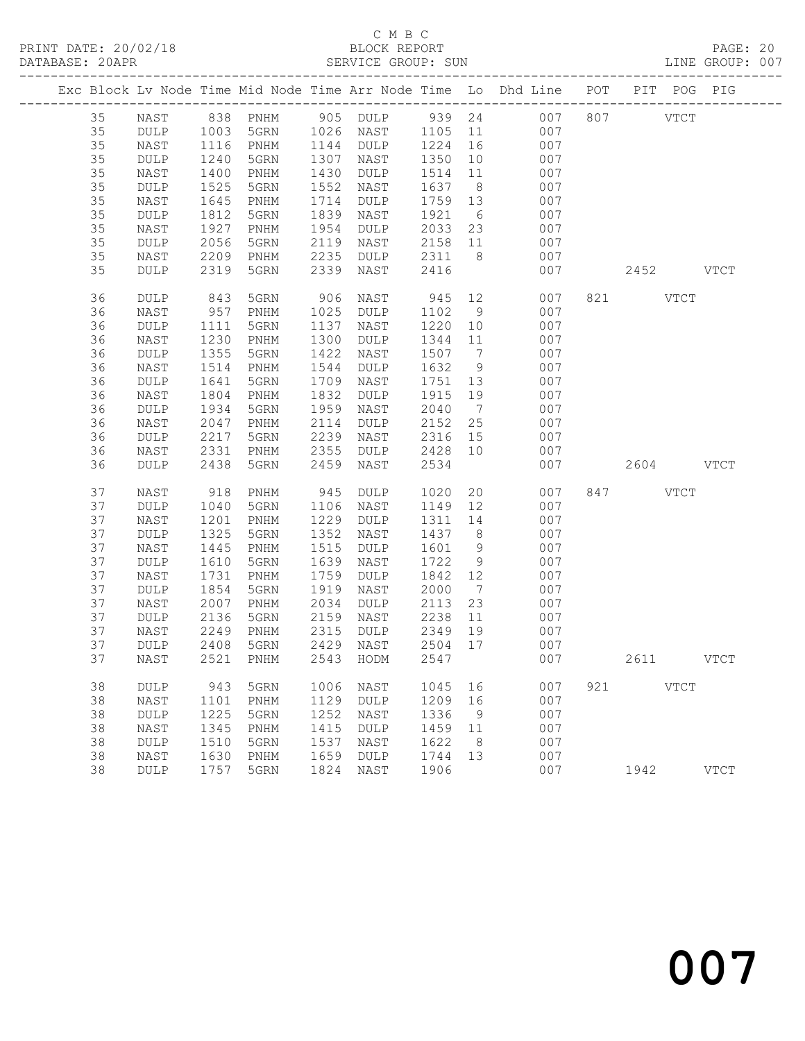#### C M B C<br>BLOCK REPORT SERVICE GROUP: SUN

|    |             |      |      |      |           |         |                | Exc Block Lv Node Time Mid Node Time Arr Node Time Lo Dhd Line POT |     | PIT POG PIG |             |
|----|-------------|------|------|------|-----------|---------|----------------|--------------------------------------------------------------------|-----|-------------|-------------|
| 35 | NAST        |      |      |      |           |         |                |                                                                    |     | <b>VTCT</b> |             |
| 35 | DULP        |      |      |      |           |         |                |                                                                    |     |             |             |
| 35 | NAST        | 1116 | PNHM | 1144 | DULP      | 1224    | 16             | 007                                                                |     |             |             |
| 35 | DULP        | 1240 | 5GRN | 1307 | NAST      | 1350    | 10             | 007                                                                |     |             |             |
| 35 | NAST        | 1400 | PNHM | 1430 | DULP      | 1514    | 11             | 007                                                                |     |             |             |
| 35 | DULP        | 1525 | 5GRN | 1552 | NAST      | 1637    | 8 <sup>8</sup> | 007                                                                |     |             |             |
| 35 | NAST        | 1645 | PNHM | 1714 | DULP      | 1759    | 13             | 007                                                                |     |             |             |
| 35 | DULP        | 1812 | 5GRN | 1839 | NAST      | 1921    | 6              | 007                                                                |     |             |             |
| 35 | NAST        | 1927 | PNHM | 1954 | DULP      | 2033    | 23             | 007                                                                |     |             |             |
| 35 | DULP        | 2056 | 5GRN | 2119 | NAST      | 2158    | 11             | 007                                                                |     |             |             |
| 35 | NAST        | 2209 | PNHM | 2235 | DULP      | 2311    | 8 <sup>8</sup> | 007                                                                |     |             |             |
| 35 | <b>DULP</b> | 2319 | 5GRN | 2339 | NAST      | 2416    |                | 007                                                                |     | 2452 VTCT   |             |
| 36 | DULP        | 843  | 5GRN | 906  | NAST      | 945     |                | 12<br>007                                                          |     | 821 VTCT    |             |
| 36 | NAST        | 957  | PNHM | 1025 | DULP      | 1102    | 9              | 007                                                                |     |             |             |
| 36 | <b>DULP</b> | 1111 | 5GRN | 1137 | NAST      | 1220    | 10             | 007                                                                |     |             |             |
| 36 | NAST        | 1230 | PNHM | 1300 | DULP      | 1344    | 11             | 007                                                                |     |             |             |
| 36 | DULP        | 1355 | 5GRN | 1422 | NAST      | 1507    | $\overline{7}$ | 007                                                                |     |             |             |
| 36 | NAST        | 1514 | PNHM | 1544 | DULP      | 1632    | 9              | 007                                                                |     |             |             |
| 36 | DULP        | 1641 | 5GRN | 1709 | NAST      | 1751 13 |                | 007                                                                |     |             |             |
| 36 | NAST        | 1804 | PNHM | 1832 | DULP      | 1915    | 19             | 007                                                                |     |             |             |
| 36 | DULP        | 1934 | 5GRN | 1959 | NAST      | 2040    | $\overline{7}$ | 007                                                                |     |             |             |
| 36 | NAST        | 2047 | PNHM | 2114 | DULP      | 2152    | 25             | 007                                                                |     |             |             |
| 36 | DULP        | 2217 | 5GRN | 2239 | NAST      | 2316    | 15             | 007                                                                |     |             |             |
| 36 | NAST        | 2331 | PNHM | 2355 | DULP      | 2428    | 10             | 007                                                                |     |             |             |
| 36 | <b>DULP</b> | 2438 | 5GRN | 2459 | NAST      | 2534    |                | 007                                                                |     | 2604 VTCT   |             |
| 37 | NAST        | 918  | PNHM | 945  | DULP      | 1020    |                | 20<br>007                                                          |     | 847 VTCT    |             |
| 37 | DULP        | 1040 | 5GRN | 1106 | NAST      | 1149    | 12             | 007                                                                |     |             |             |
| 37 | NAST        | 1201 | PNHM | 1229 | DULP      | 1311    | 14             | 007                                                                |     |             |             |
| 37 | DULP        | 1325 | 5GRN | 1352 | NAST      | 1437    | 8 <sup>8</sup> | 007                                                                |     |             |             |
| 37 | NAST        | 1445 | PNHM | 1515 | DULP      | 1601    | 9              | 007                                                                |     |             |             |
| 37 | DULP        | 1610 | 5GRN | 1639 | NAST      | 1722    | 9              | 007                                                                |     |             |             |
| 37 | NAST        | 1731 | PNHM | 1759 | DULP      | 1842    | 12             | 007                                                                |     |             |             |
| 37 | DULP        | 1854 | 5GRN | 1919 | NAST      | 2000    | $\overline{7}$ | 007                                                                |     |             |             |
| 37 | NAST        | 2007 | PNHM | 2034 | DULP      | 2113    | 23             | 007                                                                |     |             |             |
| 37 | DULP        | 2136 | 5GRN | 2159 | NAST      | 2238    | 11             | 007                                                                |     |             |             |
| 37 | NAST        | 2249 | PNHM | 2315 | DULP      | 2349    | 19             | 007                                                                |     |             |             |
| 37 | <b>DULP</b> | 2408 | 5GRN |      | 2429 NAST | 2504 17 |                | 007                                                                |     |             |             |
| 37 | NAST        |      |      |      |           |         |                | 2521 PNHM 2543 HODM 2547 007                                       |     | 2611        | <b>VTCT</b> |
| 38 | <b>DULP</b> | 943  | 5GRN | 1006 | NAST      | 1045    | 16             | 007                                                                | 921 | <b>VTCT</b> |             |
| 38 | NAST        | 1101 | PNHM | 1129 | DULP      | 1209    | 16             | 007                                                                |     |             |             |
| 38 | DULP        | 1225 | 5GRN | 1252 | NAST      | 1336    | - 9            | 007                                                                |     |             |             |
| 38 | NAST        | 1345 | PNHM | 1415 | DULP      | 1459    | 11             | 007                                                                |     |             |             |
| 38 | DULP        | 1510 | 5GRN | 1537 | NAST      | 1622    | 8              | 007                                                                |     |             |             |
| 38 | NAST        | 1630 | PNHM | 1659 | DULP      | 1744    | 13             | 007                                                                |     |             |             |
| 38 | DULP        | 1757 | 5GRN | 1824 | NAST      | 1906    |                | 007                                                                |     | 1942        | <b>VTCT</b> |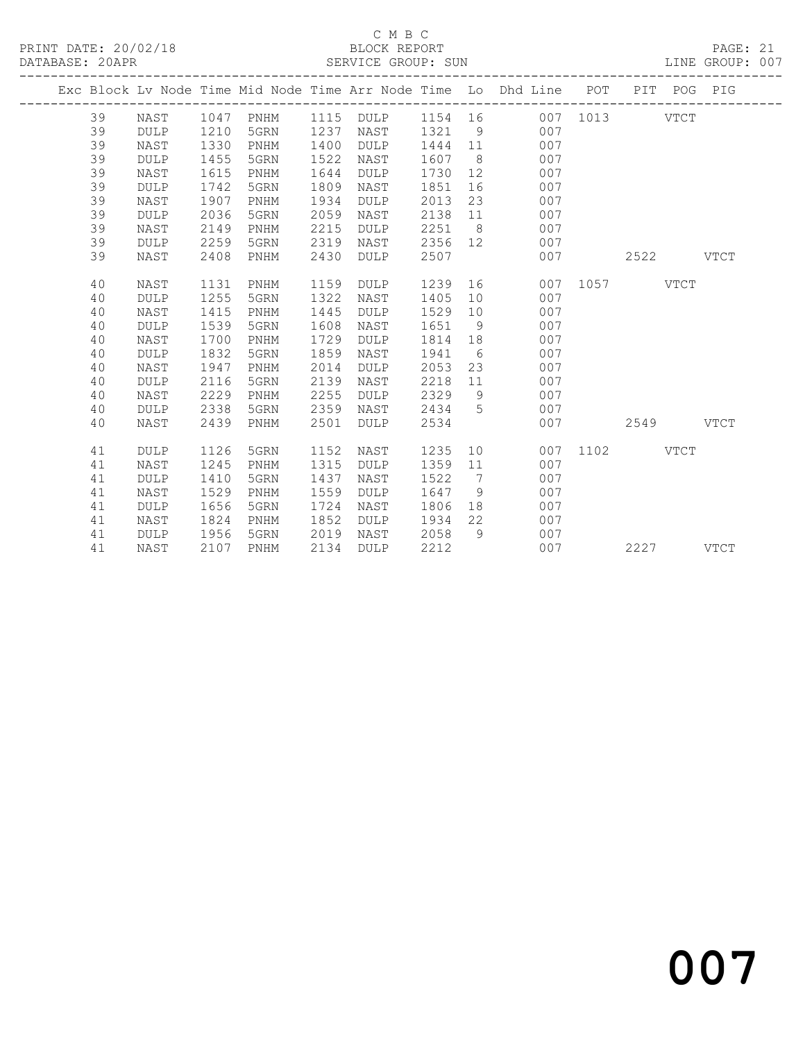#### C M B C<br>BLOCK REPORT SERVICE GROUP: SUN

| Exc Block Lv Node Time Mid Node Time Arr Node Time Lo Dhd Line POT PIT POG PIG<br>39<br>007 1013<br>NAST<br>1047 PNHM<br>1115 DULP<br>1154 16<br>39<br>1237<br>1210<br>1321<br>9<br>007<br><b>DULP</b><br>5GRN<br>NAST<br>39<br>1330<br>1400<br>1444<br>11<br>007<br>NAST<br>PNHM<br><b>DULP</b><br>39<br>1455<br>5GRN<br>1522<br>1607<br>007<br><b>DULP</b><br>NAST<br>8 <sup>8</sup><br>39<br>1615<br>1644<br>1730<br>12<br>007<br>NAST<br>PNHM<br>DULP<br>39<br>1742<br>1809<br>1851<br>007<br><b>DULP</b><br>5GRN<br>NAST<br>16<br>39<br>1907<br>1934<br>2013<br>23<br>007<br>NAST<br>PNHM<br><b>DULP</b><br>39<br>2059<br><b>DULP</b><br>2036<br>5GRN<br>2138<br>007<br>NAST<br>11<br>39<br>2251<br>8 <sup>8</sup><br>2149<br>2215<br>007<br>NAST<br>PNHM<br><b>DULP</b><br>39<br>2259<br>2319<br>2356<br>5GRN<br>007<br><b>DULP</b><br>NAST<br>12<br>39<br>2430<br>2408<br>2507<br>007<br>PNHM<br><b>DULP</b><br>2522<br>NAST<br>40<br>1131<br>1159<br>1239<br>16<br>007<br>1057<br>NAST<br>PNHM<br><b>DULP</b> |             |
|-----------------------------------------------------------------------------------------------------------------------------------------------------------------------------------------------------------------------------------------------------------------------------------------------------------------------------------------------------------------------------------------------------------------------------------------------------------------------------------------------------------------------------------------------------------------------------------------------------------------------------------------------------------------------------------------------------------------------------------------------------------------------------------------------------------------------------------------------------------------------------------------------------------------------------------------------------------------------------------------------------------------------|-------------|
|                                                                                                                                                                                                                                                                                                                                                                                                                                                                                                                                                                                                                                                                                                                                                                                                                                                                                                                                                                                                                       |             |
|                                                                                                                                                                                                                                                                                                                                                                                                                                                                                                                                                                                                                                                                                                                                                                                                                                                                                                                                                                                                                       | VTCT        |
|                                                                                                                                                                                                                                                                                                                                                                                                                                                                                                                                                                                                                                                                                                                                                                                                                                                                                                                                                                                                                       |             |
|                                                                                                                                                                                                                                                                                                                                                                                                                                                                                                                                                                                                                                                                                                                                                                                                                                                                                                                                                                                                                       |             |
|                                                                                                                                                                                                                                                                                                                                                                                                                                                                                                                                                                                                                                                                                                                                                                                                                                                                                                                                                                                                                       |             |
|                                                                                                                                                                                                                                                                                                                                                                                                                                                                                                                                                                                                                                                                                                                                                                                                                                                                                                                                                                                                                       |             |
|                                                                                                                                                                                                                                                                                                                                                                                                                                                                                                                                                                                                                                                                                                                                                                                                                                                                                                                                                                                                                       |             |
|                                                                                                                                                                                                                                                                                                                                                                                                                                                                                                                                                                                                                                                                                                                                                                                                                                                                                                                                                                                                                       |             |
|                                                                                                                                                                                                                                                                                                                                                                                                                                                                                                                                                                                                                                                                                                                                                                                                                                                                                                                                                                                                                       |             |
|                                                                                                                                                                                                                                                                                                                                                                                                                                                                                                                                                                                                                                                                                                                                                                                                                                                                                                                                                                                                                       |             |
|                                                                                                                                                                                                                                                                                                                                                                                                                                                                                                                                                                                                                                                                                                                                                                                                                                                                                                                                                                                                                       |             |
|                                                                                                                                                                                                                                                                                                                                                                                                                                                                                                                                                                                                                                                                                                                                                                                                                                                                                                                                                                                                                       | <b>VTCT</b> |
|                                                                                                                                                                                                                                                                                                                                                                                                                                                                                                                                                                                                                                                                                                                                                                                                                                                                                                                                                                                                                       | VTCT        |
| 1255<br>1322<br>40<br>5GRN<br>1405<br>10<br>007<br><b>DULP</b><br>NAST                                                                                                                                                                                                                                                                                                                                                                                                                                                                                                                                                                                                                                                                                                                                                                                                                                                                                                                                                |             |
| 1415<br>1445<br>40<br>1529<br>10<br>007<br>NAST<br>PNHM<br><b>DULP</b>                                                                                                                                                                                                                                                                                                                                                                                                                                                                                                                                                                                                                                                                                                                                                                                                                                                                                                                                                |             |
| 1539<br>1608<br>007<br>40<br><b>DULP</b><br>5GRN<br>NAST<br>1651<br>9                                                                                                                                                                                                                                                                                                                                                                                                                                                                                                                                                                                                                                                                                                                                                                                                                                                                                                                                                 |             |
| 1700<br>1729<br>18<br>007<br>40<br>1814<br>NAST<br>PNHM<br>DULP                                                                                                                                                                                                                                                                                                                                                                                                                                                                                                                                                                                                                                                                                                                                                                                                                                                                                                                                                       |             |
| 1832<br>1859<br>1941<br>6<br>007<br>40<br>DULP<br>5GRN<br>NAST                                                                                                                                                                                                                                                                                                                                                                                                                                                                                                                                                                                                                                                                                                                                                                                                                                                                                                                                                        |             |
| 40<br>1947<br>2014<br>2053<br>23<br>007<br>NAST<br>PNHM<br>DULP                                                                                                                                                                                                                                                                                                                                                                                                                                                                                                                                                                                                                                                                                                                                                                                                                                                                                                                                                       |             |
| 2139<br>2218<br>007<br>40<br><b>DULP</b><br>2116<br>5GRN<br>NAST<br>11                                                                                                                                                                                                                                                                                                                                                                                                                                                                                                                                                                                                                                                                                                                                                                                                                                                                                                                                                |             |
| 2229<br>2255<br>2329<br>007<br>40<br>NAST<br>9<br>PNHM<br><b>DULP</b>                                                                                                                                                                                                                                                                                                                                                                                                                                                                                                                                                                                                                                                                                                                                                                                                                                                                                                                                                 |             |
| 40<br>2338<br>2359<br>2434<br>007<br><b>DULP</b><br>5GRN<br>NAST<br>5                                                                                                                                                                                                                                                                                                                                                                                                                                                                                                                                                                                                                                                                                                                                                                                                                                                                                                                                                 |             |
| 2439<br>2501<br>2534<br>007<br>40<br>NAST<br>PNHM<br><b>DULP</b><br>2549                                                                                                                                                                                                                                                                                                                                                                                                                                                                                                                                                                                                                                                                                                                                                                                                                                                                                                                                              | <b>VTCT</b> |
| 1126<br>1152<br>1235<br>10<br>1102<br>41<br>5GRN<br>007<br>DULP<br>NAST                                                                                                                                                                                                                                                                                                                                                                                                                                                                                                                                                                                                                                                                                                                                                                                                                                                                                                                                               | VTCT        |
| 1245<br>1315<br>007<br>41<br>1359<br>11<br>NAST<br>PNHM<br><b>DULP</b>                                                                                                                                                                                                                                                                                                                                                                                                                                                                                                                                                                                                                                                                                                                                                                                                                                                                                                                                                |             |
| 1437<br>1522<br>41<br>1410<br>5GRN<br>7<br>007<br><b>DULP</b><br>NAST                                                                                                                                                                                                                                                                                                                                                                                                                                                                                                                                                                                                                                                                                                                                                                                                                                                                                                                                                 |             |
| 41<br>1529<br>1559<br>1647<br>9<br>007<br>NAST<br>PNHM<br><b>DULP</b>                                                                                                                                                                                                                                                                                                                                                                                                                                                                                                                                                                                                                                                                                                                                                                                                                                                                                                                                                 |             |
| 1656<br>1724<br>1806<br>18<br>007<br>41<br><b>DULP</b><br>5GRN<br>NAST                                                                                                                                                                                                                                                                                                                                                                                                                                                                                                                                                                                                                                                                                                                                                                                                                                                                                                                                                |             |
| 22<br>1824<br>1852<br>1934<br>007<br>41<br>NAST<br>PNHM<br><b>DULP</b>                                                                                                                                                                                                                                                                                                                                                                                                                                                                                                                                                                                                                                                                                                                                                                                                                                                                                                                                                |             |
| 9<br><b>DULP</b><br>1956<br>5GRN<br>2019<br>2058<br>007<br>41<br>NAST                                                                                                                                                                                                                                                                                                                                                                                                                                                                                                                                                                                                                                                                                                                                                                                                                                                                                                                                                 |             |
| 41<br>2107<br>2134<br>2212<br>007<br>2227<br>NAST<br>PNHM<br><b>DULP</b>                                                                                                                                                                                                                                                                                                                                                                                                                                                                                                                                                                                                                                                                                                                                                                                                                                                                                                                                              |             |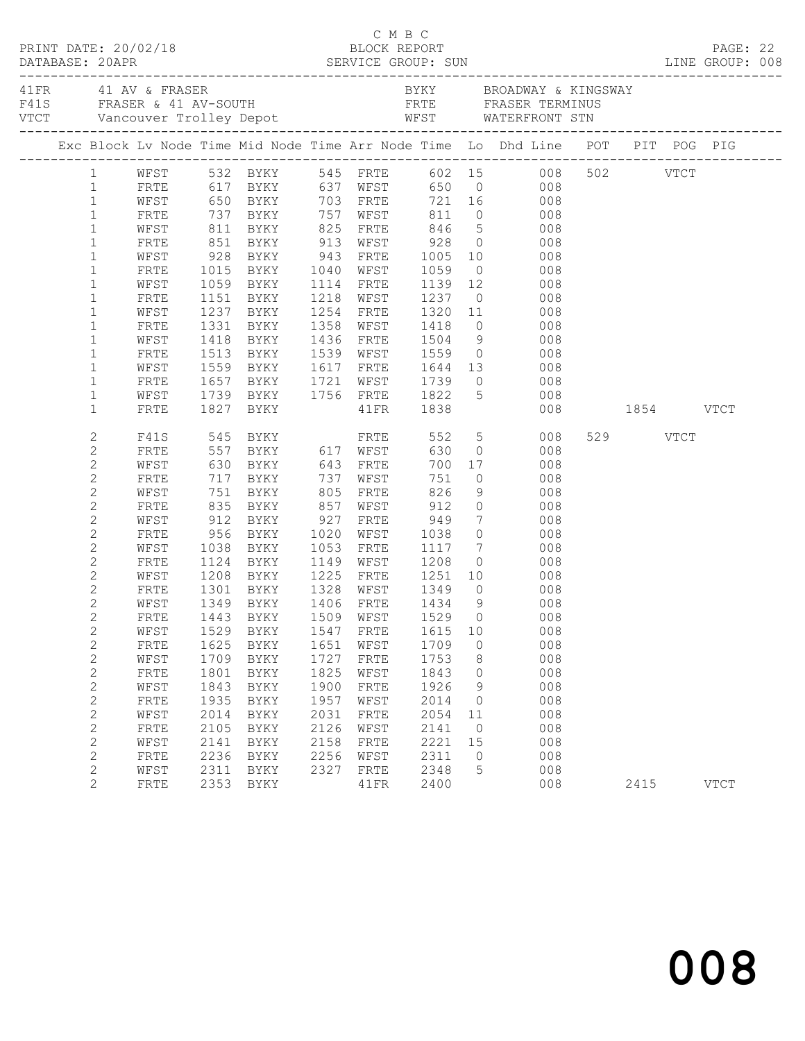|                              |                                                                                                                                                                                                                                        |      |                                  |      |                        | C M B C           |                |                                              |               |          |             |  |
|------------------------------|----------------------------------------------------------------------------------------------------------------------------------------------------------------------------------------------------------------------------------------|------|----------------------------------|------|------------------------|-------------------|----------------|----------------------------------------------|---------------|----------|-------------|--|
|                              | A FRANCH AND THE SERIES AND THE RESERVE SERIES OF THE RESERVE SERIES FRASER TERMINUS<br>FAIS FRASER & 41 AV-SOUTH FRTE FRASER TERMINUS<br>FITE WATERFRONT STN<br>TICT Vancouver Trolley Depot WEST WATERFRONT STN<br>----------------- |      |                                  |      |                        |                   |                |                                              |               |          |             |  |
|                              | Exc Block Lv Node Time Mid Node Time Arr Node Time Lo Dhd Line POT PIT POG PIG                                                                                                                                                         |      |                                  |      |                        |                   |                |                                              |               |          |             |  |
| $1 \quad$                    |                                                                                                                                                                                                                                        |      |                                  |      |                        |                   |                | WFST 532 BYKY 545 FRTE 602 15 008 502 VTCT   |               |          |             |  |
| $\mathbf{1}$                 | FRTE                                                                                                                                                                                                                                   |      | 617 BYKY 637 WFST                |      |                        |                   |                | 650 0 008                                    |               |          |             |  |
| $\mathbf{1}$                 | WFST                                                                                                                                                                                                                                   |      | 650 BYKY 703 FRTE                |      |                        |                   |                | 721 16 008                                   |               |          |             |  |
| $\mathbf{1}$                 | FRTE                                                                                                                                                                                                                                   |      |                                  |      |                        |                   |                |                                              |               |          |             |  |
| $\mathbf{1}$                 | WFST                                                                                                                                                                                                                                   |      |                                  |      |                        |                   |                |                                              |               |          |             |  |
| $\mathbf 1$                  | FRTE                                                                                                                                                                                                                                   |      |                                  |      |                        |                   |                |                                              |               |          |             |  |
| $\mathbf{1}$                 | WFST                                                                                                                                                                                                                                   | 928  |                                  |      |                        |                   |                | BYKY 943 FRTE 1005 10 008                    |               |          |             |  |
| $\mathbf 1$<br>$\mathbf{1}$  | FRTE                                                                                                                                                                                                                                   |      | 1015 BYKY<br>1059 BYKY           |      | 1040 WFST              |                   |                | 1059 0 008<br>1139 12 008                    |               |          |             |  |
| $\mathbf 1$                  | WFST<br>FRTE                                                                                                                                                                                                                           |      | 1151 BYKY                        |      | 1114 FRTE<br>1218 WFST | 1237              |                | $\overline{O}$<br>008                        |               |          |             |  |
| $\mathbf 1$                  | WFST                                                                                                                                                                                                                                   |      | 1237 BYKY                        |      | 1254 FRTE              | 1320 11           |                | 008                                          |               |          |             |  |
| $\mathbf 1$                  | FRTE                                                                                                                                                                                                                                   | 1331 | BYKY                             |      | 1358 WFST              |                   |                |                                              |               |          |             |  |
| $\mathbf 1$                  | WFST                                                                                                                                                                                                                                   |      | 1418 BYKY                        |      | 1436 FRTE              |                   |                | 1418 0 008<br>1504 9 008<br>1559 0 008       |               |          |             |  |
| $\mathbf 1$                  | FRTE                                                                                                                                                                                                                                   |      | 1513 BYKY                        |      |                        | 1539 WFST 1559    |                |                                              |               |          |             |  |
| $\mathbf 1$                  | WFST                                                                                                                                                                                                                                   | 1559 | <b>BYKY</b>                      |      |                        | 1617 FRTE 1644 13 |                | 008                                          |               |          |             |  |
| $\mathbf 1$                  | FRTE                                                                                                                                                                                                                                   | 1657 |                                  |      | 1721 WFST              |                   |                | $\overline{0}$<br>008                        |               |          |             |  |
| $\mathbf 1$                  | WFST                                                                                                                                                                                                                                   |      |                                  |      |                        |                   | $\overline{5}$ | 008                                          |               |          |             |  |
| $\mathbf{1}$                 | FRTE                                                                                                                                                                                                                                   |      |                                  |      |                        |                   |                |                                              | 008 1854 VTCT |          |             |  |
| 2                            | F41S                                                                                                                                                                                                                                   |      |                                  |      |                        | 552               |                | $5 - 5$<br>008                               |               | 529 VTCT |             |  |
| $\overline{c}$               | FRTE                                                                                                                                                                                                                                   |      |                                  |      |                        | 630               | $\overline{0}$ | 008                                          |               |          |             |  |
| $\mathbf{2}$                 | WFST                                                                                                                                                                                                                                   |      |                                  |      |                        | 700               |                | 17<br>008                                    |               |          |             |  |
| $\mathbf{2}$                 | FRTE                                                                                                                                                                                                                                   | 717  | BYKY 737                         |      | WFST                   | 751               | $\overline{0}$ | 008                                          |               |          |             |  |
| $\mathbf{2}$                 | WFST                                                                                                                                                                                                                                   |      | 751 BYKY<br>835 BYKY<br>912 BYKY |      | 805 FRTE               | 826               | 9              | 008                                          |               |          |             |  |
| $\mathbf{2}$                 | FRTE                                                                                                                                                                                                                                   |      |                                  |      | 857 WFST               | 912<br>949        |                | $\begin{array}{c} 0 \\ 7 \end{array}$<br>008 |               |          |             |  |
| $\mathbf{2}$                 | WFST                                                                                                                                                                                                                                   |      |                                  |      | 927 FRTE               |                   |                | 008                                          |               |          |             |  |
| $\mathbf{2}$                 | FRTE                                                                                                                                                                                                                                   |      | 956 BYKY                         |      | 1020 WFST              | 1038              | $\overline{0}$ | 008                                          |               |          |             |  |
| $\mathbf{2}$                 | WFST                                                                                                                                                                                                                                   | 1038 | BYKY                             | 1053 | FRTE                   | 1117              |                | $7\overline{ }$<br>008                       |               |          |             |  |
| $\mathbf{2}$<br>$\mathbf{2}$ | FRTE                                                                                                                                                                                                                                   |      | 1124 BYKY<br>1208 BYKY           |      |                        |                   |                | 008<br>008                                   |               |          |             |  |
| $\mathbf{2}$                 | WFST<br>FRTE                                                                                                                                                                                                                           |      | 1301 BYKY 1328 WFST 1349         |      |                        |                   |                | $0$ 008                                      |               |          |             |  |
| $\overline{2}$               | WFST                                                                                                                                                                                                                                   |      | 1349 BYKY                        |      |                        | 1406 FRTE 1434    | 9              | 008                                          |               |          |             |  |
| $\mathbf{2}$                 |                                                                                                                                                                                                                                        |      | FRTE 1443 BYKY 1509 WFST 1529 0  |      |                        |                   |                | 008                                          |               |          |             |  |
| $\mathbf{2}$                 | WFST                                                                                                                                                                                                                                   | 1529 | BYKY                             | 1547 | FRTE                   | 1615              | 10             | 008                                          |               |          |             |  |
| $\sqrt{2}$                   | FRTE                                                                                                                                                                                                                                   | 1625 | BYKY                             | 1651 | WFST                   | 1709              | 0              | 008                                          |               |          |             |  |
| $\sqrt{2}$                   | WFST                                                                                                                                                                                                                                   | 1709 | BYKY                             | 1727 | FRTE                   | 1753              | 8              | 008                                          |               |          |             |  |
| $\sqrt{2}$                   | FRTE                                                                                                                                                                                                                                   | 1801 | BYKY                             | 1825 | WFST                   | 1843              | 0              | 008                                          |               |          |             |  |
| $\sqrt{2}$                   | WFST                                                                                                                                                                                                                                   | 1843 | <b>BYKY</b>                      | 1900 | ${\tt FRTE}$           | 1926              | 9              | 008                                          |               |          |             |  |
| $\sqrt{2}$                   | FRTE                                                                                                                                                                                                                                   | 1935 | BYKY                             | 1957 | WFST                   | 2014              | $\circ$        | 008                                          |               |          |             |  |
| $\sqrt{2}$                   | WFST                                                                                                                                                                                                                                   | 2014 | <b>BYKY</b>                      | 2031 | FRTE                   | 2054              | 11             | 008                                          |               |          |             |  |
| $\sqrt{2}$                   | FRTE                                                                                                                                                                                                                                   | 2105 | <b>BYKY</b>                      | 2126 | WFST                   | 2141              | 0              | 008                                          |               |          |             |  |
| $\overline{c}$               | WFST                                                                                                                                                                                                                                   | 2141 | BYKY                             | 2158 | FRTE                   | 2221              | 15             | 008                                          |               |          |             |  |
| $\sqrt{2}$                   | FRTE                                                                                                                                                                                                                                   | 2236 | BYKY                             | 2256 | WFST                   | 2311              | $\circ$        | 008                                          |               |          |             |  |
| $\sqrt{2}$                   | WFST                                                                                                                                                                                                                                   | 2311 | BYKY                             | 2327 | FRTE                   | 2348              | 5              | 008                                          |               |          |             |  |
| 2                            | FRTE                                                                                                                                                                                                                                   | 2353 | BYKY                             |      | 41FR                   | 2400              |                | 008                                          |               | 2415     | <b>VTCT</b> |  |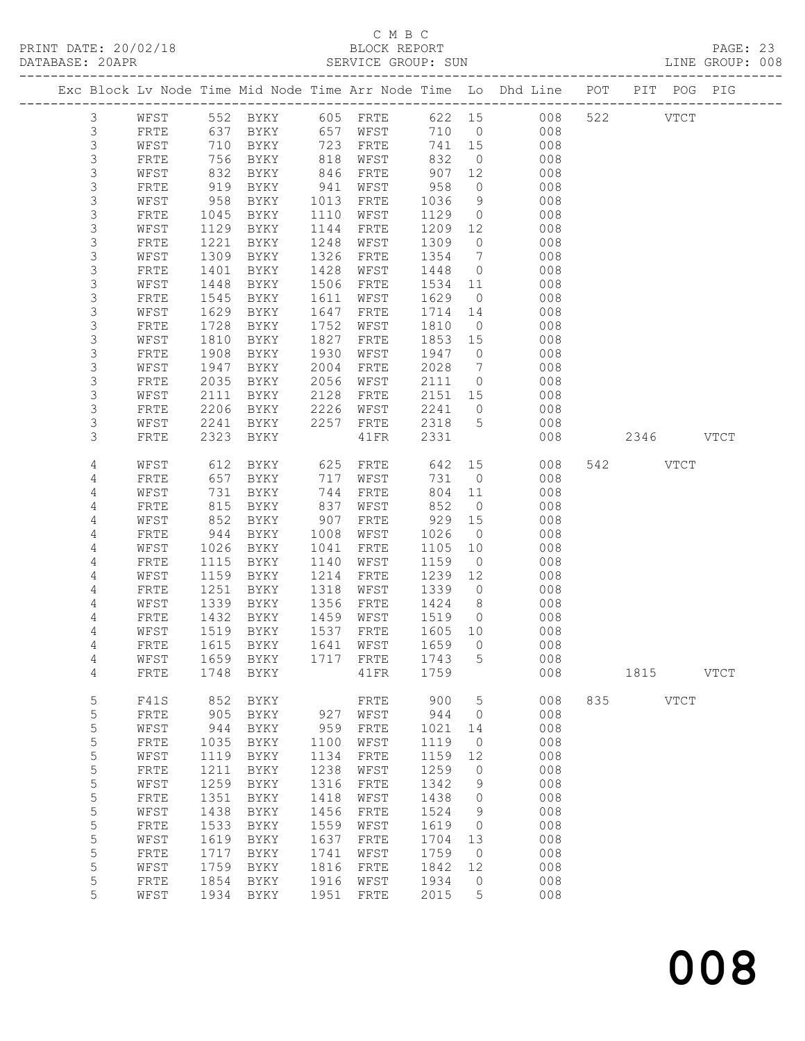# C M B C<br>BLOCK REPORT

|                    |              |              |              |              | ب سیت ب      |                   |                | PRINT DATE: 20/02/18<br>BLOCK REPORT BLOCK PERT SUN DATABASE: 20APR SERVICE GROUP: SUN DATABASE: 20APR DATABASE: 20APR |     |           |             |             |  |
|--------------------|--------------|--------------|--------------|--------------|--------------|-------------------|----------------|------------------------------------------------------------------------------------------------------------------------|-----|-----------|-------------|-------------|--|
|                    |              |              |              |              |              |                   |                | Exc Block Lv Node Time Mid Node Time Arr Node Time Lo Dhd Line POT PIT POG PIG                                         |     |           |             |             |  |
| $\mathcal{S}$      | WFST         |              |              |              |              |                   |                | 552 BYKY 605 FRTE 622 15 008 522 VTCT                                                                                  |     |           |             |             |  |
| $\mathfrak{Z}$     | FRTE         |              |              |              |              |                   |                |                                                                                                                        |     |           |             |             |  |
| $\mathsf 3$        | WFST         |              |              |              |              |                   |                |                                                                                                                        |     |           |             |             |  |
| $\mathfrak{Z}$     | FRTE         |              |              |              |              |                   |                |                                                                                                                        |     |           |             |             |  |
| 3                  | WFST         | 832          | BYKY         | 846          | FRTE         |                   |                | 907 12 008                                                                                                             |     |           |             |             |  |
| $\mathfrak{Z}$     | FRTE         | 919<br>958   | BYKY         | 941          | WFST         | 958               |                | $\begin{array}{ccc} 0 & \hspace{1.5cm} & 008 \\ 9 & \hspace{1.5cm} & 008 \end{array}$                                  |     |           |             |             |  |
| $\mathsf 3$        | WFST         |              | BYKY         | 1013         | FRTE         | 1036              | 9              |                                                                                                                        |     |           |             |             |  |
| $\mathfrak{Z}$     | FRTE         | 1045         | BYKY         | 1110         | WFST         |                   |                | 1129000008                                                                                                             |     |           |             |             |  |
| 3                  | WFST         | 1129         | BYKY         | 1144         | FRTE         |                   |                | 1209 12 008                                                                                                            |     |           |             |             |  |
| $\mathfrak{Z}$     | FRTE         | 1221         | BYKY         | 1248         | WFST         | 1309              |                | $\begin{array}{ccc} 0 & \hspace{1.5cm} & 008 \\ 7 & \hspace{1.5cm} & 008 \end{array}$                                  |     |           |             |             |  |
| $\mathsf 3$        | WFST         | 1309         | BYKY         | 1326         | FRTE         | 1354 7            |                |                                                                                                                        |     |           |             |             |  |
| $\mathfrak{Z}$     | FRTE         | 1401         | BYKY         | 1428         | WFST         | 1448              |                | $\begin{matrix} 0 & 0 & 0 \\ 0 & 0 & 0 \end{matrix}$                                                                   |     |           |             |             |  |
| 3                  | WFST         | 1448         | BYKY         | 1506         | FRTE         |                   |                | 1534 11 008                                                                                                            |     |           |             |             |  |
| 3                  | FRTE         | 1545         | BYKY         | 1611         | WFST         | 1629              |                | $\overline{O}$<br>008                                                                                                  |     |           |             |             |  |
| $\mathsf 3$        | WFST         | 1629         | BYKY         | 1647         | FRTE         | 1714 14<br>1810 0 |                | 008                                                                                                                    |     |           |             |             |  |
| 3                  | FRTE         | 1728         | BYKY         | 1752         | WFST         |                   |                | 008                                                                                                                    |     |           |             |             |  |
| $\mathfrak{Z}$     | WFST         | 1810         | BYKY         | 1827         | FRTE         |                   |                | 1853 15 008                                                                                                            |     |           |             |             |  |
| 3                  | FRTE         | 1908         | BYKY         | 1930         | WFST         |                   |                | 1947 0 008                                                                                                             |     |           |             |             |  |
| $\mathsf 3$        | WFST         | 1947         | BYKY         | 2004         | FRTE         |                   |                | $\begin{array}{cccc} 2028 & & 7 & & & 008 \\ 2111 & & 0 & & & 008 \end{array}$                                         |     |           |             |             |  |
| 3                  | FRTE         | 2035         | BYKY         | 2056         | WFST         |                   |                | 2151 15 008                                                                                                            |     |           |             |             |  |
| $\mathcal{S}$<br>3 | WFST         | 2111         | BYKY         | 2128         | FRTE         |                   |                |                                                                                                                        |     |           |             |             |  |
| 3                  | FRTE<br>WFST | 2206<br>2241 | BYKY<br>BYKY | 2226<br>2257 | WFST<br>FRTE | 2241<br>2318      |                | $0$ 008                                                                                                                |     |           |             |             |  |
| 3                  | FRTE         | 2323         | BYKY         |              | 41FR         | 2331              |                | 5 008<br>008                                                                                                           |     | 2346 VTCT |             |             |  |
|                    |              |              |              |              |              |                   |                |                                                                                                                        |     |           |             |             |  |
| 4                  | WFST         | 612          | BYKY         | 625          | FRTE 642     |                   |                | 15 008                                                                                                                 |     | 542 VTCT  |             |             |  |
| 4                  | FRTE         | 657          | BYKY         | 717          | WFST         |                   | 731 0          | 008                                                                                                                    |     |           |             |             |  |
| 4                  | WFST         | 731          | BYKY         | 744          | FRTE         | 804               | 11             | 008                                                                                                                    |     |           |             |             |  |
| 4                  | FRTE         | 815          | BYKY         | 837          | WFST         | 852               |                | $\overline{0}$<br>008                                                                                                  |     |           |             |             |  |
| 4                  | WFST         | 852          | BYKY         | 907          | FRTE         |                   |                | 929 15 008                                                                                                             |     |           |             |             |  |
| 4                  | FRTE         | 944          | BYKY         | 1008         | WFST         | 1026              | $\overline{0}$ | 008                                                                                                                    |     |           |             |             |  |
| 4                  | WFST         | 1026         | BYKY         | 1041         | FRTE         | 1105              | 10             | 008                                                                                                                    |     |           |             |             |  |
| 4                  | FRTE         | 1115         | BYKY         | 1140         | WFST         | 1159              |                | $\overline{0}$<br>008                                                                                                  |     |           |             |             |  |
| 4                  | WFST         | 1159         | BYKY         | 1214         | FRTE         | 1239 12           |                | 008                                                                                                                    |     |           |             |             |  |
| 4                  | FRTE         | 1251         | BYKY         | 1318         | WFST         | 1339              |                | $0$ 008                                                                                                                |     |           |             |             |  |
| 4                  | WFST         | 1339         | BYKY         | 1356         | FRTE         | 1424 8            |                | $\begin{array}{cccc} 1424 & 8 & 008 \\ 1519 & 0 & 008 \end{array}$                                                     |     |           |             |             |  |
| 4                  | FRTE         |              | 1432 BYKY    |              | 1459 WFST    |                   |                |                                                                                                                        |     |           |             |             |  |
| 4                  | WFST         | 1519         | <b>BYKY</b>  | 1537         | FRTE         | 1605              | 10             | 008                                                                                                                    |     |           |             |             |  |
| 4                  | ${\tt FRTE}$ | 1615         | BYKY         | 1641         | WFST         | 1659              | 0              | 008                                                                                                                    |     |           |             |             |  |
| 4                  | WFST         | 1659         | BYKY         | 1717         | FRTE         | 1743              | 5              | 008                                                                                                                    |     |           |             |             |  |
| 4                  | FRTE         | 1748         | BYKY         |              | 41FR         | 1759              |                | 008                                                                                                                    |     | 1815      |             | <b>VTCT</b> |  |
| 5                  | F41S         | 852          | BYKY         |              | FRTE         | 900               | 5              | 008                                                                                                                    | 835 |           | <b>VTCT</b> |             |  |
| 5                  | FRTE         | 905          | BYKY         | 927          | WFST         | 944               | 0              | 008                                                                                                                    |     |           |             |             |  |
| 5                  | WFST         | 944          | BYKY         | 959          | FRTE         | 1021              | 14             | 008                                                                                                                    |     |           |             |             |  |
| 5                  | FRTE         | 1035         | BYKY         | 1100         | WFST         | 1119              | 0              | 008                                                                                                                    |     |           |             |             |  |
| 5                  | WFST         | 1119         | BYKY         | 1134         | FRTE         | 1159              | 12             | 008                                                                                                                    |     |           |             |             |  |
| 5                  | FRTE         | 1211         | BYKY         | 1238         | WFST         | 1259              | 0              | 008                                                                                                                    |     |           |             |             |  |
| 5                  | WFST         | 1259         | BYKY         | 1316         | ${\tt FRTE}$ | 1342              | 9              | 008                                                                                                                    |     |           |             |             |  |
| 5                  | FRTE         | 1351         | BYKY         | 1418         | WFST         | 1438              | 0              | 008                                                                                                                    |     |           |             |             |  |
| 5                  | WFST         | 1438         | BYKY         | 1456         | FRTE         | 1524              | 9              | 008                                                                                                                    |     |           |             |             |  |
| 5                  | FRTE         | 1533         | BYKY         | 1559         | WFST         | 1619              | 0              | 008                                                                                                                    |     |           |             |             |  |
| 5                  | WFST         | 1619         | BYKY         | 1637         | ${\tt FRTE}$ | 1704              | 13             | 008                                                                                                                    |     |           |             |             |  |
| 5                  | ${\tt FRTE}$ | 1717         | BYKY         | 1741         | WFST         | 1759              | 0              | 008                                                                                                                    |     |           |             |             |  |
| 5                  | WFST         | 1759         | BYKY         | 1816         | FRTE         | 1842              | 12             | 008                                                                                                                    |     |           |             |             |  |
| 5                  | FRTE         | 1854         | BYKY         | 1916         | WFST         | 1934              | 0              | 008                                                                                                                    |     |           |             |             |  |

5 WFST 1934 BYKY 1951 FRTE 2015 5 008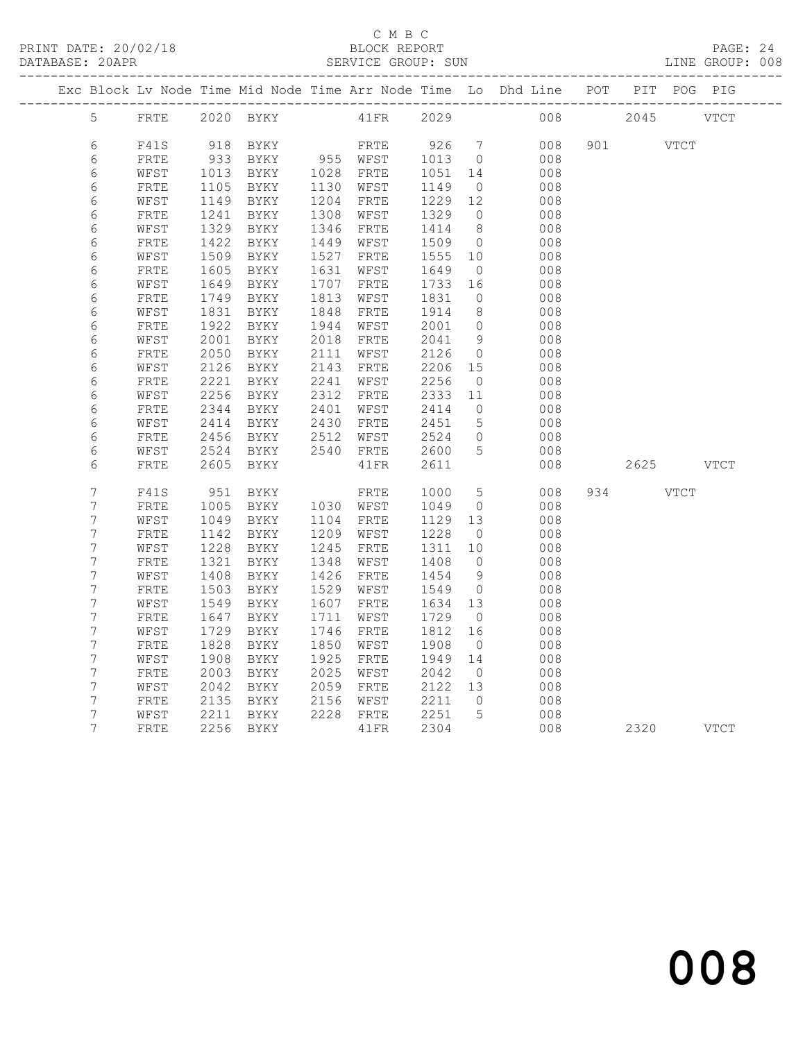#### C M B C<br>BLOCK REPORT SERVICE GROUP: SUN

|  |                  |              |              |                     |              |                   |              |                      | Exc Block Lv Node Time Mid Node Time Arr Node Time Lo Dhd Line POT PIT POG PIG |               |      |
|--|------------------|--------------|--------------|---------------------|--------------|-------------------|--------------|----------------------|--------------------------------------------------------------------------------|---------------|------|
|  | 5 FRTE           |              |              | 2020 BYKY 41FR 2029 |              |                   |              |                      |                                                                                | 008 2045 VTCT |      |
|  |                  |              |              |                     |              |                   |              |                      |                                                                                |               |      |
|  | 6                | F41S         | 918          | BYKY                |              | FRTE 926 7        |              |                      | 008                                                                            | 901 VTCT      |      |
|  | 6                | FRTE         | 933          | BYKY                |              | 955 WFST          | 1013         | $\overline{0}$       | 008                                                                            |               |      |
|  | $\epsilon$<br>6  | WFST         | 1013         | BYKY                |              | 1028 FRTE<br>WFST | 1051         | 14                   | 008                                                                            |               |      |
|  | 6                | FRTE<br>WFST | 1105<br>1149 | BYKY<br>BYKY        | 1130<br>1204 | FRTE              | 1149<br>1229 | $\overline{0}$<br>12 | 008<br>008                                                                     |               |      |
|  | 6                | FRTE         | 1241         | BYKY                | 1308         | WFST              | 1329         | $\overline{0}$       | 008                                                                            |               |      |
|  | $\epsilon$       | WFST         | 1329         | BYKY                | 1346         | FRTE              | 1414         | 8 <sup>8</sup>       | 008                                                                            |               |      |
|  | 6                | FRTE         | 1422         | BYKY                | 1449         | WFST              | 1509         | $\overline{0}$       | 008                                                                            |               |      |
|  | 6                | WFST         | 1509         | BYKY                | 1527         | FRTE              | 1555         | 10                   | 008                                                                            |               |      |
|  | 6                | FRTE         | 1605         | BYKY                | 1631         | WFST              | 1649         | $\overline{0}$       | 008                                                                            |               |      |
|  | 6                | WFST         | 1649         | BYKY                | 1707         | ${\tt FRTE}$      | 1733         | 16                   | 008                                                                            |               |      |
|  | 6                | FRTE         | 1749         | BYKY                | 1813         | WFST              | 1831         | $\overline{0}$       | 008                                                                            |               |      |
|  | 6                | WFST         | 1831         | BYKY                | 1848         | FRTE              | 1914         | 8 <sup>8</sup>       | 008                                                                            |               |      |
|  | 6                | ${\tt FRTE}$ | 1922         | BYKY                | 1944         | WFST              | 2001         | $\overline{0}$       | 008                                                                            |               |      |
|  | 6                | WFST         | 2001         | BYKY                | 2018         | FRTE              | 2041         | 9                    | 008                                                                            |               |      |
|  | $\epsilon$       | FRTE         | 2050         | BYKY                | 2111         | WFST              | 2126         | $\overline{0}$       | 008                                                                            |               |      |
|  | 6                | WFST         | 2126         | BYKY                | 2143         | FRTE              | 2206         | 15                   | 008                                                                            |               |      |
|  | 6                | FRTE         | 2221         | BYKY                | 2241         | WFST              | 2256         | $\overline{0}$       | 008                                                                            |               |      |
|  | 6                | WFST         | 2256         | BYKY                | 2312         | FRTE              | 2333         | 11                   | 008                                                                            |               |      |
|  | 6                | FRTE         | 2344         | BYKY                | 2401         | WFST              | 2414         | $\overline{0}$       | 008                                                                            |               |      |
|  | 6                | WFST         | 2414         | BYKY                | 2430         | FRTE              | 2451         | $5\overline{)}$      | 008                                                                            |               |      |
|  | 6                | FRTE         | 2456         | BYKY                | 2512         | WFST              | 2524         | $\bigcirc$           | 008                                                                            |               |      |
|  | 6                | WFST         | 2524         | BYKY                | 2540         | FRTE              | 2600         | 5                    | 008                                                                            |               |      |
|  | 6                | FRTE         | 2605         | BYKY                |              | 41FR              | 2611         |                      | 008                                                                            | 2625 VTCT     |      |
|  |                  |              |              |                     |              |                   |              |                      |                                                                                |               |      |
|  | $\overline{7}$   | F41S         | 951          | BYKY                |              | FRTE              | 1000         | $5\overline{)}$      | 008                                                                            | 934 VTCT      |      |
|  | 7                | FRTE         | 1005         | BYKY                |              | 1030 WFST         | 1049         | $\overline{0}$       | 008                                                                            |               |      |
|  | 7                | WFST         | 1049         | BYKY                |              | 1104 FRTE         | 1129         | 13                   | 008                                                                            |               |      |
|  | 7                | FRTE         | 1142         | BYKY                | 1209         | WFST              | 1228         | $\overline{0}$       | 008                                                                            |               |      |
|  | $\boldsymbol{7}$ | WFST         | 1228         | BYKY                | 1245         | FRTE              | 1311         | 10                   | 008                                                                            |               |      |
|  | 7                | FRTE         | 1321         | BYKY                | 1348         | WFST              | 1408         | $\overline{0}$       | 008                                                                            |               |      |
|  | $\overline{7}$   | WFST         | 1408         | BYKY                | 1426         | FRTE              | 1454         | 9                    | 008                                                                            |               |      |
|  | 7                | FRTE         | 1503         | BYKY                | 1529         | WFST              | 1549         | $\overline{0}$       | 008                                                                            |               |      |
|  | 7                | WFST         | 1549         | BYKY                | 1607         | FRTE              | 1634         | 13                   | 008                                                                            |               |      |
|  | $\overline{7}$   | FRTE         | 1647         | BYKY                | 1711         | WFST              | 1729         | $\overline{0}$       | 008                                                                            |               |      |
|  | 7                | WFST         | 1729         | BYKY                | 1746         | FRTE              | 1812         | 16                   | 008                                                                            |               |      |
|  | $\boldsymbol{7}$ | FRTE         | 1828         | BYKY                | 1850         | WFST              | 1908         | $\overline{0}$       | 008                                                                            |               |      |
|  | 7                | WFST         | 1908         | BYKY                | 1925         | FRTE              | 1949         | 14                   | 008                                                                            |               |      |
|  | $\overline{7}$   | ${\tt FRTE}$ | 2003         | BYKY                | 2025         | WFST              | 2042         | $\overline{0}$       | 008                                                                            |               |      |
|  | $\overline{7}$   | WFST         | 2042         | BYKY                | 2059         | FRTE              | 2122 13      |                      | 008                                                                            |               |      |
|  | 7                | FRTE         | 2135         | BYKY                | 2156         | WFST              | 2211         | $\overline{0}$       | 008                                                                            |               |      |
|  | $\overline{7}$   | WFST         | 2211         | BYKY                |              | 2228 FRTE         | 2251         | 5                    | 008                                                                            |               |      |
|  | 7                | FRTE         | 2256         | BYKY                |              | 41FR              | 2304         |                      | 008                                                                            | 2320          | VTCT |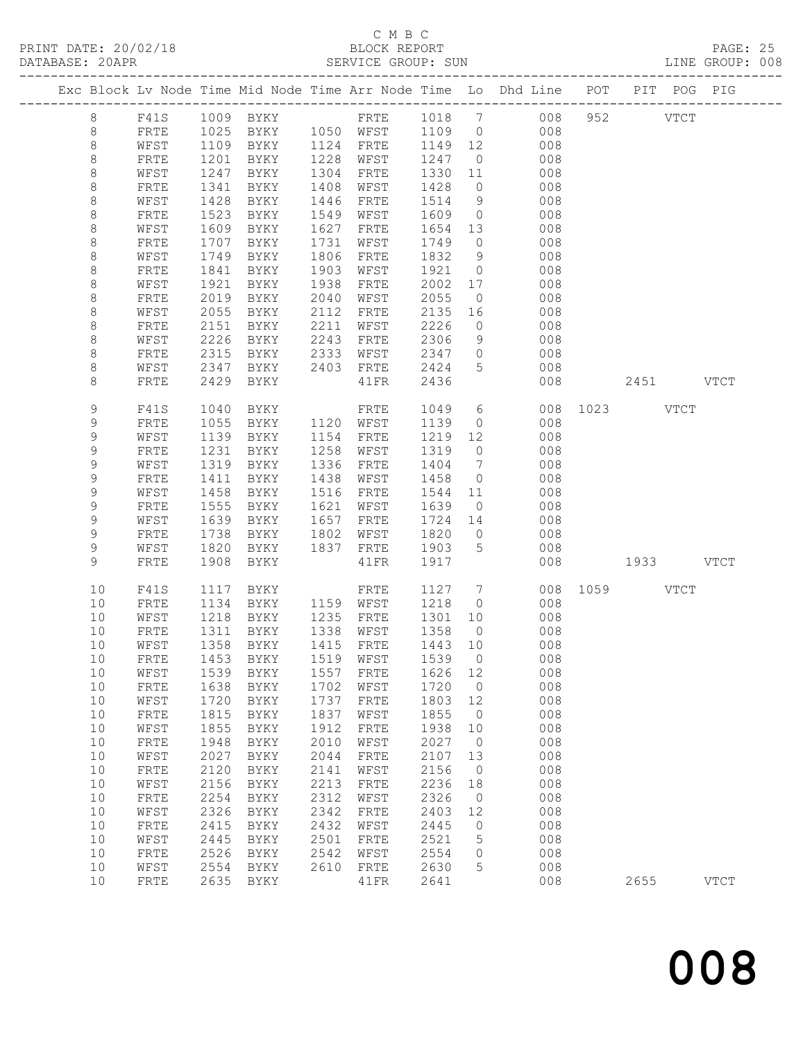# C M B C<br>BLOCK REPORT<br>SERVICE GROUP: SUN

| Exc Block Lv Node Time Mid Node Time Arr Node Time Lo Dhd Line POT PIT POG PIG |                      |              |                     |              |                      |              |                                      |                              |           |      |               |  |
|--------------------------------------------------------------------------------|----------------------|--------------|---------------------|--------------|----------------------|--------------|--------------------------------------|------------------------------|-----------|------|---------------|--|
| 8                                                                              | F41S                 |              | 1009 BYKY           |              |                      |              |                                      | FRTE 1018 7 008 952 VTCT     |           |      |               |  |
| 8                                                                              | FRTE                 |              | 1025 BYKY 1050 WFST |              |                      | 1109 0       |                                      | 008                          |           |      |               |  |
| $\,8\,$                                                                        | WFST                 |              | 1109 BYKY           |              | 1124 FRTE            |              |                                      | 008                          |           |      |               |  |
| 8                                                                              | FRTE                 | 1201         | BYKY                |              | 1228 WFST            |              |                                      | 008                          |           |      |               |  |
| 8                                                                              | WFST                 | 1247         | BYKY                | 1304         | FRTE                 | 1330 11      |                                      | 008                          |           |      |               |  |
| 8                                                                              | FRTE                 | 1341         | BYKY                | 1408         | WFST                 | 1428         |                                      | $\overline{0}$<br>008        |           |      |               |  |
| 8                                                                              | WFST                 | 1428         | BYKY                | 1446         | FRTE                 | 1514         | $\begin{matrix} 9 \\ 0 \end{matrix}$ | 008                          |           |      |               |  |
| $\,8\,$                                                                        | FRTE                 | 1523         | BYKY                | 1549         | WFST                 | 1609         |                                      | 008                          |           |      |               |  |
| 8                                                                              | WFST                 | 1609         | BYKY                | 1627         | FRTE                 | 1654         | 13                                   | 008                          |           |      |               |  |
| 8                                                                              | FRTE                 | 1707         | BYKY                | 1731         | WFST                 | 1749         | $\circ$                              | 008                          |           |      |               |  |
| 8                                                                              | WFST                 | 1749         | BYKY                | 1806         | FRTE                 | 1832         | 9                                    | 008                          |           |      |               |  |
| $\,8\,$                                                                        | FRTE                 | 1841         | BYKY                | 1903         | WFST                 | 1921         | $\overline{0}$                       | 008                          |           |      |               |  |
| 8                                                                              | WFST                 | 1921         | BYKY                | 1938         | FRTE                 | 2002         | 17                                   | 008                          |           |      |               |  |
| 8                                                                              | FRTE                 | 2019         | BYKY                | 2040         | WFST                 | 2055         | $\overline{0}$                       | 008                          |           |      |               |  |
| 8                                                                              | WFST                 | 2055         | BYKY                | 2112         | FRTE                 | 2135         | 16                                   | 008                          |           |      |               |  |
| 8                                                                              | FRTE                 | 2151         | BYKY                | 2211         | WFST                 | 2226         | $\overline{0}$                       | 008                          |           |      |               |  |
| 8                                                                              | WFST                 | 2226         | BYKY                | 2243         | FRTE                 | 2306         |                                      | 9<br>008                     |           |      |               |  |
| 8                                                                              | FRTE                 | 2315         | BYKY                | 2333         | WFST                 | 2347         |                                      | 008<br>$\overline{0}$        |           |      |               |  |
| 8                                                                              | WFST                 | 2347         | BYKY                |              | 2403 FRTE            | 2424         | 5 <sub>5</sub>                       | 008                          |           |      |               |  |
| 8                                                                              | FRTE                 | 2429         | BYKY                |              | 41FR                 | 2436         |                                      | 008                          | 2451 VTCT |      |               |  |
| 9                                                                              | F41S                 | 1040         | BYKY                |              | FRTE                 | 1049         |                                      | $6\overline{}$<br>008        | 1023 VTCT |      |               |  |
| 9                                                                              | FRTE                 | 1055         | BYKY                | 1120 WFST    |                      | 1139         | $\overline{0}$                       | 008                          |           |      |               |  |
| $\mathsf 9$                                                                    | WFST                 | 1139         | BYKY                | 1154         | FRTE                 | 1219         | 12                                   | 008                          |           |      |               |  |
| 9                                                                              | FRTE                 | 1231         | BYKY                | 1258         | WFST                 | 1319         | $\overline{0}$                       | 008                          |           |      |               |  |
| 9                                                                              | WFST                 | 1319         | BYKY                | 1336         | FRTE                 | 1404         | $7\phantom{.0}$                      | 008                          |           |      |               |  |
| 9                                                                              | FRTE                 | 1411         | BYKY                | 1438         | WFST                 | 1458         | $\circ$                              | 008                          |           |      |               |  |
| $\mathsf 9$                                                                    | WFST                 | 1458         | BYKY                | 1516         | FRTE                 | 1544         | 11                                   | 008                          |           |      |               |  |
| 9                                                                              | FRTE                 | 1555         | BYKY                | 1621         | WFST                 | 1639         | $\overline{0}$                       | 008                          |           |      |               |  |
| 9                                                                              | WFST                 | 1639         | BYKY                | 1657         | FRTE                 | 1724         | 14                                   | 008                          |           |      |               |  |
| 9<br>9                                                                         | FRTE<br>WFST         | 1738<br>1820 | BYKY<br>BYKY        | 1802<br>1837 | WFST<br>FRTE         | 1820<br>1903 | $5 -$                                | 008<br>$\overline{0}$<br>008 |           |      |               |  |
| 9                                                                              | FRTE                 | 1908         | BYKY                |              | 41FR                 | 1917         |                                      | 008                          | 1933 VTCT |      |               |  |
|                                                                                |                      |              |                     |              |                      |              |                                      |                              |           |      |               |  |
| 10                                                                             | F41S                 |              | 1117 BYKY           |              | FRTE                 | 1127         |                                      | 7 008 1059 VTCT              |           |      |               |  |
| 10                                                                             | FRTE                 |              | 1134 BYKY           | 1159 WFST    |                      | 1218         | $\Omega$                             | 008                          |           |      |               |  |
| 10                                                                             | WFST                 | 1218         | BYKY                | 1235         | ${\tt FRTE}$         | 1301         | 10                                   | 008                          |           |      |               |  |
| 10                                                                             | FRTE                 | 1311         | BYKY                | 1338         | WFST                 | 1358         | $\circ$                              | 008                          |           |      |               |  |
| 10                                                                             | WFST                 | 1358         | BYKY                | 1415         | FRTE                 | 1443         | 10                                   | 008                          |           |      |               |  |
| 10                                                                             | ${\tt FRTE}$         | 1453<br>1539 | BYKY                | 1519<br>1557 | WFST<br>${\tt FRTE}$ | 1539<br>1626 | $\circ$                              | 008<br>008                   |           |      |               |  |
| 10<br>10                                                                       | WFST<br>${\tt FRTE}$ | 1638         | BYKY<br>BYKY        | 1702         | WFST                 | 1720         | 12<br>$\circ$                        | 008                          |           |      |               |  |
| 10                                                                             | WFST                 | 1720         | BYKY                | 1737         | ${\tt FRTE}$         | 1803         | 12                                   | 008                          |           |      |               |  |
| 10                                                                             | ${\tt FRTE}$         | 1815         | BYKY                | 1837         | WFST                 | 1855         | $\circ$                              | 008                          |           |      |               |  |
| 10                                                                             | WFST                 | 1855         | BYKY                | 1912         | ${\tt FRTE}$         | 1938         | 10                                   | 008                          |           |      |               |  |
| 10                                                                             | ${\tt FRTE}$         | 1948         | $\rm BYKY$          | 2010         | WFST                 | 2027         | $\circ$                              | 008                          |           |      |               |  |
| 10                                                                             | WFST                 | 2027         | BYKY                | 2044         | FRTE                 | 2107         | 13                                   | 008                          |           |      |               |  |
| 10                                                                             | ${\tt FRTE}$         | 2120         | BYKY                | 2141         | WFST                 | 2156         | $\circ$                              | 008                          |           |      |               |  |
| 10                                                                             | WFST                 | 2156         | <b>BYKY</b>         | 2213         | FRTE                 | 2236         | 18                                   | 008                          |           |      |               |  |
| 10                                                                             | ${\tt FRTE}$         | 2254         | BYKY                | 2312         | WFST                 | 2326         | $\circ$                              | 008                          |           |      |               |  |
| 10                                                                             | WFST                 | 2326         | BYKY                | 2342         | FRTE                 | 2403         | 12                                   | 008                          |           |      |               |  |
| 10                                                                             | FRTE                 | 2415         | BYKY                | 2432         | WFST                 | 2445         | 0                                    | 008                          |           |      |               |  |
| 10                                                                             | WFST                 | 2445         | <b>BYKY</b>         | 2501         | FRTE                 | 2521         | 5                                    | 008                          |           |      |               |  |
| 10                                                                             | ${\tt FRTE}$         | 2526         | BYKY                | 2542         | WFST                 | 2554         | 0                                    | 008                          |           |      |               |  |
| 10                                                                             | WFST                 | 2554         | BYKY                | 2610         | FRTE                 | 2630         | 5                                    | 008                          |           |      |               |  |
| 10                                                                             | FRTE                 | 2635         | BYKY                |              | 41FR                 | 2641         |                                      | 008                          |           | 2655 | $_{\rm VTCT}$ |  |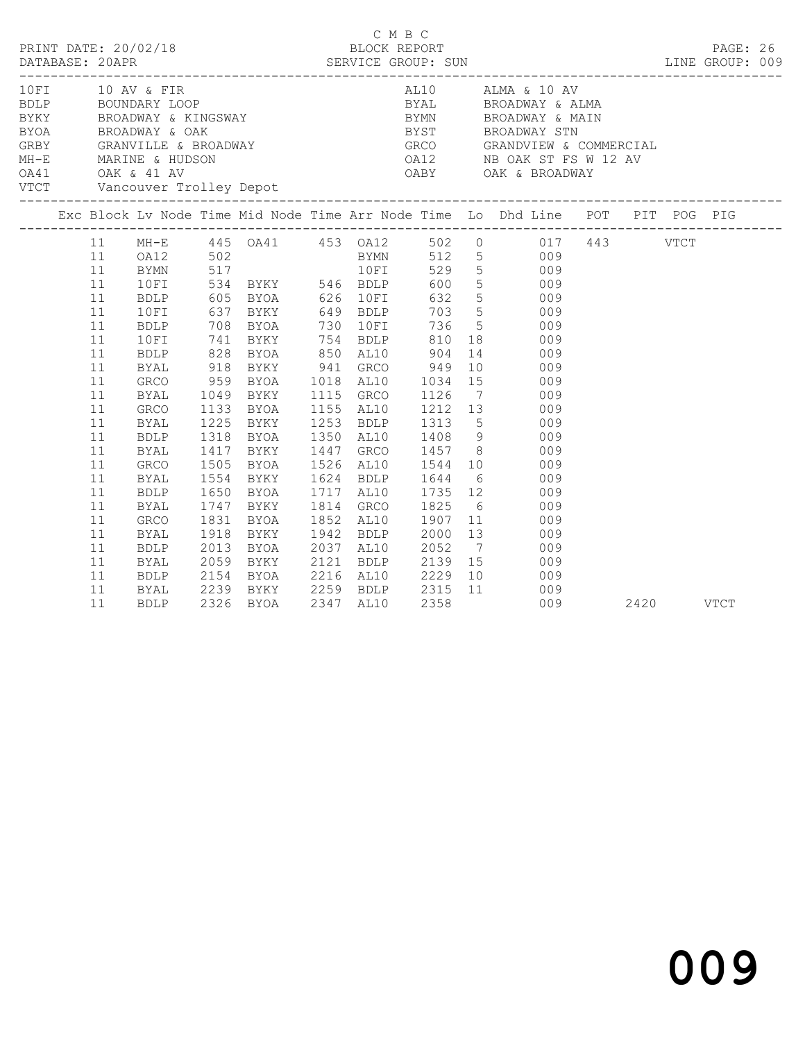|  |                                                                                  | PRINT DATE: 20/02/18                                                                                                     |      |                                                          |  | C M B C<br>BLOCK REPORT |  | DATABASE: 20APR SERVICE GROUP: SUN LINE GROUP: 009                                                                                                                                                                                                                                                                                                                                                                                                                                |  | PAGE: 26    |  |
|--|----------------------------------------------------------------------------------|--------------------------------------------------------------------------------------------------------------------------|------|----------------------------------------------------------|--|-------------------------|--|-----------------------------------------------------------------------------------------------------------------------------------------------------------------------------------------------------------------------------------------------------------------------------------------------------------------------------------------------------------------------------------------------------------------------------------------------------------------------------------|--|-------------|--|
|  |                                                                                  | VTCT Vancouver Trolley Depot                                                                                             |      |                                                          |  |                         |  |                                                                                                                                                                                                                                                                                                                                                                                                                                                                                   |  |             |  |
|  |                                                                                  |                                                                                                                          |      |                                                          |  |                         |  | Exc Block Lv Node Time Mid Node Time Arr Node Time Lo Dhd Line POT PIT POG PIG                                                                                                                                                                                                                                                                                                                                                                                                    |  |             |  |
|  | 11<br>11<br>11<br>11<br>11<br>11<br>11<br>11<br>11<br>11<br>11<br>11<br>11<br>11 | 10FI<br><b>BDLP</b><br>10FI<br><b>BDLP</b><br><b>BYAL</b><br>GRCO<br>BYAL<br>GRCO<br><b>BYAL</b><br><b>BDLP</b>          |      | 1318 BYOA                                                |  |                         |  | 11 MH-E 445 OA41 453 OA12 502 0 017 443 VTCT<br>0212 502<br>BYMN 517 10FI 529 5 009<br>BYMN 517 10FI 529 5 009<br>BDLP 605 BYOA 626 10FI 632 5 009<br>637 BYKY 649 BDLP 703 5 009<br>708 BYOA 730 10FI 736 5 009<br>741 BYKY 754 BDLP 810 18 009<br>828 BYOA 850 AL10 904 14 009<br>918 BYKY 941 GRCO 949 10 009<br>959 BYOA 1018 AL10 1034 15 009<br>1049 BYKY 1115 GRCO 1126 7 009<br>1133 BYOA 1155 AL10 1212 13 009<br>1225 BYKY 1253 BDLP 1313 5 009<br>1350 AL10 1408 9 009 |  |             |  |
|  | 11<br>11<br>11<br>11<br>11<br>11<br>11<br>11<br>11<br>11<br>11<br>11             | BYAL<br>GRCO<br>BYAL<br><b>BDLP</b><br>BYAL<br>GRCO<br>BYAL<br>BDLP<br><b>BYAL</b><br>BDLP<br><b>BYAL</b><br><b>BDLP</b> | 1831 | 1417 BYKY<br>1650 BYOA<br>BYOA<br>1918 BYKY<br>2013 BYOA |  |                         |  | 1447 GRCO 1457 8 009<br>1505 BYOA 1526 AL10 1544 10 009<br>1554 BYKY 1624 BDLP 1644 6 009<br>1650 BYOA 1717 AL10 1735 12 009<br>1747 BYKY 1814 GRCO 1825 6 009<br>1852 AL10 1907 11 009<br>1942 BDLP 2000 13 009<br>2037 AL10 2052 7 009<br>2059 BYKY 2121 BDLP 2139 15 009<br>2154 BYOA 2216 AL10 2229 10 009<br>2239 BYKY      2259   BDLP       2315   11              009<br>2326   BYOA       2347   AL10       2358                                 009<br>009 2420         |  | <b>VTCT</b> |  |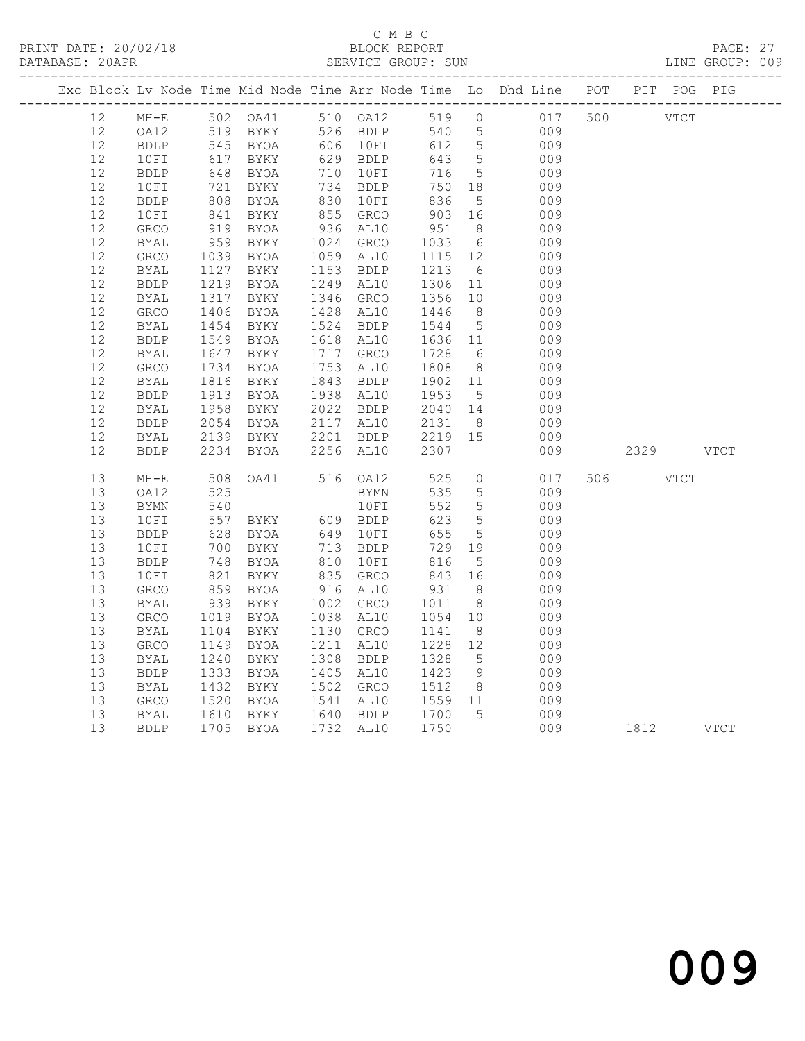#### C M B C<br>BLOCK REPORT SERVICE GROUP: SUN

|    |              |      |               |      |             |      |                 | Exc Block Lv Node Time Mid Node Time Arr Node Time Lo Dhd Line POT PIT POG PIG                                                                                                                                                                                                                                                          |     |             |           |  |
|----|--------------|------|---------------|------|-------------|------|-----------------|-----------------------------------------------------------------------------------------------------------------------------------------------------------------------------------------------------------------------------------------------------------------------------------------------------------------------------------------|-----|-------------|-----------|--|
| 12 | $MH-E$       |      | 502 OA41      |      |             |      |                 | 510 OA12 519 0 017 500 VTCT                                                                                                                                                                                                                                                                                                             |     |             |           |  |
| 12 | OA12         | 519  | BYKY          |      | 526 BDLP    |      |                 | 540 5                                                                                                                                                                                                                                                                                                                                   |     |             |           |  |
| 12 | <b>BDLP</b>  | 545  | BYOA          | 606  | 10FI        | 612  |                 | $\begin{array}{ccc} 5 & 0 & 0 \\ 5 & 0 & 0 \\ 5 & 0 & 0 \\ 0 & 0 & 0 \\ 0 & 0 & 0 \\ 0 & 0 & 0 \\ 0 & 0 & 0 \\ 0 & 0 & 0 \\ 0 & 0 & 0 \\ 0 & 0 & 0 \\ 0 & 0 & 0 \\ 0 & 0 & 0 \\ 0 & 0 & 0 \\ 0 & 0 & 0 \\ 0 & 0 & 0 \\ 0 & 0 & 0 \\ 0 & 0 & 0 \\ 0 & 0 & 0 \\ 0 & 0 & 0 \\ 0 & 0 & 0 \\ 0 & 0 & 0 \\ 0 & 0 & 0 \\ 0 & 0 & 0 \\ 0 & 0 &$ |     |             |           |  |
| 12 | 10FI         | 617  | BYKY          | 629  | BDLP        | 643  |                 |                                                                                                                                                                                                                                                                                                                                         |     |             |           |  |
| 12 | BDLP         | 648  | BYOA          | 710  | 10FI        | 716  |                 |                                                                                                                                                                                                                                                                                                                                         |     |             |           |  |
| 12 | 10FI         | 721  | BYKY          |      | 734 BDLP    | 750  |                 | 18<br>009                                                                                                                                                                                                                                                                                                                               |     |             |           |  |
| 12 | <b>BDLP</b>  | 808  | BYOA          | 830  | 10FI        | 836  |                 | 5 <sub>5</sub><br>009                                                                                                                                                                                                                                                                                                                   |     |             |           |  |
| 12 | 10FI         | 841  | BYKY          | 855  | GRCO        | 903  |                 | 16<br>009                                                                                                                                                                                                                                                                                                                               |     |             |           |  |
| 12 | GRCO         | 919  | BYOA          | 936  | AL10        | 951  |                 | 8 <sup>1</sup><br>009                                                                                                                                                                                                                                                                                                                   |     |             |           |  |
| 12 | <b>BYAL</b>  | 959  | BYKY          | 1024 | GRCO        | 1033 |                 | $\begin{array}{c} 6 \\ 12 \end{array}$<br>009                                                                                                                                                                                                                                                                                           |     |             |           |  |
| 12 | GRCO         | 1039 | BYOA          | 1059 | AL10        | 1115 |                 | 009                                                                                                                                                                                                                                                                                                                                     |     |             |           |  |
| 12 | BYAL         | 1127 | BYKY          | 1153 | BDLP        | 1213 | $6\overline{6}$ | 009                                                                                                                                                                                                                                                                                                                                     |     |             |           |  |
| 12 | <b>BDLP</b>  | 1219 | BYOA          | 1249 | AL10        | 1306 | 11              | 009                                                                                                                                                                                                                                                                                                                                     |     |             |           |  |
| 12 | BYAL         | 1317 | BYKY          | 1346 | GRCO        | 1356 | 10              | 009                                                                                                                                                                                                                                                                                                                                     |     |             |           |  |
| 12 | GRCO         | 1406 | BYOA          | 1428 | AL10        | 1446 | 8 <sup>8</sup>  | 009                                                                                                                                                                                                                                                                                                                                     |     |             |           |  |
| 12 | <b>BYAL</b>  | 1454 | BYKY          | 1524 | <b>BDLP</b> | 1544 | 5 <sup>5</sup>  | 009                                                                                                                                                                                                                                                                                                                                     |     |             |           |  |
| 12 | <b>BDLP</b>  | 1549 | BYOA          | 1618 | AL10        | 1636 | 11              | 009                                                                                                                                                                                                                                                                                                                                     |     |             |           |  |
| 12 | BYAL         | 1647 | BYKY          | 1717 | GRCO        | 1728 |                 | $6\overline{6}$<br>009                                                                                                                                                                                                                                                                                                                  |     |             |           |  |
| 12 | GRCO         | 1734 | BYOA          | 1753 | AL10        | 1808 |                 | $8 - 8$<br>009                                                                                                                                                                                                                                                                                                                          |     |             |           |  |
| 12 | <b>BYAL</b>  | 1816 | BYKY          | 1843 | <b>BDLP</b> | 1902 | 11              | 009                                                                                                                                                                                                                                                                                                                                     |     |             |           |  |
| 12 | <b>BDLP</b>  | 1913 | BYOA          | 1938 | AL10        | 1953 |                 | $\frac{1}{5}$<br>009                                                                                                                                                                                                                                                                                                                    |     |             |           |  |
| 12 | <b>BYAL</b>  | 1958 | BYKY          | 2022 | <b>BDLP</b> | 2040 | 14              | 009                                                                                                                                                                                                                                                                                                                                     |     |             |           |  |
| 12 | <b>BDLP</b>  | 2054 | BYOA          | 2117 | AL10        | 2131 |                 | 8 <sup>1</sup><br>009                                                                                                                                                                                                                                                                                                                   |     |             |           |  |
| 12 | <b>BYAL</b>  | 2139 | BYKY          | 2201 | <b>BDLP</b> | 2219 | 15              | 009                                                                                                                                                                                                                                                                                                                                     |     |             |           |  |
| 12 | <b>BDLP</b>  | 2234 | BYOA          | 2256 | AL10        | 2307 |                 | 009                                                                                                                                                                                                                                                                                                                                     |     |             | 2329 VTCT |  |
| 13 | $MH-E$       | 508  | OA41 516 OA12 |      |             | 525  | $\overline{0}$  | 017                                                                                                                                                                                                                                                                                                                                     | 506 | <b>VTCT</b> |           |  |
| 13 | OA12         | 525  |               |      | <b>BYMN</b> | 535  | $5\overline{)}$ | 009                                                                                                                                                                                                                                                                                                                                     |     |             |           |  |
| 13 | <b>BYMN</b>  | 540  |               |      | 10FI        | 552  |                 | $5^{\circ}$<br>009                                                                                                                                                                                                                                                                                                                      |     |             |           |  |
| 13 | 10FI         | 557  | BYKY 609 BDLP |      |             | 623  |                 | 5 <sub>5</sub><br>009                                                                                                                                                                                                                                                                                                                   |     |             |           |  |
| 13 | <b>BDLP</b>  | 628  | BYOA          | 649  | 10FI        | 655  |                 | $5 - 5$<br>009                                                                                                                                                                                                                                                                                                                          |     |             |           |  |
| 13 | 10FI         | 700  | BYKY          | 713  | BDLP        | 729  | 19              | 009                                                                                                                                                                                                                                                                                                                                     |     |             |           |  |
| 13 | <b>BDLP</b>  | 748  | BYOA          | 810  | 10FI        | 816  | $5\overline{)}$ | 009                                                                                                                                                                                                                                                                                                                                     |     |             |           |  |
| 13 | 10FI         | 821  | BYKY          | 835  | GRCO        | 843  | 16              | 009                                                                                                                                                                                                                                                                                                                                     |     |             |           |  |
| 13 | ${\tt GRCO}$ | 859  | BYOA          | 916  | AL10        | 931  |                 | 8 <sup>8</sup><br>009                                                                                                                                                                                                                                                                                                                   |     |             |           |  |
| 13 | BYAL         | 939  | BYKY          | 1002 | GRCO        | 1011 |                 | 009<br>$8 \overline{)}$                                                                                                                                                                                                                                                                                                                 |     |             |           |  |
| 13 | GRCO         | 1019 | BYOA          | 1038 | AL10        | 1054 | 10              | 009                                                                                                                                                                                                                                                                                                                                     |     |             |           |  |
| 13 | <b>BYAL</b>  |      | 1104 BYKY     | 1130 | GRCO        | 1141 | 8               | 009                                                                                                                                                                                                                                                                                                                                     |     |             |           |  |

 13 GRCO 1149 BYOA 1211 AL10 1228 12 009 13 BYAL 1240 BYKY 1308 BDLP 1328 5 009 13 BDLP 1333 BYOA 1405 AL10 1423 9 009 13 BYAL 1432 BYKY 1502 GRCO 1512 8 009 13 GRCO 1520 BYOA 1541 AL10 1559 11 009 13 BYAL 1610 BYKY 1640 BDLP 1700 5 009

13 BDLP 1705 BYOA 1732 AL10 1750 009 1812 VTCT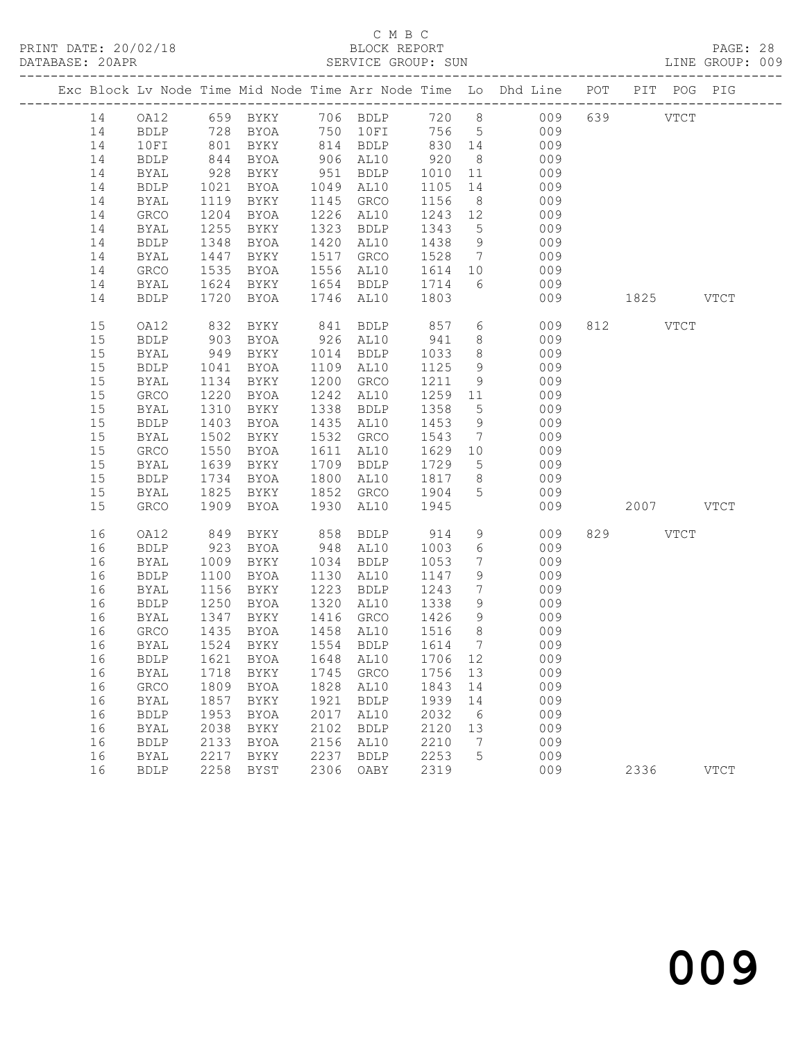#### C M B C<br>BLOCK REPORT SERVICE GROUP: SUN

|          |              |              |                                |              |                                     |         |                                  | Exc Block Lv Node Time Mid Node Time Arr Node Time Lo Dhd Line POT PIT POG PIG |           |             |             |
|----------|--------------|--------------|--------------------------------|--------------|-------------------------------------|---------|----------------------------------|--------------------------------------------------------------------------------|-----------|-------------|-------------|
| 14       |              |              |                                |              |                                     |         |                                  | 0A12 659 BYKY 706 BDLP 720 8 009                                               | 639 VTCT  |             |             |
| 14       | BDLP         |              | 728 BYOA                       |              | 750 10FI                            |         |                                  | 756 5 009                                                                      |           |             |             |
| 14       | 10FI         | 801          |                                |              | BYKY 814 BDLP 830 14                |         |                                  | 009                                                                            |           |             |             |
| 14       | BDLP         | 844          | BYOA                           |              | 906 AL10                            | 920     | 8 <sup>8</sup>                   | 009                                                                            |           |             |             |
| 14       | BYAL         | 928          | BYKY                           |              | 951 BDLP                            | 1010 11 |                                  | 009                                                                            |           |             |             |
| 14       | <b>BDLP</b>  | 1021         | BYOA                           |              | 1049 AL10                           | 1105    |                                  | 14 009                                                                         |           |             |             |
| 14       | BYAL         | 1119         | BYKY                           |              | 1145 GRCO                           | 1156    |                                  | 009<br>8                                                                       |           |             |             |
| 14       | GRCO         | 1204         | BYOA                           |              | 1226 AL10                           | 1243 12 |                                  | 009                                                                            |           |             |             |
| 14       | BYAL         | 1255         | BYKY                           |              | 1323 BDLP                           | 1343    | $5\overline{)}$                  | 009                                                                            |           |             |             |
| 14       | <b>BDLP</b>  | 1348         | BYOA                           |              | 1420 AL10                           | 1438    | 9                                | 009                                                                            |           |             |             |
| 14       | BYAL         | 1447         | BYKY                           |              | 1517 GRCO                           |         |                                  | 1528 7<br>009                                                                  |           |             |             |
| 14       | GRCO         | 1535         | BYOA                           |              | 1556 AL10                           | 1614 10 |                                  | 009                                                                            |           |             |             |
| 14       | BYAL         | 1624         | BYKY                           |              | 1654 BDLP                           | 1714    | 6                                | 009                                                                            |           |             |             |
| 14       | <b>BDLP</b>  |              | 1720 BYOA                      |              | 1746 AL10                           | 1803    |                                  | 009                                                                            | 1825 VTCT |             |             |
| 15       | OA12         | 832          | BYKY                           | 841          | BDLP                                | 857     | $6\overline{6}$                  | 009                                                                            | 812       | <b>VTCT</b> |             |
| 15       | <b>BDLP</b>  | 903<br>949   | BYOA                           |              | 926 AL10                            | 941     | 8 <sup>8</sup>                   | 009                                                                            |           |             |             |
| 15       | BYAL         |              | BYKY                           |              | 1014 BDLP                           | 1033    | 8 <sup>8</sup>                   | 009                                                                            |           |             |             |
| 15       | BDLP         | 1041         | BYOA                           |              | 1109 AL10                           | 1125    | 9                                | 009                                                                            |           |             |             |
| 15       | BYAL         | 1134         | BYKY                           | 1200         | GRCO                                | 1211    | 9                                | 009                                                                            |           |             |             |
| 15       | GRCO         | 1220         | BYOA                           |              | 1242 AL10                           | 1259 11 |                                  | 009                                                                            |           |             |             |
| 15       | BYAL         | 1310         | BYKY                           |              | 1338 BDLP                           | 1358    | $5\overline{)}$                  | 009                                                                            |           |             |             |
| 15       | ${\tt BDLP}$ | 1403         | BYOA                           |              | 1435 AL10                           | 1453    | 9                                | 009                                                                            |           |             |             |
| 15       | BYAL         | 1502         | BYKY                           |              | 1532 GRCO                           | 1543    | $7\overline{ }$                  | 009                                                                            |           |             |             |
| 15       | GRCO         | 1550         | BYOA                           |              | 1611 AL10                           | 1629 10 |                                  | 009                                                                            |           |             |             |
| 15       | BYAL         | 1639         | BYKY                           |              | 1709 BDLP                           | 1729 5  |                                  | 009                                                                            |           |             |             |
| 15       | BDLP         | 1734         | <b>BYOA</b>                    | 1800         | AL10                                | 1817    | 8 <sup>8</sup>                   | 009                                                                            |           |             |             |
| 15       | BYAL         | 1825         | BYKY                           |              | 1852 GRCO 1904                      |         | $5^{\circ}$                      | 009                                                                            |           |             |             |
| 15       | GRCO         | 1909         | BYOA                           |              | 1930 AL10                           | 1945    |                                  | 009                                                                            | 2007 VTCT |             |             |
| 16       | OA12         | 849          | BYKY                           |              | 858 BDLP                            | 914     | 9                                | 009                                                                            | 829 VTCT  |             |             |
| 16       | <b>BDLP</b>  | 923          | BYOA                           |              | 948 AL10                            | 1003    | $6\overline{6}$                  | 009                                                                            |           |             |             |
| 16       | BYAL         | 1009         | BYKY                           |              | 1034 BDLP                           | 1053    | $\overline{7}$                   | 009                                                                            |           |             |             |
| 16       | <b>BDLP</b>  | 1100         | BYOA                           |              | 1130 AL10                           | 1147    | 9                                | 009                                                                            |           |             |             |
| 16       | BYAL         | 1156         | BYKY                           |              | 1223 BDLP                           | 1243    | $7\overline{ }$                  | 009                                                                            |           |             |             |
| 16       | BDLP         | 1250         | BYOA                           |              | 1320 AL10                           | 1338    | 9                                | 009                                                                            |           |             |             |
| 16       | BYAL         | 1347         | BYKY                           |              | 1416 GRCO                           | 1426    | 9                                | 009                                                                            |           |             |             |
| 16       | GRCO         |              | 1435 BYOA<br>1524 BYKY<br>BYOA |              | 1458 AL10<br>1554 BDLP              | 1516    | 8 <sup>8</sup><br>$\overline{7}$ | 009                                                                            |           |             |             |
| 16       | BYAL         |              |                                |              |                                     | 1614    |                                  | 009                                                                            |           |             |             |
|          |              |              | BYKY                           |              | 16 BDLP 1621 BYOA 1648 AL10 1706 12 | 1756    |                                  | 009                                                                            |           |             |             |
| 16<br>16 | BYAL<br>GRCO | 1718<br>1809 | BYOA                           | 1745<br>1828 | GRCO<br>AL10                        | 1843    | 13<br>14                         | 009<br>009                                                                     |           |             |             |
| 16       | <b>BYAL</b>  | 1857         | BYKY                           | 1921         | <b>BDLP</b>                         | 1939    | 14                               | 009                                                                            |           |             |             |
| 16       | ${\tt BDLP}$ | 1953         | <b>BYOA</b>                    | 2017         | AL10                                | 2032    | $6\overline{6}$                  | 009                                                                            |           |             |             |
| 16       | BYAL         | 2038         | BYKY                           | 2102         | <b>BDLP</b>                         | 2120    | 13                               | 009                                                                            |           |             |             |
| 16       | <b>BDLP</b>  | 2133         | <b>BYOA</b>                    | 2156         | AL10                                | 2210    | $\overline{7}$                   | 009                                                                            |           |             |             |
| 16       | BYAL         | 2217         | BYKY                           | 2237         | <b>BDLP</b>                         | 2253    | 5                                | 009                                                                            |           |             |             |
| 16       | <b>BDLP</b>  | 2258         | BYST                           | 2306         | OABY                                | 2319    |                                  | 009                                                                            | 2336      |             | <b>VTCT</b> |
|          |              |              |                                |              |                                     |         |                                  |                                                                                |           |             |             |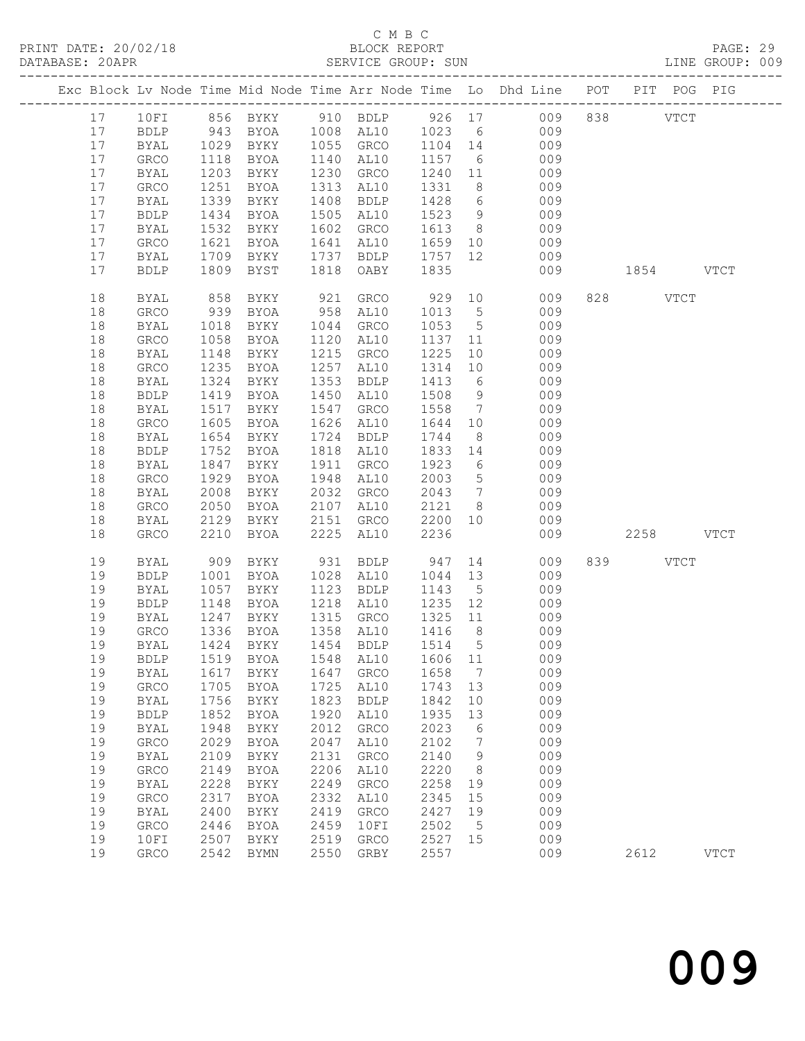# C M B C<br>BLOCK REPORT

| DATABASE: 20APR |          |                      |              |                        |              | SERVICE GROUP: SUN                       |              |                 | LINE GROUP: 009                                                                |           |             |  |
|-----------------|----------|----------------------|--------------|------------------------|--------------|------------------------------------------|--------------|-----------------|--------------------------------------------------------------------------------|-----------|-------------|--|
|                 |          |                      |              |                        |              |                                          |              |                 | Exc Block Lv Node Time Mid Node Time Arr Node Time Lo Dhd Line POT PIT POG PIG |           |             |  |
|                 |          |                      |              |                        |              |                                          |              |                 | 17 10FI 856 BYKY 910 BDLP 926 17 009 838 VTCT                                  |           |             |  |
|                 | 17       | <b>BDLP</b>          |              |                        |              |                                          |              |                 | 943 BYOA 1008 AL10 1023 6 009                                                  |           |             |  |
|                 | 17       | BYAL                 |              |                        |              |                                          |              |                 | 1029 BYKY 1055 GRCO 1104 14 009                                                |           |             |  |
|                 | 17       | GRCO                 | 1118         | BYOA                   |              | 1140 AL10                                | 1157 6       |                 | 009                                                                            |           |             |  |
|                 | 17       | BYAL                 | 1203         | BYKY                   |              | 1230 GRCO                                |              |                 | $1240$ $11$ 009                                                                |           |             |  |
|                 | 17       | GRCO                 | 1251         | BYOA                   |              | 1313 AL10                                | 1331         |                 | 8 009                                                                          |           |             |  |
|                 | 17       | BYAL                 | 1339         | BYKY                   |              | 1408 BDLP                                | 1428         |                 | 6 009                                                                          |           |             |  |
|                 | 17       | <b>BDLP</b>          | 1434         | BYOA                   |              | 1505 AL10                                | 1523 9       |                 | 009                                                                            |           |             |  |
|                 | 17       | BYAL                 | 1532         | BYKY                   |              | 1602 GRCO                                | 1613 8       |                 | 009                                                                            |           |             |  |
|                 | 17       | GRCO                 | 1621         | BYOA                   |              | 1641 AL10                                |              |                 | 1659 10<br>009                                                                 |           |             |  |
|                 | 17       | BYAL                 | 1709         | BYKY                   |              | 1737 BDLP                                | 1757         | 12              | 009                                                                            |           |             |  |
|                 | 17       | <b>BDLP</b>          | 1809         | <b>BYST</b>            |              | 1818 OABY                                | 1835         |                 | 009                                                                            | 1854 VTCT |             |  |
|                 | 18       | BYAL                 | 858          | BYKY                   | 921          | GRCO                                     | 929          |                 | 10<br>009                                                                      | 828 VTCT  |             |  |
|                 | 18       | GRCO                 | 939          | BYOA                   |              | 958 AL10                                 | 1013         | $5\overline{)}$ | 009                                                                            |           |             |  |
|                 | 18       | BYAL                 | 1018         | BYKY                   |              | 1044 GRCO                                | 1053 5       |                 | 009                                                                            |           |             |  |
|                 | 18       | GRCO                 | 1058         | BYOA                   |              | 1120 AL10                                | 1137 11      |                 | 009                                                                            |           |             |  |
|                 | 18       | BYAL                 | 1148         | BYKY                   |              | 1215 GRCO                                | 1225         | 10              | 009                                                                            |           |             |  |
|                 | 18       | GRCO                 | 1235         | BYOA                   |              | 1257 AL10                                | 1314         | 10              | 009                                                                            |           |             |  |
|                 | 18       | <b>BYAL</b>          | 1324         | BYKY                   |              | 1353 BDLP                                | 1413         | 6               | 009                                                                            |           |             |  |
|                 | 18       | <b>BDLP</b>          | 1419         | BYOA                   |              | 1450 AL10                                | 1508 9       |                 | 009                                                                            |           |             |  |
|                 | 18       | BYAL                 | 1517         | BYKY                   |              | 1547 GRCO                                | 1558         |                 | $7\overline{ }$<br>009                                                         |           |             |  |
|                 | 18       | GRCO                 | 1605         | BYOA                   |              | 1626 AL10                                | 1644         | 10              | 009                                                                            |           |             |  |
|                 | 18       | BYAL                 | 1654         | BYKY                   |              | 1724 BDLP                                | 1744         | 8 <sup>8</sup>  | 009                                                                            |           |             |  |
|                 | 18       | <b>BDLP</b>          | 1752         | BYOA                   |              | 1818 AL10                                | 1833 14      |                 | 009                                                                            |           |             |  |
|                 | 18       | BYAL                 | 1847         | BYKY                   |              | 1911 GRCO                                | 1923 6       |                 | 009                                                                            |           |             |  |
|                 | 18       | GRCO                 | 1929         | BYOA                   |              | 1948 AL10                                | 2003         | $5\overline{)}$ | 009                                                                            |           |             |  |
|                 | 18       | BYAL                 | 2008         | BYKY                   |              | 2032 GRCO                                | 2043         | $7\overline{ }$ | 009                                                                            |           |             |  |
|                 | 18       | GRCO                 | 2050         | BYOA                   |              | 2107 AL10                                | 2121 8       |                 | 009                                                                            |           |             |  |
|                 | 18       | BYAL                 | 2129         | BYKY                   |              | 2151 GRCO                                | 2200         | 10              | 009                                                                            |           |             |  |
|                 | 18       | GRCO                 | 2210         | BYOA                   | 2225         | AL10                                     | 2236         |                 | 009                                                                            | 2258 VTCT |             |  |
|                 | 19       | BYAL                 | 909          |                        |              | BYKY 931 BDLP 947<br>BYOA 1028 AL10 1044 |              |                 | 14<br>009                                                                      | 839 VTCT  |             |  |
|                 | 19       | BDLP                 | 1001         | BYOA                   |              | 1028 AL10                                | 1044         | 13              | 009                                                                            |           |             |  |
|                 | 19       | BYAL                 | 1057         | BYKY                   |              | 1123 BDLP                                | 1143         | 5 <sup>5</sup>  | 009                                                                            |           |             |  |
|                 | 19       | <b>BDLP</b>          | 1148         | BYOA                   |              | 1218 AL10                                | 1235 12      |                 | 009                                                                            |           |             |  |
|                 | 19       | BYAL                 |              | 1247 BYKY<br>1336 BYOA |              | 1315 GRCO                                | 1325 11      |                 | 009                                                                            |           |             |  |
|                 | 19       | GRCO                 |              |                        |              | 1358 AL10                                | $1416$ 8     |                 | 009                                                                            |           |             |  |
|                 | 19       |                      |              |                        |              |                                          |              |                 | BYAL 1424 BYKY 1454 BDLP 1514 5 009                                            |           |             |  |
|                 | 19       | <b>BDLP</b>          | 1519         | BYOA                   | 1548         | AL10                                     | 1606         | 11              | 009                                                                            |           |             |  |
|                 | 19       | <b>BYAL</b>          | 1617         | BYKY                   | 1647         | GRCO                                     | 1658         | $\overline{7}$  | 009                                                                            |           |             |  |
|                 | 19       | GRCO                 | 1705         | BYOA                   | 1725         | AL10                                     | 1743         | 13              | 009                                                                            |           |             |  |
|                 | 19       | <b>BYAL</b>          | 1756         | BYKY                   | 1823         | <b>BDLP</b>                              | 1842         | 10              | 009                                                                            |           |             |  |
|                 | 19       | ${\tt BDLP}$         | 1852         | BYOA                   | 1920         | AL10                                     | 1935         | 13              | 009                                                                            |           |             |  |
|                 | 19       | <b>BYAL</b>          | 1948         | BYKY                   | 2012         | GRCO                                     | 2023         | $6\overline{6}$ | 009                                                                            |           |             |  |
|                 | 19       | ${\tt GRCO}$         | 2029         | BYOA                   | 2047         | AL10                                     | 2102         | $\overline{7}$  | 009                                                                            |           |             |  |
|                 | 19       | <b>BYAL</b>          | 2109         | BYKY                   | 2131         | GRCO                                     | 2140         | $\overline{9}$  | 009                                                                            |           |             |  |
|                 | 19       | GRCO                 | 2149         | BYOA                   | 2206         | AL10                                     | 2220         | 8 <sup>8</sup>  | 009                                                                            |           |             |  |
|                 | 19       | <b>BYAL</b>          | 2228         | BYKY                   | 2249         | ${\tt GRCO}$                             | 2258         | 19              | 009                                                                            |           |             |  |
|                 | 19       | ${\tt GRCO}$         | 2317         | <b>BYOA</b>            | 2332         | AL10                                     | 2345         | 15              | 009                                                                            |           |             |  |
|                 | 19       | <b>BYAL</b>          | 2400         | BYKY                   | 2419         | ${\tt GRCO}$                             | 2427         | 19              | 009                                                                            |           |             |  |
|                 | 19       | GRCO                 | 2446         | BYOA                   | 2459         | 10FI                                     | 2502         | $5^{\circ}$     | 009                                                                            |           |             |  |
|                 | 19<br>19 | 10FI<br>${\tt GRCO}$ | 2507<br>2542 | BYKY<br><b>BYMN</b>    | 2519<br>2550 | GRCO<br>GRBY                             | 2527<br>2557 | 15              | 009<br>009                                                                     | 2612      | <b>VTCT</b> |  |
|                 |          |                      |              |                        |              |                                          |              |                 |                                                                                |           |             |  |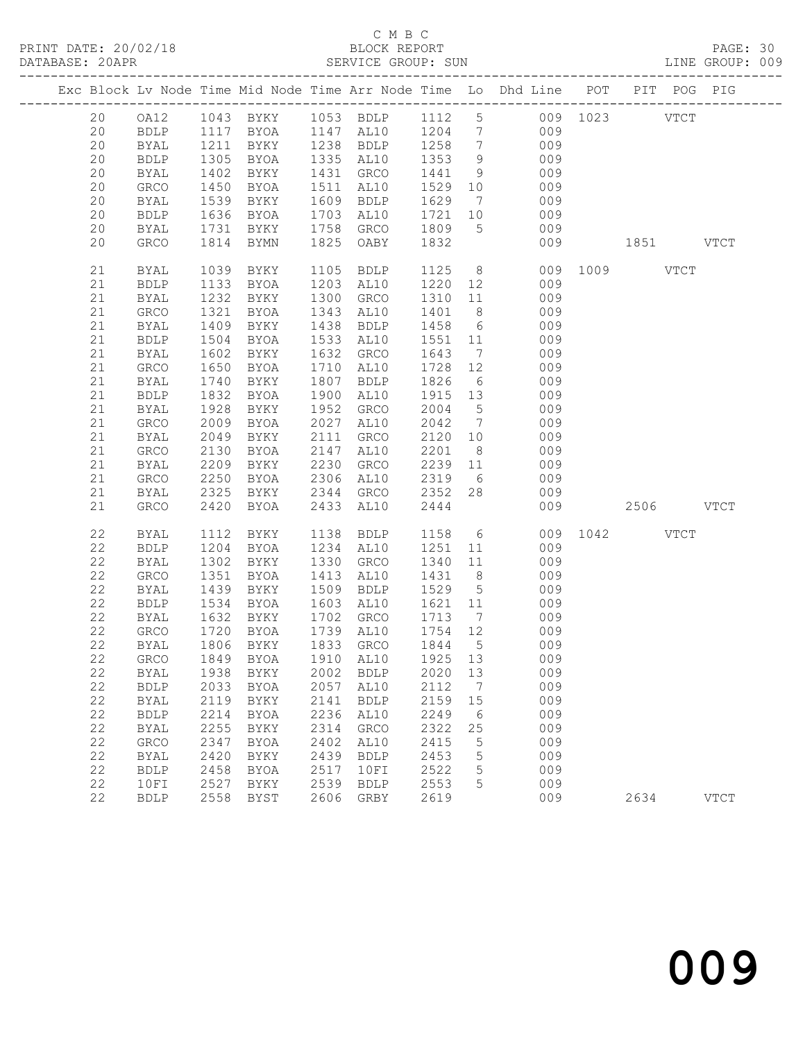## C M B C<br>BLOCK REPORT

| DATABASE: 20APR |             |             |      |                        |      | SERVICE GROUP: SUN               |                              |                 |                                                                                |               |      |           | LINE GROUP: 009 |  |
|-----------------|-------------|-------------|------|------------------------|------|----------------------------------|------------------------------|-----------------|--------------------------------------------------------------------------------|---------------|------|-----------|-----------------|--|
|                 |             |             |      |                        |      |                                  |                              |                 | Exc Block Lv Node Time Mid Node Time Arr Node Time Lo Dhd Line POT PIT POG PIG |               |      |           |                 |  |
|                 | 20          |             |      |                        |      |                                  |                              |                 | OA12 1043 BYKY 1053 BDLP 1112 5 009 1023 VTCT                                  |               |      |           |                 |  |
|                 | 20          | <b>BDLP</b> |      |                        |      |                                  |                              |                 | 1117 BYOA 1147 AL10 1204 7 009                                                 |               |      |           |                 |  |
|                 | 20          | <b>BYAL</b> | 1211 | BYKY                   |      | 1238 BDLP 1258<br>1335 AL10 1353 |                              | $7\overline{ }$ | 009                                                                            |               |      |           |                 |  |
|                 | 20          | <b>BDLP</b> | 1305 | BYOA                   |      |                                  |                              | 9               | 009                                                                            |               |      |           |                 |  |
|                 | 20          | BYAL        | 1402 | BYKY                   |      | 1431 GRCO                        | 1441                         | 9               | 009                                                                            |               |      |           |                 |  |
|                 | 20          | GRCO        | 1450 | BYOA                   |      | 1511 AL10                        | 1529                         | 10              | 009                                                                            |               |      |           |                 |  |
|                 | 20          | BYAL        | 1539 | BYKY                   |      | 1609 BDLP                        | 1629                         | $7\overline{ }$ | 009                                                                            |               |      |           |                 |  |
|                 | 20          | BDLP        | 1636 | BYOA                   |      | 1703 AL10                        | 1721 10                      |                 | 009                                                                            |               |      |           |                 |  |
|                 | 20          | BYAL        |      | 1731 BYKY              |      | 1758 GRCO                        | 1809                         |                 | $5 - 5$<br>009                                                                 |               |      |           |                 |  |
|                 | 20          | GRCO        |      | 1814 BYMN              |      | 1825 OABY                        | 1832                         |                 | 009                                                                            | 1851 VTCT     |      |           |                 |  |
|                 | 21          | BYAL        | 1039 | BYKY                   |      | 1105 BDLP                        | 1125                         |                 | 8                                                                              | 009 1009 VTCT |      |           |                 |  |
|                 | 21          | BDLP        | 1133 | BYOA                   |      | 1203 AL10                        | 1220                         |                 | 12<br>009                                                                      |               |      |           |                 |  |
|                 | 21          | BYAL        | 1232 | BYKY                   |      | 1300 GRCO                        | 1310                         | 11              | 009                                                                            |               |      |           |                 |  |
|                 | 21          | GRCO        | 1321 | BYOA                   |      | 1343 AL10                        | 1401                         | 8 <sup>8</sup>  | 009                                                                            |               |      |           |                 |  |
|                 | 21          | BYAL        | 1409 | BYKY                   | 1438 | BDLP                             | 1458                         | $6\overline{6}$ | 009                                                                            |               |      |           |                 |  |
|                 | 21          | BDLP        | 1504 | BYOA                   |      | 1533 AL10                        | 1551 11                      |                 | 009                                                                            |               |      |           |                 |  |
|                 | 21          | BYAL        | 1602 | BYKY                   |      | 1632 GRCO                        | 1643                         | $7\overline{ }$ | 009                                                                            |               |      |           |                 |  |
|                 | 21          | GRCO        | 1650 | BYOA                   |      | 1710 AL10                        | 1728                         | 12              | 009                                                                            |               |      |           |                 |  |
|                 | 21          | BYAL        | 1740 | BYKY                   | 1807 | BDLP                             | 1826                         | $6\overline{6}$ | 009                                                                            |               |      |           |                 |  |
|                 | 21          | <b>BDLP</b> | 1832 | BYOA                   |      | 1900 AL10                        | 1915                         | 13              | 009                                                                            |               |      |           |                 |  |
|                 | 21          | BYAL        | 1928 | BYKY                   |      | 1952 GRCO                        | 2004                         | $5\overline{)}$ | 009                                                                            |               |      |           |                 |  |
|                 | 21          | GRCO        | 2009 | BYOA                   |      | 2027 AL10                        | 2042                         | $\overline{7}$  | 009                                                                            |               |      |           |                 |  |
|                 | 21          | BYAL        | 2049 | BYKY                   |      | 2111 GRCO                        | 2120                         | 10              | 009                                                                            |               |      |           |                 |  |
|                 | 21          | GRCO        | 2130 | BYOA                   |      | 2147 AL10                        | 2201                         | 8 <sup>8</sup>  | 009                                                                            |               |      |           |                 |  |
|                 | 21          | BYAL        | 2209 | BYKY                   | 2230 | GRCO                             | 2239                         | 11              | 009                                                                            |               |      |           |                 |  |
|                 | 21          | GRCO        | 2250 | BYOA                   |      | 2306 AL10                        | 2319                         | $6\overline{6}$ | 009                                                                            |               |      |           |                 |  |
|                 | 21          | BYAL        | 2325 | BYKY                   |      | 2344 GRCO                        | 2352                         | 28              | 009                                                                            |               |      |           |                 |  |
|                 | 21          | <b>GRCO</b> | 2420 | BYOA                   |      | 2433 AL10                        | 2444                         |                 | 009                                                                            |               |      | 2506 VTCT |                 |  |
|                 | 22          | BYAL        | 1112 | BYKY                   |      | 1138 BDLP                        | 1158                         |                 | $6\overline{6}$                                                                | 009 1042 VTCT |      |           |                 |  |
|                 | 22          | <b>BDLP</b> | 1204 | BYOA                   |      | 1234 AL10                        | 1251                         | 11              | 009                                                                            |               |      |           |                 |  |
|                 | 22          | BYAL        | 1302 | BYKY                   |      | 1330 GRCO                        | 1340                         | 11              | 009                                                                            |               |      |           |                 |  |
|                 | 22          | GRCO        | 1351 | BYOA                   | 1413 | AL10                             | 1431                         | 8 <sup>8</sup>  | 009                                                                            |               |      |           |                 |  |
|                 | 22          | BYAL        | 1439 | BYKY                   |      | 1509 BDLP                        | 1529                         | $5^{\circ}$     | 009                                                                            |               |      |           |                 |  |
|                 | 22          | BDLP        | 1534 | BYOA                   |      | 1603 AL10                        | 1621                         | 11              | 009                                                                            |               |      |           |                 |  |
|                 | 22          | BYAL        |      | 1632 DINI<br>1720 BYOA |      | 1702 GRCO                        | 1713<br>$\frac{1}{1}$ 754 12 | $\overline{7}$  | 009<br>009                                                                     |               |      |           |                 |  |
|                 | 22          | GRCO        |      |                        |      | 1739 AL10                        |                              |                 |                                                                                |               |      |           |                 |  |
|                 |             |             |      |                        |      |                                  |                              |                 | 22 BYAL 1806 BYKY 1833 GRCO 1844 5 009                                         |               |      |           |                 |  |
|                 | 22          | GRCO        | 1849 | BYOA                   | 1910 | AL10                             | 1925                         | 13              | 009                                                                            |               |      |           |                 |  |
|                 | 22          | BYAL        | 1938 | BYKY                   | 2002 | BDLP                             | 2020                         | 13              | 009                                                                            |               |      |           |                 |  |
|                 | 22          | <b>BDLP</b> | 2033 | BYOA                   | 2057 | AL10                             | 2112                         | $\overline{7}$  | 009                                                                            |               |      |           |                 |  |
|                 | 22          | BYAL        | 2119 | BYKY                   | 2141 | <b>BDLP</b>                      | 2159                         | 15              | 009                                                                            |               |      |           |                 |  |
|                 | 22          | <b>BDLP</b> | 2214 | BYOA                   | 2236 | AL10                             | 2249                         | 6               | 009                                                                            |               |      |           |                 |  |
|                 | $2\sqrt{2}$ | BYAL        | 2255 | BYKY                   | 2314 | ${\tt GRCO}$                     | 2322                         | 25              | 009                                                                            |               |      |           |                 |  |
|                 | 22          | GRCO        | 2347 | BYOA                   | 2402 | AL10                             | 2415                         | $5\phantom{.0}$ | 009                                                                            |               |      |           |                 |  |
|                 | 22          | BYAL        | 2420 | BYKY                   | 2439 | <b>BDLP</b>                      | 2453                         | 5               | 009                                                                            |               |      |           |                 |  |
|                 | 22          | <b>BDLP</b> | 2458 | BYOA                   | 2517 | 10FI                             | 2522                         | 5               | 009                                                                            |               |      |           |                 |  |
|                 | 22          | 10FI        | 2527 | BYKY                   | 2539 | <b>BDLP</b>                      | 2553                         | 5               | 009                                                                            |               |      |           |                 |  |
|                 | 22          | <b>BDLP</b> | 2558 | BYST                   | 2606 | GRBY                             | 2619                         |                 | 009                                                                            |               | 2634 |           | <b>VTCT</b>     |  |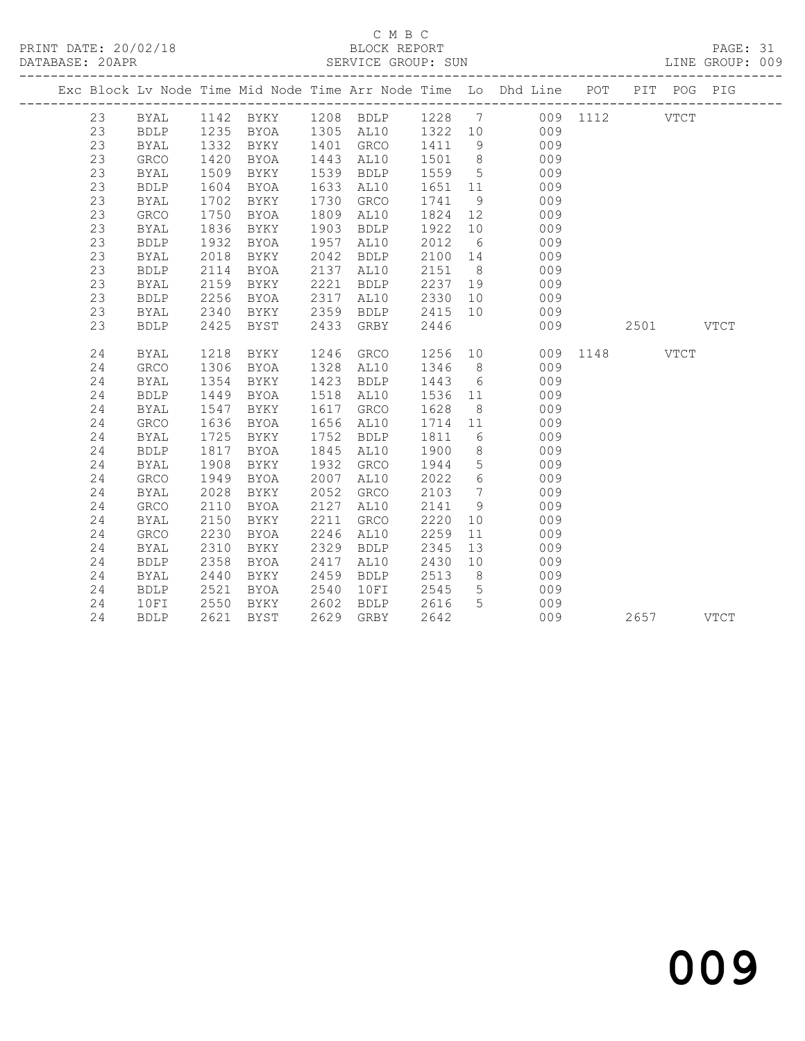# C M B C<br>BLOCK REPORT

PAGE: 31<br>LINE GROUP: 009

|  |    |             |      |             |      |             |         |                 | Exc Block Lv Node Time Mid Node Time Arr Node Time Lo Dhd Line POT |      |      | PIT POG PIG |             |
|--|----|-------------|------|-------------|------|-------------|---------|-----------------|--------------------------------------------------------------------|------|------|-------------|-------------|
|  | 23 | BYAL        | 1142 | BYKY        |      | 1208 BDLP   |         |                 | 1228 7 009 1112                                                    |      |      | <b>VTCT</b> |             |
|  | 23 | <b>BDLP</b> | 1235 | BYOA        |      | 1305 AL10   | 1322 10 |                 | 009                                                                |      |      |             |             |
|  | 23 | <b>BYAL</b> | 1332 | BYKY        | 1401 | GRCO        | 1411    | 9               | 009                                                                |      |      |             |             |
|  | 23 | GRCO        | 1420 | BYOA        | 1443 | AL10        | 1501    | 8 <sup>8</sup>  | 009                                                                |      |      |             |             |
|  | 23 | <b>BYAL</b> | 1509 | BYKY        | 1539 | <b>BDLP</b> | 1559    | $5\overline{)}$ | 009                                                                |      |      |             |             |
|  | 23 | <b>BDLP</b> | 1604 | BYOA        | 1633 | AL10        | 1651    | 11              | 009                                                                |      |      |             |             |
|  | 23 | <b>BYAL</b> | 1702 | BYKY        | 1730 | GRCO        | 1741    | 9               | 009                                                                |      |      |             |             |
|  | 23 | GRCO        | 1750 | BYOA        | 1809 | AL10        | 1824    | 12              | 009                                                                |      |      |             |             |
|  | 23 | <b>BYAL</b> | 1836 | BYKY        | 1903 | <b>BDLP</b> | 1922    | 10              | 009                                                                |      |      |             |             |
|  | 23 | <b>BDLP</b> | 1932 | <b>BYOA</b> | 1957 | AL10        | 2012    | 6               | 009                                                                |      |      |             |             |
|  | 23 | <b>BYAL</b> | 2018 | BYKY        | 2042 | <b>BDLP</b> | 2100    | 14              | 009                                                                |      |      |             |             |
|  | 23 | <b>BDLP</b> | 2114 | BYOA        | 2137 | AL10        | 2151    | 8 <sup>8</sup>  | 009                                                                |      |      |             |             |
|  | 23 | <b>BYAL</b> | 2159 | BYKY        | 2221 | <b>BDLP</b> | 2237    | 19              | 009                                                                |      |      |             |             |
|  | 23 | <b>BDLP</b> | 2256 | BYOA        | 2317 | AL10        | 2330    | 10              | 009                                                                |      |      |             |             |
|  | 23 | <b>BYAL</b> | 2340 | BYKY        | 2359 | <b>BDLP</b> | 2415    | 10              | 009                                                                |      |      |             |             |
|  | 23 | <b>BDLP</b> | 2425 | BYST        | 2433 | GRBY        | 2446    |                 | 009                                                                |      | 2501 |             | <b>VTCT</b> |
|  |    |             |      |             |      |             |         |                 |                                                                    |      |      |             |             |
|  | 24 | <b>BYAL</b> | 1218 | BYKY        | 1246 | <b>GRCO</b> | 1256    |                 | 10<br>009                                                          | 1148 |      | <b>VTCT</b> |             |
|  | 24 | <b>GRCO</b> | 1306 | <b>BYOA</b> | 1328 | AL10        | 1346    | 8 <sup>8</sup>  | 009                                                                |      |      |             |             |
|  | 24 | BYAL        | 1354 | BYKY        | 1423 | <b>BDLP</b> | 1443    | 6               | 009                                                                |      |      |             |             |
|  | 24 | <b>BDLP</b> | 1449 | BYOA        | 1518 | AL10        | 1536    | 11              | 009                                                                |      |      |             |             |
|  | 24 | <b>BYAL</b> | 1547 | BYKY        | 1617 | GRCO        | 1628    | 8               | 009                                                                |      |      |             |             |
|  | 24 | <b>GRCO</b> | 1636 | BYOA        | 1656 | AL10        | 1714    | 11              | 009                                                                |      |      |             |             |
|  | 24 | BYAL        | 1725 | BYKY        | 1752 | <b>BDLP</b> | 1811    | 6               | 009                                                                |      |      |             |             |
|  | 24 | <b>BDLP</b> | 1817 | BYOA        | 1845 | AL10        | 1900    | 8               | 009                                                                |      |      |             |             |
|  | 24 | <b>BYAL</b> | 1908 | BYKY        | 1932 | <b>GRCO</b> | 1944    | $5\overline{)}$ | 009                                                                |      |      |             |             |
|  | 24 | GRCO        | 1949 | BYOA        | 2007 | AL10        | 2022    | $6\overline{6}$ | 009                                                                |      |      |             |             |
|  | 24 | <b>BYAL</b> | 2028 | BYKY        | 2052 | GRCO        | 2103    | $7\overline{ }$ | 009                                                                |      |      |             |             |
|  | 24 | <b>GRCO</b> | 2110 | <b>BYOA</b> | 2127 | AL10        | 2141    | 9               | 009                                                                |      |      |             |             |
|  | 24 | BYAL        | 2150 | BYKY        | 2211 | GRCO        | 2220    | 10              | 009                                                                |      |      |             |             |
|  | 24 | GRCO        | 2230 | <b>BYOA</b> | 2246 | AL10        | 2259    | 11              | 009                                                                |      |      |             |             |
|  | 24 | <b>BYAL</b> | 2310 | BYKY        | 2329 | <b>BDLP</b> | 2345    | 13              | 009                                                                |      |      |             |             |
|  | 24 | <b>BDLP</b> | 2358 | BYOA        | 2417 | AL10        | 2430    | 10              | 009                                                                |      |      |             |             |
|  | 24 | BYAL        | 2440 | BYKY        | 2459 | <b>BDLP</b> | 2513    | 8 <sup>8</sup>  | 009                                                                |      |      |             |             |
|  | 24 | <b>BDLP</b> | 2521 | BYOA        | 2540 | 10FI        | 2545    | 5               | 009                                                                |      |      |             |             |
|  | 24 | 10FI        | 2550 | BYKY        | 2602 | <b>BDLP</b> | 2616    | 5               | 009                                                                |      |      |             |             |
|  | 24 | <b>BDLP</b> | 2621 | <b>BYST</b> | 2629 | GRBY        | 2642    |                 | 009                                                                |      | 2657 |             | <b>VTCT</b> |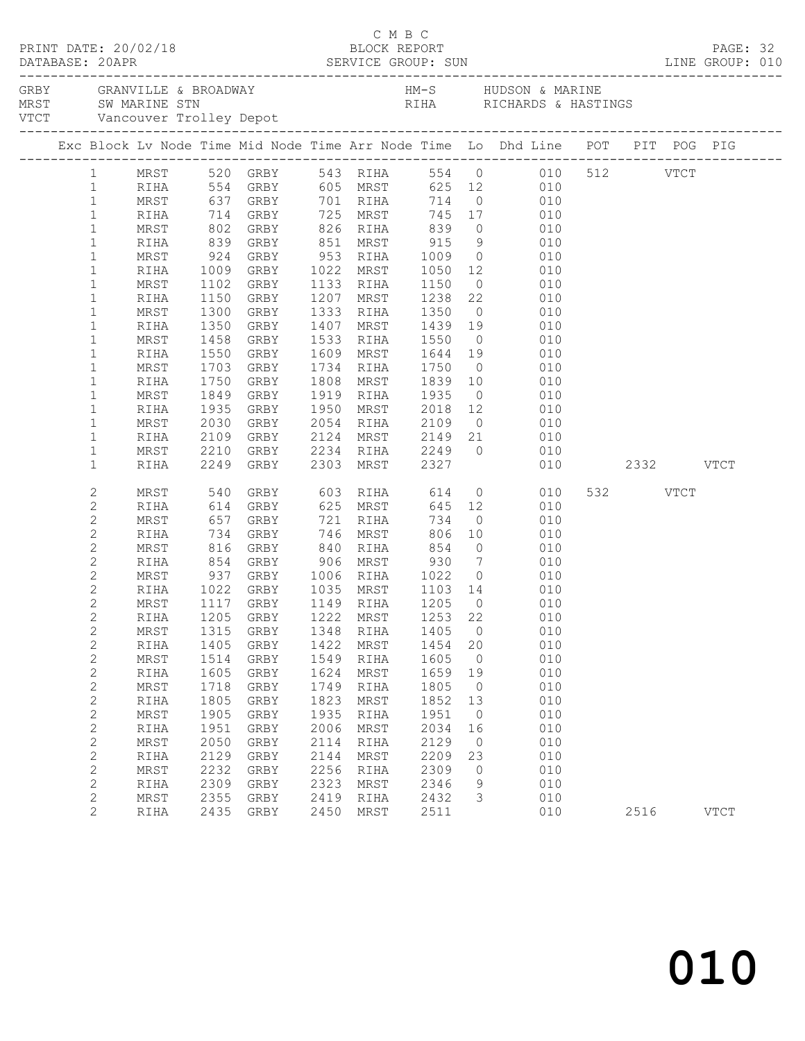|                              |              |              |                                     |              |                                |              |                | Exc Block Lv Node Time Mid Node Time Arr Node Time Lo Dhd Line POT PIT POG PIG                |          |      |             |  |
|------------------------------|--------------|--------------|-------------------------------------|--------------|--------------------------------|--------------|----------------|-----------------------------------------------------------------------------------------------|----------|------|-------------|--|
|                              |              |              |                                     |              |                                |              |                | 1 MRST 520 GRBY 543 RIHA 554 0 010 512 VTCT                                                   |          |      |             |  |
| $\mathbf{1}$                 |              |              |                                     |              |                                |              |                | RIHA 554 GRBY 605 MRST 625 12 010                                                             |          |      |             |  |
| $\mathbf{1}$                 | MRST         |              | 637 GRBY 701 RIHA                   |              |                                |              |                | 714 0 010                                                                                     |          |      |             |  |
| $\mathbf{1}$                 | RIHA         |              |                                     |              |                                |              |                | 714 GRBY 725 MRST 745 17 010<br>802 GRBY 826 RIHA 839 0 010<br>839 GRBY 851 MRST 915 9 010    |          |      |             |  |
| $\mathbf{1}$                 | MRST         |              |                                     |              |                                |              |                |                                                                                               |          |      |             |  |
| $\mathbf{1}$<br>$\mathbf{1}$ | RIHA<br>MRST |              |                                     |              |                                |              |                | $0$ 010                                                                                       |          |      |             |  |
| $\mathbf{1}$                 | RIHA         | 924          | GRBY 953 RIHA 1009                  |              | 1022 MRST                      |              |                |                                                                                               |          |      |             |  |
| $\mathbf{1}$                 | MRST         |              | 1009 GRBY<br>1102 GRBY<br>1102 GRBY |              |                                |              |                | 1022 MRST 1050 12 010<br>1133 RIHA 1150 0 010                                                 |          |      |             |  |
| $\mathbf 1$                  | RIHA         |              | 1150 GRBY                           |              | 1207 MRST 1238                 |              |                | 22 010                                                                                        |          |      |             |  |
| $\mathbf{1}$                 | MRST         | 1300         | GRBY                                |              | 1333 RIHA 1350                 |              |                | $0$ 010                                                                                       |          |      |             |  |
| $\mathbf 1$                  | RIHA         | 1350         | GRBY                                |              |                                |              |                |                                                                                               |          |      |             |  |
| $\mathbf{1}$                 | MRST         | 1458         | GRBY                                |              |                                |              |                | 1407 MRST 1439 19 010<br>1533 RIHA 1550 0 010                                                 |          |      |             |  |
| $\mathbf 1$                  | RIHA         |              | 1550 GRBY                           |              | 1609 MRST 1644 19              |              |                | 010                                                                                           |          |      |             |  |
| $\mathbf{1}$                 | MRST         | 1703         | GRBY                                |              | 1734 RIHA 1750                 |              | $\overline{0}$ | 010                                                                                           |          |      |             |  |
| $\mathbf 1$                  | RIHA         | 1750         | GRBY                                |              | 1808 MRST                      | 1839         |                | 10 010                                                                                        |          |      |             |  |
| $\mathbf{1}$                 | MRST         | 1849         | GRBY                                |              |                                |              |                | 1919 RIHA 1935 0 010<br>1950 MRST 2018 12 010                                                 |          |      |             |  |
| $\mathbf{1}$                 | RIHA         |              | 1935 GRBY                           |              |                                |              |                |                                                                                               |          |      |             |  |
| $\mathbf{1}$                 | MRST         | 2030         | GRBY                                |              | 2054 RIHA 2109                 |              |                | $0$ 010                                                                                       |          |      |             |  |
| $\mathbf 1$                  | RIHA         |              | 2109 GRBY                           |              |                                |              |                |                                                                                               |          |      |             |  |
| $\mathbf{1}$<br>$\mathbf 1$  | MRST<br>RIHA |              | 2210 GRBY<br>2210 GRBY<br>2249 GRBY |              |                                |              |                | 2124 MRST 2149 21 010<br>2234 RIHA 2249 0 010<br>2303 MRST 2327 010<br>010<br>$010$ 2332 VTCT |          |      |             |  |
| 2                            | MRST         | 540          | GRBY                                |              | 603 RIHA 614                   |              |                | 0 0 0 0 0 0 $\sqrt{ }$                                                                        | 532 VTCT |      |             |  |
| $\mathbf{2}$                 | RIHA         |              |                                     |              |                                |              |                | 010                                                                                           |          |      |             |  |
| $\mathbf{2}$                 | MRST         |              | 614 GRBY<br>657 GRBY                |              | 625 MRST<br>721 RIHA           |              |                | 645 12<br>734 0<br>010                                                                        |          |      |             |  |
| $\mathbf{2}$                 | RIHA         | 734          | GRBY                                |              | 746 MRST                       | 806          | 10             | 010                                                                                           |          |      |             |  |
| $\mathbf{2}$                 | MRST         | 816          | GRBY                                |              | 840 RIHA                       | 854          |                | $0\qquad \qquad 010$                                                                          |          |      |             |  |
| $\mathbf{2}$                 | RIHA         |              | 854 GRBY<br>937 GRBY                |              | 906 MRST 930<br>1006 RIHA 1022 |              |                | $\begin{array}{ccc} 7 & \quad & 010 \\ 0 & \quad & 010 \end{array}$                           |          |      |             |  |
| $\mathbf{2}$                 | MRST         |              |                                     |              |                                |              |                |                                                                                               |          |      |             |  |
| $\mathbf{2}$                 | RIHA         |              | 1022 GRBY 1035 MRST 1103 14         |              |                                |              |                | 010                                                                                           |          |      |             |  |
| $\overline{c}$               | MRST         |              | 1117 GRBY 1149 RIHA 1205            |              |                                |              | $\overline{0}$ | 010                                                                                           |          |      |             |  |
| $\overline{2}$               |              |              | RIHA 1205 GRBY 1222 MRST 1253 22    |              |                                |              | $\mathbf 0$    | 010                                                                                           |          |      |             |  |
| $\mathbf 2$<br>$\mathbf{2}$  | MRST<br>RIHA | 1315<br>1405 | GRBY<br>GRBY                        | 1348<br>1422 | RIHA<br>MRST                   | 1405<br>1454 | 20             | 010<br>010                                                                                    |          |      |             |  |
| $\mathbf{2}$                 | MRST         | 1514         | GRBY                                | 1549         | RIHA                           | 1605         | 0              | 010                                                                                           |          |      |             |  |
| $\mathbf{2}$                 | RIHA         | 1605         | ${\tt GRBY}$                        | 1624         | MRST                           | 1659         | 19             | 010                                                                                           |          |      |             |  |
| $\mathbf{2}$                 | MRST         | 1718         | GRBY                                | 1749         | RIHA                           | 1805         | $\circ$        | 010                                                                                           |          |      |             |  |
| $\mathbf{2}$                 | RIHA         | 1805         | GRBY                                | 1823         | MRST                           | 1852         | 13             | 010                                                                                           |          |      |             |  |
| $\mathbf{2}$                 | MRST         | 1905         | GRBY                                | 1935         | RIHA                           | 1951         | 0              | 010                                                                                           |          |      |             |  |
| $\mathbf{2}$                 | RIHA         | 1951         | ${\tt GRBY}$                        | 2006         | MRST                           | 2034         | 16             | 010                                                                                           |          |      |             |  |
| $\mathbf{2}$                 | MRST         | 2050         | GRBY                                | 2114         | RIHA                           | 2129         | $\circ$        | 010                                                                                           |          |      |             |  |
| $\mathbf 2$                  | RIHA         | 2129         | GRBY                                | 2144         | MRST                           | 2209         | 23             | 010                                                                                           |          |      |             |  |
| $\mathbf 2$                  | MRST         | 2232         | GRBY                                | 2256         | RIHA                           | 2309         | 0              | 010                                                                                           |          |      |             |  |
| $\mathbf 2$                  | RIHA         | 2309         | GRBY                                | 2323         | MRST                           | 2346         | 9              | 010                                                                                           |          |      |             |  |
| $\overline{c}$               | MRST         | 2355         | GRBY                                | 2419         | RIHA                           | 2432         | 3              | 010                                                                                           |          |      |             |  |
| $\overline{2}$               | RIHA         | 2435         | GRBY                                | 2450         | MRST                           | 2511         |                | 010                                                                                           |          | 2516 | <b>VTCT</b> |  |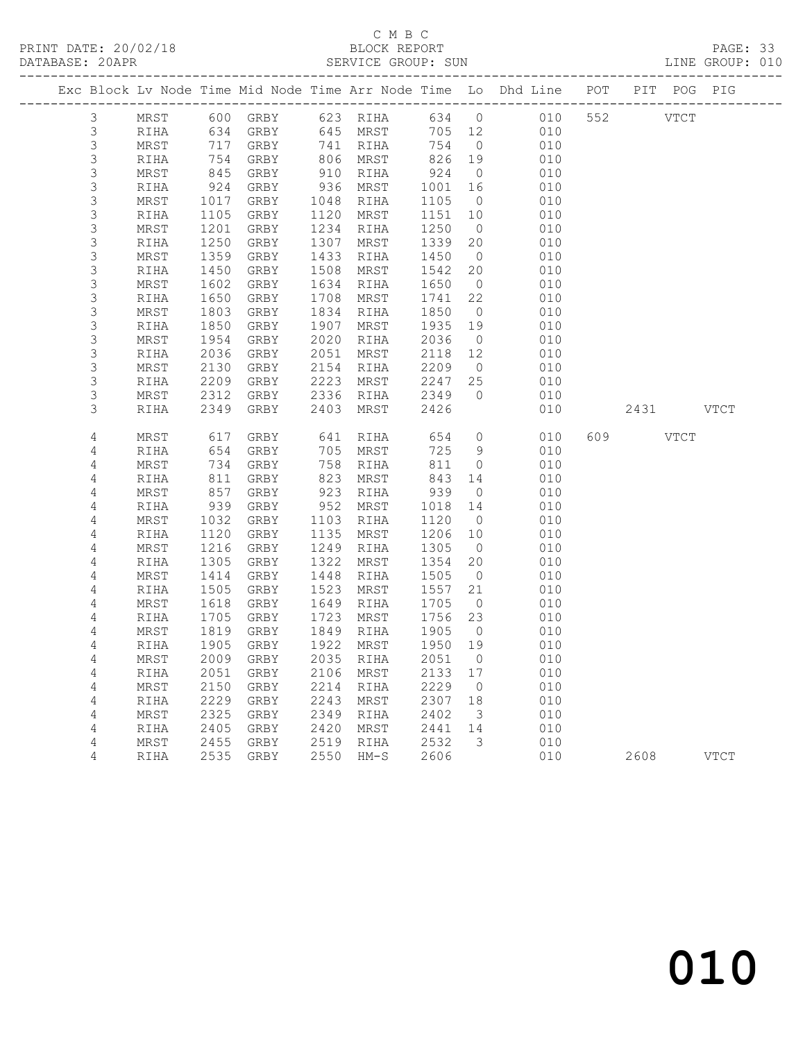# C M B C<br>BLOCK REPORT

PAGE: 33<br>LINE GROUP: 010

|             |              |              |              |              |              |              |                      | Exc Block Lv Node Time Mid Node Time Arr Node Time Lo Dhd Line POT | PIT POG PIG |             |             |
|-------------|--------------|--------------|--------------|--------------|--------------|--------------|----------------------|--------------------------------------------------------------------|-------------|-------------|-------------|
| 3           | MRST         |              |              |              |              |              |                      | 600 GRBY 623 RIHA 634 0 010                                        | 552         | <b>VTCT</b> |             |
| $\mathsf 3$ | RIHA         |              | 634 GRBY     |              | 645 MRST     | 705 12       |                      | 010                                                                |             |             |             |
| $\mathsf 3$ | MRST         | 717          | GRBY         |              | 741 RIHA     | 754          | $\overline{0}$       | 010                                                                |             |             |             |
| 3           | RIHA         | 754          | GRBY         |              | 806 MRST     | 826 19       |                      | 010                                                                |             |             |             |
| 3           | MRST         | 845          | GRBY         | 910          | RIHA         | 924          | $\overline{0}$       | 010                                                                |             |             |             |
| $\mathsf 3$ | RIHA         | 924          | GRBY         | 936          | MRST         | 1001         | 16                   | 010                                                                |             |             |             |
| 3           | MRST         | 1017         | GRBY         | 1048         | RIHA         | 1105         | $\overline{0}$       | 010                                                                |             |             |             |
| 3           | RIHA         | 1105         | GRBY         | 1120         | MRST         | 1151         | 10                   | 010                                                                |             |             |             |
| 3           | MRST         | 1201         | GRBY         | 1234         | RIHA         | 1250         | $\overline{0}$       | 010                                                                |             |             |             |
| $\mathsf 3$ | RIHA         | 1250         | GRBY         | 1307         | MRST         | 1339         | 20                   | 010                                                                |             |             |             |
| 3<br>3      | MRST<br>RIHA | 1359<br>1450 | GRBY<br>GRBY | 1433<br>1508 | RIHA<br>MRST | 1450<br>1542 | $\overline{0}$<br>20 | 010<br>010                                                         |             |             |             |
| 3           | MRST         | 1602         | GRBY         | 1634         | RIHA         | 1650         | $\overline{0}$       | 010                                                                |             |             |             |
| 3           | RIHA         | 1650         | GRBY         | 1708         | MRST         | 1741         | 22                   | 010                                                                |             |             |             |
| $\mathsf 3$ | MRST         | 1803         | GRBY         | 1834         | RIHA         | 1850         | $\overline{0}$       | 010                                                                |             |             |             |
| 3           | RIHA         | 1850         | GRBY         | 1907         | MRST         | 1935         | 19                   | 010                                                                |             |             |             |
| 3           | MRST         | 1954         | GRBY         | 2020         | RIHA         | 2036         | $\overline{0}$       | 010                                                                |             |             |             |
| $\mathsf 3$ | RIHA         | 2036         | GRBY         | 2051         | MRST         | 2118         | 12                   | 010                                                                |             |             |             |
| 3           | MRST         | 2130         | GRBY         | 2154         | RIHA         | 2209         | $\overline{0}$       | 010                                                                |             |             |             |
| 3           | RIHA         | 2209         | GRBY         | 2223         | MRST         | 2247         | 25                   | 010                                                                |             |             |             |
| $\mathsf 3$ | MRST         | 2312         | GRBY         | 2336         | RIHA         | 2349         | $\bigcirc$           | 010                                                                |             |             |             |
| 3           | RIHA         | 2349         | GRBY         | 2403         | MRST         | 2426         |                      | 010                                                                | 2431 VTCT   |             |             |
|             |              |              |              |              |              |              |                      |                                                                    |             |             |             |
| 4           | MRST         | 617          | GRBY         | 641          | RIHA         | 654          | $\overline{0}$       | 010                                                                | 609         | VTCT        |             |
| 4           | RIHA         | 654          | GRBY         |              | 705 MRST     | 725          | 9                    | 010                                                                |             |             |             |
| 4           | MRST         | 734          | GRBY         | 758          | RIHA         | 811          | $\overline{0}$       | 010                                                                |             |             |             |
| 4           | RIHA         | 811          | GRBY         | 823          | MRST         | 843          | 14                   | 010                                                                |             |             |             |
| 4           | MRST         | 857          | GRBY         | 923          | RIHA         | 939          | $\overline{0}$       | 010                                                                |             |             |             |
| 4           | RIHA         | 939          | GRBY         | 952          | MRST         | 1018         | 14                   | 010                                                                |             |             |             |
| 4           | MRST         | 1032         | GRBY         | 1103         | RIHA         | 1120         | $\overline{0}$       | 010                                                                |             |             |             |
| 4           | RIHA         | 1120         | GRBY         | 1135         | MRST         | 1206         | 10                   | 010                                                                |             |             |             |
| 4           | MRST         | 1216         | GRBY         | 1249         | RIHA         | 1305         | $\overline{0}$       | 010                                                                |             |             |             |
| 4           | RIHA         | 1305         | GRBY         | 1322         | MRST         | 1354         | 20                   | 010<br>010                                                         |             |             |             |
| 4<br>4      | MRST<br>RIHA | 1414<br>1505 | GRBY<br>GRBY | 1448<br>1523 | RIHA<br>MRST | 1505<br>1557 | $\overline{0}$<br>21 | 010                                                                |             |             |             |
| 4           | MRST         | 1618         | GRBY         | 1649         | RIHA         | 1705         | $\overline{0}$       | 010                                                                |             |             |             |
| 4           | RIHA         | 1705         | GRBY         | 1723         | MRST         | 1756         | 23                   | 010                                                                |             |             |             |
| 4           | MRST         | 1819         | GRBY         |              | 1849 RIHA    | 1905         | $\overline{0}$       | 010                                                                |             |             |             |
| 4           | RIHA         | 1905         | GRBY         |              | 1922 MRST    | 1950 19      |                      | 010                                                                |             |             |             |
| 4           | MRST         |              | 2009 GRBY    |              | 2035 RIHA    | 2051 0       |                      | 010                                                                |             |             |             |
| 4           | RIHA         | 2051         | GRBY         | 2106         | MRST         | 2133         | 17                   | 010                                                                |             |             |             |
| 4           | MRST         | 2150         | GRBY         | 2214         | RIHA         | 2229         | $\circ$              | 010                                                                |             |             |             |
| 4           | RIHA         | 2229         | GRBY         | 2243         | MRST         | 2307         | 18                   | 010                                                                |             |             |             |
| 4           | MRST         | 2325         | GRBY         | 2349         | RIHA         | 2402         | 3                    | 010                                                                |             |             |             |
| 4           | RIHA         | 2405         | GRBY         | 2420         | MRST         | 2441         | 14                   | 010                                                                |             |             |             |
| 4           | MRST         | 2455         | GRBY         | 2519         | RIHA         | 2532         | 3                    | 010                                                                |             |             |             |
| 4           | RIHA         | 2535         | GRBY         | 2550         | $HM-S$       | 2606         |                      | 010                                                                | 2608        |             | <b>VTCT</b> |
|             |              |              |              |              |              |              |                      |                                                                    |             |             |             |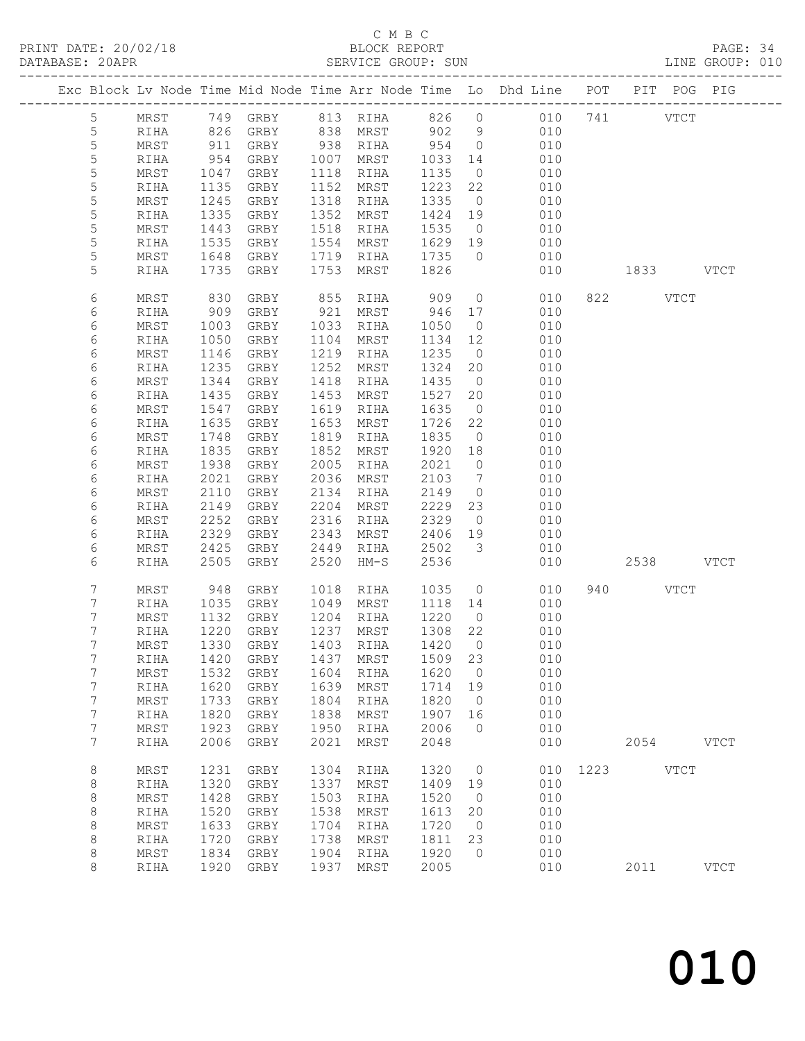## C M B C<br>BLOCK REPORT

PAGE: 34<br>LINE GROUP: 010

|  |                  |              |              |                             |              |                |              |                | Exc Block Lv Node Time Mid Node Time Arr Node Time Lo Dhd Line POT PIT POG PIG |      |                    |             |
|--|------------------|--------------|--------------|-----------------------------|--------------|----------------|--------------|----------------|--------------------------------------------------------------------------------|------|--------------------|-------------|
|  | $5\phantom{.0}$  | MRST         |              | 749 GRBY                    | 813          | RIHA           | 826          | $\circ$        | 010                                                                            |      | 741<br><b>VTCT</b> |             |
|  | 5                | RIHA         | 826          | GRBY                        | 838          | MRST           | 902          | 9              | 010                                                                            |      |                    |             |
|  | 5                | MRST         | 911          | GRBY                        | 938          | RIHA           | 954          | $\overline{0}$ | 010                                                                            |      |                    |             |
|  | 5                | RIHA         | 954          | GRBY                        | 1007         | MRST           | 1033         | 14             | 010                                                                            |      |                    |             |
|  | 5                | MRST         | 1047         | GRBY                        | 1118         | RIHA           | 1135         | $\overline{0}$ | 010                                                                            |      |                    |             |
|  | 5                | RIHA         | 1135         | GRBY                        | 1152         | MRST           | 1223         | 22             | 010                                                                            |      |                    |             |
|  | $\mathsf S$      | MRST         | 1245         | GRBY                        | 1318         | RIHA           | 1335         | $\overline{0}$ | 010                                                                            |      |                    |             |
|  | 5                | RIHA         | 1335         | GRBY                        | 1352         | MRST           | 1424         | 19             | 010                                                                            |      |                    |             |
|  | 5                | MRST         | 1443         | GRBY                        | 1518         | RIHA           | 1535         | $\overline{0}$ | 010                                                                            |      |                    |             |
|  | 5                | RIHA         | 1535         | GRBY                        | 1554         | MRST           | 1629         | 19             | 010                                                                            |      |                    |             |
|  | 5                | MRST         | 1648         | GRBY                        | 1719         | RIHA           | 1735         | $\overline{0}$ | 010                                                                            |      |                    |             |
|  | 5                | RIHA         | 1735         | GRBY                        | 1753         | MRST           | 1826         |                | 010                                                                            |      | 1833 VTCT          |             |
|  |                  |              |              |                             |              |                |              |                |                                                                                |      |                    |             |
|  | 6                | MRST         | 830          | GRBY                        | 855          | RIHA           | 909          | $\circ$        | 010                                                                            |      | 822 VTCT           |             |
|  | 6                | RIHA         | 909          | GRBY                        | 921          | MRST           | 946          | 17             | 010                                                                            |      |                    |             |
|  | 6                | MRST         | 1003         | GRBY                        | 1033         | RIHA           | 1050         | $\overline{0}$ | 010                                                                            |      |                    |             |
|  | 6                | RIHA         | 1050         | GRBY                        | 1104         | MRST           | 1134         | 12             | 010                                                                            |      |                    |             |
|  | 6                | MRST         | 1146         | GRBY                        | 1219         | RIHA           | 1235         | $\overline{0}$ | 010                                                                            |      |                    |             |
|  | 6                | RIHA         | 1235         | GRBY                        | 1252         | MRST           | 1324         | 20             | 010                                                                            |      |                    |             |
|  | 6                | MRST         | 1344         | GRBY                        | 1418         | RIHA           | 1435         | $\overline{0}$ | 010                                                                            |      |                    |             |
|  | 6                | RIHA         | 1435         | GRBY                        | 1453         | MRST           | 1527         | 20             | 010                                                                            |      |                    |             |
|  | 6                | MRST         | 1547         | GRBY                        | 1619         | RIHA           | 1635         | $\overline{0}$ | 010                                                                            |      |                    |             |
|  | 6                | RIHA         | 1635         | GRBY                        | 1653         | MRST           | 1726         | 22             | 010                                                                            |      |                    |             |
|  | 6                | MRST         | 1748         | GRBY                        | 1819         | RIHA           | 1835         | $\overline{0}$ | 010                                                                            |      |                    |             |
|  | 6                | RIHA         | 1835         | GRBY                        | 1852         | MRST           | 1920         | 18             | 010                                                                            |      |                    |             |
|  | 6                | MRST         | 1938         | GRBY                        | 2005         | RIHA           | 2021         | $\overline{0}$ | 010                                                                            |      |                    |             |
|  | 6                | RIHA         | 2021         | GRBY                        | 2036         | MRST           | 2103         | 7              | 010                                                                            |      |                    |             |
|  | 6                | MRST         | 2110         | GRBY                        | 2134         | RIHA           | 2149         | $\overline{0}$ | 010                                                                            |      |                    |             |
|  | 6                | RIHA         | 2149         | GRBY                        | 2204         | MRST           | 2229         | 23             | 010                                                                            |      |                    |             |
|  | 6                | MRST         | 2252         | GRBY                        | 2316         | RIHA           | 2329         | $\overline{0}$ | 010                                                                            |      |                    |             |
|  | 6                | RIHA<br>MRST | 2329<br>2425 | GRBY                        | 2343<br>2449 | MRST           | 2406         | 19<br>3        | 010<br>010                                                                     |      |                    |             |
|  | 6<br>6           |              | 2505         | GRBY                        | 2520         | RIHA<br>$HM-S$ | 2502<br>2536 |                | 010                                                                            |      | 2538               |             |
|  |                  | RIHA         |              | GRBY                        |              |                |              |                |                                                                                |      |                    | <b>VTCT</b> |
|  | 7                | MRST         | 948          | GRBY                        | 1018         | RIHA           | 1035         | $\circ$        | 010                                                                            | 940  | <b>VTCT</b>        |             |
|  | 7                | RIHA         | 1035         | GRBY                        | 1049         | MRST           | 1118         | 14             | 010                                                                            |      |                    |             |
|  | 7                | MRST         | 1132         | GRBY                        | 1204         | RIHA           | 1220         | $\overline{0}$ | 010                                                                            |      |                    |             |
|  | 7                | RIHA         | 1220         | GRBY                        | 1237         | MRST           | 1308         | 22             | 010                                                                            |      |                    |             |
|  | 7                | MRST         | 1330         | GRBY                        | 1403         | RIHA           | 1420         | $\bigcirc$     | 010                                                                            |      |                    |             |
|  | 7                | RIHA         |              | 1420 GRBY 1437 MRST 1509 23 |              |                |              |                | 010                                                                            |      |                    |             |
|  | 7                | MRST         | 1532         | GRBY                        | 1604         | RIHA           | 1620         | $\circ$        | 010                                                                            |      |                    |             |
|  | $\boldsymbol{7}$ | RIHA         | 1620         | GRBY                        | 1639         | MRST           | 1714         | 19             | 010                                                                            |      |                    |             |
|  | 7                | MRST         | 1733         | GRBY                        | 1804         | RIHA           | 1820         | $\circ$        | 010                                                                            |      |                    |             |
|  | 7                | RIHA         | 1820         | GRBY                        | 1838         | MRST           | 1907         | 16             | 010                                                                            |      |                    |             |
|  | $\overline{7}$   | MRST         | 1923         | GRBY                        | 1950         | RIHA           | 2006         | $\mathbf 0$    | 010                                                                            |      |                    |             |
|  | 7                | RIHA         | 2006         | GRBY                        | 2021         | MRST           | 2048         |                | 010                                                                            |      | 2054               | <b>VTCT</b> |
|  | $\,8\,$          | $\tt MRST$   | 1231         | GRBY                        | 1304         | RIHA           | 1320         | 0              | 010                                                                            | 1223 | <b>VTCT</b>        |             |
|  | $\,8\,$          | RIHA         | 1320         | GRBY                        | 1337         | MRST           | 1409         | 19             | 010                                                                            |      |                    |             |
|  | $\,8\,$          | $\tt MRST$   | 1428         | GRBY                        | 1503         | RIHA           | 1520         | $\overline{0}$ | 010                                                                            |      |                    |             |
|  | $\,8\,$          | RIHA         | 1520         | GRBY                        | 1538         | MRST           | 1613         | 20             | 010                                                                            |      |                    |             |
|  | $\,8\,$          | MRST         | 1633         | GRBY                        | 1704         | RIHA           | 1720         | $\circ$        | 010                                                                            |      |                    |             |
|  | $\,8\,$          | RIHA         | 1720         | GRBY                        | 1738         | MRST           | 1811         | 23             | 010                                                                            |      |                    |             |
|  | 8                | MRST         | 1834         | GRBY                        | 1904         | RIHA           | 1920         | $\mathbf 0$    | 010                                                                            |      |                    |             |
|  | 8                | RIHA         | 1920         | GRBY                        | 1937         | MRST           | 2005         |                | 010                                                                            |      | 2011               | <b>VTCT</b> |
|  |                  |              |              |                             |              |                |              |                |                                                                                |      |                    |             |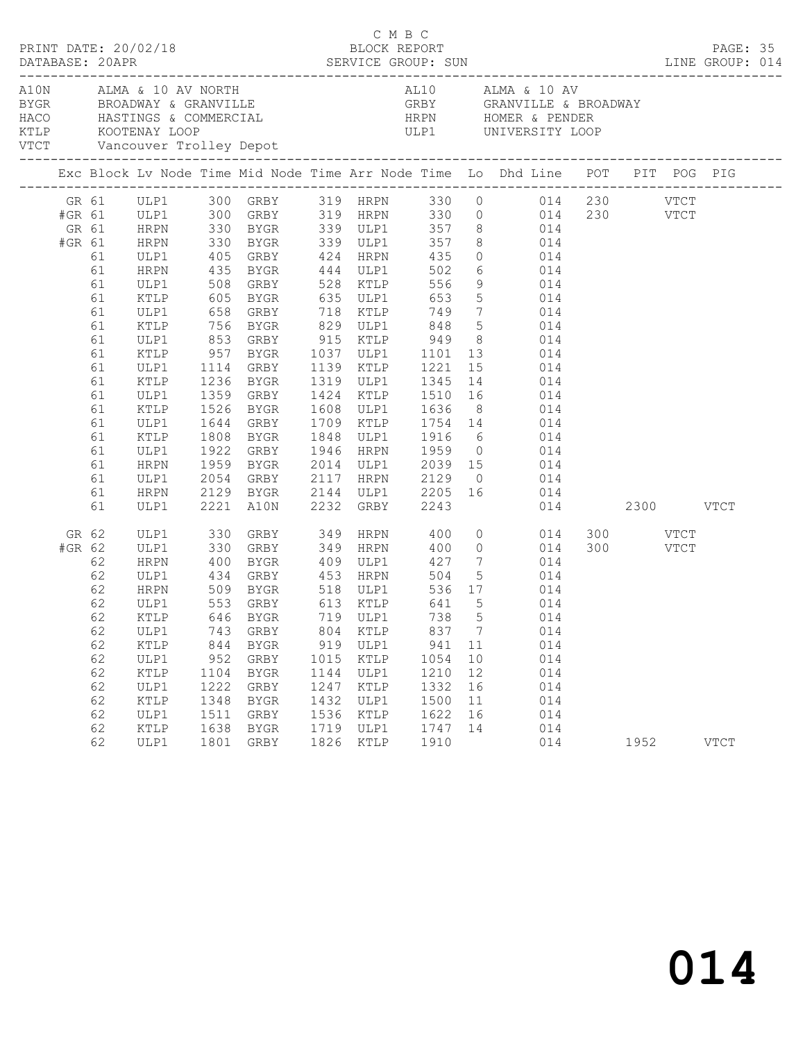|  |        |                           |              | PRINT DATE: 20/02/18 |                          | C M B C<br>BLOCK REPORT                                                                                                                                                                                                              |      |      |                |                                                                                                      |  |  |      | PAGE: 35    |  |
|--|--------|---------------------------|--------------|----------------------|--------------------------|--------------------------------------------------------------------------------------------------------------------------------------------------------------------------------------------------------------------------------------|------|------|----------------|------------------------------------------------------------------------------------------------------|--|--|------|-------------|--|
|  |        |                           |              |                      |                          | ALM ALMA & 10 AV NORTH AL10 ALMA & 10 AV ALMA & 10 AV BROADWAY & GRANVILLE A BROADWAY GRBY GRANVILLE & BROADWAY<br>HACO HASTINGS & COMMERCIAL HRPN HOMER & PENDER<br>KTLP KOOTENAY LOOP ULP1 UNIVERSITY LOOP<br>VTCT Vancouver Troll |      |      |                |                                                                                                      |  |  |      |             |  |
|  |        |                           |              |                      |                          |                                                                                                                                                                                                                                      |      |      |                | Exc Block Lv Node Time Mid Node Time Arr Node Time Lo Dhd Line POT PIT POG PIG                       |  |  |      |             |  |
|  |        |                           |              |                      |                          |                                                                                                                                                                                                                                      |      |      |                | GR 61 ULP1 300 GRBY 319 HRPN 330 0 014 230 VTCT                                                      |  |  |      |             |  |
|  |        |                           |              |                      |                          |                                                                                                                                                                                                                                      |      |      |                | #GR 61 ULP1 300 GRBY 319 HRPN 330 0 014 230 VTCT                                                     |  |  |      |             |  |
|  |        | GR 61 HRPN<br>#GR 61 HRPN |              |                      |                          |                                                                                                                                                                                                                                      |      |      |                | 330 BYGR 339 ULP1 357 8 014<br>330 BYGR 339 ULP1 357 8 014<br>405 GRBY 424 HRPN 435 0 014            |  |  |      |             |  |
|  |        |                           |              |                      |                          |                                                                                                                                                                                                                                      |      |      |                |                                                                                                      |  |  |      |             |  |
|  |        | 61                        | ULP1         |                      |                          |                                                                                                                                                                                                                                      |      |      |                |                                                                                                      |  |  |      |             |  |
|  |        | 61                        | HRPN         |                      | 435 BYGR 444 ULP1 502    |                                                                                                                                                                                                                                      |      |      |                | 6 014                                                                                                |  |  |      |             |  |
|  |        | 61                        | ULP1         |                      |                          |                                                                                                                                                                                                                                      |      |      |                |                                                                                                      |  |  |      |             |  |
|  |        | 61                        | KTLP         |                      |                          |                                                                                                                                                                                                                                      |      |      |                |                                                                                                      |  |  |      |             |  |
|  |        | 61                        | ULP1         |                      |                          |                                                                                                                                                                                                                                      |      |      |                | 756 BYGR 829 ULP1 848 5 014                                                                          |  |  |      |             |  |
|  |        | 61<br>61                  | KTLP         |                      |                          |                                                                                                                                                                                                                                      |      |      |                |                                                                                                      |  |  |      |             |  |
|  |        | 61                        | ULP1<br>KTLP |                      |                          |                                                                                                                                                                                                                                      |      |      |                | 853 GRBY 915 KTLP 949 8 014                                                                          |  |  |      |             |  |
|  |        | 61                        | ULP1         |                      |                          |                                                                                                                                                                                                                                      |      |      |                | 957 BYGR 1037 ULP1 1101 13 014<br>1114 GRBY 1139 KTLP 1221 15 014                                    |  |  |      |             |  |
|  |        | 61                        | KTLP         | 1236                 |                          |                                                                                                                                                                                                                                      |      |      |                | BYGR 1319 ULP1 1345 14 014                                                                           |  |  |      |             |  |
|  |        | 61                        | ULP1         |                      |                          |                                                                                                                                                                                                                                      |      |      |                | 1359 GRBY 1424 KTLP 1510 16 014                                                                      |  |  |      |             |  |
|  |        | 61                        | KTLP         |                      |                          |                                                                                                                                                                                                                                      |      |      |                |                                                                                                      |  |  |      |             |  |
|  |        | 61                        | ULP1         |                      |                          |                                                                                                                                                                                                                                      |      |      |                | 1526 BYGR 1608 ULP1 1636 8 014<br>1644 GRBY 1709 KTLP 1754 14 014<br>1808 BYGR 1848 ULP1 1916 6 014  |  |  |      |             |  |
|  |        | 61                        | KTLP         | 1808                 |                          |                                                                                                                                                                                                                                      |      |      |                |                                                                                                      |  |  |      |             |  |
|  |        | 61                        | ULP1         |                      |                          |                                                                                                                                                                                                                                      |      |      |                | 1922 GRBY 1946 HRPN 1959 0 014                                                                       |  |  |      |             |  |
|  |        | 61                        | HRPN         |                      |                          |                                                                                                                                                                                                                                      |      |      |                |                                                                                                      |  |  |      |             |  |
|  |        | 61                        | ULP1         |                      |                          |                                                                                                                                                                                                                                      |      |      |                | 1959 BYGR 2014 ULP1 2039 15 014<br>2054 GRBY 2117 HRPN 2129 0 014<br>2129 BYGR 2144 ULP1 2205 16 014 |  |  |      |             |  |
|  |        | 61                        | HRPN         |                      |                          |                                                                                                                                                                                                                                      |      |      |                |                                                                                                      |  |  |      |             |  |
|  |        | 61                        | ULP1         |                      | 2221 A10N 2232 GRBY 2243 |                                                                                                                                                                                                                                      |      |      |                | 014 2300 VTCT                                                                                        |  |  |      |             |  |
|  |        | GR 62                     |              |                      |                          |                                                                                                                                                                                                                                      |      |      |                | ULP1 330 GRBY 349 HRPN 400 0 014 300 VTCT<br>ULP1 330 GRBY 349 HRPN 400 0 014 300 VTCT               |  |  |      |             |  |
|  | #GR 62 |                           | ULP1         |                      |                          |                                                                                                                                                                                                                                      |      |      |                |                                                                                                      |  |  |      |             |  |
|  |        | 62                        | HRPN         | 400                  |                          |                                                                                                                                                                                                                                      |      |      |                | BYGR 409 ULP1 427 7 014                                                                              |  |  |      |             |  |
|  |        | 62                        | ULP1         |                      |                          |                                                                                                                                                                                                                                      |      |      |                | 5 014                                                                                                |  |  |      |             |  |
|  |        | 62                        | HRPN         |                      |                          |                                                                                                                                                                                                                                      |      |      |                | $014$<br>$014$                                                                                       |  |  |      |             |  |
|  |        | 62                        | ULP1         |                      |                          |                                                                                                                                                                                                                                      |      |      |                |                                                                                                      |  |  |      |             |  |
|  |        | 62                        |              |                      |                          |                                                                                                                                                                                                                                      |      |      |                | KTLP 646 BYGR 719 ULP1 738 5 014                                                                     |  |  |      |             |  |
|  |        | 62                        | ULP1         |                      | 743 GRBY                 | 804                                                                                                                                                                                                                                  | KTLP | 837  | $\overline{7}$ | 014                                                                                                  |  |  |      |             |  |
|  |        | 62                        | KTLP         | 844                  | BYGR                     | 919                                                                                                                                                                                                                                  | ULP1 | 941  | 11             | 014                                                                                                  |  |  |      |             |  |
|  |        | 62                        | ULP1         | 952                  | GRBY                     | 1015                                                                                                                                                                                                                                 | KTLP | 1054 | 10             | 014                                                                                                  |  |  |      |             |  |
|  |        | 62                        | KTLP         | 1104                 | BYGR                     | 1144                                                                                                                                                                                                                                 | ULP1 | 1210 | 12             | 014                                                                                                  |  |  |      |             |  |
|  |        | 62                        | ULP1         | 1222                 | GRBY                     | 1247                                                                                                                                                                                                                                 | KTLP | 1332 | 16             | 014                                                                                                  |  |  |      |             |  |
|  |        | 62                        | KTLP         | 1348                 | BYGR                     | 1432                                                                                                                                                                                                                                 | ULP1 | 1500 | 11             | 014                                                                                                  |  |  |      |             |  |
|  |        | 62                        | ULP1         | 1511                 | GRBY                     | 1536                                                                                                                                                                                                                                 | KTLP | 1622 | 16             | 014                                                                                                  |  |  |      |             |  |
|  |        | 62                        | KTLP         | 1638                 | BYGR                     | 1719                                                                                                                                                                                                                                 | ULP1 | 1747 | 14             | 014                                                                                                  |  |  |      |             |  |
|  |        | 62                        | ULP1         | 1801                 | GRBY                     | 1826                                                                                                                                                                                                                                 | KTLP | 1910 |                | 014                                                                                                  |  |  | 1952 | <b>VTCT</b> |  |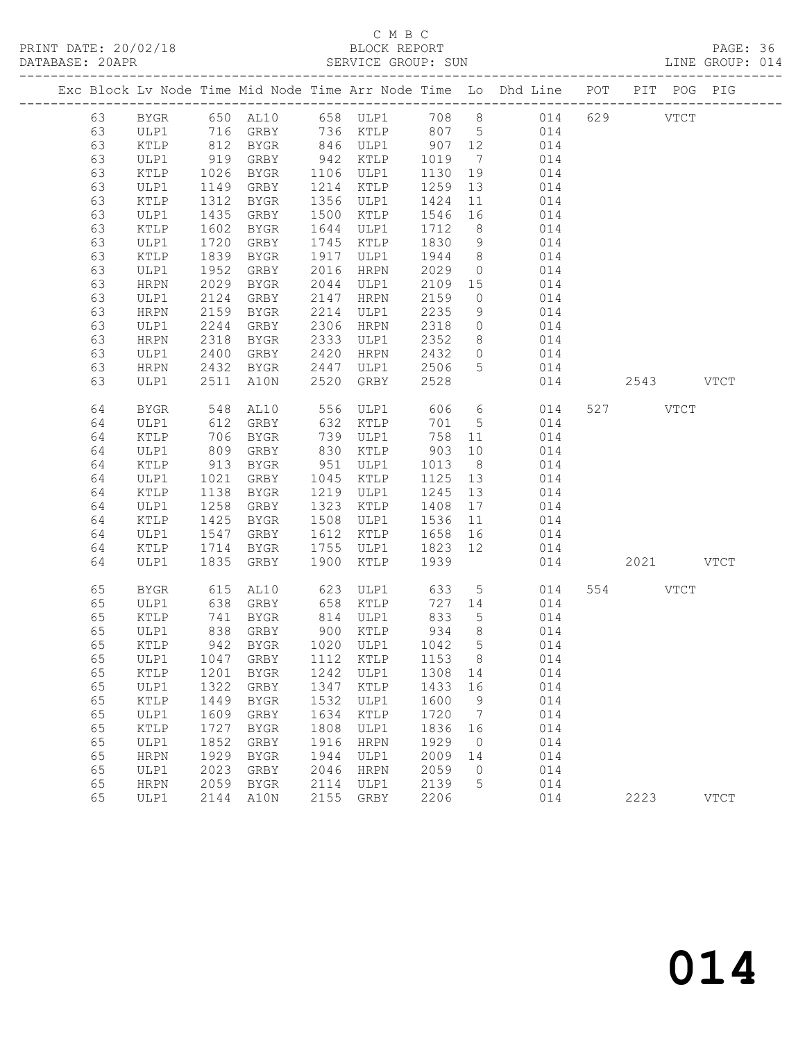PRINT DATE: 20/02/18 BLOCK REPORT BATABASE: 20APR

# C M B C<br>BLOCK REPORT

PAGE: 36<br>LINE GROUP: 014

|    |             |      |                                 |      |                      |                    |                 | Exc Block Lv Node Time Mid Node Time Arr Node Time Lo Dhd Line POT PIT POG PIG |           |             |             |
|----|-------------|------|---------------------------------|------|----------------------|--------------------|-----------------|--------------------------------------------------------------------------------|-----------|-------------|-------------|
| 63 | BYGR        |      |                                 |      |                      |                    |                 |                                                                                |           | <b>VTCT</b> |             |
| 63 | ULP1        |      | 716 GRBY                        |      |                      |                    |                 | 736 KTLP 807 5 014                                                             |           |             |             |
| 63 | KTLP        |      |                                 |      |                      | $\frac{5}{907}$ 12 |                 | 014                                                                            |           |             |             |
| 63 | ULP1        |      | 812 BYGR<br>919 GRBY            |      | 846 ULP1<br>942 KTLP | 1019               |                 | 014                                                                            |           |             |             |
| 63 | KTLP        | 1026 | BYGR                            |      | 1106 ULP1            | 1130               | 19              | 014                                                                            |           |             |             |
| 63 | ULP1        | 1149 | GRBY                            | 1214 | KTLP                 | 1259               | 13              | 014                                                                            |           |             |             |
| 63 | KTLP        | 1312 | BYGR                            | 1356 | ULP1                 | 1424               | 11              | 014                                                                            |           |             |             |
| 63 | ULP1        | 1435 | GRBY                            | 1500 | KTLP                 | 1546               | 16              | 014                                                                            |           |             |             |
| 63 | KTLP        | 1602 | BYGR                            | 1644 | ULP1                 | 1712               | 8 <sup>8</sup>  | 014                                                                            |           |             |             |
| 63 | ULP1        | 1720 | GRBY                            | 1745 | KTLP                 | 1830               | 9               | 014                                                                            |           |             |             |
| 63 | KTLP        | 1839 | BYGR                            | 1917 | ULP1                 | 1944               | 8 <sup>8</sup>  | 014                                                                            |           |             |             |
| 63 | ULP1        | 1952 | GRBY                            | 2016 | HRPN                 | 2029               | $\overline{0}$  | 014                                                                            |           |             |             |
| 63 | HRPN        | 2029 | BYGR                            | 2044 | ULP1                 | 2109 15            |                 | 014                                                                            |           |             |             |
| 63 | ULP1        | 2124 | GRBY                            | 2147 | HRPN                 | 2159               | $\overline{0}$  | 014                                                                            |           |             |             |
| 63 | HRPN        | 2159 | BYGR                            | 2214 | ULP1                 | 2235               | 9               | 014                                                                            |           |             |             |
| 63 | ULP1        | 2244 | GRBY                            | 2306 | HRPN                 | 2318               | $\overline{0}$  | 014                                                                            |           |             |             |
| 63 | HRPN        | 2318 | BYGR                            | 2333 | ULP1                 | 2352               |                 | $\begin{array}{c}\n 8 \\  \hline\n 014\n \end{array}$                          |           |             |             |
| 63 | ULP1        | 2400 | GRBY                            | 2420 | HRPN                 | 2432               |                 | $0$ 014                                                                        |           |             |             |
| 63 | HRPN        | 2432 | BYGR                            | 2447 | ULP1                 | 2506               | 5 <sup>5</sup>  | 014                                                                            |           |             |             |
| 63 | ULP1        | 2511 | A10N                            | 2520 | GRBY                 | 2528               |                 | 014                                                                            | 2543 VTCT |             |             |
|    |             |      |                                 |      |                      |                    |                 |                                                                                |           |             |             |
| 64 | BYGR        | 548  | AL10                            |      | 556 ULP1 606         |                    |                 | $6\overline{6}$<br>014                                                         | 527 VTCT  |             |             |
| 64 | ULP1        | 612  | GRBY                            | 632  | KTLP                 | 701                | $5\overline{)}$ | 014                                                                            |           |             |             |
| 64 | KTLP        | 706  | BYGR                            |      | 739 ULP1             | 758                | 11              | 014                                                                            |           |             |             |
| 64 | ULP1        | 809  | GRBY                            | 830  | KTLP                 | 903                | 10              | 014                                                                            |           |             |             |
| 64 | KTLP        | 913  | BYGR                            | 951  | ULP1                 | 1013               | 8 <sup>8</sup>  | 014                                                                            |           |             |             |
| 64 | ULP1        | 1021 | GRBY                            | 1045 | KTLP                 | 1125               | 13              | 014                                                                            |           |             |             |
| 64 | KTLP        | 1138 | BYGR                            | 1219 | ULP1                 | 1245               | 13              | 014                                                                            |           |             |             |
| 64 | ULP1        | 1258 | GRBY                            | 1323 | KTLP                 | 1408               | 17              | 014                                                                            |           |             |             |
| 64 | KTLP        | 1425 | BYGR                            | 1508 | ULP1                 | 1536               | 11              | 014                                                                            |           |             |             |
| 64 | ULP1        | 1547 | GRBY                            | 1612 | KTLP                 | 1658               | 16              | 014                                                                            |           |             |             |
| 64 | KTLP        | 1714 | BYGR                            | 1755 | ULP1                 | 1823 12            |                 | 014                                                                            |           |             |             |
| 64 | ULP1        | 1835 | GRBY                            | 1900 | KTLP                 | 1939               |                 | 014                                                                            | 2021 VTCT |             |             |
|    |             |      |                                 |      |                      |                    |                 |                                                                                |           |             |             |
| 65 | <b>BYGR</b> | 615  | AL10                            | 623  | ULP1                 | 633                | 5 <sup>5</sup>  | 014                                                                            | 554       | <b>VTCT</b> |             |
| 65 | ULP1        | 638  | GRBY                            |      | 658 KTLP             | 727 14             |                 | 014                                                                            |           |             |             |
| 65 | KTLP        | 741  | BYGR                            |      | 814 ULP1             | 833                | $5\overline{)}$ | 014                                                                            |           |             |             |
| 65 | ULP1        | 838  | GRBY                            |      | 900 KTLP             | 934                | 8 <sup>8</sup>  | 014                                                                            |           |             |             |
| 65 | KTLP        |      | 942 BYGR                        |      | 1020 ULP1            | 1042 5             |                 | 014                                                                            |           |             |             |
| 65 |             |      | ULP1 1047 GRBY 1112 KTLP 1153 8 |      |                      |                    |                 | 014                                                                            |           |             |             |
| 65 | KTLP        | 1201 | <b>BYGR</b>                     | 1242 | ULP1                 | 1308               | 14              | 014                                                                            |           |             |             |
| 65 | ULP1        | 1322 | GRBY                            | 1347 | KTLP                 | 1433               | 16              | 014                                                                            |           |             |             |
| 65 | KTLP        | 1449 | <b>BYGR</b>                     | 1532 | ULP1                 | 1600               | 9               | 014                                                                            |           |             |             |
| 65 | ULP1        | 1609 | GRBY                            | 1634 | KTLP                 | 1720               | 7               | 014                                                                            |           |             |             |
| 65 | KTLP        | 1727 | <b>BYGR</b>                     | 1808 | ULP1                 | 1836               | 16              | 014                                                                            |           |             |             |
| 65 | ULP1        | 1852 | GRBY                            | 1916 | <b>HRPN</b>          | 1929               | $\overline{0}$  | 014                                                                            |           |             |             |
| 65 | <b>HRPN</b> | 1929 | ${\tt BYGR}$                    | 1944 | ULP1                 | 2009               | 14              | 014                                                                            |           |             |             |
| 65 | ULP1        | 2023 | ${\tt GRBY}$                    | 2046 | <b>HRPN</b>          | 2059               | 0               | 014                                                                            |           |             |             |
| 65 | <b>HRPN</b> | 2059 | <b>BYGR</b>                     | 2114 | ULP1                 | 2139               | 5               | 014                                                                            |           |             |             |
| 65 | ULP1        | 2144 | $\mathtt{AlON}$                 | 2155 | GRBY                 | 2206               |                 | 014                                                                            | 2223      |             | <b>VTCT</b> |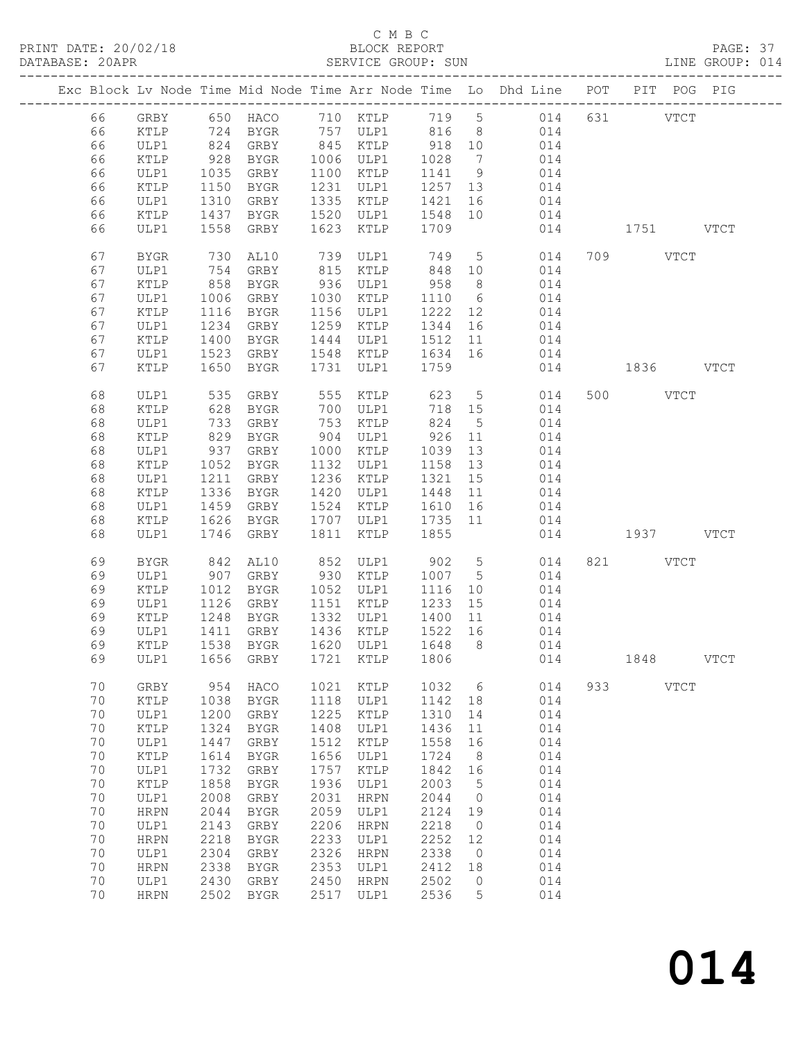# C M B C<br>BLOCK REPORT<br>SERVICE GROUP: SUN

| DATABASE: 20APR |    |                 |            |                          |      | SERVICE GROUP: SUN                                                     |                    |                 |                                                                                |               | LINE GROUP: 014 |
|-----------------|----|-----------------|------------|--------------------------|------|------------------------------------------------------------------------|--------------------|-----------------|--------------------------------------------------------------------------------|---------------|-----------------|
|                 |    |                 |            |                          |      |                                                                        |                    |                 | Exc Block Lv Node Time Mid Node Time Arr Node Time Lo Dhd Line POT PIT POG PIG |               |                 |
|                 | 66 |                 |            |                          |      |                                                                        |                    |                 | GRBY 650 HACO 710 KTLP 719 5 014 631 VTCT                                      |               |                 |
|                 | 66 | KTLP            |            |                          |      |                                                                        |                    |                 | 724 BYGR 757 ULP1 816 8 014                                                    |               |                 |
|                 | 66 | ULP1            |            | 824 GRBY 845 KTLP 918 10 |      |                                                                        |                    |                 | 014                                                                            |               |                 |
|                 | 66 | KTLP            | 928        | BYGR                     |      | 1006 ULP1                                                              | 1028               | $7\overline{ }$ | 014                                                                            |               |                 |
|                 | 66 | ULP1            | 1035       | GRBY                     |      | 1100 KTLP                                                              | 1141 9             |                 | 014                                                                            |               |                 |
|                 |    |                 |            |                          |      |                                                                        |                    |                 | 014                                                                            |               |                 |
|                 | 66 | KTLP            | 1150       | BYGR                     |      | 1231 ULP1                                                              | 1257 13            |                 |                                                                                |               |                 |
|                 | 66 | ULP1            | 1310       | GRBY                     |      | 1335 KTLP                                                              | 1421               | 16              | 014                                                                            |               |                 |
|                 | 66 | KTLP            |            | 1437 BYGR                |      | 1520 ULP1 1548 10<br>1623 KTLP 1709                                    |                    |                 | 014                                                                            |               |                 |
|                 | 66 | ULP1            |            | 1558 GRBY                | 1623 | KTLP                                                                   |                    |                 |                                                                                | 014 1751 VTCT |                 |
|                 | 67 | BYGR            | 730        | AL10                     |      | 739 ULP1                                                               | 749                | $5\overline{)}$ | 014                                                                            | 709 VTCT      |                 |
|                 | 67 | ULP1            | 754<br>858 | GRBY                     |      | 815 KTLP<br>936 ULP1                                                   | 848<br>958         | 10              | 014                                                                            |               |                 |
|                 | 67 | KTLP            |            | BYGR                     |      |                                                                        |                    | 8 <sup>8</sup>  | 014                                                                            |               |                 |
|                 | 67 | ULP1            | 1006       | GRBY                     |      | 1030 KTLP                                                              | 1110               | $6\overline{6}$ | 014                                                                            |               |                 |
|                 | 67 | KTLP            | 1116       | BYGR                     |      | 1156 ULP1                                                              | 1222               | 12              | 014                                                                            |               |                 |
|                 | 67 | ULP1            | 1234       | GRBY                     |      | 1259 KTLP                                                              | 1344 16            |                 | 014                                                                            |               |                 |
|                 | 67 | KTLP            | 1400       | BYGR                     |      | 1444 ULP1                                                              | 1512 11            |                 | 014                                                                            |               |                 |
|                 | 67 | ULP1            | 1523       | GRBY                     |      | 1548 KTLP 1634 16                                                      |                    |                 | 014                                                                            |               |                 |
|                 | 67 | KTLP            | 1650       | BYGR                     | 1731 | ULP1                                                                   | 1759               |                 |                                                                                | 014 1836 VTCT |                 |
|                 |    |                 |            |                          |      |                                                                        |                    |                 |                                                                                |               |                 |
|                 | 68 | ULP1            | 535        | GRBY                     |      | 555 KTLP                                                               | 623                | 5 <sup>5</sup>  | 014                                                                            | 500 VTCT      |                 |
|                 | 68 | KTLP            | 628        | BYGR                     |      | 700 ULP1                                                               |                    | 718 15          | 014                                                                            |               |                 |
|                 | 68 | ULP1            | 733        | GRBY                     |      | 753 KTLP                                                               | 824                | $5^{\circ}$     | 014                                                                            |               |                 |
|                 | 68 | KTLP            | 829        | BYGR                     |      | 904 ULP1                                                               | 926                | 11              | 014                                                                            |               |                 |
|                 | 68 | ULP1            | 937        | GRBY                     |      | 1000 KTLP                                                              | 1039               | 13              | 014                                                                            |               |                 |
|                 | 68 | KTLP            | 1052       | BYGR                     |      | 1132 ULP1                                                              | 1158 13            |                 | 014                                                                            |               |                 |
|                 | 68 | ULP1            | 1211       | GRBY                     |      | 1236 KTLP                                                              | 1321               | 15              | 014                                                                            |               |                 |
|                 | 68 | KTLP            | 1336       | BYGR                     |      | 1420 ULP1                                                              | 1448               | 11              | 014                                                                            |               |                 |
|                 | 68 | ULP1            | 1459       | GRBY                     |      | 1524 KTLP                                                              | 1610 16            |                 | 014                                                                            |               |                 |
|                 |    |                 |            |                          |      | 1707 ULP1 1735 11                                                      |                    |                 |                                                                                |               |                 |
|                 | 68 | KTLP            | 1626       | BYGR                     |      |                                                                        |                    |                 | 014                                                                            |               |                 |
|                 | 68 | ULP1            | 1746       | GRBY                     | 1811 | KTLP                                                                   | 1855               |                 |                                                                                | 014 1937 VTCT |                 |
|                 | 69 | BYGR            | 842        | AL10                     |      |                                                                        |                    |                 | 014                                                                            | 821 VTCT      |                 |
|                 | 69 | ULP1            |            | 907 GRBY                 |      | 852   ULP1             902        5<br>930    KTLP         1007      5 |                    |                 | 014                                                                            |               |                 |
|                 | 69 | KTLP            | 1012       | BYGR                     |      | 1052 ULP1                                                              | 1116               | 10              | 014                                                                            |               |                 |
|                 | 69 | ULP1            | 1126       | GRBY                     |      | 1151 KTLP                                                              | 1233               | 15              | 014                                                                            |               |                 |
|                 | 69 | KTLP            | 1248       | BYGR                     |      | 1332 ULP1                                                              |                    |                 |                                                                                |               |                 |
|                 |    |                 |            |                          |      |                                                                        | 1400 11<br>1522 16 |                 | 014                                                                            |               |                 |
|                 | 69 | ULP1            |            | 1411 GRBY                |      | 1436 KTLP                                                              |                    |                 | 014                                                                            |               |                 |
|                 | 69 |                 |            |                          |      |                                                                        |                    |                 | KTLP 1538 BYGR 1620 ULP1 1648 8 014                                            |               |                 |
|                 | 69 | ULP1            |            | 1656 GRBY                |      | 1721 KTLP                                                              | 1806               |                 | 014                                                                            | $1848$ VTCT   |                 |
|                 | 70 | GRBY            | 954        | HACO                     | 1021 | KTLP                                                                   | 1032               | $6\overline{6}$ | 014                                                                            | 933 VTCT      |                 |
|                 | 70 | KTLP            | 1038       | BYGR                     | 1118 | ULP1                                                                   | 1142 18            |                 | 014                                                                            |               |                 |
|                 | 70 | ULP1            | 1200       | GRBY                     | 1225 | KTLP                                                                   | 1310               | 14              | 014                                                                            |               |                 |
|                 | 70 | $\texttt{KTLP}$ | 1324       | BYGR                     | 1408 | ULP1                                                                   | 1436               | 11              | 014                                                                            |               |                 |
|                 | 70 | ULP1            | 1447       | GRBY                     | 1512 | KTLP                                                                   | 1558               | 16              | 014                                                                            |               |                 |
|                 | 70 | $\verb KTLP $   | 1614       | BYGR                     | 1656 | ULP1                                                                   | 1724               | 8               | 014                                                                            |               |                 |
|                 | 70 |                 | 1732       |                          |      |                                                                        | 1842               |                 |                                                                                |               |                 |
|                 |    | ULP1            |            | GRBY                     | 1757 | KTLP                                                                   |                    | 16              | 014                                                                            |               |                 |
|                 | 70 | KTLP            | 1858       | BYGR                     | 1936 | ULP1                                                                   | 2003               | $5^{\circ}$     | 014                                                                            |               |                 |
|                 | 70 | ULP1            | 2008       | GRBY                     | 2031 | HRPN                                                                   | 2044               | $\overline{0}$  | 014                                                                            |               |                 |
|                 | 70 | ${\tt HRPN}$    | 2044       | BYGR                     | 2059 | ULP1                                                                   | 2124               | 19              | 014                                                                            |               |                 |
|                 | 70 | ULP1            | 2143       | GRBY                     | 2206 | HRPN                                                                   | 2218               | $\overline{0}$  | 014                                                                            |               |                 |
|                 | 70 | HRPN            | 2218       | BYGR                     | 2233 | ULP1                                                                   | 2252               | 12              | 014                                                                            |               |                 |
|                 | 70 | ULP1            | 2304       | GRBY                     | 2326 | HRPN                                                                   | 2338               | $\overline{0}$  | 014                                                                            |               |                 |
|                 | 70 | HRPN            | 2338       | BYGR                     | 2353 | ULP1                                                                   | 2412               | 18              | 014                                                                            |               |                 |
|                 | 70 | ULP1            | 2430       | GRBY                     | 2450 | HRPN                                                                   | 2502               | $\overline{0}$  | 014                                                                            |               |                 |
|                 | 70 | HRPN            | 2502       | BYGR                     | 2517 | ULP1                                                                   | 2536               | 5               | 014                                                                            |               |                 |
|                 |    |                 |            |                          |      |                                                                        |                    |                 |                                                                                |               |                 |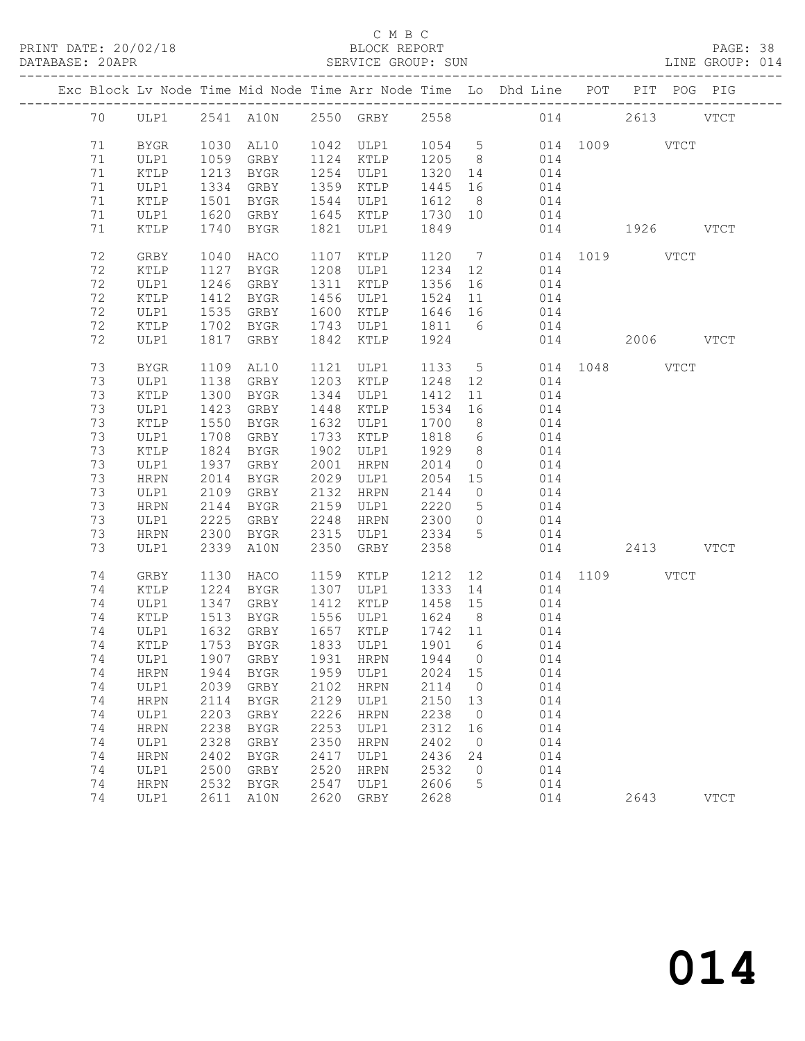#### C M B C<br>BLOCK REPORT

| DATABASE: 20APR |    |              |              |             |      | SERVICE GROUP: SUN |                   |                 | LINE GROUP: 014                                                                |               |           |           |             |  |
|-----------------|----|--------------|--------------|-------------|------|--------------------|-------------------|-----------------|--------------------------------------------------------------------------------|---------------|-----------|-----------|-------------|--|
|                 |    |              |              |             |      |                    |                   |                 | Exc Block Lv Node Time Mid Node Time Arr Node Time Lo Dhd Line POT PIT POG PIG |               |           |           |             |  |
|                 |    |              |              |             |      |                    |                   |                 | 70 ULP1 2541 A10N 2550 GRBY 2558 014 2613 VTCT                                 |               |           |           |             |  |
|                 | 71 | BYGR         | 1030         | AL10        |      |                    |                   |                 | 1042 ULP1 1054 5 014 1009 VTCT                                                 |               |           |           |             |  |
|                 | 71 | ULP1         | 1059         | GRBY        |      | 1124 KTLP 1205 8   |                   |                 | 014                                                                            |               |           |           |             |  |
|                 | 71 | KTLP         | 1213         | BYGR        |      | 1254 ULP1 1320 14  |                   |                 | 014                                                                            |               |           |           |             |  |
|                 | 71 | ULP1         | 1334         | GRBY        |      | 1359 KTLP          |                   |                 | 1445 16 014                                                                    |               |           |           |             |  |
|                 | 71 | KTLP         | 1501         | BYGR        |      | 1544 ULP1          | 1612 8            |                 | 014                                                                            |               |           |           |             |  |
|                 | 71 | ULP1         |              | GRBY        |      | 1645 KTLP 1730 10  |                   |                 | 014                                                                            |               |           |           |             |  |
|                 | 71 | KTLP         | 1620<br>1740 | BYGR        |      | 1821 ULP1          | 1849              |                 |                                                                                | 014 1926 VTCT |           |           |             |  |
|                 | 72 | GRBY         | 1040         | HACO        |      | 1107 KTLP          |                   |                 | 1120 7                                                                         | 014 1019 VTCT |           |           |             |  |
|                 | 72 | KTLP         | 1127         | BYGR        |      | 1208 ULP1          | 1234 12           |                 | 014                                                                            |               |           |           |             |  |
|                 | 72 | ULP1         |              | 1246 GRBY   |      | $1311$ KTLP        | 1356              | 16              | 014                                                                            |               |           |           |             |  |
|                 | 72 | KTLP         | 1412         | BYGR        |      | 1456 ULP1          |                   |                 | 1524 11 014                                                                    |               |           |           |             |  |
|                 | 72 | ULP1         | 1535         | GRBY        |      | 1600 KTLP 1646 16  |                   |                 | 014                                                                            |               |           |           |             |  |
|                 | 72 | KTLP         | 1702         | BYGR        |      | 1743 ULP1          | 1811 6            |                 | 014                                                                            |               |           |           |             |  |
|                 | 72 | ULP1         | 1817         | GRBY        |      | 1842 KTLP          | 1924              |                 |                                                                                | 014           |           | 2006 VTCT |             |  |
|                 | 73 | BYGR         | 1109         | AL10        |      | 1121 ULP1          |                   |                 | 1133 5 014 1048 VTCT                                                           |               |           |           |             |  |
|                 | 73 | ULP1         | 1138         | GRBY        |      | 1203 KTLP          |                   |                 | 1248 12 014                                                                    |               |           |           |             |  |
|                 | 73 | KTLP         | 1300         | BYGR        |      | 1344 ULP1          | 1412              | 11              | 014                                                                            |               |           |           |             |  |
|                 | 73 | ULP1         | 1423         | GRBY        |      | 1448 KTLP          | 1534              | 16              | 014                                                                            |               |           |           |             |  |
|                 | 73 | KTLP         | 1550         | BYGR        |      | 1632 ULP1          | 1700              | 8 <sup>8</sup>  | 014                                                                            |               |           |           |             |  |
|                 | 73 | ULP1         | 1708         | GRBY        |      | 1733 KTLP          | 1818              | $6\overline{6}$ | 014                                                                            |               |           |           |             |  |
|                 | 73 | KTLP         | 1824         | BYGR        |      | 1902 ULP1          | 1929              | 8 <sup>8</sup>  | 014                                                                            |               |           |           |             |  |
|                 | 73 | ULP1         | 1937         | GRBY        |      | 2001 HRPN          | 2014              | $\overline{0}$  | 014                                                                            |               |           |           |             |  |
|                 | 73 | HRPN         | 2014         |             |      |                    | 2054 15           |                 | 014                                                                            |               |           |           |             |  |
|                 | 73 | ULP1         | 2109         | GRBY        |      | 2132 HRPN          | 2144              | $\overline{0}$  | 014                                                                            |               |           |           |             |  |
|                 | 73 | HRPN         | 2144         | BYGR        |      | 2159 ULP1          | 2220              | $5\overline{)}$ | 014                                                                            |               |           |           |             |  |
|                 | 73 | ULP1         | 2225         | GRBY        |      | 2248 HRPN          | 2300              | $\overline{0}$  | 014                                                                            |               |           |           |             |  |
|                 | 73 | HRPN         | 2300         | BYGR        |      | 2315 ULP1 2334     |                   | 5 <sup>5</sup>  | 014                                                                            |               |           |           |             |  |
|                 | 73 | ULP1         | 2339         | A10N        | 2350 | GRBY               | 2358              |                 |                                                                                | 014           | 2413 VTCT |           |             |  |
|                 | 74 | GRBY         | 1130         | HACO        |      | 1159 KTLP          | 1212              |                 | 12                                                                             | 014 1109 VTCT |           |           |             |  |
|                 | 74 | KTLP         | 1224         | BYGR        |      | 1307 ULP1          | 1333 14           |                 | 014                                                                            |               |           |           |             |  |
|                 | 74 | ULP1         | 1347         | GRBY        |      | 1412 KTLP          | 1458 15           |                 | 014                                                                            |               |           |           |             |  |
|                 | 74 | KTLP         | 1513         | BYGR        |      | 1556 ULP1          | 1624 8<br>1742 11 |                 | $014$<br>$014$                                                                 |               |           |           |             |  |
|                 | 74 | ULP1         |              | $1632$ GRBY |      | 1657 KTLP          |                   |                 |                                                                                |               |           |           |             |  |
|                 |    |              |              |             |      |                    |                   |                 | 74 KTLP 1753 BYGR 1833 ULP1 1901 6 014                                         |               |           |           |             |  |
|                 | 74 | ULP1         |              | 1907 GRBY   | 1931 | HRPN               | 1944              | $\overline{0}$  | 014                                                                            |               |           |           |             |  |
|                 | 74 | HRPN         | 1944         | BYGR        | 1959 | ULP1               | 2024 15           |                 | 014                                                                            |               |           |           |             |  |
|                 | 74 | ULP1         | 2039         | GRBY        | 2102 | <b>HRPN</b>        | 2114              | $\overline{0}$  | 014                                                                            |               |           |           |             |  |
|                 | 74 | <b>HRPN</b>  | 2114         | BYGR        | 2129 | ULP1               | 2150              | 13              | 014                                                                            |               |           |           |             |  |
|                 | 74 | ULP1         | 2203         | GRBY        | 2226 | <b>HRPN</b>        | 2238              | $\overline{0}$  | 014                                                                            |               |           |           |             |  |
|                 | 74 | ${\tt HRPN}$ | 2238         | <b>BYGR</b> | 2253 | ULP1               | 2312              | 16              | 014                                                                            |               |           |           |             |  |
|                 | 74 | ULP1         | 2328         | GRBY        | 2350 | <b>HRPN</b>        | 2402              | $\overline{0}$  | 014                                                                            |               |           |           |             |  |
|                 | 74 | <b>HRPN</b>  | 2402         | BYGR        | 2417 | ULP1               | 2436              | 24              | 014                                                                            |               |           |           |             |  |
|                 | 74 | ULP1         | 2500         | GRBY        | 2520 | HRPN               | 2532              | $\overline{0}$  | 014                                                                            |               |           |           |             |  |
|                 | 74 | HRPN         | 2532         | BYGR        | 2547 | ULP1               | 2606              | 5               | 014                                                                            |               |           |           |             |  |
|                 | 74 | ULP1         |              | 2611 A10N   | 2620 | GRBY               | 2628              |                 | 014                                                                            |               | 2643      |           | <b>VTCT</b> |  |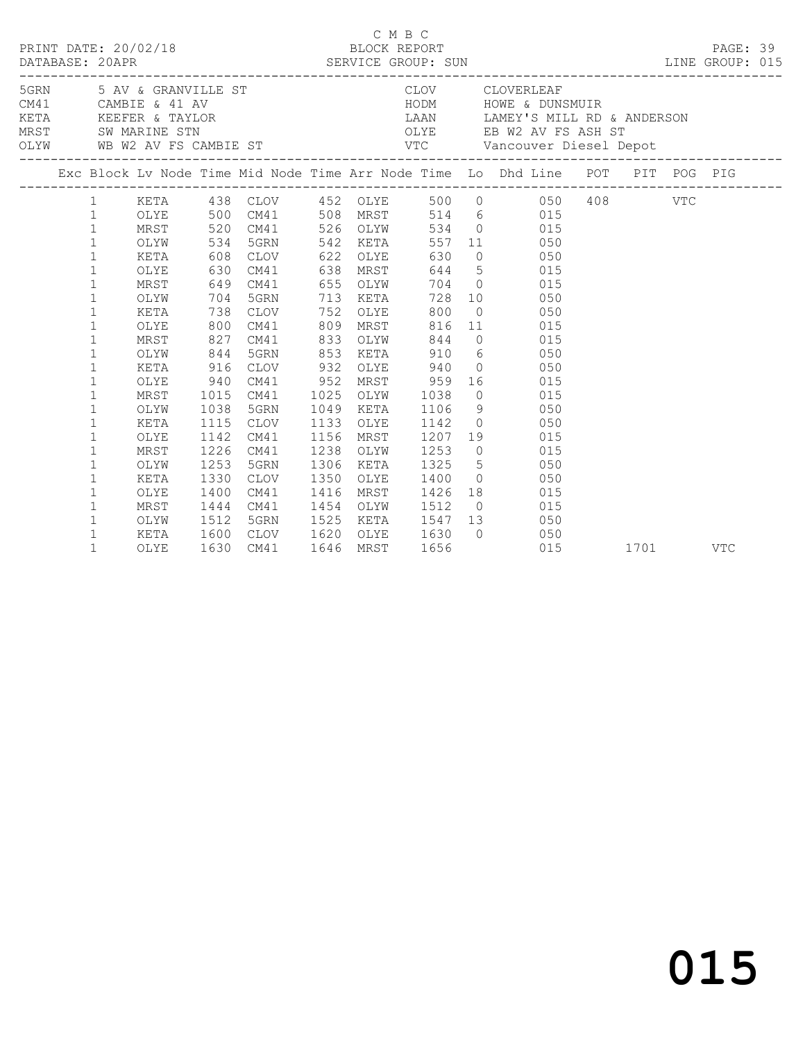|  |                              |              |              |              |              |              |      |                                                           | C M B C<br>DRINT DATE: 20/02/18 BLOCK REPORT<br>DATABASE: 20APR SERVICE GROUP: SUN<br>SERVICE GROUP: SUN<br>DINE GROUP: 015                                                                                                            |      |            |  |
|--|------------------------------|--------------|--------------|--------------|--------------|--------------|------|-----------------------------------------------------------|----------------------------------------------------------------------------------------------------------------------------------------------------------------------------------------------------------------------------------------|------|------------|--|
|  |                              |              |              |              |              |              |      |                                                           | 5 AV & GRANVILLE ST CLOV CLOVERLEAF<br>CM41 CAMBIE & 41 AV HODM HOWE & DUNSMUIR<br>KETA KEEFER & TAYLOR LAAN LAMEY'S MILL RD & ANDERSON<br>MRST SWAMARINE STN OLYE EB W2 AV FS ASH ST<br>OLYW WB W2 AV FS CAMBIE ST VTC Vancouver Dies |      |            |  |
|  |                              |              |              |              |              |              |      |                                                           | Exc Block Lv Node Time Mid Node Time Arr Node Time Lo Dhd Line POT PIT POG PIG                                                                                                                                                         |      |            |  |
|  |                              |              |              |              |              |              |      |                                                           | 1 KETA 438 CLOV 452 OLYE 500 0 050 408 VTC                                                                                                                                                                                             |      |            |  |
|  | $\mathbf{1}$                 |              |              |              |              |              |      |                                                           | OLYE 500 CM41 508 MRST 514 6 015                                                                                                                                                                                                       |      |            |  |
|  | $\mathbf{1}$                 | MRST         |              | 520 CM41     |              | 526 OLYW     |      |                                                           | 534 0 015                                                                                                                                                                                                                              |      |            |  |
|  | $\mathbf 1$                  | OLYW         |              | 534 5GRN     | 542          | KETA         |      |                                                           | 557 11 050                                                                                                                                                                                                                             |      |            |  |
|  | $\mathbf{1}$                 | KETA         |              | 608 CLOV     | 622          |              | OLYE | 630                                                       | $0\qquad \qquad 050$                                                                                                                                                                                                                   |      |            |  |
|  | $\mathbf 1$                  | OLYE         | 630          | CM41         | 638          |              | MRST |                                                           | 644 5 015                                                                                                                                                                                                                              |      |            |  |
|  | $\mathbf{1}$                 | MRST         |              | 649 CM41     | 655          | OLYW         |      |                                                           | 704 0 015                                                                                                                                                                                                                              |      |            |  |
|  | $\mathbf{1}$                 | OLYW         | 704          | 5GRN         | 713          | KETA         |      | 728                                                       | 10 050                                                                                                                                                                                                                                 |      |            |  |
|  | $\mathbf{1}$                 | KETA         | 738          | CLOV         | 752          | OLYE         |      | 800                                                       | $0$ 050                                                                                                                                                                                                                                |      |            |  |
|  | 1                            | OLYE         | 800          | CM41         | 809          | MRST         |      | 816                                                       | 11 015                                                                                                                                                                                                                                 |      |            |  |
|  | $\mathbf{1}$                 | MRST         | 827          | CM41         | 833          | OLYW         |      | 844                                                       | 0 0 0 1 5                                                                                                                                                                                                                              |      |            |  |
|  | 1                            | OLYW         | 844          | 5GRN         | 853          | KETA         |      |                                                           | 910 6 050                                                                                                                                                                                                                              |      |            |  |
|  | 1                            | KETA         | 916          | CLOV         | 932          | OLYE         |      | 940                                                       | $0 \qquad \qquad 050$                                                                                                                                                                                                                  |      |            |  |
|  | 1                            | OLYE         | 940          | CM41         | 952          | MRST         |      | 959                                                       | 16 015                                                                                                                                                                                                                                 |      |            |  |
|  | $\mathbf{1}$                 | MRST         | 1015         | CM41         | 1025         | OLYW         |      | 1038                                                      | $0$ 015                                                                                                                                                                                                                                |      |            |  |
|  | $\mathbf{1}$                 | OLYW         | 1038         | 5GRN         | 1049         | KETA         |      | 1106                                                      | 9 050                                                                                                                                                                                                                                  |      |            |  |
|  | 1<br>$\mathbf{1}$            | KETA<br>OLYE | 1115         | CLOV         | 1133<br>1156 | OLYE         |      | 1142                                                      | $0 \qquad \qquad 050$                                                                                                                                                                                                                  |      |            |  |
|  |                              |              | 1142<br>1226 | CM41         | 1238         | MRST         |      | 1207                                                      | 19 015                                                                                                                                                                                                                                 |      |            |  |
|  | $\mathbf{1}$<br>$\mathbf{1}$ | MRST<br>OLYW | 1253         | CM41         | 1306         | OLYW         |      | 1253<br>1325                                              | $0$ 015                                                                                                                                                                                                                                |      |            |  |
|  |                              |              |              | 5GRN         | 1350         | KETA         |      |                                                           | 5 050                                                                                                                                                                                                                                  |      |            |  |
|  | $\mathbf{1}$<br>$\mathbf{1}$ | KETA<br>OLYE | 1330<br>1400 | CLOV<br>CM41 | 1416         | OLYE<br>MRST |      | 1400                                                      | $0 \qquad \qquad 050$                                                                                                                                                                                                                  |      |            |  |
|  | $\mathbf{1}$                 | MRST         | 1444         | CM41         |              |              |      | 1426                                                      | 18 015                                                                                                                                                                                                                                 |      |            |  |
|  | $\mathbf{1}$                 | OLYW         | 1512         | 5GRN         |              |              |      |                                                           | $0\qquad \qquad 015$                                                                                                                                                                                                                   |      |            |  |
|  | $\mathbf{1}$                 | KETA         | 1600         | CLOV         |              |              |      | 1454 OLYW 1512 0<br>1525 KETA 1547 13<br>1620 OLYE 1630 0 | 050                                                                                                                                                                                                                                    |      |            |  |
|  | $\mathbf{1}$                 | OLYE         | 1630         | CM41         | 1646 MRST    |              |      | 1656                                                      | $\begin{array}{c} 050 \\ 015 \end{array}$                                                                                                                                                                                              | 1701 | <b>VTC</b> |  |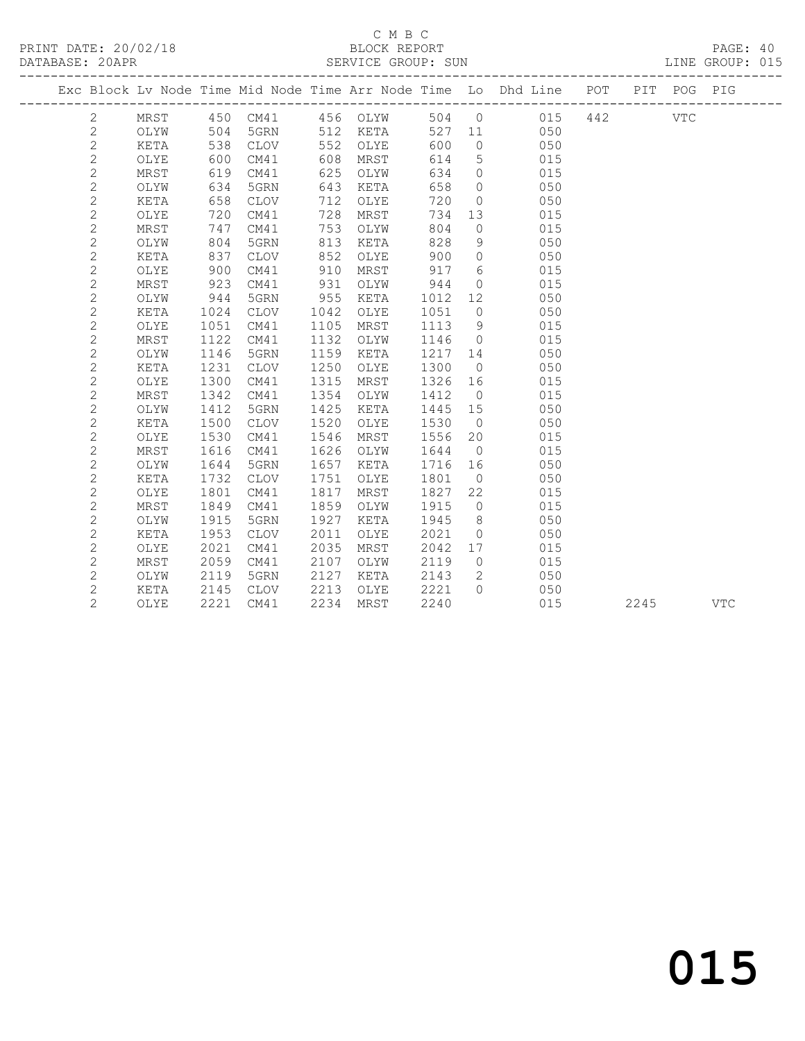#### C M B C<br>BLOCK REPORT DATABASE: 20APR SERVICE GROUP: SUN LINE GROUP: 015

|                |      |      |               |      |      |      | PRINT DATE: 20/02/18 BLOCK REPORT PAGE: 40<br>DATABASE: 20APR SERVICE GROUP: SUN SERVICE OF LINE GROUP: 015 |                                                                                |  |  |  |
|----------------|------|------|---------------|------|------|------|-------------------------------------------------------------------------------------------------------------|--------------------------------------------------------------------------------|--|--|--|
|                |      |      |               |      |      |      |                                                                                                             | Exc Block Lv Node Time Mid Node Time Arr Node Time Lo Dhd Line POT PIT POG PIG |  |  |  |
| 2              | MRST |      |               |      |      |      |                                                                                                             | 450 CM41 456 OLYW 504 0 015 442 VTC                                            |  |  |  |
| $\mathbf{2}$   | OLYW | 504  | 5GRN 512 KETA |      |      | 527  |                                                                                                             | 050<br>11 1                                                                    |  |  |  |
| $\sqrt{2}$     | KETA | 538  | CLOV          | 552  | OLYE | 600  | $\Omega$                                                                                                    | 050                                                                            |  |  |  |
| $\overline{2}$ | OLYE | 600  | CM41          | 608  | MRST | 614  | $5\overline{)}$                                                                                             | 015                                                                            |  |  |  |
| $\overline{c}$ | MRST | 619  | CM41          | 625  | OLYW | 634  | $\circ$                                                                                                     | 015                                                                            |  |  |  |
| $\mathbf{2}$   | OLYW | 634  | 5GRN          | 643  | KETA | 658  | $\overline{0}$                                                                                              | 050                                                                            |  |  |  |
| $\overline{c}$ | KETA | 658  | CLOV          | 712  | OLYE | 720  | $\overline{0}$                                                                                              | 050                                                                            |  |  |  |
| $\overline{c}$ | OLYE | 720  | CM41          | 728  | MRST | 734  | 13                                                                                                          | 015                                                                            |  |  |  |
| $\mathbf{2}$   | MRST | 747  | CM41          | 753  | OLYW | 804  | $\overline{0}$                                                                                              | 015                                                                            |  |  |  |
| $\overline{c}$ | OLYW | 804  | 5GRN          | 813  | KETA | 828  | 9                                                                                                           | 050                                                                            |  |  |  |
| $\overline{c}$ | KETA | 837  | CLOV          | 852  | OLYE | 900  | $\circ$                                                                                                     | 050                                                                            |  |  |  |
| $\overline{c}$ | OLYE | 900  | CM41          | 910  | MRST | 917  | $6\overline{6}$                                                                                             | 015                                                                            |  |  |  |
| $\overline{c}$ | MRST | 923  | CM41          | 931  | OLYW | 944  | $\circ$                                                                                                     | 015                                                                            |  |  |  |
| $\mathbf 2$    | OLYW | 944  | 5GRN          | 955  | KETA | 1012 | 12 <sup>°</sup>                                                                                             | 050                                                                            |  |  |  |
| $\overline{c}$ | KETA | 1024 | CLOV          | 1042 | OLYE | 1051 | $\overline{0}$                                                                                              | 050                                                                            |  |  |  |
| $\mathbf{2}$   | OLYE | 1051 | CM41          | 1105 | MRST | 1113 | 9                                                                                                           | 015                                                                            |  |  |  |
| $\mathbf{2}$   | MRST | 1122 | CM41          | 1132 | OLYW | 1146 | $\overline{0}$                                                                                              | 015                                                                            |  |  |  |
| $\overline{c}$ | OLYW | 1146 | 5GRN          | 1159 | KETA | 1217 | 14                                                                                                          | 050                                                                            |  |  |  |
| $\overline{c}$ | KETA | 1231 | <b>CLOV</b>   | 1250 | OLYE | 1300 | $\overline{0}$                                                                                              | 050                                                                            |  |  |  |
| $\overline{c}$ | OLYE | 1300 | CM41          | 1315 | MRST | 1326 | 16                                                                                                          | 015                                                                            |  |  |  |
| $\overline{2}$ | MRST | 1342 | CM41          | 1354 | OLYW | 1412 | $\overline{0}$                                                                                              | 015                                                                            |  |  |  |
| $\overline{c}$ | OLYW | 1412 | 5GRN          | 1425 | KETA | 1445 | 15                                                                                                          | 050                                                                            |  |  |  |
| $\overline{c}$ | KETA | 1500 | <b>CLOV</b>   | 1520 | OLYE | 1530 | $\overline{0}$                                                                                              | 050                                                                            |  |  |  |
| $\mathbf{2}$   | OLYE | 1530 | CM41          | 1546 | MRST | 1556 | 20                                                                                                          | 015                                                                            |  |  |  |
| $\overline{c}$ | MRST | 1616 | CM41          | 1626 | OLYW | 1644 | $\overline{0}$                                                                                              | 015                                                                            |  |  |  |
| $\overline{c}$ | OLYW | 1644 | 5GRN          | 1657 | KETA | 1716 | 16                                                                                                          | 050                                                                            |  |  |  |
| $\overline{2}$ | KETA | 1732 | CLOV          | 1751 | OLYE | 1801 | $\overline{0}$                                                                                              | 050                                                                            |  |  |  |
| $\sqrt{2}$     | OLYE | 1801 | CM41          | 1817 | MRST | 1827 | 22                                                                                                          | 015                                                                            |  |  |  |
| $\overline{c}$ | MRST | 1849 | CM41          | 1859 | OLYW | 1915 | $\overline{0}$                                                                                              | 015                                                                            |  |  |  |
| $\mathbf 2$    | OLYW | 1915 | 5GRN          | 1927 | KETA | 1945 | 8 <sup>8</sup>                                                                                              | 050                                                                            |  |  |  |
| $\mathbf{2}$   | KETA | 1953 | CLOV          | 2011 | OLYE | 2021 | $\overline{0}$                                                                                              | 050                                                                            |  |  |  |
| $\mathbf{2}$   | OLYE | 2021 | CM41          | 2035 | MRST | 2042 | 17                                                                                                          | 015                                                                            |  |  |  |
| $\overline{c}$ | MRST | 2059 | CM41          | 2107 | OLYW | 2119 | $\circ$                                                                                                     | 015                                                                            |  |  |  |
| $\overline{c}$ | OLYW | 2119 | 5GRN          | 2127 | KETA | 2143 | 2                                                                                                           | 050                                                                            |  |  |  |
| $\overline{2}$ | KETA | 2145 | <b>CLOV</b>   | 2213 | OLYE | 2221 | $\Omega$                                                                                                    | 050                                                                            |  |  |  |

2 OLYE 2221 CM41 2234 MRST 2240 015 2245 VTC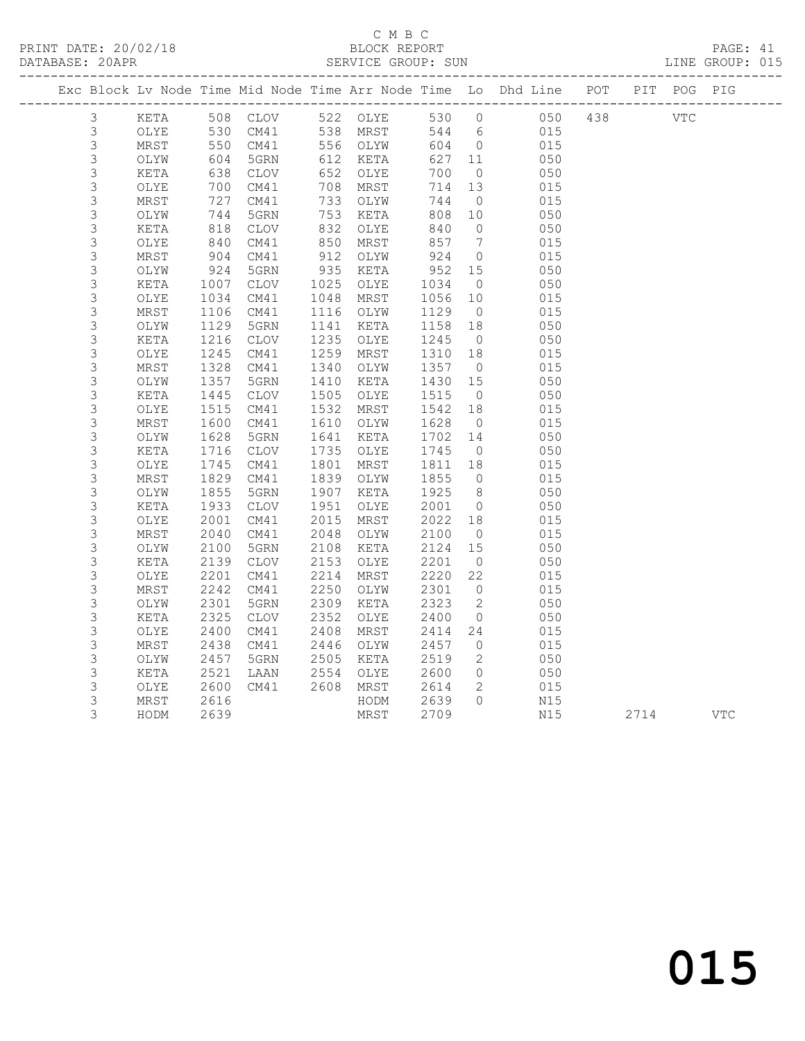### C M B C

| BLOCK REPORT |  |  |
|--------------|--|--|

#### PRINT DATE: 20/02/18 BLOCK REPORT PAGE: 41 SERVICE GROUP: SUN ------------------------------------------------------------------------------------------------- Exc Block Lv Node Time Mid Node Time Arr Node Time Lo Dhd Line POT PIT POG PIG -------------------------------------------------------------------------------------------------

| 3              | KETA          | 508  | $\mathtt{CLOV}$ | 522  | OLYE          | 530  | 0              | 050 | 438 |      | $_{\rm VTC}$ |
|----------------|---------------|------|-----------------|------|---------------|------|----------------|-----|-----|------|--------------|
| 3              | OLYE          | 530  | CM41            | 538  | MRST          | 544  | $\epsilon$     | 015 |     |      |              |
| $\mathfrak{Z}$ | MRST          | 550  | CM41            | 556  | OLYW          | 604  | 0              | 015 |     |      |              |
| 3              | OLYW          | 604  | 5GRN            | 612  | KETA          | 627  | 11             | 050 |     |      |              |
| $\mathsf 3$    | KETA          | 638  | $\mathtt{CLOV}$ | 652  | OLYE          | 700  | $\mathbb O$    | 050 |     |      |              |
| $\mathsf 3$    | OLYE          | 700  | CM41            | 708  | MRST          | 714  | 13             | 015 |     |      |              |
| $\mathfrak{Z}$ | MRST          | 727  | CM41            | 733  | OLYW          | 744  | $\mathbb O$    | 015 |     |      |              |
| $\mathfrak{Z}$ | OLYW          | 744  | 5GRN            | 753  | KETA          | 808  | 10             | 050 |     |      |              |
| $\mathsf 3$    | KETA          | 818  | <b>CLOV</b>     | 832  | OLYE          | 840  | $\mathsf{O}$   | 050 |     |      |              |
| $\mathsf 3$    | OLYE          | 840  | CM41            | 850  | MRST          | 857  | 7              | 015 |     |      |              |
| $\mathsf 3$    | MRST          | 904  | CM41            | 912  | OLYW          | 924  | 0              | 015 |     |      |              |
| $\mathsf S$    | OLYW          | 924  | 5GRN            | 935  | KETA          | 952  | $15$           | 050 |     |      |              |
| $\mathfrak{Z}$ | KETA          | 1007 | $\mathtt{CLOV}$ | 1025 | OLYE          | 1034 | $\circledcirc$ | 050 |     |      |              |
| $\mathsf 3$    | OLYE          | 1034 | CM41            | 1048 | MRST          | 1056 | $10$           | 015 |     |      |              |
| $\mathfrak{Z}$ | MRST          | 1106 | CM41            | 1116 | OLYW          | 1129 | $\mathbb O$    | 015 |     |      |              |
| $\mathsf 3$    | OLYW          | 1129 | 5GRN            | 1141 | KETA          | 1158 | 18             | 050 |     |      |              |
| 3              | KETA          | 1216 | <b>CLOV</b>     | 1235 | OLYE          | 1245 | $\mathbb O$    | 050 |     |      |              |
| $\mathsf 3$    | OLYE          | 1245 | CM41            | 1259 | MRST          | 1310 | 18             | 015 |     |      |              |
| $\mathsf 3$    | MRST          | 1328 | CM41            | 1340 | OLYW          | 1357 | $\mathbb O$    | 015 |     |      |              |
| $\mathsf 3$    | OLYW          | 1357 | 5GRN            | 1410 | KETA          | 1430 | 15             | 050 |     |      |              |
| $\mathsf 3$    | KETA          | 1445 | <b>CLOV</b>     | 1505 | OLYE          | 1515 | $\circ$        | 050 |     |      |              |
| $\mathfrak{Z}$ | OLYE          | 1515 | CM41            | 1532 | $\tt MRST$    | 1542 | 18             | 015 |     |      |              |
| $\mathfrak{Z}$ | MRST          | 1600 | CM41            | 1610 | OLYW          | 1628 | 0              | 015 |     |      |              |
| $\mathsf 3$    | OLYW          | 1628 | 5GRN            | 1641 | KETA          | 1702 | 14             | 050 |     |      |              |
| 3              | KETA          | 1716 | $\mathtt{CLOV}$ | 1735 | OLYE          | 1745 | 0              | 050 |     |      |              |
| $\mathfrak{Z}$ | OLYE          | 1745 | CM41            | 1801 | MRST          | 1811 | 18             | 015 |     |      |              |
| $\mathsf 3$    | MRST          | 1829 | CM41            | 1839 | OLYW          | 1855 | $\mathbb O$    | 015 |     |      |              |
| $\mathsf S$    | OLYW          | 1855 | 5GRN            | 1907 | KETA          | 1925 | $\,8\,$        | 050 |     |      |              |
| $\mathfrak{Z}$ | KETA          | 1933 | <b>CLOV</b>     | 1951 | OLYE          | 2001 | 0              | 050 |     |      |              |
| 3              | OLYE          | 2001 | CM41            | 2015 | MRST          | 2022 | 18             | 015 |     |      |              |
| $\mathsf 3$    | MRST          | 2040 | CM41            | 2048 | OLYW          | 2100 | $\mathbb O$    | 015 |     |      |              |
| $\mathfrak{Z}$ | OLYW          | 2100 | 5GRN            | 2108 | $\verb KETA $ | 2124 | 15             | 050 |     |      |              |
| 3              | KETA          | 2139 | $\mathtt{CLOV}$ | 2153 | OLYE          | 2201 | $\mathbb O$    | 050 |     |      |              |
| $\mathfrak{Z}$ | OLYE          | 2201 | CM41            | 2214 | MRST          | 2220 | 22             | 015 |     |      |              |
| $\mathsf 3$    | MRST          | 2242 | CM41            | 2250 | OLYW          | 2301 | 0              | 015 |     |      |              |
| 3              | OLYW          | 2301 | 5GRN            | 2309 | KETA          | 2323 | $\mathbf 2$    | 050 |     |      |              |
| $\mathsf 3$    | KETA          | 2325 | <b>CLOV</b>     | 2352 | OLYE          | 2400 | 0              | 050 |     |      |              |
| 3              | OLYE          | 2400 | CM41            | 2408 | MRST          | 2414 | 24             | 015 |     |      |              |
| $\mathfrak{Z}$ | MRST          | 2438 | CM41            | 2446 | OLYW          | 2457 | 0              | 015 |     |      |              |
| $\mathsf 3$    | OLYW          | 2457 | $5\,$ GRN       | 2505 | KETA          | 2519 | 2              | 050 |     |      |              |
| $\mathsf S$    | KETA          | 2521 | LAAN            | 2554 | OLYE          | 2600 | 0              | 050 |     |      |              |
| $\mathfrak{Z}$ | $\verb OLYE $ | 2600 | CM41            | 2608 | MRST          | 2614 | 2              | 015 |     |      |              |
| 3              | $\tt MRST$    | 2616 |                 |      | HODM          | 2639 | 0              | N15 |     |      |              |
| 3              | HODM          | 2639 |                 |      | MRST          | 2709 |                | N15 |     | 2714 | $_{\rm VTC}$ |
|                |               |      |                 |      |               |      |                |     |     |      |              |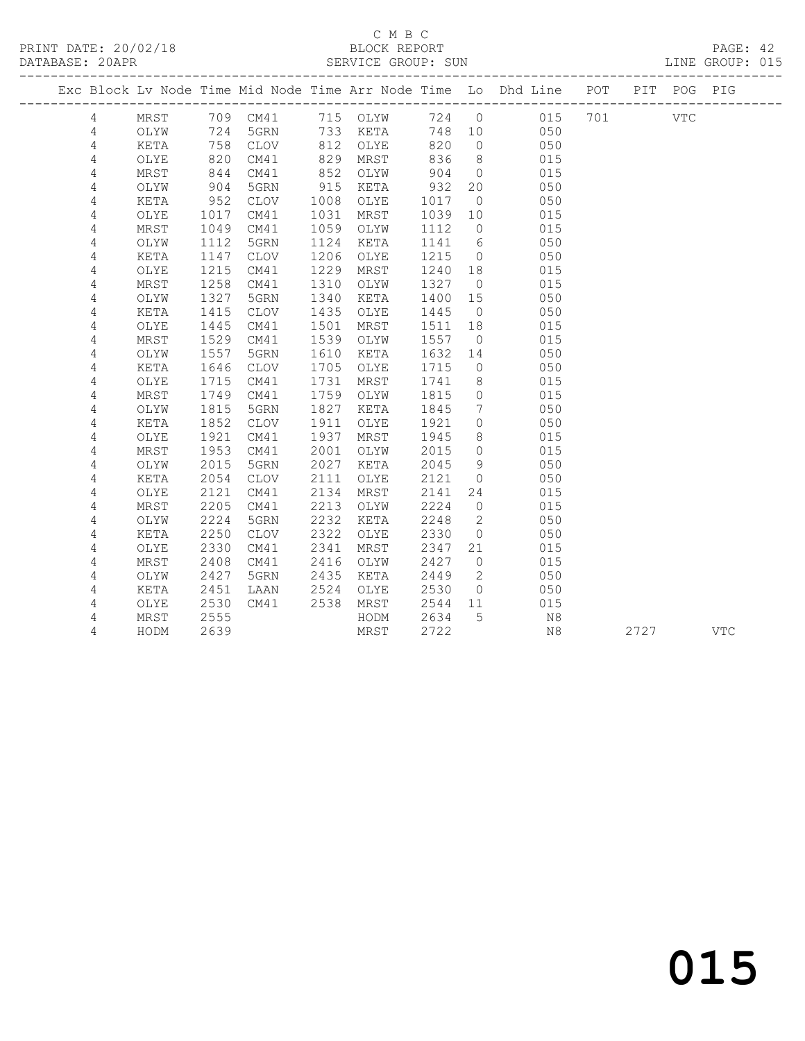### C M B C<br>BLOCK REPORT

| PRINT DATE: 20/02/18 | BLOCK REPORT                                                                                                                                                                                                                                                        | PAGE: 42        |  |
|----------------------|---------------------------------------------------------------------------------------------------------------------------------------------------------------------------------------------------------------------------------------------------------------------|-----------------|--|
| DATABASE: 20APR      | SERVICE GROUP: SUN                                                                                                                                                                                                                                                  | LINE GROUP: 015 |  |
|                      | $\Box$ , and $\Box$ , and $\Box$ , and $\Box$ , and $\Box$ , and $\Box$ , and $\Box$ , and $\Box$ , and $\Box$ , and $\Box$ , and $\Box$ , and $\Box$ , and $\Box$ , and $\Box$ , and $\Box$ , and $\Box$ , and $\Box$ , and $\Box$ , and $\Box$ , and $\Box$ , and |                 |  |

|                |             |      |             |      |          |       |                 | Exc Block Lv Node Time Mid Node Time Arr Node Time Lo Dhd Line POT |     |      | PIT POG PIG |            |
|----------------|-------------|------|-------------|------|----------|-------|-----------------|--------------------------------------------------------------------|-----|------|-------------|------------|
| 4              | MRST        |      | 709 CM41    |      | 715 OLYW | 724 0 |                 | 015                                                                | 701 |      | <b>VTC</b>  |            |
| 4              | OLYW        | 724  | 5GRN        |      | 733 KETA | 748   | 10              | 050                                                                |     |      |             |            |
| $\overline{4}$ | KETA        | 758  | CLOV        | 812  | OLYE     | 820   | $\overline{0}$  | 050                                                                |     |      |             |            |
| 4              | OLYE        | 820  | CM41        | 829  | MRST     | 836   | 8 <sup>8</sup>  | 015                                                                |     |      |             |            |
| 4              | MRST        | 844  | CM41        | 852  | OLYW     | 904   | $\overline{0}$  | 015                                                                |     |      |             |            |
| 4              | OLYW        | 904  | 5GRN        | 915  | KETA     | 932   | 20              | 050                                                                |     |      |             |            |
| 4              | KETA        | 952  | <b>CLOV</b> | 1008 | OLYE     | 1017  | $\overline{0}$  | 050                                                                |     |      |             |            |
| 4              | OLYE        | 1017 | CM41        | 1031 | MRST     | 1039  | 10              | 015                                                                |     |      |             |            |
| 4              | MRST        | 1049 | CM41        | 1059 | OLYW     | 1112  | $\overline{0}$  | 015                                                                |     |      |             |            |
| 4              | OLYW        | 1112 | 5GRN        | 1124 | KETA     | 1141  | 6               | 050                                                                |     |      |             |            |
| 4              | <b>KETA</b> | 1147 | <b>CLOV</b> | 1206 | OLYE     | 1215  | $\overline{0}$  | 050                                                                |     |      |             |            |
| 4              | OLYE        | 1215 | CM41        | 1229 | MRST     | 1240  | 18              | 015                                                                |     |      |             |            |
| 4              | MRST        | 1258 | CM41        | 1310 | OLYW     | 1327  | $\overline{0}$  | 015                                                                |     |      |             |            |
| $\sqrt{4}$     | OLYW        | 1327 | 5GRN        | 1340 | KETA     | 1400  | 15              | 050                                                                |     |      |             |            |
| 4              | KETA        | 1415 | CLOV        | 1435 | OLYE     | 1445  | $\overline{0}$  | 050                                                                |     |      |             |            |
| 4              | OLYE        | 1445 | CM41        | 1501 | MRST     | 1511  | 18              | 015                                                                |     |      |             |            |
| 4              | MRST        | 1529 | CM41        | 1539 | OLYW     | 1557  | $\overline{0}$  | 015                                                                |     |      |             |            |
| 4              | OLYW        | 1557 | 5GRN        | 1610 | KETA     | 1632  | 14              | 050                                                                |     |      |             |            |
| $\sqrt{4}$     | KETA        | 1646 | CLOV        | 1705 | OLYE     | 1715  | $\overline{0}$  | 050                                                                |     |      |             |            |
| 4              | OLYE        | 1715 | CM41        | 1731 | MRST     | 1741  | 8               | 015                                                                |     |      |             |            |
| 4              | MRST        | 1749 | CM41        | 1759 | OLYW     | 1815  | $\circ$         | 015                                                                |     |      |             |            |
| 4              | OLYW        | 1815 | 5GRN        | 1827 | KETA     | 1845  | $7\overline{ }$ | 050                                                                |     |      |             |            |
| 4              | KETA        | 1852 | <b>CLOV</b> | 1911 | OLYE     | 1921  | $\circ$         | 050                                                                |     |      |             |            |
| 4              | OLYE        | 1921 | CM41        | 1937 | MRST     | 1945  | 8               | 015                                                                |     |      |             |            |
| 4              | MRST        | 1953 | CM41        | 2001 | OLYW     | 2015  | $\circ$         | 015                                                                |     |      |             |            |
| 4              | OLYW        | 2015 | 5GRN        | 2027 | KETA     | 2045  | 9               | 050                                                                |     |      |             |            |
| 4              | KETA        | 2054 | <b>CLOV</b> | 2111 | OLYE     | 2121  | $\circ$         | 050                                                                |     |      |             |            |
| 4              | OLYE        | 2121 | CM41        | 2134 | MRST     | 2141  | 24              | 015                                                                |     |      |             |            |
| 4              | MRST        | 2205 | CM41        | 2213 | OLYW     | 2224  | $\circ$         | 015                                                                |     |      |             |            |
| 4              | OLYW        | 2224 | 5GRN        | 2232 | KETA     | 2248  | 2               | 050                                                                |     |      |             |            |
| 4              | KETA        | 2250 | <b>CLOV</b> | 2322 | OLYE     | 2330  | $\overline{0}$  | 050                                                                |     |      |             |            |
| 4              | OLYE        | 2330 | CM41        | 2341 | MRST     | 2347  | 21              | 015                                                                |     |      |             |            |
| 4              | MRST        | 2408 | CM41        | 2416 | OLYW     | 2427  | $\overline{0}$  | 015                                                                |     |      |             |            |
| 4              | OLYW        | 2427 | 5GRN        | 2435 | KETA     | 2449  | $\overline{2}$  | 050                                                                |     |      |             |            |
| 4              | KETA        | 2451 | LAAN        | 2524 | OLYE     | 2530  | $\overline{0}$  | 050                                                                |     |      |             |            |
| $\sqrt{4}$     | OLYE        | 2530 | CM41        | 2538 | MRST     | 2544  | 11              | 015                                                                |     |      |             |            |
| 4              | MRST        | 2555 |             |      | HODM     | 2634  | 5               | N8                                                                 |     |      |             |            |
| 4              | HODM        | 2639 |             |      | MRST     | 2722  |                 | N8                                                                 |     | 2727 |             | <b>VTC</b> |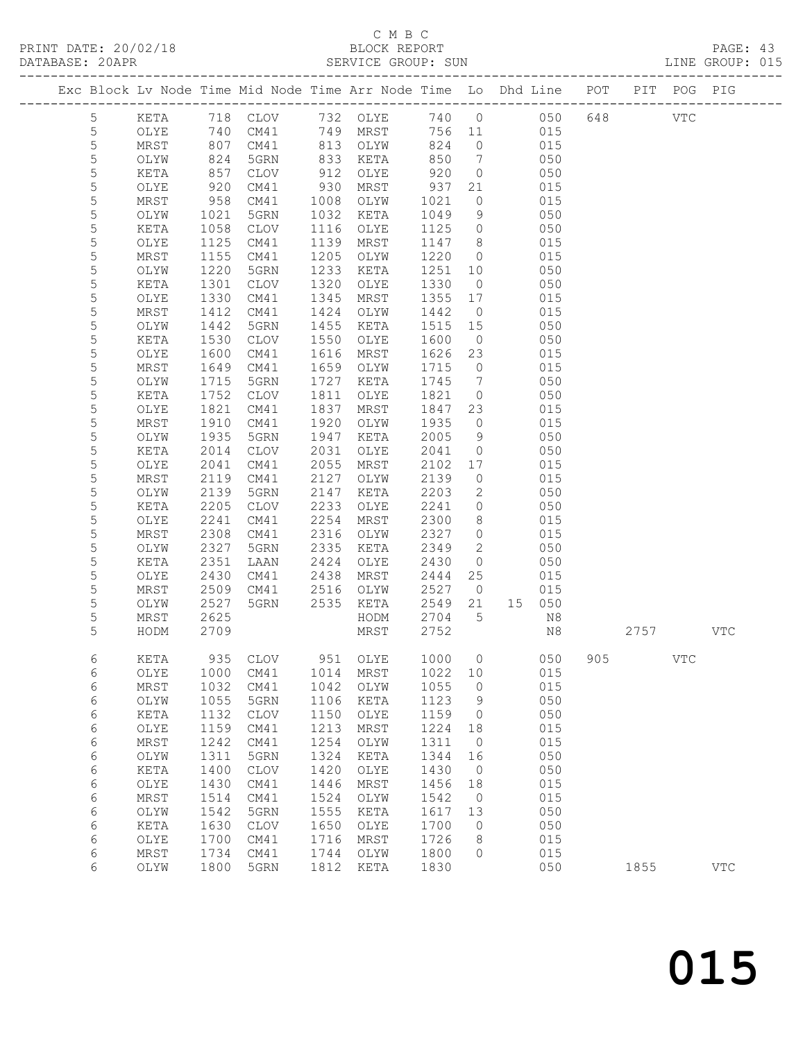### C M B C<br>BLOCK REPORT

| PRINT DATE: 20/02/18 BLOCK REPORT PRINT DATE: 20/02/18 BLOCK REPORT<br>DATABASE: 20APR SERVICE GROUP: SUN LINE GROUP: 015 |           |      |                                  |      |                                                                |              |                |                                                                                |     |      |            | PAGE: 43<br>LINE GROUP: 015 |  |
|---------------------------------------------------------------------------------------------------------------------------|-----------|------|----------------------------------|------|----------------------------------------------------------------|--------------|----------------|--------------------------------------------------------------------------------|-----|------|------------|-----------------------------|--|
|                                                                                                                           |           |      |                                  |      |                                                                |              |                | Exc Block Lv Node Time Mid Node Time Arr Node Time Lo Dhd Line POT PIT POG PIG |     |      |            |                             |  |
| 5                                                                                                                         |           |      |                                  |      |                                                                |              |                | KETA 718 CLOV 732 OLYE 740 0 050 648 VTC                                       |     |      |            |                             |  |
| $\mathsf S$                                                                                                               | OLYE      |      |                                  |      |                                                                |              |                | 740 CM41 749 MRST 756 11 015                                                   |     |      |            |                             |  |
| $\mathsf S$                                                                                                               | MRST      |      |                                  |      |                                                                |              |                |                                                                                |     |      |            |                             |  |
| $\mathsf S$                                                                                                               | OLYW      |      |                                  |      |                                                                |              |                | $\begin{matrix}0&0&15\\0&0&0\end{matrix}$<br>050                               |     |      |            |                             |  |
| 5                                                                                                                         | KETA      |      | 807 CM41<br>824 5GRN<br>857 CLOV |      | 813 OLYW 824 0<br>833 KETA 850 7<br>912 OLYE 920 0<br>912 OLYE |              |                | 050                                                                            |     |      |            |                             |  |
| 5                                                                                                                         | OLYE      |      | 920 CM41                         |      | 930 MRST                                                       | 937          | 21             | 015                                                                            |     |      |            |                             |  |
| 5                                                                                                                         | MRST      |      | 958 CM41                         |      | 1008 OLYW                                                      |              | $\overline{0}$ | 015                                                                            |     |      |            |                             |  |
| $\mathsf S$                                                                                                               | OLYW      |      | 1021 5GRN                        |      | 1032 KETA                                                      | 1021<br>1049 | 9              | 050                                                                            |     |      |            |                             |  |
| $\mathsf S$                                                                                                               | KETA      |      | 1058 CLOV                        |      | 1116 OLYE                                                      | 1125         | $\overline{0}$ | 050                                                                            |     |      |            |                             |  |
| 5                                                                                                                         | OLYE      | 1125 | CM41                             |      | 1139 MRST                                                      | 1147         | 8 <sup>8</sup> | 015                                                                            |     |      |            |                             |  |
| $\mathsf S$                                                                                                               | MRST      | 1155 | CM41                             |      | 1205 OLYW                                                      | 1220         |                | $0\qquad \qquad 015$                                                           |     |      |            |                             |  |
| 5                                                                                                                         | OLYW      | 1220 | 5GRN                             |      | 1233 KETA                                                      | 1251         | 10             | 050                                                                            |     |      |            |                             |  |
| 5                                                                                                                         | KETA      | 1301 | CLOV                             | 1320 | OLYE                                                           | 1330         | $\overline{0}$ | 050                                                                            |     |      |            |                             |  |
| 5                                                                                                                         | OLYE      | 1330 | CM41                             |      | 1345 MRST                                                      | 1355         | 17             | 015                                                                            |     |      |            |                             |  |
| $\mathsf S$                                                                                                               | MRST      | 1412 | CM41                             |      | 1424 OLYW                                                      | 1442         | $\overline{0}$ | 015                                                                            |     |      |            |                             |  |
| $\mathsf S$                                                                                                               | OLYW      | 1442 | 5GRN                             |      | 1455 KETA                                                      | 1515         | 15             | 050                                                                            |     |      |            |                             |  |
| 5                                                                                                                         | KETA      |      | 1530 CLOV                        |      | 1550 OLYE                                                      | 1600         | $\overline{0}$ | 050                                                                            |     |      |            |                             |  |
| 5                                                                                                                         | OLYE      | 1600 | CM41                             |      | 1616 MRST                                                      | 1626         | 23             | 015                                                                            |     |      |            |                             |  |
| $\mathsf S$                                                                                                               | MRST      | 1649 | CM41                             |      | 1659 OLYW                                                      | 1715         | $\overline{0}$ | 015                                                                            |     |      |            |                             |  |
| 5                                                                                                                         | OLYW      | 1715 | 5GRN                             |      | 1727 KETA                                                      |              | $\overline{7}$ | 050                                                                            |     |      |            |                             |  |
| 5                                                                                                                         | KETA      |      | 1752 CLOV                        | 1811 | OLYE                                                           | 1745<br>1821 | $\overline{0}$ | 050                                                                            |     |      |            |                             |  |
| 5                                                                                                                         | OLYE      |      | 1821 CM41                        | 1837 | MRST                                                           | 1847         | 23             | 015                                                                            |     |      |            |                             |  |
| $\mathsf S$                                                                                                               | MRST      | 1910 | CM41                             | 1920 | OLYW                                                           | 1935         | $\overline{0}$ | 015                                                                            |     |      |            |                             |  |
| 5                                                                                                                         | OLYW      | 1935 | 5GRN                             | 1947 | KETA                                                           | 2005         | 9              | 050                                                                            |     |      |            |                             |  |
| 5                                                                                                                         | KETA      | 2014 | CLOV                             | 2031 | OLYE                                                           | 2041         | $\overline{0}$ | 050                                                                            |     |      |            |                             |  |
| 5                                                                                                                         | OLYE      | 2041 | CM41                             | 2055 | MRST                                                           | 2102         | 17             | 015                                                                            |     |      |            |                             |  |
| $\mathsf S$                                                                                                               | MRST      | 2119 | CM41                             | 2127 | OLYW                                                           | 2139         | $\overline{0}$ | 015                                                                            |     |      |            |                             |  |
| 5                                                                                                                         | OLYW      | 2139 | 5GRN                             | 2147 | KETA                                                           | 2203         | $\overline{2}$ | 050                                                                            |     |      |            |                             |  |
| 5                                                                                                                         | KETA      | 2205 | CLOV                             | 2233 | OLYE                                                           | 2241         | $\overline{0}$ | 050                                                                            |     |      |            |                             |  |
| 5                                                                                                                         | OLYE      | 2241 | CM41                             | 2254 | MRST                                                           | 2300         | 8              | 015                                                                            |     |      |            |                             |  |
| 5                                                                                                                         | MRST      | 2308 | CM41                             |      | 2316 OLYW                                                      | 2327         | $\circ$        | 015                                                                            |     |      |            |                             |  |
| 5                                                                                                                         | OLYW      | 2327 | 5GRN                             | 2335 | KETA                                                           | 2349         | $\overline{2}$ | 050                                                                            |     |      |            |                             |  |
| $\mathsf S$                                                                                                               | KETA      | 2351 | LAAN                             | 2424 | OLYE                                                           | 2430         | $\overline{0}$ | 050                                                                            |     |      |            |                             |  |
| $\mathsf S$                                                                                                               | OLYE      | 2430 | CM41                             |      | 2438 MRST                                                      | 2444         | 25             | 015                                                                            |     |      |            |                             |  |
| $\mathsf S$                                                                                                               | MRST      |      | 2509 CM41                        |      | 2516 OLYW                                                      | 2527         |                | $\overline{O}$<br>015                                                          |     |      |            |                             |  |
| 5                                                                                                                         | OLYW      | 2527 | 5GRN                             |      | 2535 KETA                                                      | 2549         | 21             | 15 050                                                                         |     |      |            |                             |  |
| 5                                                                                                                         | MRST      | 2625 |                                  |      | HODM                                                           | 2704 5       |                | N8                                                                             |     |      |            |                             |  |
| 5                                                                                                                         | HODM 2709 |      |                                  |      | MRST                                                           |              |                | 2752 N8                                                                        |     | 2757 |            | $_{\rm VTC}$                |  |
| 6                                                                                                                         | KETA      | 935  | CLOV                             | 951  | OLYE                                                           | 1000         | $\circ$        | 050                                                                            | 905 |      | <b>VTC</b> |                             |  |
| 6                                                                                                                         | OLYE      | 1000 | CM41                             | 1014 | MRST                                                           | 1022         | 10             | 015                                                                            |     |      |            |                             |  |
| 6                                                                                                                         | MRST      | 1032 | CM41                             | 1042 | OLYW                                                           | 1055         | $\circ$        | 015                                                                            |     |      |            |                             |  |
| 6                                                                                                                         | OLYW      | 1055 | 5GRN                             | 1106 | KETA                                                           | 1123         | 9              | 050                                                                            |     |      |            |                             |  |
| 6                                                                                                                         | KETA      | 1132 | <b>CLOV</b>                      | 1150 | OLYE                                                           | 1159         | 0              | 050                                                                            |     |      |            |                             |  |
| 6                                                                                                                         | OLYE      | 1159 | CM41                             | 1213 | MRST                                                           | 1224         | 18             | 015                                                                            |     |      |            |                             |  |
| $\epsilon$                                                                                                                | MRST      | 1242 | CM41                             | 1254 | OLYW                                                           | 1311         | $\circ$        | 015                                                                            |     |      |            |                             |  |
| 6                                                                                                                         | OLYW      | 1311 | 5GRN                             | 1324 | KETA                                                           | 1344         | 16             | 050                                                                            |     |      |            |                             |  |
| 6                                                                                                                         | KETA      | 1400 | CLOV                             | 1420 | OLYE                                                           | 1430         | 0              | 050                                                                            |     |      |            |                             |  |
| 6                                                                                                                         | OLYE      | 1430 | CM41                             | 1446 | MRST                                                           | 1456         | 18             | 015                                                                            |     |      |            |                             |  |
| $\epsilon$                                                                                                                | MRST      | 1514 | CM41                             | 1524 | OLYW                                                           | 1542         | $\circ$        | 015                                                                            |     |      |            |                             |  |
| 6                                                                                                                         | OLYW      | 1542 | 5GRN                             | 1555 | KETA                                                           | 1617         | 13             | 050                                                                            |     |      |            |                             |  |
| 6                                                                                                                         | KETA      | 1630 | <b>CLOV</b>                      | 1650 | OLYE                                                           | 1700         | 0              | 050                                                                            |     |      |            |                             |  |
| 6                                                                                                                         | OLYE      | 1700 | CM41                             | 1716 | MRST                                                           | 1726         | 8              | 015                                                                            |     |      |            |                             |  |
| 6                                                                                                                         | MRST      | 1734 | CM41                             | 1744 | OLYW                                                           | 1800         | 0              | 015                                                                            |     |      |            |                             |  |

6 OLYW 1800 5GRN 1812 KETA 1830 050 1855 VTC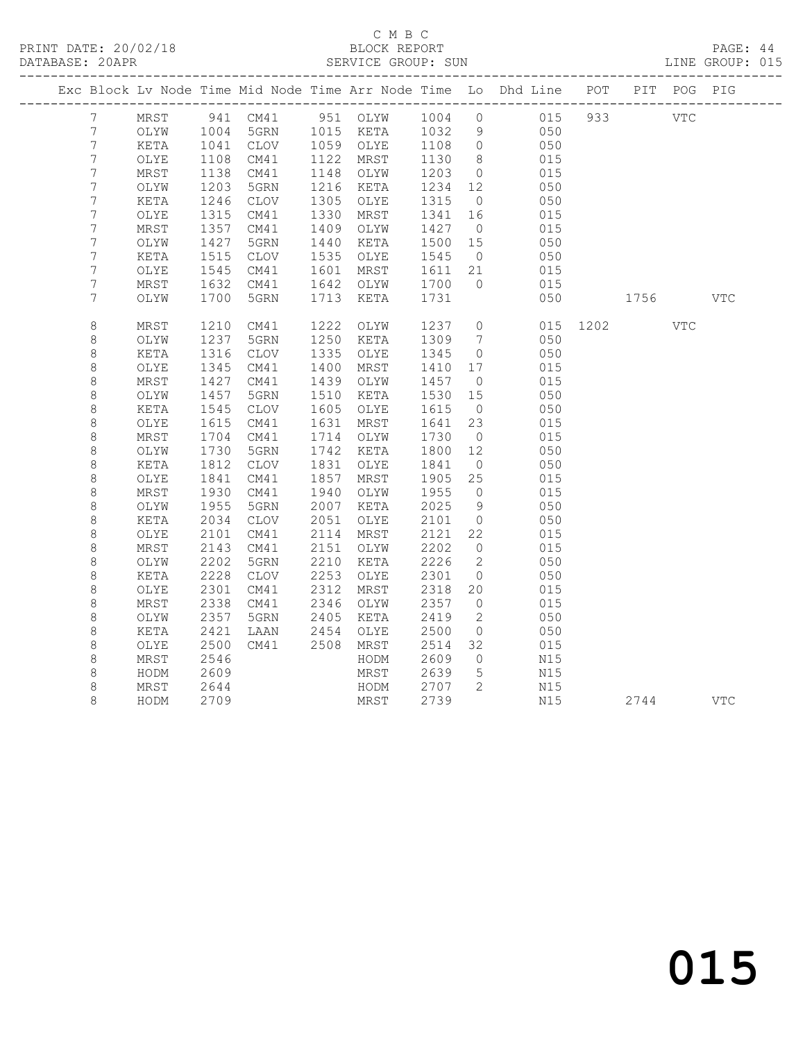# C M B C<br>BLOCK REPORT

PAGE: 44<br>LINE GROUP: 015

|                  |      |      |                   |      |                |              |                              | Exc Block Lv Node Time Mid Node Time Arr Node Time Lo Dhd Line POT |          | PIT  | POG        | PIG        |
|------------------|------|------|-------------------|------|----------------|--------------|------------------------------|--------------------------------------------------------------------|----------|------|------------|------------|
| $7\overline{ }$  | MRST |      | 941 CM41 951 OLYW |      |                | 1004 0       |                              | 015                                                                | 933      |      | <b>VTC</b> |            |
| $7\phantom{.0}$  | OLYW | 1004 | 5GRN              |      | 1015 KETA 1032 |              | 9                            | 050                                                                |          |      |            |            |
| $7\phantom{.0}$  | KETA | 1041 | CLOV              |      | 1059 OLYE      | 1108<br>1130 | $\overline{0}$               | 050                                                                |          |      |            |            |
| $\boldsymbol{7}$ | OLYE | 1108 | CM41              | 1122 | MRST           | 1130         | 8 <sup>8</sup>               | 015                                                                |          |      |            |            |
| 7                | MRST | 1138 | CM41              | 1148 | OLYW           | 1203         | $\overline{0}$               | 015                                                                |          |      |            |            |
| $\boldsymbol{7}$ | OLYW | 1203 | 5GRN              | 1216 | KETA           | 1234         | 12                           | 050                                                                |          |      |            |            |
| $\boldsymbol{7}$ | KETA | 1246 | CLOV              | 1305 | OLYE           | 1315         | $\overline{0}$               | 050                                                                |          |      |            |            |
| 7                | OLYE | 1315 | CM41              | 1330 | MRST           | 1341         | 16                           | 015                                                                |          |      |            |            |
| $\boldsymbol{7}$ | MRST | 1357 | CM41              | 1409 | OLYW           | 1427         | $\overline{0}$               | 015                                                                |          |      |            |            |
| 7                | OLYW | 1427 | 5GRN              | 1440 | KETA           | 1500         | 15                           | 050                                                                |          |      |            |            |
| $\boldsymbol{7}$ | KETA | 1515 | CLOV              | 1535 | OLYE           | 1545         | $\overline{0}$               | 050                                                                |          |      |            |            |
| $\boldsymbol{7}$ | OLYE | 1545 | CM41              | 1601 | MRST           | 1611 21      |                              | 015                                                                |          |      |            |            |
| 7                | MRST | 1632 | CM41              | 1642 | OLYW           | 1700         | $\Omega$                     | 015                                                                |          |      |            |            |
| 7                | OLYW | 1700 | 5GRN              | 1713 | KETA           | 1731         |                              | 050                                                                |          | 1756 |            | <b>VTC</b> |
| $\,8\,$          | MRST | 1210 | CM41              | 1222 | OLYW           | 1237         | $\overline{0}$               |                                                                    | 015 1202 |      | VTC        |            |
| $\,8\,$          | OLYW | 1237 | 5GRN              | 1250 | KETA           | 1309         | $7\phantom{.0}\phantom{.0}7$ | 050                                                                |          |      |            |            |
| 8                | KETA | 1316 | CLOV              | 1335 | OLYE           | 1345         | $\overline{0}$               | 050                                                                |          |      |            |            |
| 8                | OLYE | 1345 | CM41              | 1400 | MRST           | 1410         | 17                           | 015                                                                |          |      |            |            |
| $\,8\,$          | MRST | 1427 | CM41              | 1439 | OLYW           | 1457         | $\overline{0}$               | 015                                                                |          |      |            |            |
| 8                | OLYW | 1457 | 5GRN              | 1510 | KETA           | 1530         | 15                           | 050                                                                |          |      |            |            |
| $\,8\,$          | KETA | 1545 | CLOV              | 1605 | OLYE           | 1615         | $\overline{0}$               | 050                                                                |          |      |            |            |
| 8                | OLYE | 1615 | CM41              | 1631 | MRST           | 1641         | 23                           | 015                                                                |          |      |            |            |
| $\,8\,$          | MRST | 1704 | CM41              | 1714 | OLYW           | 1730         | $\overline{0}$               | 015                                                                |          |      |            |            |
| 8                | OLYW | 1730 | 5GRN              | 1742 | KETA           | 1800         | 12                           | 050                                                                |          |      |            |            |
| $\,8\,$          | KETA | 1812 | CLOV              | 1831 | OLYE           | 1841         | $\overline{0}$               | 050                                                                |          |      |            |            |
| 8                | OLYE | 1841 | CM41              | 1857 | MRST           | 1905         | 25                           | 015                                                                |          |      |            |            |
| $\,8\,$          | MRST | 1930 | CM41              | 1940 | OLYW           | 1955         | $\overline{0}$               | 015                                                                |          |      |            |            |
| 8                | OLYW | 1955 | 5GRN              | 2007 | KETA           | 2025         | $\overline{9}$               | 050                                                                |          |      |            |            |
| 8                | KETA | 2034 | CLOV              | 2051 | OLYE           | 2101         | $\overline{0}$               | 050                                                                |          |      |            |            |
| 8                | OLYE | 2101 | CM41              | 2114 | MRST           | 2121         | 22                           | 015                                                                |          |      |            |            |
| 8                | MRST | 2143 | CM41              | 2151 | OLYW           | 2202         | $\overline{0}$               | 015                                                                |          |      |            |            |
| 8                | OLYW | 2202 | 5GRN              | 2210 | KETA           | 2226         | 2                            | 050                                                                |          |      |            |            |
| $\,8\,$          | KETA | 2228 | <b>CLOV</b>       | 2253 | OLYE           | 2301         | $\overline{0}$               | 050                                                                |          |      |            |            |
| 8                | OLYE | 2301 | CM41              | 2312 | MRST           | 2318         | 20                           | 015                                                                |          |      |            |            |
| 8                | MRST | 2338 | CM41              | 2346 | OLYW           | 2357         | $\overline{0}$               | 015                                                                |          |      |            |            |
| $\,8\,$          | OLYW | 2357 | 5GRN              | 2405 | KETA           | 2419         | 2                            | 050                                                                |          |      |            |            |
| 8                | KETA | 2421 | LAAN              | 2454 | OLYE           | 2500         | $\overline{0}$               | 050                                                                |          |      |            |            |
| $\,8\,$          | OLYE | 2500 | CM41              | 2508 | MRST           | 2514         | 32                           | 015                                                                |          |      |            |            |
| 8                | MRST | 2546 |                   |      | HODM           | 2609         | $\overline{0}$               | N15                                                                |          |      |            |            |
| 8                | HODM | 2609 |                   |      | MRST           | 2639         | $5\phantom{.0}$              | N15                                                                |          |      |            |            |
| 8                | MRST | 2644 |                   |      | HODM           | 2707         | $\overline{2}$               | N15                                                                |          |      |            |            |
| 8                | HODM | 2709 |                   |      | MRST           | 2739         |                              | N15                                                                |          | 2744 |            | VTC        |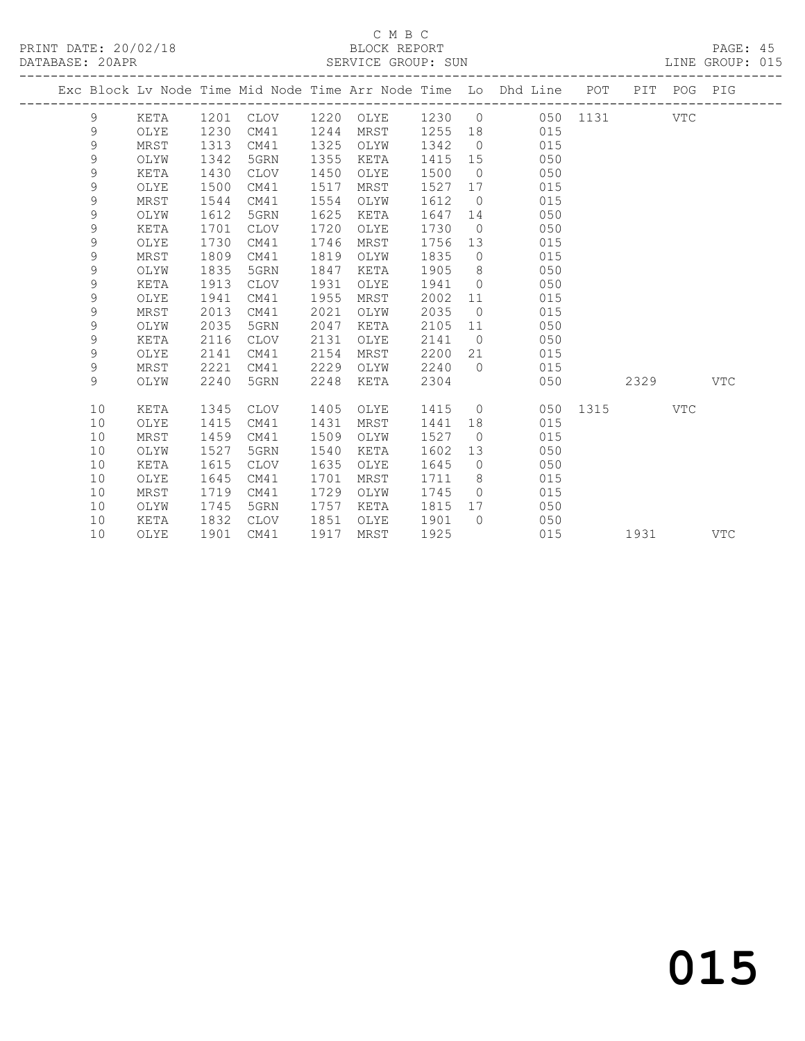|  |             |      |      |                     |      |      |        |                | Exc Block Lv Node Time Mid Node Time Arr Node Time Lo Dhd Line POT PIT POG PIG |              |      |            |            |
|--|-------------|------|------|---------------------|------|------|--------|----------------|--------------------------------------------------------------------------------|--------------|------|------------|------------|
|  | 9           | KETA |      | 1201 CLOV 1220 OLYE |      |      | 1230 0 |                |                                                                                | 050 1131 VTC |      |            |            |
|  | 9           | OLYE | 1230 | CM41                | 1244 | MRST |        |                | 1255 18<br>015                                                                 |              |      |            |            |
|  | $\mathsf 9$ | MRST | 1313 | CM41                | 1325 | OLYW | 1342   | $\overline{0}$ | 015                                                                            |              |      |            |            |
|  | $\mathsf 9$ | OLYW | 1342 | 5GRN                | 1355 | KETA | 1415   | 15             | 050                                                                            |              |      |            |            |
|  | 9           | KETA | 1430 | CLOV                | 1450 | OLYE | 1500   | $\overline{0}$ | 050                                                                            |              |      |            |            |
|  | $\mathsf 9$ | OLYE | 1500 | CM41                | 1517 | MRST | 1527   | 17             | 015                                                                            |              |      |            |            |
|  | 9           | MRST | 1544 | CM41                | 1554 | OLYW | 1612   | $\overline{0}$ | 015                                                                            |              |      |            |            |
|  | 9           | OLYW | 1612 | 5GRN                | 1625 | KETA | 1647   | 14             | 050                                                                            |              |      |            |            |
|  | 9           | KETA | 1701 | CLOV                | 1720 | OLYE | 1730   | $\overline{0}$ | 050                                                                            |              |      |            |            |
|  | 9           | OLYE | 1730 | CM41                | 1746 | MRST | 1756   | 13             | 015                                                                            |              |      |            |            |
|  | $\mathsf 9$ | MRST | 1809 | CM41                | 1819 | OLYW | 1835   | $\overline{0}$ | 015                                                                            |              |      |            |            |
|  | 9           | OLYW | 1835 | 5GRN                | 1847 | KETA | 1905   | 8 <sup>8</sup> | 050                                                                            |              |      |            |            |
|  | 9           | KETA | 1913 | <b>CLOV</b>         | 1931 | OLYE | 1941   | $\bigcirc$     | 050                                                                            |              |      |            |            |
|  | 9           | OLYE | 1941 | CM41                | 1955 | MRST | 2002   | 11             | 015                                                                            |              |      |            |            |
|  | 9           | MRST | 2013 | CM41                | 2021 | OLYW | 2035   | $\overline{0}$ | 015                                                                            |              |      |            |            |
|  | 9           | OLYW | 2035 | 5GRN                | 2047 | KETA | 2105   | 11             | 050                                                                            |              |      |            |            |
|  | 9           | KETA | 2116 | <b>CLOV</b>         | 2131 | OLYE | 2141   | $\overline{0}$ | 050                                                                            |              |      |            |            |
|  | 9           | OLYE | 2141 | CM41                | 2154 | MRST | 2200   | 21             | 015                                                                            |              |      |            |            |
|  | 9           | MRST | 2221 | CM41                | 2229 | OLYW | 2240   | $\bigcap$      | 015                                                                            |              |      |            |            |
|  | 9           | OLYW | 2240 | 5GRN                | 2248 | KETA | 2304   |                | 050                                                                            |              | 2329 |            | VTC        |
|  |             |      |      |                     |      |      |        |                |                                                                                |              |      |            |            |
|  | 10          | KETA | 1345 | CLOV                | 1405 | OLYE | 1415   |                | $\overline{0}$<br>050                                                          | 1315         |      | <b>VTC</b> |            |
|  | 10          | OLYE | 1415 | CM41                | 1431 | MRST | 1441   | 18             | 015                                                                            |              |      |            |            |
|  | 10          | MRST | 1459 | CM41                | 1509 | OLYW | 1527   | $\overline{0}$ | 015                                                                            |              |      |            |            |
|  | 10          | OLYW | 1527 | 5GRN                | 1540 | KETA | 1602   | 13             | 050                                                                            |              |      |            |            |
|  | 10          | KETA | 1615 | CLOV                | 1635 | OLYE | 1645   | $\overline{0}$ | 050                                                                            |              |      |            |            |
|  | 10          | OLYE | 1645 | CM41                | 1701 | MRST | 1711   | 8              | 015                                                                            |              |      |            |            |
|  | 10          | MRST | 1719 | CM41                | 1729 | OLYW | 1745   | $\overline{0}$ | 015                                                                            |              |      |            |            |
|  | 10          | OLYW | 1745 | 5GRN                | 1757 | KETA | 1815   | 17             | 050                                                                            |              |      |            |            |
|  | 10          | KETA | 1832 | CLOV                | 1851 | OLYE | 1901   | $\overline{0}$ | 050                                                                            |              |      |            |            |
|  | 10          | OLYE | 1901 | CM41                | 1917 | MRST | 1925   |                | 015                                                                            |              | 1931 |            | <b>VTC</b> |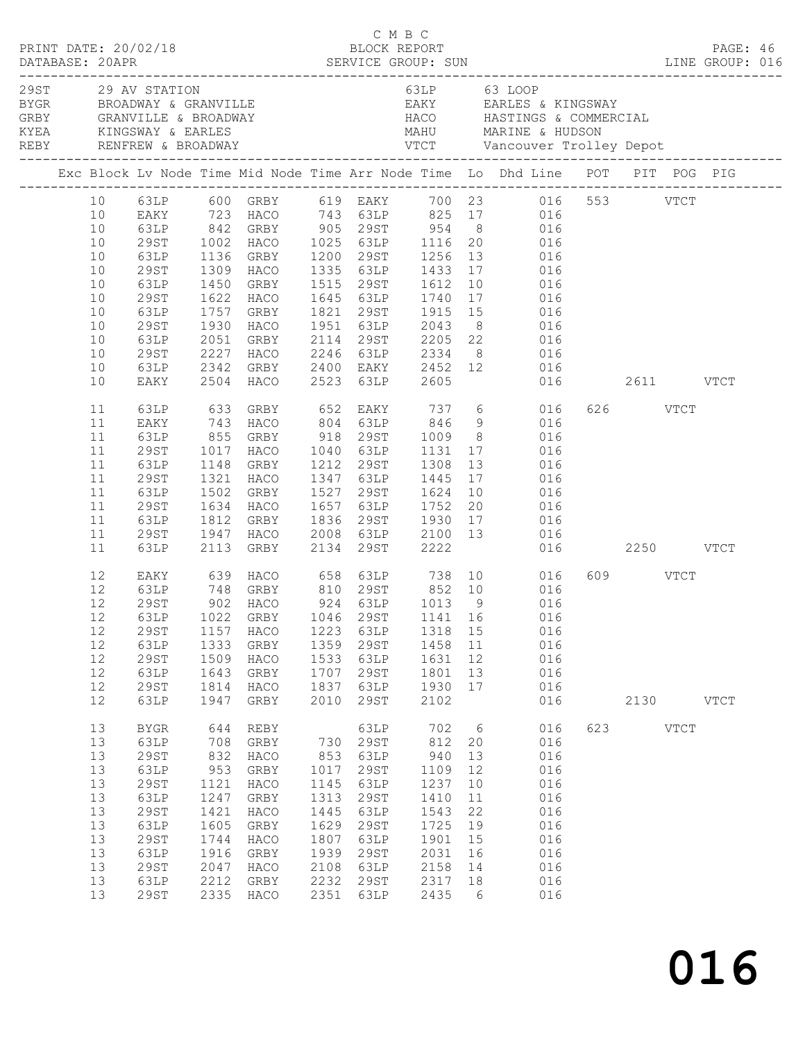| PRINT DATE: 20/02/18                            |                     |              |                        |              | C M B C      | BLOCK REPORT |                 |                                                                                                                             |          |           | PAGE: 46 |  |
|-------------------------------------------------|---------------------|--------------|------------------------|--------------|--------------|--------------|-----------------|-----------------------------------------------------------------------------------------------------------------------------|----------|-----------|----------|--|
| 29ST 29 AV STATION<br>BYGR BROADWAY & GRANVILLE |                     |              |                        |              |              |              |                 | 63LP 63 LOOP<br>EAKY EARLES & KINGSWAY                                                                                      |          |           |          |  |
|                                                 |                     |              |                        |              |              |              |                 | Exc Block Lv Node Time Mid Node Time Arr Node Time Lo Dhd Line POT PIT POG PIG                                              |          |           |          |  |
|                                                 |                     |              |                        |              |              |              |                 | 10 63LP 600 GRBY 619 EAKY 700 23 016 553 VTCT                                                                               |          |           |          |  |
| 10                                              |                     |              |                        |              |              |              |                 | EAKY 723 HACO 743 63LP 825 17 016                                                                                           |          |           |          |  |
| 10                                              |                     |              |                        |              |              |              |                 | 63LP 842 GRBY 905 29ST 954 8 016<br>29ST 1002 HACO 1025 63LP 1116 20 016<br>63LP 1136 GRBY 1200 29ST 1256 13 016            |          |           |          |  |
| 10                                              |                     |              |                        |              |              |              |                 |                                                                                                                             |          |           |          |  |
| 10                                              |                     |              |                        |              |              |              |                 |                                                                                                                             |          |           |          |  |
| 10                                              | 29ST                |              |                        |              |              |              |                 | 1309 HACO 1335 63LP 1433 17 016                                                                                             |          |           |          |  |
| 10<br>10                                        |                     |              |                        |              |              |              |                 | 63LP 1450 GRBY 1515 29ST 1612 10 016<br>29ST 1622 HACO 1645 63LP 1740 17 016<br>63LP 1757 GRBY 1821 29ST 1915 15 016        |          |           |          |  |
| 10                                              |                     |              |                        |              |              |              |                 |                                                                                                                             |          |           |          |  |
| 10                                              | 29ST                |              |                        |              |              |              |                 | 1930 HACO 1951 63LP 2043 8 016                                                                                              |          |           |          |  |
| 10                                              | 63LP                |              |                        |              |              |              |                 | 2051 GRBY 2114 29ST 2205 22 016                                                                                             |          |           |          |  |
| 10                                              |                     |              |                        |              |              |              |                 |                                                                                                                             |          |           |          |  |
| 10                                              |                     |              |                        |              |              |              |                 |                                                                                                                             |          |           |          |  |
| 10                                              |                     |              |                        |              |              |              |                 | 29ST 2227 HACO 2246 63LP 2334 8 016<br>63LP 2342 GRBY 2400 EAKY 2452 12 016<br>EAKY 2504 HACO 2523 63LP 2605 016 2611 VTCT  |          |           |          |  |
| 11                                              |                     |              |                        |              |              |              |                 | 63LP 633 GRBY 652 EAKY 737 6 016<br>EAKY 743 HACO 804 63LP 846 9 016<br>63LP 855 GRBY 918 29ST 1009 8 016                   | 626 VTCT |           |          |  |
| 11                                              |                     |              |                        |              |              |              |                 |                                                                                                                             |          |           |          |  |
| 11                                              |                     |              |                        |              |              |              |                 |                                                                                                                             |          |           |          |  |
| 11                                              | 29ST                |              |                        |              |              |              |                 | 1017 HACO 1040 63LP 1131 17 016                                                                                             |          |           |          |  |
| 11                                              | 63LP                |              | 1148 GRBY              |              |              |              |                 | 1212 29ST 1308 13 016<br>1347 63LP 1445 17 016<br>1527 29ST 1624 10 016                                                     |          |           |          |  |
| 11                                              | 29ST                |              | 1321 HACO<br>1502 GRBY |              |              |              |                 |                                                                                                                             |          |           |          |  |
| 11                                              | 63LP                |              |                        |              |              |              |                 | 1634 HACO 1657 63LP 1752 20 016                                                                                             |          |           |          |  |
| 11<br>11                                        | 29ST<br>63LP        |              |                        |              |              |              |                 |                                                                                                                             |          |           |          |  |
| 11                                              |                     |              |                        |              |              |              |                 |                                                                                                                             |          |           |          |  |
| 11                                              |                     |              |                        |              |              |              |                 | 63LP 1812 GRBY 1836 29ST 1930 17 016<br>29ST 1947 HACO 2008 63LP 2100 13 016<br>63LP 2113 GRBY 2134 29ST 2222 016 2250 VTCT |          |           |          |  |
| 12                                              |                     |              |                        |              |              |              |                 | EAKY 639 HACO 658 63LP 738 10 016                                                                                           | 609 VTCT |           |          |  |
| 12                                              |                     |              |                        |              |              |              |                 | 63LP 748 GRBY 810 29ST 852 10 016<br>29ST 902 HACO 924 63LP 1013 9 016                                                      |          |           |          |  |
| 12                                              |                     |              |                        |              |              |              |                 |                                                                                                                             |          |           |          |  |
|                                                 |                     |              |                        |              |              |              |                 | 12 63LP 1022 GRBY 1046 29ST 1141 16 016                                                                                     |          |           |          |  |
| 12                                              | 29ST                | 1157         | HACO                   | 1223         | 63LP         | 1318 15      |                 | 016                                                                                                                         |          |           |          |  |
| 12                                              | 63LP                | 1333         | GRBY                   | 1359         | 29ST         | 1458 11      |                 | 016                                                                                                                         |          |           |          |  |
| 12<br>12                                        | 29ST                | 1509         | HACO                   | 1533         | 63LP         | 1631         | 12              | 016                                                                                                                         |          |           |          |  |
| $12$                                            | 63LP<br>29ST        | 1643<br>1814 | GRBY<br>HACO           | 1707<br>1837 | 29ST<br>63LP | 1801<br>1930 | 13<br>17        | 016<br>016                                                                                                                  |          |           |          |  |
| 12                                              | 63LP                | 1947         | GRBY                   | 2010         | 29ST         | 2102         |                 | 016                                                                                                                         |          | 2130 VTCT |          |  |
| 13                                              | <b>BYGR</b>         | 644          | REBY                   |              | 63LP         | 702          | $6\overline{6}$ | 016                                                                                                                         | 623 VTCT |           |          |  |
| 13                                              | 63LP                | 708          | GRBY                   |              | 730 29ST     | 812          | 20              | 016                                                                                                                         |          |           |          |  |
| 13                                              | <b>29ST</b>         | 832          | HACO                   | 853          | 63LP         | 940          | 13              | 016                                                                                                                         |          |           |          |  |
| 13                                              | 63LP                | 953          | GRBY                   | 1017         | 29ST         | 1109         | 12              | 016                                                                                                                         |          |           |          |  |
| 13                                              | <b>29ST</b>         | 1121         | HACO                   | 1145         | 63LP         | 1237         | 10              | 016                                                                                                                         |          |           |          |  |
| 13                                              | 63LP                | 1247         | GRBY                   | 1313         | 29ST         | 1410         | 11              | 016                                                                                                                         |          |           |          |  |
| $13$                                            | <b>29ST</b>         | 1421         | HACO                   | 1445         | 63LP         | 1543         | 22              | 016                                                                                                                         |          |           |          |  |
| 13                                              | 63LP                | 1605         | GRBY                   | 1629         | 29ST         | 1725         | 19              | 016                                                                                                                         |          |           |          |  |
| 13                                              | <b>29ST</b>         | 1744         | HACO                   | 1807         | 63LP         | 1901         | 15              | 016                                                                                                                         |          |           |          |  |
| 13                                              | 63LP                | 1916         | GRBY                   | 1939         | 29ST         | 2031         | 16              | 016                                                                                                                         |          |           |          |  |
| 13<br>13                                        | <b>29ST</b><br>63LP | 2047<br>2212 | HACO<br>GRBY           | 2108<br>2232 | 63LP<br>29ST | 2158<br>2317 | 14<br>18        | 016<br>016                                                                                                                  |          |           |          |  |
| 13                                              | <b>29ST</b>         |              | 2335 HACO              | 2351         | 63LP         | 2435         | 6               | 016                                                                                                                         |          |           |          |  |
|                                                 |                     |              |                        |              |              |              |                 |                                                                                                                             |          |           |          |  |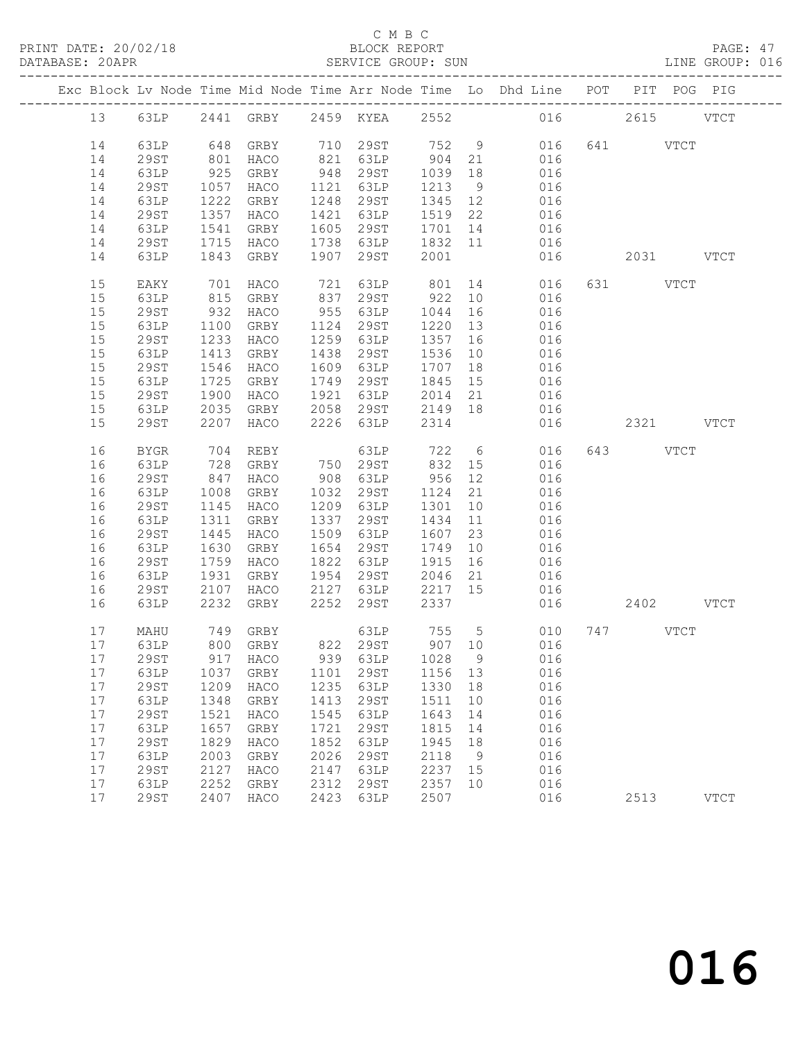#### C M B C<br>BLOCK REPORT

| PRINT DATE: 20/02/18<br>DATABASE: 20APR |          |                     |              | 2/18                                                      |              |                           |                    |          | BLOCK REPORT<br>SERVICE GROUP: SUN                                             |                   | PAGE: 47<br>LINE GROUP: 016 |  |
|-----------------------------------------|----------|---------------------|--------------|-----------------------------------------------------------|--------------|---------------------------|--------------------|----------|--------------------------------------------------------------------------------|-------------------|-----------------------------|--|
|                                         |          |                     |              |                                                           |              |                           |                    |          | Exc Block Lv Node Time Mid Node Time Arr Node Time Lo Dhd Line POT PIT POG PIG |                   |                             |  |
|                                         |          |                     |              |                                                           |              |                           |                    |          | 13 63LP 2441 GRBY 2459 KYEA 2552 016 2615 VTCT                                 |                   |                             |  |
|                                         | 14       |                     |              | 63LP 648 GRBY 710 29ST                                    |              |                           |                    |          | 752 9 016 641 VTCT                                                             |                   |                             |  |
|                                         | 14       | 29ST                |              | 801 HACO       821   63LP<br>925   GRBY        948   29ST |              |                           | $904$<br>$1039$    |          | 21 016<br>18 016                                                               |                   |                             |  |
|                                         | 14       | 63LP                |              |                                                           |              |                           |                    | 18       | 016                                                                            |                   |                             |  |
|                                         | 14       | 29ST                |              | 1057 HACO                                                 |              | 1121 63LP                 | 1213               | 9        | 016                                                                            |                   |                             |  |
|                                         | 14       | 63LP                |              | 1222 GRBY                                                 |              | 1248 29ST                 | 1345               | 12       | 016                                                                            |                   |                             |  |
|                                         | 14       | 29ST                |              | 1357 HACO                                                 |              | 1421 63LP                 | 1519 22<br>1701 14 |          | $\begin{array}{c}\n016 \\ 03\n\end{array}$                                     |                   |                             |  |
|                                         | 14       | 63LP                |              | 1541 GRBY                                                 |              | 1605 29ST                 |                    |          | 016                                                                            |                   |                             |  |
|                                         | 14       | 29ST                |              | 1715 HACO                                                 |              | 1738 63LP 1832 11         |                    |          |                                                                                |                   |                             |  |
|                                         | 14       | 63LP                |              | 1843 GRBY                                                 |              | 1907 29ST 2001            |                    |          |                                                                                | 016  2031    VTCT |                             |  |
|                                         | 15<br>15 | EAKY<br>63LP        |              | 701 HACO<br>815 GRBY                                      |              | 721 63LP<br>837 29ST      | 922                | 10       | 801 14 016<br>016                                                              | 631 VTCT          |                             |  |
|                                         | 15       | 29ST                |              | 932 HACO                                                  |              | 955 63LP                  | 1044               | 16       | 016                                                                            |                   |                             |  |
|                                         | 15       | 63LP                |              | 1100 GRBY                                                 |              | 1124 29ST                 | 1220               | 13       | 016                                                                            |                   |                             |  |
|                                         | 15       | 29ST                |              | 1233 HACO                                                 |              | 1259 63LP                 | 1357 16            |          | 016                                                                            |                   |                             |  |
|                                         | 15       | 63LP                |              | 1413 GRBY                                                 |              | 1438 29ST                 | 1536               | 10       | 016                                                                            |                   |                             |  |
|                                         | 15       | 29ST                |              | 1546 HACO                                                 |              | 1609 63LP                 | 1707               | 18       | 016                                                                            |                   |                             |  |
|                                         | 15       | 63LP                |              | 1725 GRBY                                                 |              | 1749 29ST                 | 1845               | 15       | 016                                                                            |                   |                             |  |
|                                         | 15       | 29ST                |              | 1900 HACO                                                 |              | 1921 63LP                 | 2014 21<br>2149 18 |          |                                                                                |                   |                             |  |
|                                         | 15       | 63LP                |              | 2035 GRBY                                                 |              | 2058 29ST                 |                    |          | 016<br>016                                                                     |                   |                             |  |
|                                         | 15       | 29ST                |              | 2207 HACO                                                 |              | 2226 63LP                 | 2314               |          |                                                                                | 016 2321 VTCT     |                             |  |
|                                         | 16       | BYGR                |              |                                                           |              | 63LP 722 6<br>29ST 832 15 |                    |          | 016                                                                            | 643 VTCT          |                             |  |
|                                         | 16       | 63LP                |              |                                                           |              |                           |                    |          | 016                                                                            |                   |                             |  |
|                                         | 16       | 29ST                |              | 847 HACO                                                  |              | 908 63LP                  | 956                | 12       | 016                                                                            |                   |                             |  |
|                                         | 16       | 63LP                | 1008         | GRBY                                                      |              | 1032 29ST                 | 1124               | 21       | 016                                                                            |                   |                             |  |
|                                         | 16       | 29ST                |              | 1145 HACO                                                 |              | 1209 63LP                 | 1301               | 10       | 016                                                                            |                   |                             |  |
|                                         | 16<br>16 | 63LP<br>29ST        |              | 1311 GRBY<br>1445 HACO                                    |              | 1337 29ST<br>1509 63LP    | 1434<br>1607       | 11<br>23 | 016<br>016                                                                     |                   |                             |  |
|                                         | 16       | 63LP                |              | 1630 GRBY                                                 |              | 1654 29ST                 | 1749               | 10       | 016                                                                            |                   |                             |  |
|                                         | 16       | 29ST                |              | 1759 HACO                                                 |              | 1822 63LP                 |                    | 16       | 016                                                                            |                   |                             |  |
|                                         | 16       | 63LP                |              | 1931 GRBY                                                 |              | 1954 29ST                 | 1915<br>2046       | 21       | 016                                                                            |                   |                             |  |
|                                         | 16       | 29ST                |              | 2107 HACO 2127 63LP 2217 15                               |              |                           |                    |          | 016                                                                            |                   |                             |  |
|                                         | 16       | 63LP                |              | 2232 GRBY                                                 |              | 2252 29ST                 | 2337               |          | 016 2402 VTCT                                                                  |                   |                             |  |
|                                         |          |                     |              |                                                           |              |                           |                    |          | 17 MAHU 749 GRBY 63LP 755 5 010 747 VTCT                                       |                   |                             |  |
|                                         | 17       | 63LP                | 800          | GRBY                                                      | 822          | 29ST                      | 907 10             |          | 016                                                                            |                   |                             |  |
|                                         | 17       | 29ST                | 917          | HACO                                                      | 939          | 63LP                      | 1028               | - 9      | 016                                                                            |                   |                             |  |
|                                         | 17       | 63LP                | 1037         | GRBY                                                      | 1101         | 29ST                      | 1156               | 13       | 016                                                                            |                   |                             |  |
|                                         | 17       | <b>29ST</b>         | 1209         | HACO                                                      | 1235         | 63LP                      | 1330               | 18       | 016                                                                            |                   |                             |  |
|                                         | 17       | 63LP                | 1348         | GRBY                                                      | 1413         | 29ST                      | 1511               | 10       | 016                                                                            |                   |                             |  |
|                                         | 17       | <b>29ST</b>         | 1521         | HACO                                                      | 1545         | 63LP                      | 1643               | 14       | 016                                                                            |                   |                             |  |
|                                         | 17       | 63LP                | 1657         | GRBY                                                      | 1721         | 29ST                      | 1815               | 14       | 016                                                                            |                   |                             |  |
|                                         | 17       | <b>29ST</b>         | 1829         | HACO                                                      | 1852         | 63LP                      | 1945               | 18       | 016                                                                            |                   |                             |  |
|                                         | 17       | 63LP                | 2003         | GRBY                                                      | 2026         | 29ST                      | 2118               | 9        | 016                                                                            |                   |                             |  |
|                                         | 17<br>17 | <b>29ST</b>         | 2127<br>2252 | HACO                                                      | 2147<br>2312 | 63LP                      | 2237<br>2357       | 15       | 016                                                                            |                   |                             |  |
|                                         | 17       | 63LP<br><b>29ST</b> | 2407         | GRBY<br>HACO                                              | 2423         | 29ST<br>63LP              | 2507               | 10       | 016<br>016                                                                     | 2513              | <b>VTCT</b>                 |  |
|                                         |          |                     |              |                                                           |              |                           |                    |          |                                                                                |                   |                             |  |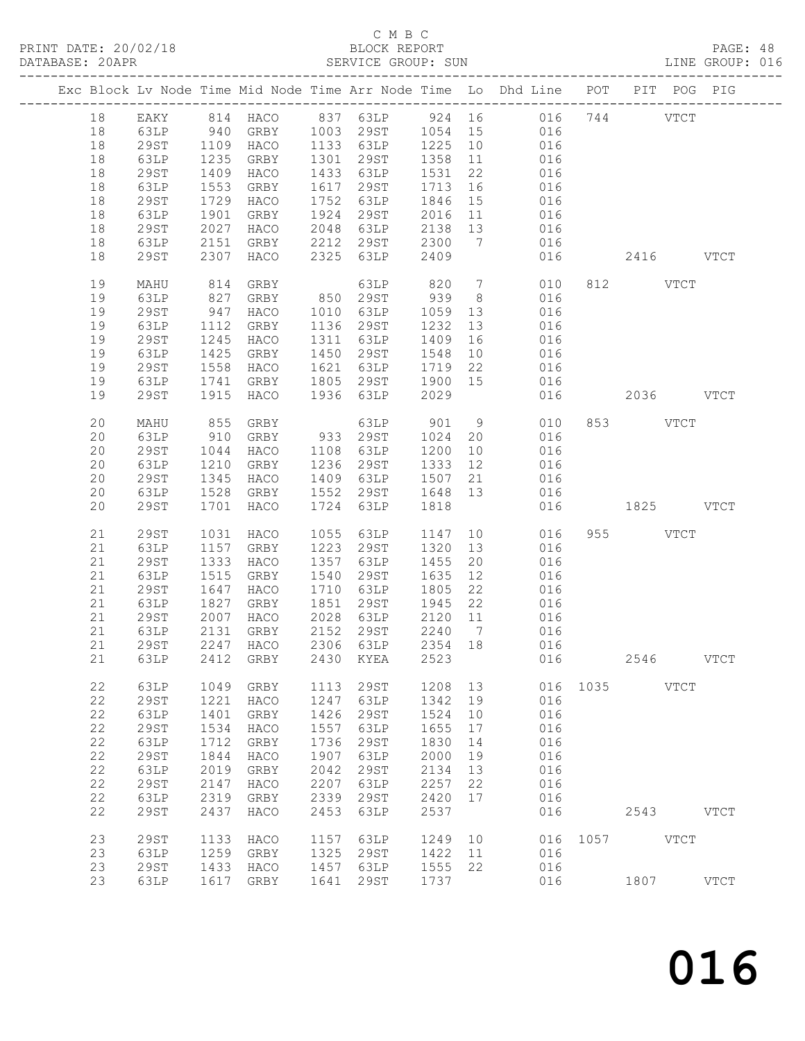#### C M B C<br>BLOCK REPORT

| PRINT DATE: 20/02/18<br>DATABASE: 20APR |          |              |              | 12/18 BLOCK REPORT<br>SERVICE GROUP: SUN |      | C M B C            |      |    | LINE GROUP: 016                                                                     |      |          |             | PAGE: 48      |  |
|-----------------------------------------|----------|--------------|--------------|------------------------------------------|------|--------------------|------|----|-------------------------------------------------------------------------------------|------|----------|-------------|---------------|--|
|                                         |          |              |              |                                          |      |                    |      |    | Exc Block Lv Node Time Mid Node Time Arr Node Time Lo Dhd Line POT PIT POG PIG      |      |          |             |               |  |
|                                         |          |              |              |                                          |      |                    |      |    | 18 EAKY 814 HACO 837 63LP 924 16 016 744 VTCT                                       |      |          |             |               |  |
|                                         | 18       |              |              |                                          |      |                    |      |    | 63LP 940 GRBY 1003 29ST 1054 15 016                                                 |      |          |             |               |  |
|                                         | 18       | 29ST         |              |                                          |      |                    |      |    | 1109 HACO 1133 63LP 1225 10 016                                                     |      |          |             |               |  |
|                                         | 18       | 63LP         | 1235         | GRBY                                     |      |                    |      |    | 1301  29ST  1358  11  016<br>1433  63LP  1531  22  016<br>1617  29ST  1713  16  016 |      |          |             |               |  |
|                                         | 18       | 29ST         | 1409         | HACO                                     |      |                    |      |    |                                                                                     |      |          |             |               |  |
|                                         | 18       | 63LP         |              | 1553 GRBY                                |      |                    |      |    |                                                                                     |      |          |             |               |  |
|                                         | 18       | 29ST<br>63LP | 1729<br>1901 | HACO<br>GRBY                             |      |                    |      |    | 1752 63LP 1846 15 016                                                               |      |          |             |               |  |
|                                         | 18       |              |              |                                          |      |                    |      |    |                                                                                     |      |          |             |               |  |
|                                         | 18       | 29ST         |              | 2027 HALL<br>2151 GRBY                   |      |                    |      |    | 1924 29ST 2016 11 016<br>2048 63LP 2138 13 016<br>2212 29ST 2300 7 016              |      |          |             |               |  |
|                                         | 18<br>18 | 63LP<br>29ST |              | 2307 HACO                                |      | 2325 63LP 2409     |      |    | 016 2416 VTCT                                                                       |      |          |             |               |  |
|                                         |          |              |              |                                          |      |                    |      |    |                                                                                     |      |          |             |               |  |
|                                         | 19       | MAHU         | 814          |                                          |      |                    |      |    | GRBY 63LP 820 7 010 812 VTCT<br>GRBY 850 29ST 939 8 016                             |      |          |             |               |  |
|                                         | 19       | 63LP         | 827          |                                          |      |                    |      |    |                                                                                     |      |          |             |               |  |
|                                         | 19       | 29ST         |              | 947 HACO                                 |      |                    |      |    | 1010 63LP 1059 13 016                                                               |      |          |             |               |  |
|                                         | 19       | 63LP         | 1112         | GRBY                                     |      | 1136 29ST          | 1232 |    | 13 016                                                                              |      |          |             |               |  |
|                                         | 19       | 29ST         |              | 1245 HACO<br>1425 GRBY                   |      | 1311 63LP          |      |    | 1409  16  016<br>1548  10  016                                                      |      |          |             |               |  |
|                                         | 19       | 63LP         |              |                                          |      | 1450 29ST          |      |    | 1621 63LP 1719 22 016                                                               |      |          |             |               |  |
|                                         | 19       | 29ST         | 1558         | HACO                                     |      |                    |      |    |                                                                                     |      |          |             |               |  |
|                                         | 19       | 63LP         | 1741         | GRBY                                     |      |                    |      |    | 1805 29ST 1900 15 016                                                               |      |          |             |               |  |
|                                         | 19       | 29ST         | 1915         | HACO                                     |      | 1936 63LP          | 2029 |    | 016 2036 VTCT                                                                       |      |          |             |               |  |
|                                         | 20       | MAHU         | 855          | GRBY                                     |      |                    |      |    | 63LP 901 9 010                                                                      |      | 853 VTCT |             |               |  |
|                                         | 20       | 63LP         | 910          |                                          |      | GRBY 933 29ST 1024 |      |    | 20 016                                                                              |      |          |             |               |  |
|                                         | 20       | 29ST         | 1044         | HACO                                     |      |                    |      |    | 1108 63LP 1200 10 016<br>1236 29ST 1333 12 016<br>1409 63LP 1507 21 016             |      |          |             |               |  |
|                                         | 20       | 63LP         |              | 1210 GRBY                                |      |                    |      |    |                                                                                     |      |          |             |               |  |
|                                         | 20       | 29ST         | 1345         | HACO                                     |      |                    |      |    |                                                                                     |      |          |             |               |  |
|                                         | 20       | 63LP         | 1528         | GRBY                                     |      |                    |      |    | 1552 29ST 1648 13 016                                                               |      |          |             |               |  |
|                                         | 20       | 29ST         | 1701         | HACO                                     |      | 1724 63LP          | 1818 |    | 016 1825 VTCT                                                                       |      |          |             |               |  |
|                                         | 21       | 29ST         | 1031         | HACO                                     | 1055 | 63LP               | 1147 |    | 10 016                                                                              |      | 955 VTCT |             |               |  |
|                                         | 21       | 63LP         | 1157         | GRBY                                     |      | 1223 29ST          | 1320 |    | 13 016                                                                              |      |          |             |               |  |
|                                         | 21       | 29ST         | 1333         | HACO                                     | 1357 | 63LP               | 1455 |    | 20 016                                                                              |      |          |             |               |  |
|                                         | 21       | 63LP         | 1515         | GRBY                                     | 1540 | 29ST 1635          |      |    | $\begin{array}{cc} 12 & \hspace{1.5mm} 016 \\ 22 & \hspace{1.5mm} 016 \end{array}$  |      |          |             |               |  |
|                                         | 21       | 29ST         |              | 1647 HACO                                |      | 1710 63LP 1805     |      |    |                                                                                     |      |          |             |               |  |
|                                         | 21       | 63LP         |              | 1827 GRBY                                |      |                    |      |    | 1851 29ST 1945 22 016                                                               |      |          |             |               |  |
|                                         | 21       | 29ST         | 2007         | HACO                                     | 2028 | 63LP               | 2120 | 11 | 016                                                                                 |      |          |             |               |  |
|                                         | 21       | 63LP         | 2131         | GRBY                                     | 2152 | 29ST               | 2240 | 7  | 016                                                                                 |      |          |             |               |  |
|                                         | 21       | <b>29ST</b>  | 2247         | HACO                                     | 2306 | 63LP               | 2354 | 18 | 016                                                                                 |      |          |             |               |  |
|                                         | 21       | 63LP         | 2412         | GRBY                                     | 2430 | KYEA               | 2523 |    | 016                                                                                 |      | 2546     |             | <b>VTCT</b>   |  |
|                                         | 22       | 63LP         | 1049         | <b>GRBY</b>                              | 1113 | 29ST               | 1208 | 13 | 016                                                                                 | 1035 |          | <b>VTCT</b> |               |  |
|                                         | 22       | <b>29ST</b>  | 1221         | HACO                                     | 1247 | 63LP               | 1342 | 19 | 016                                                                                 |      |          |             |               |  |
|                                         | 22       | 63LP         | 1401         | GRBY                                     | 1426 | 29ST               | 1524 | 10 | 016                                                                                 |      |          |             |               |  |
|                                         | 22       | <b>29ST</b>  | 1534         | HACO                                     | 1557 | 63LP               | 1655 | 17 | 016                                                                                 |      |          |             |               |  |
|                                         | 22       | 63LP         | 1712         | GRBY                                     | 1736 | 29ST               | 1830 | 14 | 016                                                                                 |      |          |             |               |  |
|                                         | 22       | <b>29ST</b>  | 1844         | HACO                                     | 1907 | 63LP               | 2000 | 19 | 016                                                                                 |      |          |             |               |  |
|                                         | 22       | 63LP         | 2019         | GRBY                                     | 2042 | 29ST               | 2134 | 13 | 016                                                                                 |      |          |             |               |  |
|                                         | 22       | <b>29ST</b>  | 2147         | HACO                                     | 2207 | 63LP               | 2257 | 22 | 016                                                                                 |      |          |             |               |  |
|                                         | 22       | 63LP         | 2319         | GRBY                                     | 2339 | 29ST               | 2420 | 17 | 016                                                                                 |      |          |             |               |  |
|                                         | 22       | <b>29ST</b>  | 2437         | HACO                                     | 2453 | 63LP               | 2537 |    | 016                                                                                 |      | 2543     |             | VTCT          |  |
|                                         | 23       | 29ST         | 1133         | HACO                                     | 1157 | 63LP               | 1249 | 10 | 016                                                                                 | 1057 |          | <b>VTCT</b> |               |  |
|                                         | 23       | 63LP         | 1259         | GRBY                                     | 1325 | 29ST               | 1422 | 11 | 016                                                                                 |      |          |             |               |  |
|                                         | 23       | <b>29ST</b>  | 1433         | HACO                                     | 1457 | 63LP               | 1555 | 22 | 016                                                                                 |      |          |             |               |  |
|                                         | 23       | 63LP         | 1617         | GRBY                                     | 1641 | 29ST               | 1737 |    | 016                                                                                 |      | 1807     |             | $_{\rm VTCT}$ |  |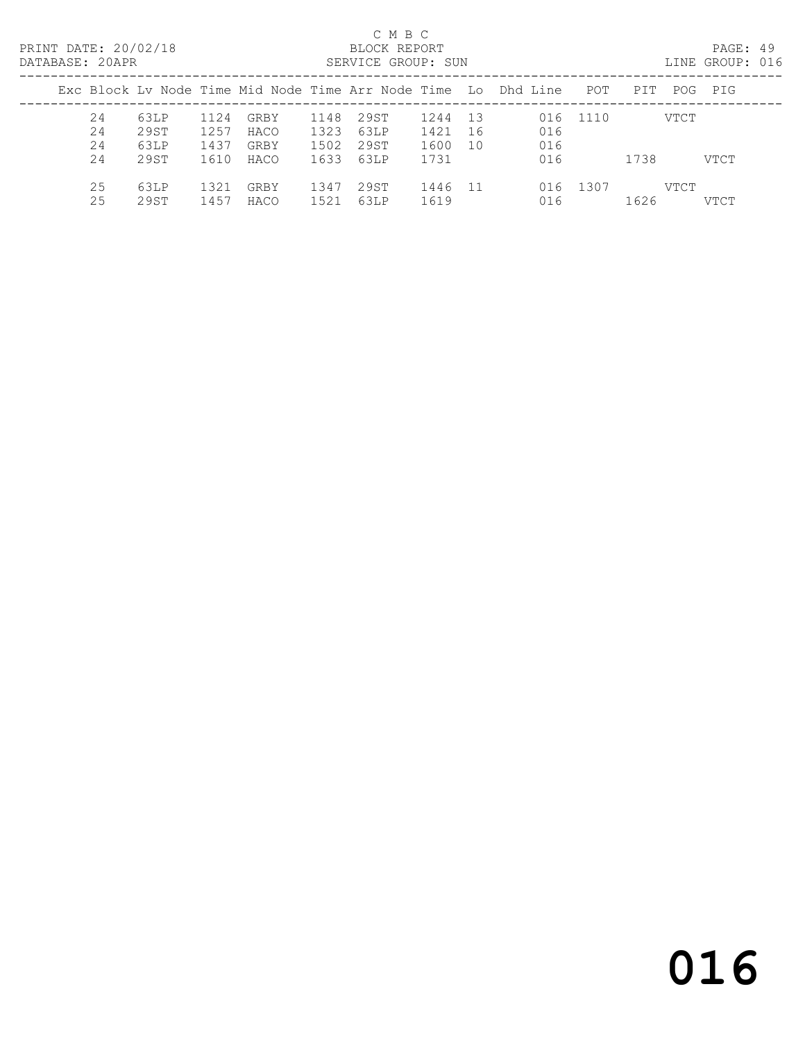PRINT DATE: 20/02/18 BLOCK REPORT BATABASE: 20APR

#### C M B C<br>BLOCK REPORT

PAGE: 49<br>LINE GROUP: 016

| ----------- |    |      |      |      |      | <u>ULINI ULIVUL I UVIN</u> |      |      |                                                                     |          |      |      |         |
|-------------|----|------|------|------|------|----------------------------|------|------|---------------------------------------------------------------------|----------|------|------|---------|
|             |    |      |      |      |      |                            |      |      | Exc Block Lv Node Time Mid Node Time Arr Node Time  Lo  Dhd Line  . | POT      | PIT  |      | POG PIG |
|             | 24 | 63LP | 1124 | GRBY | 1148 | 29ST                       | 1244 | 13   |                                                                     | 016 1110 |      | VTCT |         |
|             | 24 | 29ST | 1257 | HACO | 1323 | 63LP                       | 1421 | -16  | 016                                                                 |          |      |      |         |
|             | 24 | 63LP | 1437 | GRBY | 1502 | 29ST                       | 1600 | 10   | 016                                                                 |          |      |      |         |
|             | 24 | 29ST | 1610 | HACO | 1633 | 63LP                       | 1731 |      | 016                                                                 |          | 1738 |      | VTCT    |
|             | 25 | 63LP | 1321 | GRBY | 1347 | 29ST                       | 1446 | - 11 |                                                                     | 016 1307 |      | VTCT |         |
|             | 25 | 29ST | 1457 | HACO | 1521 | 63LP                       | 1619 |      | 016                                                                 |          | 1626 |      | VTCT    |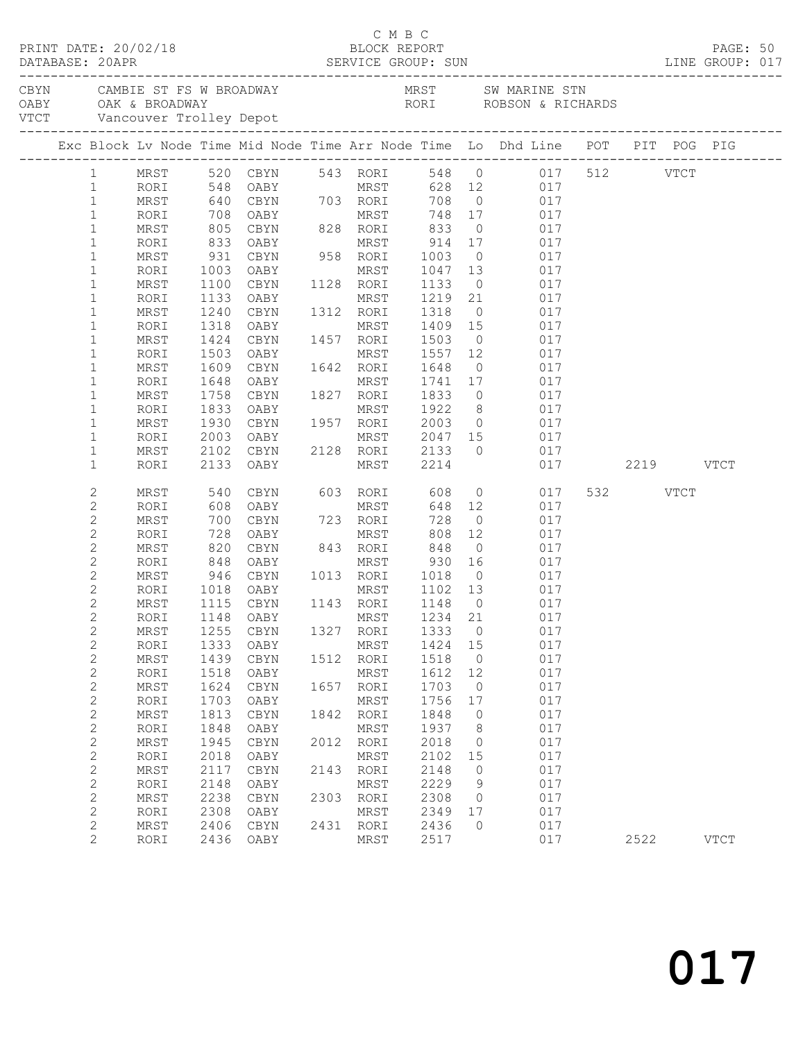|  | DATABASE: 20APR                  | PRINT DATE: 20/02/18 |              |                             |      | C M B C                            |                   |                | 12/18<br>BLOCK REPORT<br>SERVICE GROUP: SUN                                                                                                       |          | PAGE: 50<br>LINE GROUP: 017 |  |
|--|----------------------------------|----------------------|--------------|-----------------------------|------|------------------------------------|-------------------|----------------|---------------------------------------------------------------------------------------------------------------------------------------------------|----------|-----------------------------|--|
|  |                                  |                      |              |                             |      |                                    |                   |                | CBYN CAMBIE ST FS W BROADWAY MRST SW MARINE STN OABY OAK & BROADWAY RORI ROBSON & RICHARDS<br>VTCT Vancouver Trolley Depot NORI ROBSON & RICHARDS |          |                             |  |
|  |                                  |                      |              |                             |      |                                    |                   |                |                                                                                                                                                   |          |                             |  |
|  |                                  |                      |              |                             |      |                                    |                   |                | Exc Block Lv Node Time Mid Node Time Arr Node Time Lo Dhd Line POT PIT POG PIG                                                                    |          |                             |  |
|  |                                  |                      |              |                             |      |                                    |                   |                | 1 MRST 520 CBYN 543 RORI 548 0 017 512 VTCT                                                                                                       |          |                             |  |
|  | $\mathbf{1}$                     | RORI                 |              |                             |      |                                    |                   |                |                                                                                                                                                   |          |                             |  |
|  | $\mathbf{1}$                     | MRST                 |              |                             |      |                                    |                   |                |                                                                                                                                                   |          |                             |  |
|  | $\mathbf{1}$                     | RORI                 |              |                             |      |                                    |                   |                | 548 OABY<br>548 OABY MRST 628 12 017<br>640 CBYN 703 RORI 708 0 017<br>708 OABY MRST 748 17 017<br>805 CBYN 828 RORI 833 0 017                    |          |                             |  |
|  | $\mathbf{1}$                     | MRST                 |              |                             |      |                                    |                   |                |                                                                                                                                                   |          |                             |  |
|  | $\mathbf{1}$                     | RORI                 | 833          | OABY                        |      | MRST 914 17                        |                   |                | 017                                                                                                                                               |          |                             |  |
|  | $\mathbf{1}$                     | MRST                 | 931          |                             |      | CBYN 958 RORI 1003                 |                   | $\overline{0}$ | 017                                                                                                                                               |          |                             |  |
|  | $\mathbf{1}$                     | RORI                 | 1003         | OABY                        |      | MRST                               |                   |                | 1047 13 017<br>1133 0 017                                                                                                                         |          |                             |  |
|  | $\mathbf{1}$                     | MRST                 | 1100         | CBYN                        |      | 1128 RORI                          | 1133              |                |                                                                                                                                                   |          |                             |  |
|  | $\mathbf{1}$                     | RORI                 | 1133         | OABY                        |      |                                    |                   |                | MRST 1219 21 017                                                                                                                                  |          |                             |  |
|  | $\mathbf{1}$                     | MRST                 | 1240         | CBYN                        |      | 1312 RORI                          | 1318              |                | 0 017                                                                                                                                             |          |                             |  |
|  | $\mathbf 1$<br>$\mathbf{1}$      | RORI                 | 1318         |                             |      |                                    | 1409 15<br>1503 0 |                | 017<br>017                                                                                                                                        |          |                             |  |
|  | $\mathbf 1$                      | MRST<br>RORI         | 1424<br>1503 | OABY                        |      | MRST 1557 12                       |                   |                | 017                                                                                                                                               |          |                             |  |
|  | $\mathbf 1$                      | MRST                 | 1609         | CBYN                        |      | 1642 RORI 1648                     |                   |                | $0 \qquad \qquad 017$                                                                                                                             |          |                             |  |
|  | $\mathbf 1$                      | RORI                 | 1648         | OABY                        |      | MRST                               |                   |                |                                                                                                                                                   |          |                             |  |
|  | $\mathbf{1}$                     | MRST                 |              | 1758 CBYN 1827 RORI         |      |                                    |                   |                | 1741 17 017<br>1833 0 017                                                                                                                         |          |                             |  |
|  | $\mathbf 1$                      | RORI                 | 1833         | OABY                        |      | MRST 1922                          |                   |                | 8 017                                                                                                                                             |          |                             |  |
|  | $\mathbf{1}$                     | MRST                 | 1930         | CBYN                        |      | 1957 RORI 2003                     |                   |                | $0 \qquad 017$                                                                                                                                    |          |                             |  |
|  | $\mathbf 1$                      | RORI                 |              |                             |      |                                    |                   |                |                                                                                                                                                   |          |                             |  |
|  | $\mathbf{1}$                     | MRST                 |              |                             |      |                                    |                   |                | 017                                                                                                                                               |          |                             |  |
|  | $\mathbf 1$                      | RORI                 |              | 2133 OABY                   |      | MRST 2214                          |                   |                | 017 2219 VTCT                                                                                                                                     |          |                             |  |
|  | 2                                | MRST                 | 540<br>608   |                             |      | CBYN 603 RORI 608<br>OARY MRST 648 |                   |                | $0 \t 017$                                                                                                                                        | 532 VTCT |                             |  |
|  | $\mathbf{2}$                     | RORI                 |              | OABY                        |      | MRST                               | 648 12            |                | 017                                                                                                                                               |          |                             |  |
|  | $\mathbf 2$                      | MRST                 | 700          | CBYN                        |      | 723 RORI                           | 728               |                | $0\qquad \qquad 017$                                                                                                                              |          |                             |  |
|  | $\mathbf{2}$                     | RORI                 | 728          | OABY                        |      | MRST                               | 808               | 12             | 017                                                                                                                                               |          |                             |  |
|  | $\mathbf{2}$                     | MRST                 |              |                             |      | 843 RORI                           |                   |                | 820 CBYN 843 RORI 848 0 017<br>848 OABY MRST 930 16 017<br>946 CBYN 1013 RORI 1018 0 017                                                          |          |                             |  |
|  | $\mathbf{2}$                     | RORI                 |              |                             |      |                                    |                   |                |                                                                                                                                                   |          |                             |  |
|  | $\mathbf{2}$                     | MRST                 |              | 1018 OABY                   |      | MRST 1102 13                       |                   |                | 017                                                                                                                                               |          |                             |  |
|  | $\overline{c}$<br>$\overline{c}$ | RORI<br>MRST         |              | 1115 CBYN                   |      | 1143 RORI                          | 1148 0            |                | 017                                                                                                                                               |          |                             |  |
|  | $\mathbf{2}$                     |                      |              | RORI 1148 OABY MRST 1234 21 |      |                                    |                   |                | 017                                                                                                                                               |          |                             |  |
|  | $\mathbf{2}$                     | MRST                 | 1255         | CBYN                        | 1327 | RORI                               | 1333              | $\circ$        | 017                                                                                                                                               |          |                             |  |
|  | $\mathbf{2}$                     | RORI                 | 1333         | OABY                        |      | MRST                               | 1424              | 15             | 017                                                                                                                                               |          |                             |  |
|  | $\mathbf{2}$                     | MRST                 | 1439         | CBYN                        | 1512 | RORI                               | 1518              | 0              | 017                                                                                                                                               |          |                             |  |
|  | $\sqrt{2}$                       | RORI                 | 1518         | OABY                        |      | MRST                               | 1612              | 12             | 017                                                                                                                                               |          |                             |  |
|  | $\mathbf{2}$                     | MRST                 | 1624         | CBYN                        | 1657 | RORI                               | 1703              | $\circ$        | 017                                                                                                                                               |          |                             |  |
|  | $\mathbf 2$                      | RORI                 | 1703         | OABY                        |      | MRST                               | 1756              | 17             | 017                                                                                                                                               |          |                             |  |
|  | $\mathbf{2}$                     | MRST                 | 1813         | CBYN                        | 1842 | RORI                               | 1848              | 0              | 017                                                                                                                                               |          |                             |  |
|  | $\sqrt{2}$                       | RORI                 | 1848         | OABY                        |      | MRST                               | 1937              | 8              | 017                                                                                                                                               |          |                             |  |
|  | $\mathbf 2$                      | MRST                 | 1945         | CBYN                        | 2012 | RORI                               | 2018              | $\circ$        | 017                                                                                                                                               |          |                             |  |
|  | $\sqrt{2}$                       | RORI                 | 2018         | OABY                        |      | MRST                               | 2102              | 15             | 017                                                                                                                                               |          |                             |  |
|  | $\mathbf{2}$                     | MRST                 | 2117         | CBYN                        | 2143 | RORI                               | 2148              | 0              | 017                                                                                                                                               |          |                             |  |
|  | $\sqrt{2}$                       | RORI                 | 2148         | OABY                        |      | MRST                               | 2229              | 9              | 017                                                                                                                                               |          |                             |  |
|  | $\mathbf 2$                      | MRST                 | 2238         | CBYN                        | 2303 | RORI                               | 2308              | $\circ$        | 017                                                                                                                                               |          |                             |  |
|  | $\mathbf 2$                      | RORI                 | 2308         | OABY                        |      | MRST                               | 2349              | 17             | 017                                                                                                                                               |          |                             |  |
|  | $\mathbf{2}$                     | MRST                 | 2406         | CBYN                        | 2431 | RORI                               | 2436              | $\circ$        | 017                                                                                                                                               |          |                             |  |
|  | $\mathbf{2}$                     | RORI                 | 2436         | OABY                        |      | MRST                               | 2517              |                | 017                                                                                                                                               | 2522     | <b>VTCT</b>                 |  |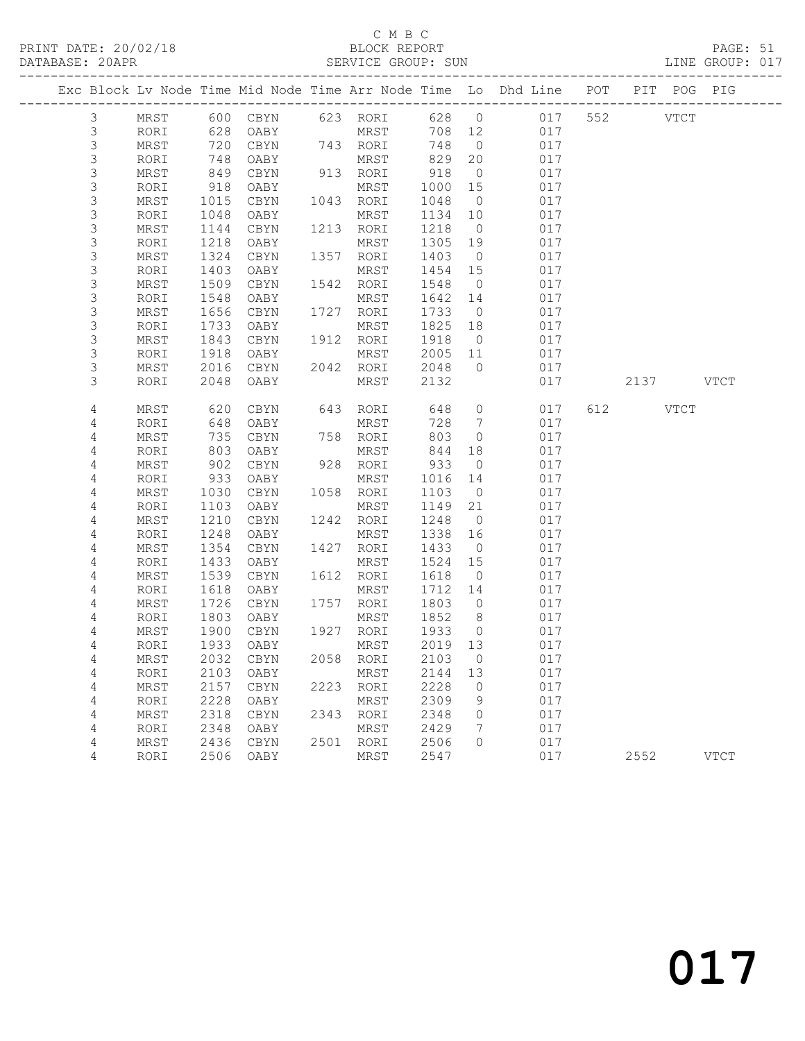### C M B C<br>BLOCK REPORT

PAGE: 51<br>LINE GROUP: 017

|                           |              |              |              |      |                   |              |                      | Exc Block Lv Node Time Mid Node Time Arr Node Time Lo Dhd Line POT |     | PIT         | POG PIG     |  |
|---------------------------|--------------|--------------|--------------|------|-------------------|--------------|----------------------|--------------------------------------------------------------------|-----|-------------|-------------|--|
| 3                         | MRST         |              |              |      | 600 CBYN 623 RORI | 628 0        |                      | 017                                                                | 552 | <b>VTCT</b> |             |  |
| $\mathsf 3$               | RORI         | 628          | OABY         |      | MRST              | 708 12       |                      | 017                                                                |     |             |             |  |
| 3                         | MRST         | 720          | CBYN         |      | 743 RORI          | 748          | $\overline{0}$       | 017                                                                |     |             |             |  |
| $\mathsf S$               | RORI         | 748          | OABY         |      | MRST              | 829          | 20                   | 017                                                                |     |             |             |  |
| 3                         | MRST         | 849          | CBYN         |      | 913 RORI          | 918          | $\overline{0}$       | 017                                                                |     |             |             |  |
| $\mathsf S$               | RORI         | 918          | OABY         |      | MRST              | 1000         | 15                   | 017                                                                |     |             |             |  |
| $\mathsf 3$               | MRST         | 1015         | CBYN         |      | 1043 RORI         | 1048         | $\overline{0}$       | 017                                                                |     |             |             |  |
| $\mathsf S$               | RORI         | 1048         | OABY         |      | MRST              | 1134         | 10                   | 017                                                                |     |             |             |  |
| 3                         | MRST         | 1144         | CBYN         |      | 1213 RORI         | 1218         | $\overline{0}$       | 017                                                                |     |             |             |  |
| $\mathsf S$               | RORI         | 1218         | OABY         |      | MRST              | 1305         | 19                   | 017                                                                |     |             |             |  |
| $\mathsf 3$               | MRST         | 1324         | CBYN         |      | 1357 RORI         | 1403         | $\overline{0}$       | 017                                                                |     |             |             |  |
| 3<br>3                    | RORI         | 1403         | OABY         | 1542 | MRST              | 1454         | 15                   | 017<br>017                                                         |     |             |             |  |
| $\mathsf S$               | MRST<br>RORI | 1509<br>1548 | CBYN<br>OABY |      | RORI<br>MRST      | 1548<br>1642 | $\overline{0}$<br>14 | 017                                                                |     |             |             |  |
| $\mathsf 3$               | MRST         | 1656         | CBYN         |      | 1727 RORI         | 1733         | $\overline{0}$       | 017                                                                |     |             |             |  |
| $\mathsf 3$               | RORI         | 1733         | OABY         |      | MRST              | 1825         | 18                   | 017                                                                |     |             |             |  |
| $\mathsf S$               | MRST         | 1843         | CBYN         | 1912 | RORI              | 1918         | $\overline{0}$       | 017                                                                |     |             |             |  |
| $\mathsf S$               | RORI         | 1918         | OABY         |      | MRST              | 2005         | 11                   | 017                                                                |     |             |             |  |
| $\ensuremath{\mathsf{3}}$ | MRST         | 2016         | CBYN         |      | 2042 RORI         | 2048         | $\overline{0}$       | 017                                                                |     |             |             |  |
| 3                         | RORI         | 2048         | OABY         |      | MRST              | 2132         |                      | 017                                                                |     |             | 2137 VTCT   |  |
|                           |              |              |              |      |                   |              |                      |                                                                    |     |             |             |  |
| 4                         | MRST         | 620          | CBYN         |      | 643 RORI          | 648          | $\overline{0}$       | 017                                                                |     | 612 VTCT    |             |  |
| 4                         | RORI         | 648          | OABY         |      | MRST              | 728          | $\overline{7}$       | 017                                                                |     |             |             |  |
| 4                         | MRST         | 735          | CBYN         |      | 758 RORI          | 803          | $\overline{0}$       | 017                                                                |     |             |             |  |
| 4                         | RORI         | 803          | OABY         |      | MRST              | 844          | 18                   | 017                                                                |     |             |             |  |
| 4                         | MRST         | 902          | CBYN         |      | 928 RORI          | 933          | $\overline{0}$       | 017                                                                |     |             |             |  |
| 4                         | RORI         | 933          | OABY         |      | MRST              | 1016         | 14                   | 017                                                                |     |             |             |  |
| 4                         | MRST         | 1030         | CBYN         |      | 1058 RORI         | 1103         | $\overline{0}$       | 017                                                                |     |             |             |  |
| 4                         | RORI         | 1103         | OABY         |      | MRST              | 1149         | 21                   | 017                                                                |     |             |             |  |
| 4                         | MRST         | 1210         | CBYN         |      | 1242 RORI         | 1248         | $\overline{0}$       | 017                                                                |     |             |             |  |
| 4                         | RORI         | 1248         | OABY         |      | MRST              | 1338         | 16                   | 017                                                                |     |             |             |  |
| 4                         | MRST         | 1354         | CBYN         |      | 1427 RORI         | 1433         | $\overline{0}$       | 017                                                                |     |             |             |  |
| 4                         | RORI         | 1433         | OABY         |      | MRST              | 1524         | 15                   | 017                                                                |     |             |             |  |
| 4<br>4                    | MRST<br>RORI | 1539<br>1618 | CBYN<br>OABY | 1612 | RORI<br>MRST      | 1618<br>1712 | $\overline{0}$<br>14 | 017<br>017                                                         |     |             |             |  |
| 4                         | MRST         | 1726         | CBYN         |      | 1757 RORI         | 1803         | $\overline{0}$       | 017                                                                |     |             |             |  |
| 4                         | RORI         | 1803         | OABY         |      | MRST              | 1852         | 8 <sup>8</sup>       | 017                                                                |     |             |             |  |
| 4                         | MRST         | 1900         | CBYN         |      | 1927 RORI         | 1933         | $\overline{0}$       | 017                                                                |     |             |             |  |
| 4                         | RORI         | 1933         | OABY         |      | MRST              | 2019 13      |                      | 017                                                                |     |             |             |  |
| 4                         | MRST         |              | 2032 CBYN    |      | 2058 RORI         | 2103 0       |                      | 017                                                                |     |             |             |  |
| 4                         | RORI         | 2103         | OABY         |      | MRST              | 2144         | 13                   | 017                                                                |     |             |             |  |
| 4                         | MRST         | 2157         | CBYN         | 2223 | RORI              | 2228         | 0                    | 017                                                                |     |             |             |  |
| 4                         | RORI         | 2228         | OABY         |      | MRST              | 2309         | 9                    | 017                                                                |     |             |             |  |
| 4                         | MRST         | 2318         | CBYN         | 2343 | RORI              | 2348         | 0                    | 017                                                                |     |             |             |  |
| 4                         | RORI         | 2348         | OABY         |      | MRST              | 2429         | 7                    | 017                                                                |     |             |             |  |
| 4                         | MRST         | 2436         | CBYN         | 2501 | RORI              | 2506         | $\Omega$             | 017                                                                |     |             |             |  |
| 4                         | RORI         | 2506         | OABY         |      | MRST              | 2547         |                      | 017                                                                |     | 2552        | <b>VTCT</b> |  |
|                           |              |              |              |      |                   |              |                      |                                                                    |     |             |             |  |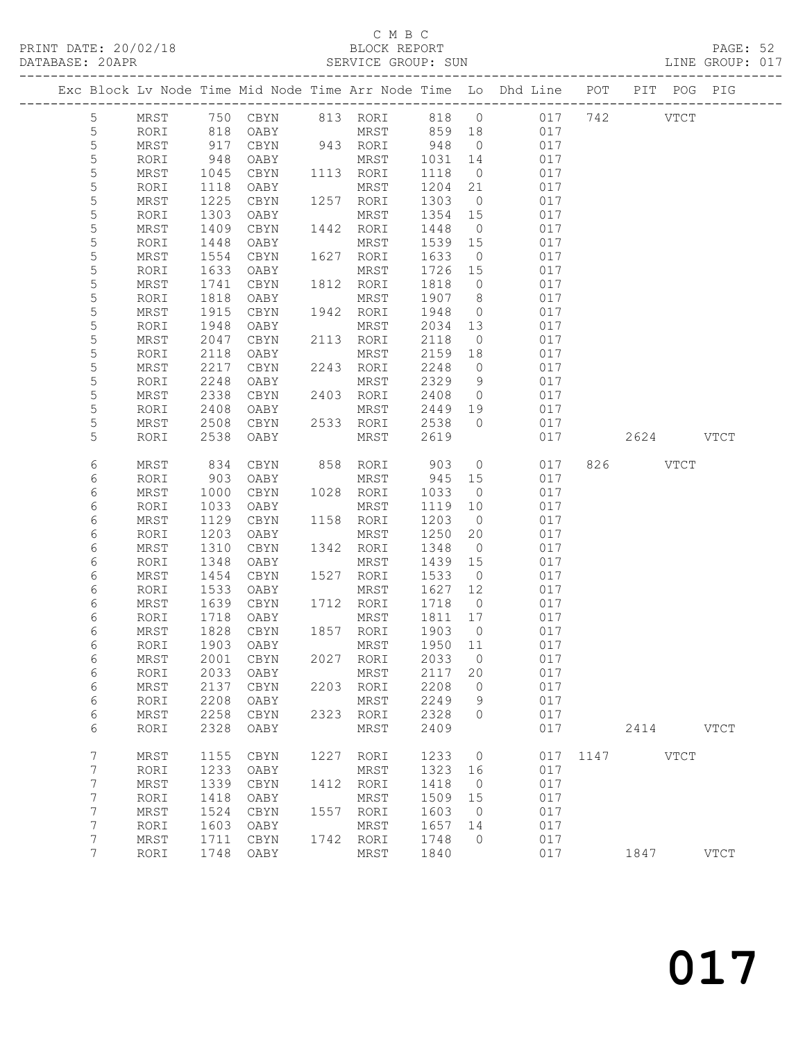#### C M B C

| DATABASE: 20APR |                 |                |              |                                |      | SERVICE GROUP: SUN |              |                      |                                                                                |               | LINE GROUP: 017 |  |
|-----------------|-----------------|----------------|--------------|--------------------------------|------|--------------------|--------------|----------------------|--------------------------------------------------------------------------------|---------------|-----------------|--|
|                 |                 |                |              |                                |      |                    |              |                      | Exc Block Lv Node Time Mid Node Time Arr Node Time Lo Dhd Line POT PIT POG PIG |               |                 |  |
|                 | 5               |                |              |                                |      |                    |              |                      | MRST 750 CBYN 813 RORI 818 0 017 742 VTCT                                      |               |                 |  |
|                 | 5               | RORI           | 818          | OABY                           |      | MRST 859 18        |              |                      | 017                                                                            |               |                 |  |
|                 | 5               | MRST           | 917          |                                |      | CBYN 943 RORI 948  |              | $\overline{0}$       | 017                                                                            |               |                 |  |
|                 | $\mathsf S$     | RORI           | 948          | OABY                           |      | MRST               | 1031         | 14                   | 017                                                                            |               |                 |  |
|                 | 5               | MRST           | 1045         | CBYN                           |      | 1113 RORI          | 1118         | $\overline{0}$       | 017                                                                            |               |                 |  |
|                 | 5               | RORI           | 1118         | OABY                           |      | MRST               | 1204         | 21                   | 017                                                                            |               |                 |  |
|                 | 5               | MRST           | 1225         | CBYN                           |      | 1257 RORI          | 1303         | $\overline{0}$       | 017                                                                            |               |                 |  |
|                 | $\mathsf S$     | RORI           | 1303         | OABY                           |      | MRST               | 1354 15      |                      | 017                                                                            |               |                 |  |
|                 | 5               | MRST           | 1409         | CBYN                           |      | 1442 RORI          | 1448         | $\overline{0}$       | 017                                                                            |               |                 |  |
|                 | 5               | RORI           | 1448         | OABY                           |      | MRST               | 1539 15      |                      | 017                                                                            |               |                 |  |
|                 | 5               | MRST           | 1554         | CBYN                           |      | 1627 RORI          | 1633         | $\overline{0}$       | 017                                                                            |               |                 |  |
|                 | 5               | RORI           | 1633         | OABY                           |      | MRST               | 1726 15      |                      | 017                                                                            |               |                 |  |
|                 | 5               | MRST           | 1741         | CBYN                           |      | 1812 RORI          | 1818         | $\overline{0}$       | 017                                                                            |               |                 |  |
|                 | 5               | RORI           | 1818         | OABY                           |      | MRST               | 1907         | 8 <sup>8</sup>       | 017                                                                            |               |                 |  |
|                 | 5               | MRST           | 1915         | CBYN                           |      | 1942 RORI          | 1948         | $\overline{0}$       | 017                                                                            |               |                 |  |
|                 | 5               | RORI           | 1948         | OABY                           |      | MRST               | 2034         | 13                   | 017                                                                            |               |                 |  |
|                 | 5               | MRST           | 2047         | CBYN                           |      | 2113 RORI          | 2118         | $\overline{0}$       | 017                                                                            |               |                 |  |
|                 | 5<br>5          | RORI           | 2118         | OABY                           |      | MRST               | 2159         | 18                   | 017                                                                            |               |                 |  |
|                 | 5               | MRST           | 2217         | CBYN                           |      | 2243 RORI          | 2248         | $\overline{0}$       | 017<br>017                                                                     |               |                 |  |
|                 |                 | RORI           | 2248         | OABY                           |      | MRST               | 2329         | 9                    |                                                                                |               |                 |  |
|                 | 5<br>5          | MRST           | 2338         | CBYN                           |      | 2403 RORI<br>MRST  | 2408         | $\overline{0}$<br>19 | 017<br>017                                                                     |               |                 |  |
|                 | 5               | RORI<br>MRST   | 2408<br>2508 | OABY<br>CBYN                   |      | 2533 RORI          | 2449<br>2538 | $\overline{0}$       | 017                                                                            |               |                 |  |
|                 | 5               | RORI           | 2538         | OABY                           |      | MRST               | 2619         |                      | 017                                                                            | 2624 VTCT     |                 |  |
|                 |                 |                |              |                                |      |                    |              |                      |                                                                                |               |                 |  |
|                 | 6               | MRST           | 834          | CBYN                           |      | 858 RORI           | 903          |                      | $\overline{0}$<br>017                                                          | 826 VTCT      |                 |  |
|                 | 6               | RORI           | 903          | OABY                           |      | MRST 945 15        |              |                      | 017                                                                            |               |                 |  |
|                 | 6               | MRST           | 1000         | CBYN                           |      | 1028 RORI          | 1033         | $\overline{0}$       | 017                                                                            |               |                 |  |
|                 | 6               | RORI           | 1033         | OABY                           |      | MRST               | 1119         | 10                   | 017                                                                            |               |                 |  |
|                 | 6               | MRST           | 1129         | CBYN                           |      | 1158 RORI          | 1203         | $\overline{0}$       | 017                                                                            |               |                 |  |
|                 | 6               | RORI           | 1203         | OABY                           |      | MRST               | 1250         | 20                   | 017                                                                            |               |                 |  |
|                 | 6               | MRST           | 1310         | CBYN                           |      | 1342 RORI          | 1348         | $\overline{0}$       | 017                                                                            |               |                 |  |
|                 | 6               | RORI           | 1348         | OABY                           |      | MRST               | 1439 15      |                      | 017                                                                            |               |                 |  |
|                 | 6               | MRST           | 1454         | CBYN                           |      | 1527 RORI          | 1533         | $\overline{0}$       | 017                                                                            |               |                 |  |
|                 | 6               | RORI           | 1533         | OABY                           |      | MRST               | 1627         | 12                   | 017                                                                            |               |                 |  |
|                 | 6               | MRST           | 1639         | CBYN                           |      | 1712 RORI          | 1718         | $\overline{0}$       | 017                                                                            |               |                 |  |
|                 | 6               | RORI           |              | 1718 OABY<br>1828 CBYN<br>OABY |      | MRST               | 1811 17      |                      | 017                                                                            |               |                 |  |
|                 | 6               | MRST           |              |                                |      | 1857 RORI          | 1903         | $\overline{0}$       | 017                                                                            |               |                 |  |
|                 | 6               | RORI 1903 OABY |              |                                |      |                    |              |                      | MRST 1950 11 017                                                               |               |                 |  |
|                 | 6               | MRST           | 2001         | CBYN                           |      | 2027 RORI          | 2033         | $\overline{0}$       | 017                                                                            |               |                 |  |
|                 | 6               | RORI           | 2033         | OABY                           |      | MRST<br>2203 RORI  | 2117<br>2208 | 20<br>$\overline{0}$ | 017<br>017                                                                     |               |                 |  |
|                 | 6               | MRST           | 2137<br>2208 | CBYN                           |      |                    | 2249         |                      | 017                                                                            |               |                 |  |
|                 | 6<br>6          | RORI<br>MRST   | 2258         | OABY<br>CBYN                   | 2323 | MRST<br>RORI       | 2328         | 9<br>$\circ$         | 017                                                                            |               |                 |  |
|                 | 6               | RORI           | 2328         | OABY                           |      | MRST               | 2409         |                      | 017                                                                            | 2414 VTCT     |                 |  |
|                 |                 |                |              |                                |      |                    |              |                      |                                                                                |               |                 |  |
|                 | 7               | $\tt MRST$     | 1155         | $\tt CBYN$                     |      | 1227 RORI          | 1233         | $\overline{0}$       |                                                                                | 017 1147 VTCT |                 |  |
|                 | 7               | RORI           | 1233         | OABY                           |      | MRST               | 1323         | 16                   | 017                                                                            |               |                 |  |
|                 | 7               | MRST           | 1339         | CBYN                           |      | 1412 RORI          | 1418         | $\overline{0}$       | 017                                                                            |               |                 |  |
|                 | $\overline{7}$  | RORI           | 1418         | OABY                           |      | MRST               | 1509         | 15                   | 017                                                                            |               |                 |  |
|                 | 7               | $\tt MRST$     | 1524         | $\tt CBYN$                     |      | 1557 RORI          | 1603         | $\overline{0}$       | 017                                                                            |               |                 |  |
|                 | $7\phantom{.}$  | RORI           | 1603         | OABY                           |      | MRST               | 1657         | 14                   | 017                                                                            |               |                 |  |
|                 | 7               | MRST           | 1711         | CBYN                           |      | 1742 RORI          | 1748         | $\overline{0}$       | 017                                                                            |               |                 |  |
|                 | $7\phantom{.0}$ | RORI           |              | 1748 OABY                      |      | MRST               | 1840         |                      | 017                                                                            | 1847          | <b>VTCT</b>     |  |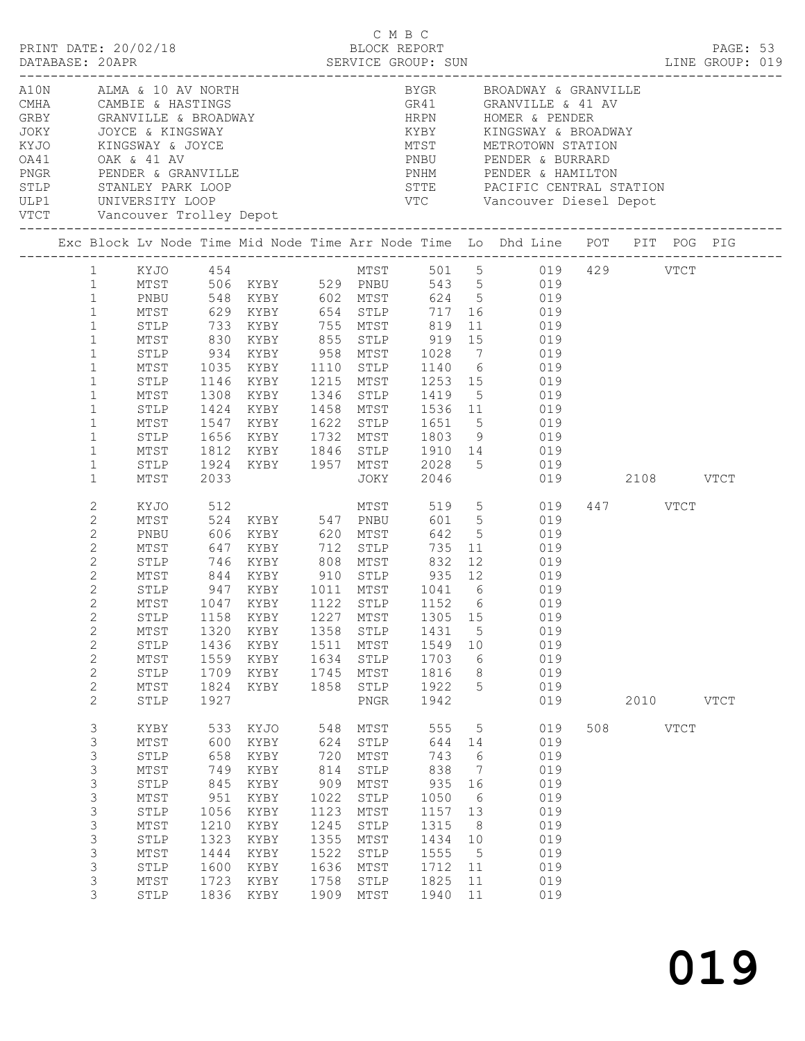|                                                                                                                                                                                                                                                           |                                                                                                                      |                                                                                                |                                                                                                      |                                                                                                 |                                                                                                              |                                                                                                 |                                                                          | PAGE: 53<br>LINE GROUP: 019                                                                                                                                                                                                                                                                                                                                                                                                                     |     |                  |             |             |  |
|-----------------------------------------------------------------------------------------------------------------------------------------------------------------------------------------------------------------------------------------------------------|----------------------------------------------------------------------------------------------------------------------|------------------------------------------------------------------------------------------------|------------------------------------------------------------------------------------------------------|-------------------------------------------------------------------------------------------------|--------------------------------------------------------------------------------------------------------------|-------------------------------------------------------------------------------------------------|--------------------------------------------------------------------------|-------------------------------------------------------------------------------------------------------------------------------------------------------------------------------------------------------------------------------------------------------------------------------------------------------------------------------------------------------------------------------------------------------------------------------------------------|-----|------------------|-------------|-------------|--|
|                                                                                                                                                                                                                                                           |                                                                                                                      |                                                                                                |                                                                                                      |                                                                                                 |                                                                                                              |                                                                                                 |                                                                          |                                                                                                                                                                                                                                                                                                                                                                                                                                                 |     |                  |             |             |  |
|                                                                                                                                                                                                                                                           |                                                                                                                      |                                                                                                |                                                                                                      |                                                                                                 |                                                                                                              |                                                                                                 |                                                                          | Exc Block Lv Node Time Mid Node Time Arr Node Time Lo Dhd Line POT PIT POG PIG                                                                                                                                                                                                                                                                                                                                                                  |     |                  |             |             |  |
| $1 \quad$<br>$\mathbf{1}$<br>$\mathbf{1}$<br>$\mathbf{1}$<br>$\mathbf{1}$<br>$\mathbf{1}$<br>$\mathbf{1}$<br>$\mathbf{1}$<br>$\mathbf{1}$<br>$\mathbf{1}$<br>$\mathbf{1}$<br>$\mathbf{1}$<br>$\mathbf{1}$<br>$\mathbf{1}$<br>$\mathbf{1}$<br>$\mathbf{1}$ | MTST<br>MTST<br>STLP<br>MTST<br>STLP<br>MTST<br>STLP<br>MTST<br>STLP<br>MTST                                         | 2033                                                                                           | 1308 KIDI<br>1424 KYBY                                                                               |                                                                                                 |                                                                                                              | JOKY 2046                                                                                       |                                                                          | 629 KYBY 654 STLP 717 16 019<br>STLP 733 KYBY 755 MTST 819 11 019<br>MTST 830 KYBY 855 STLP 919 15 019<br>STLP 934 KYBY 958 MTST 1028 7 019<br>1035 KYBY 1110 STLP 1140 6 019<br>1146 KYBY 1215 MTST 1253 15 019<br>1308 KYBY 1346 STLP 1419 5 019<br>1424 KYBY 1458 MTST 1536 11 019<br>1547 KYBY 1622 STLP 1651 5 019<br>1656 KYBY 1732 MTST 1803 9 019<br>1812 KYBY 1846 STLP 1910 14 019<br>1924 KYBY 1957 MTST 2028 5 019<br>019 2108 VTCT |     |                  |             |             |  |
| 2<br>$\overline{c}$<br>2<br>$\overline{c}$<br>$\mathbf{2}$<br>$\overline{c}$<br>2<br>$\overline{c}$<br>$\overline{c}$<br>$2^{\circ}$<br>2<br>$\overline{c}$<br>$\mathbf{2}$<br>$\mathbf{2}$<br>2                                                          | KYJO<br>MTST<br>PNBU<br>MTST<br>MTST<br>STLP<br>STLP<br>MTST<br>STLP<br>$\mathtt{MTST}$<br>STLP                      | 1436<br>1559<br>1709<br>1824<br>1927                                                           | 606 KYBY 620 MTST<br>647 KYBY 712 STLP<br>1158 KYBY<br>KYBY<br>KYBY<br>KYBY<br>KYBY                  | 1511<br>1634<br>1745<br>1858                                                                    | 1227 MTST<br>MTST<br>${\tt STLP}$<br>MTST<br>${\tt STLP}$<br>${\tt PNGR}$                                    | 642<br>735<br>1305 15<br>1549<br>1703<br>1816<br>1922<br>1942                                   | 10<br>6<br>8<br>5                                                        | 512 MTST 519 5 019<br>524 KYBY 547 PNBU 601 5 019<br>5 019<br>11 019<br>STLP 746 KYBY 808 MTST 832 12 019<br>MTST 844 KYBY 910 STLP 935 12 019<br>STLP 947 KYBY 1011 MTST 1041 6 019<br>1047 KYBY 1122 STLP 1152 6 019<br>019<br>MTST 1320 KYBY 1358 STLP 1431 5 019<br>019<br>019<br>019<br>019<br>019                                                                                                                                         |     | 447 VTCT<br>2010 |             | <b>VTCT</b> |  |
| 3<br>3<br>3<br>3<br>3<br>3<br>3<br>3<br>3<br>3<br>3<br>3<br>3                                                                                                                                                                                             | KYBY<br>MTST<br>${\tt STLP}$<br>MTST<br>STLP<br>MTST<br>${\tt STLP}$<br>MTST<br>STLP<br>MTST<br>STLP<br>MTST<br>STLP | 533<br>600<br>658<br>749<br>845<br>951<br>1056<br>1210<br>1323<br>1444<br>1600<br>1723<br>1836 | KYJO<br>KYBY<br>KYBY<br>KYBY<br>KYBY<br>KYBY<br>KYBY<br>KYBY<br>KYBY<br>KYBY<br>KYBY<br>KYBY<br>KYBY | 548<br>624<br>720<br>814<br>909<br>1022<br>1123<br>1245<br>1355<br>1522<br>1636<br>1758<br>1909 | MTST<br>STLP<br>MTST<br>STLP<br>MTST<br>${\tt STLP}$<br>MTST<br>STLP<br>MTST<br>STLP<br>MTST<br>STLP<br>MTST | 555<br>644<br>743<br>838<br>935<br>1050<br>1157<br>1315<br>1434<br>1555<br>1712<br>1825<br>1940 | 5<br>14<br>$6\,$<br>7<br>16<br>6<br>13<br>8<br>10<br>5<br>11<br>11<br>11 | 019<br>019<br>019<br>019<br>019<br>019<br>019<br>019<br>019<br>019<br>019<br>019<br>019                                                                                                                                                                                                                                                                                                                                                         | 508 |                  | <b>VTCT</b> |             |  |

C M B C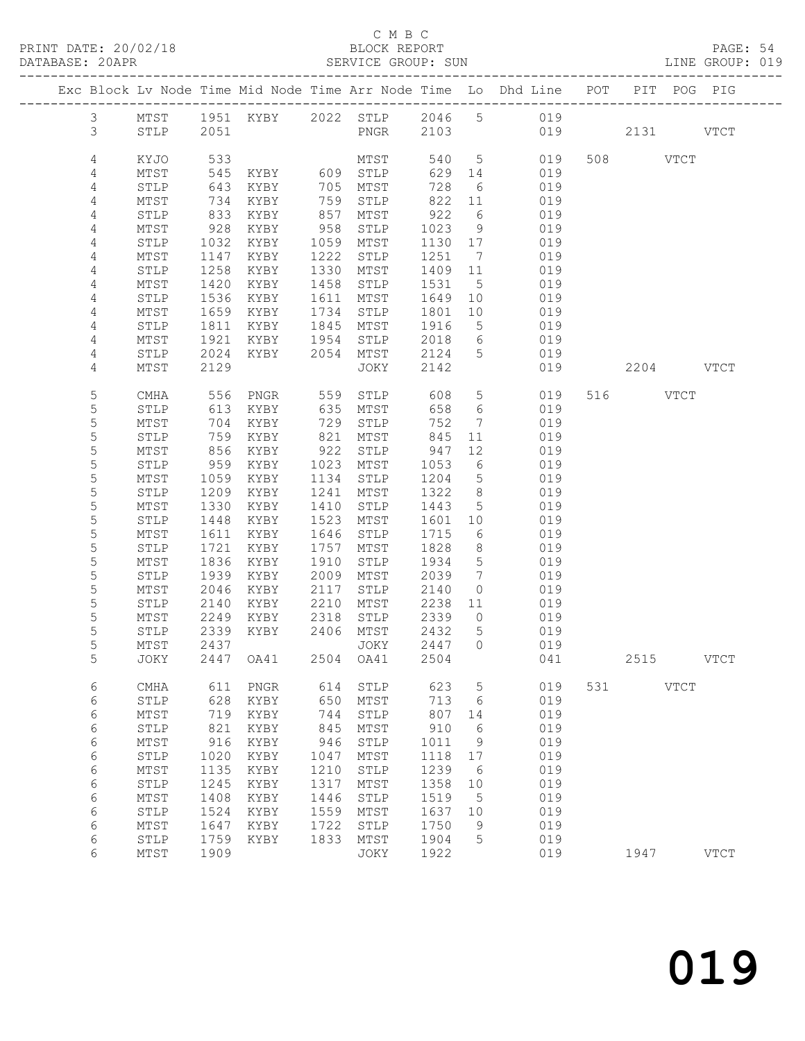PRINT DATE: 20/02/18<br>DATABASE: 20APR

|                     |                 |              |                                          |      |                                                    |         |             |                                                                                |     |      |             | PAGE: 54<br>LINE GROUP: 019 |  |
|---------------------|-----------------|--------------|------------------------------------------|------|----------------------------------------------------|---------|-------------|--------------------------------------------------------------------------------|-----|------|-------------|-----------------------------|--|
|                     |                 |              |                                          |      |                                                    |         |             | Exc Block Lv Node Time Mid Node Time Arr Node Time Lo Dhd Line POT PIT POG PIG |     |      |             |                             |  |
|                     |                 |              |                                          |      |                                                    |         |             | 3 MTST 1951 KYBY 2022 STLP 2046 5 019                                          |     |      |             |                             |  |
| $\mathcal{S}$       | STLP 2051       |              |                                          |      |                                                    |         |             | PNGR 2103 019 2131 VTCT                                                        |     |      |             |                             |  |
| $\overline{4}$      | KYJO            |              |                                          |      |                                                    |         |             |                                                                                |     |      |             |                             |  |
| 4                   | MTST            |              |                                          |      |                                                    |         |             |                                                                                |     |      |             |                             |  |
| $\overline{4}$      | STLP            | 643          | KYBY                                     |      | 705 MTST                                           |         |             | 728 6 019                                                                      |     |      |             |                             |  |
| 4                   | MTST            | 734          | KYBY                                     |      | 759 STLP                                           |         |             | 822 11 019                                                                     |     |      |             |                             |  |
| 4                   | STLP            | 833          | KYBY                                     | 857  | MTST                                               |         |             | 922 6 019                                                                      |     |      |             |                             |  |
| $\overline{4}$      | MTST            | 928          | KYBY                                     | 958  | STLP                                               | 1023 9  |             | 019                                                                            |     |      |             |                             |  |
| 4                   | STLP            | 1032         | KYBY                                     |      | 1059 MTST                                          |         |             | $1130$ $17$ $019$                                                              |     |      |             |                             |  |
| 4                   | MTST            | 1147         | KYBY                                     | 1222 | STLP                                               |         |             | 1251 7 019                                                                     |     |      |             |                             |  |
| 4                   | STLP            | 1258         | KYBY                                     | 1330 | MTST                                               | 1409 11 |             | 019                                                                            |     |      |             |                             |  |
| $\overline{4}$<br>4 | MTST            | 1420<br>1536 | KYBY                                     |      | 1458 STLP<br>1611 MTST                             | 1531 5  |             | 019<br>1649 10 019                                                             |     |      |             |                             |  |
| $\overline{4}$      | STLP<br>MTST    | 1659         | KYBY<br>KYBY                             |      | 1734 STLP                                          |         |             | 1801 10 019                                                                    |     |      |             |                             |  |
| 4                   | STLP            | 1811         | KYBY                                     |      | 1845 MTST                                          |         |             | 1916 5 019                                                                     |     |      |             |                             |  |
| $\overline{4}$      | MTST            | 1921         |                                          |      |                                                    |         |             |                                                                                |     |      |             |                             |  |
| $\overline{4}$      | STLP            | 2024         |                                          |      | KYBY 1954 STLP 2018 6<br>KYBY 2054 MTST 2124 5     |         |             | 2018 6 019<br>2124 5 019                                                       |     |      |             |                             |  |
| 4                   | MTST            | 2129         |                                          |      | JOKY                                               | 2142    |             | 019  2204  VTCT                                                                |     |      |             |                             |  |
| $\mathsf S$         | CMHA            |              |                                          |      |                                                    |         |             |                                                                                |     |      |             |                             |  |
| 5                   | STLP            |              |                                          |      |                                                    | 658 6   |             | 608 5 019 516 VTCT<br>019                                                      |     |      |             |                             |  |
| $\mathsf S$         | MTST            | 704          | KYBY                                     |      | 729 STLP                                           | 752     |             | 7 019                                                                          |     |      |             |                             |  |
| 5                   | STLP            | 759          | KYBY                                     |      | 821 MTST 845                                       |         |             | 11 019                                                                         |     |      |             |                             |  |
| $\mathsf S$         | MTST            |              |                                          |      | 922 STLP<br>$1023$ MTST $1053$<br>1023 MTST $1053$ |         | 12          | 019                                                                            |     |      |             |                             |  |
| $\mathsf S$         | STLP            |              | 856 KYBY<br>959 KYBY                     |      |                                                    | 1053 6  |             | 019                                                                            |     |      |             |                             |  |
| 5                   | MTST            | 1059         | KYBY                                     | 1134 | STLP                                               |         |             | 1204 5 019                                                                     |     |      |             |                             |  |
| 5                   | STLP            | 1209         | KYBY                                     |      | 1241 MTST                                          |         |             | 1322 8 019                                                                     |     |      |             |                             |  |
| 5                   | MTST            | 1330         | KYBY                                     | 1410 | STLP                                               | 1443 5  |             | 019                                                                            |     |      |             |                             |  |
| $\mathsf S$         | STLP            | 1448         | KYBY                                     |      | 1523 MTST                                          | 1601 10 |             | 019                                                                            |     |      |             |                             |  |
| 5                   | MTST            | 1611         | KYBY                                     |      | 1646 STLP                                          |         |             | 1715 6 019                                                                     |     |      |             |                             |  |
| 5                   | STLP            | 1721         | KYBY                                     |      | 1757 MTST                                          |         |             | 1828 8 019                                                                     |     |      |             |                             |  |
| $\mathsf S$         | MTST            | 1836         | KYBY                                     | 1910 | STLP                                               |         |             | 1934 5 019                                                                     |     |      |             |                             |  |
| $\mathsf S$         | STLP            | 1939<br>2046 | KYBY                                     |      | 2009 MTST<br>KYBY 2117 STLP 2140 0                 | 2039 7  |             | 019<br>019                                                                     |     |      |             |                             |  |
| 5                   | MTST            |              |                                          |      |                                                    |         |             |                                                                                |     |      |             |                             |  |
| 5<br>5              | STLP<br>MTST    |              | 2140 KYBY 2210 MTST 2238 11<br>2249 KYBY |      | 2318 STLP                                          | 2339 0  |             | 019<br>019                                                                     |     |      |             |                             |  |
| 5                   |                 |              | STLP 2339 KYBY 2406 MTST 2432 5          |      |                                                    |         |             | 019                                                                            |     |      |             |                             |  |
| $\mathsf S$         | MTST            | 2437         |                                          |      | JOKY                                               | 2447    | 0           | 019                                                                            |     |      |             |                             |  |
| 5                   | JOKY            | 2447         | OA41                                     | 2504 | OA41                                               | 2504    |             | 041                                                                            |     | 2515 |             | <b>VTCT</b>                 |  |
| 6                   | CMHA            | 611          | PNGR                                     | 614  | STLP                                               | 623     | $\mathsf S$ | 019                                                                            | 531 |      | <b>VTCT</b> |                             |  |
| 6                   | STLP            | 628          | KYBY                                     | 650  | MTST                                               | 713     | 6           | 019                                                                            |     |      |             |                             |  |
| 6                   | MTST            | 719          | KYBY                                     | 744  | STLP                                               | 807     | 14          | 019                                                                            |     |      |             |                             |  |
| 6                   | STLP            | 821          | KYBY                                     | 845  | MTST                                               | 910     | 6           | 019                                                                            |     |      |             |                             |  |
| 6                   | MTST            | 916          | KYBY                                     | 946  | STLP                                               | 1011    | 9           | 019                                                                            |     |      |             |                             |  |
| 6                   | STLP            | 1020         | KYBY                                     | 1047 | MTST                                               | 1118    | 17          | 019                                                                            |     |      |             |                             |  |
| 6                   | MTST            | 1135         | KYBY                                     | 1210 | STLP                                               | 1239    | 6           | 019                                                                            |     |      |             |                             |  |
| 6                   | STLP            | 1245         | KYBY                                     | 1317 | MTST                                               | 1358    | 10          | 019                                                                            |     |      |             |                             |  |
| 6                   | $\mathtt{MTST}$ | 1408         | KYBY                                     | 1446 | STLP                                               | 1519    | 5           | 019                                                                            |     |      |             |                             |  |
| 6                   | STLP            | 1524         | KYBY                                     | 1559 | MTST                                               | 1637    | 10          | 019                                                                            |     |      |             |                             |  |
| 6                   | MTST            | 1647         | KYBY                                     | 1722 | STLP                                               | 1750    | 9           | 019                                                                            |     |      |             |                             |  |
| 6                   | STLP            | 1759         | KYBY                                     | 1833 | MTST                                               | 1904    | 5           | 019                                                                            |     |      |             |                             |  |
| 6                   | MTST            | 1909         |                                          |      | JOKY                                               | 1922    |             | 019                                                                            |     | 1947 |             | $_{\rm VTCT}$               |  |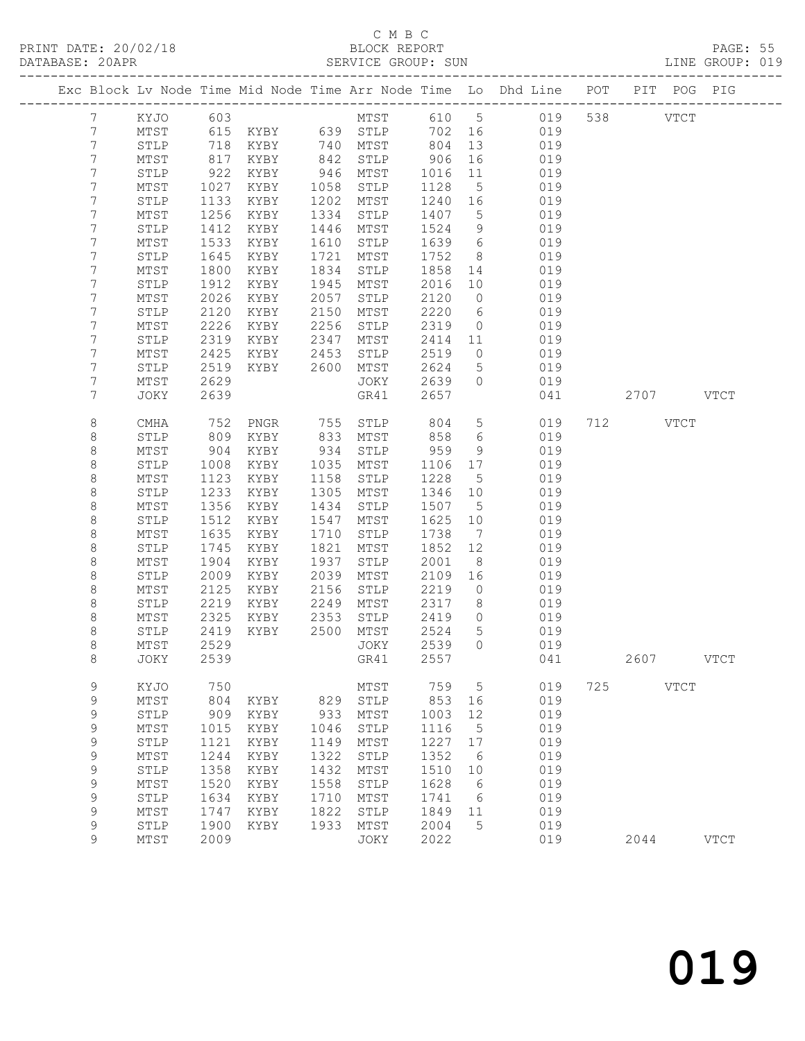# C M B C<br>BLOCK REPORT

PAGE: 55<br>LINE GROUP: 019

|  |                |                 |              |               |              |              |              |                       | Exc Block Lv Node Time Mid Node Time Arr Node Time Lo Dhd Line POT PIT POG PIG |     |           |               |               |
|--|----------------|-----------------|--------------|---------------|--------------|--------------|--------------|-----------------------|--------------------------------------------------------------------------------|-----|-----------|---------------|---------------|
|  |                |                 |              |               |              |              |              |                       |                                                                                |     |           |               |               |
|  | $7\phantom{.}$ | KYJO            | 603          |               |              | MTST         | 610 5        |                       | 019                                                                            |     | 538 33    | $_{\rm VTCT}$ |               |
|  | 7              | $\mathtt{MTST}$ | 615          | KYBY 639 STLP |              |              | 702          | 16                    | 019                                                                            |     |           |               |               |
|  | 7              | STLP            | 718          | KYBY          |              | 740 MTST     | 804          | 13                    | 019                                                                            |     |           |               |               |
|  | 7              | MTST            | 817          | KYBY          | 842          | STLP         | 906          | 16                    | 019                                                                            |     |           |               |               |
|  | 7              | STLP            | 922          | KYBY          | 946          | MTST         | 1016         | 11                    | 019                                                                            |     |           |               |               |
|  | 7              | MTST            | 1027         | KYBY          | 1058         | STLP         | 1128         | 5                     | 019                                                                            |     |           |               |               |
|  | 7              | STLP            | 1133         | KYBY          | 1202         | MTST         | 1240         | 16                    | 019                                                                            |     |           |               |               |
|  | 7              | MTST            | 1256         | KYBY          | 1334         | STLP         | 1407         | $5\overline{)}$       | 019                                                                            |     |           |               |               |
|  | 7              | STLP            | 1412         | KYBY          | 1446         | MTST         | 1524         | 9                     | 019                                                                            |     |           |               |               |
|  | 7              | MTST            | 1533         | KYBY          | 1610         | STLP         | 1639         | 6                     | 019                                                                            |     |           |               |               |
|  | 7              | STLP            | 1645         | KYBY          | 1721         | MTST         | 1752         | 8                     | 019                                                                            |     |           |               |               |
|  | 7              | MTST            | 1800         | KYBY          | 1834         | STLP         | 1858         | 14                    | 019                                                                            |     |           |               |               |
|  | 7              | STLP            | 1912         | KYBY          | 1945         | MTST         | 2016         | 10                    | 019                                                                            |     |           |               |               |
|  | 7              | MTST            | 2026         | KYBY          | 2057         | STLP         | 2120         | $\circ$               | 019                                                                            |     |           |               |               |
|  | 7              | STLP            | 2120         | KYBY          | 2150         | MTST         | 2220         | 6                     | 019                                                                            |     |           |               |               |
|  | 7              | MTST            | 2226         | KYBY          | 2256         | STLP         | 2319         | $\circ$               | 019                                                                            |     |           |               |               |
|  | 7              | STLP            | 2319         | KYBY          | 2347         | MTST         | 2414         | 11                    | 019                                                                            |     |           |               |               |
|  | 7              | MTST            | 2425         | KYBY          | 2453         | STLP         | 2519         | $\circ$               | 019                                                                            |     |           |               |               |
|  | 7              | STLP            | 2519         | KYBY          | 2600         | MTST         | 2624         | 5                     | 019                                                                            |     |           |               |               |
|  | 7              | MTST            | 2629         |               |              | JOKY         | 2639         | $\circ$               | 019                                                                            |     |           |               |               |
|  | 7              | JOKY            | 2639         |               |              | GR41         | 2657         |                       | 041                                                                            |     | 2707 VTCT |               |               |
|  |                |                 |              |               |              |              |              |                       |                                                                                |     |           |               |               |
|  | 8              | CMHA            | 752          | PNGR          |              | 755 STLP     | 804          | $5\phantom{.0}$       | 019                                                                            |     | 712 VTCT  |               |               |
|  | 8              | STLP            | 809          | KYBY          | 833          | MTST         | 858          | 6                     | 019                                                                            |     |           |               |               |
|  | 8              | MTST            | 904          | KYBY          | 934          | STLP         | 959          | 9                     | 019                                                                            |     |           |               |               |
|  | $\,8\,$        | STLP            | 1008         | KYBY          | 1035         | MTST         | 1106         | 17                    | 019                                                                            |     |           |               |               |
|  | $\,8\,$        | MTST            | 1123         | KYBY          | 1158         | STLP         | 1228         | 5                     | 019                                                                            |     |           |               |               |
|  | $\,8\,$        | STLP            | 1233         | KYBY          | 1305         | MTST         | 1346         | 10                    | 019                                                                            |     |           |               |               |
|  | 8<br>$\,8\,$   | MTST<br>STLP    | 1356<br>1512 | KYBY          | 1434<br>1547 | STLP         | 1507         | $5^{\circ}$           | 019<br>019                                                                     |     |           |               |               |
|  |                |                 | 1635         | KYBY          |              | MTST         | 1625<br>1738 | 10<br>$7\overline{ }$ | 019                                                                            |     |           |               |               |
|  | 8<br>$\,8\,$   | MTST<br>STLP    | 1745         | KYBY<br>KYBY  | 1710<br>1821 | STLP<br>MTST | 1852         | 12                    | 019                                                                            |     |           |               |               |
|  | 8              | MTST            | 1904         | KYBY          | 1937         | STLP         | 2001         | 8                     | 019                                                                            |     |           |               |               |
|  | $\,8\,$        | STLP            | 2009         | KYBY          | 2039         | MTST         |              |                       | 019                                                                            |     |           |               |               |
|  | 8              | MTST            | 2125         | KYBY          | 2156         | STLP         | 2109<br>2219 | 16<br>$\circ$         | 019                                                                            |     |           |               |               |
|  | $\,8\,$        | STLP            | 2219         | KYBY          | 2249         | MTST         | 2317         | 8                     | 019                                                                            |     |           |               |               |
|  | 8              | MTST            | 2325         | KYBY          | 2353         | STLP         | 2419         | $\circ$               | 019                                                                            |     |           |               |               |
|  | $\,8\,$        | STLP            | 2419         | KYBY          | 2500         | MTST         | 2524         | 5                     | 019                                                                            |     |           |               |               |
|  | $\,8\,$        | MTST            | 2529         |               |              | JOKY         | 2539         | $\bigcirc$            | 019                                                                            |     |           |               |               |
|  | 8              | JOKY 2539       |              |               |              | GR41 2557    |              |                       | 041                                                                            |     | 2607      |               | <b>VTCT</b>   |
|  |                |                 |              |               |              |              |              |                       |                                                                                |     |           |               |               |
|  | 9              | KYJO            | 750          |               |              | MTST         | 759          | 5                     | 019                                                                            | 725 |           | <b>VTCT</b>   |               |
|  | $\mathsf 9$    | MTST            | 804          | KYBY          | 829          | STLP         | 853          | 16                    | 019                                                                            |     |           |               |               |
|  | 9              | STLP            | 909          | KYBY          | 933          | MTST         | 1003         | 12                    | 019                                                                            |     |           |               |               |
|  | $\mathsf 9$    | MTST            | 1015         | KYBY          | 1046         | STLP         | 1116         | 5                     | 019                                                                            |     |           |               |               |
|  | $\mathsf 9$    | ${\tt STLP}$    | 1121         | KYBY          | 1149         | MTST         | 1227         | 17                    | 019                                                                            |     |           |               |               |
|  | 9              | MTST            | 1244         | KYBY          | 1322         | STLP         | 1352         | 6                     | 019                                                                            |     |           |               |               |
|  | 9              | STLP            | 1358         | KYBY          | 1432         | MTST         | 1510         | 10                    | 019                                                                            |     |           |               |               |
|  | $\mathsf 9$    | MTST            | 1520         | KYBY          | 1558         | STLP         | 1628         | 6                     | 019                                                                            |     |           |               |               |
|  | $\mathsf 9$    | STLP            | 1634         | KYBY          | 1710         | MTST         | 1741         | 6                     | 019                                                                            |     |           |               |               |
|  | 9              | MTST            | 1747         | KYBY          | 1822         | STLP         | 1849         | 11                    | 019                                                                            |     |           |               |               |
|  | $\mathsf 9$    | STLP            | 1900         | KYBY          | 1933         | MTST         | 2004         | 5                     | 019                                                                            |     |           |               |               |
|  | 9              | $MTST$          | 2009         |               |              | JOKY         | 2022         |                       | 019                                                                            |     | 2044      |               | $_{\rm VTCT}$ |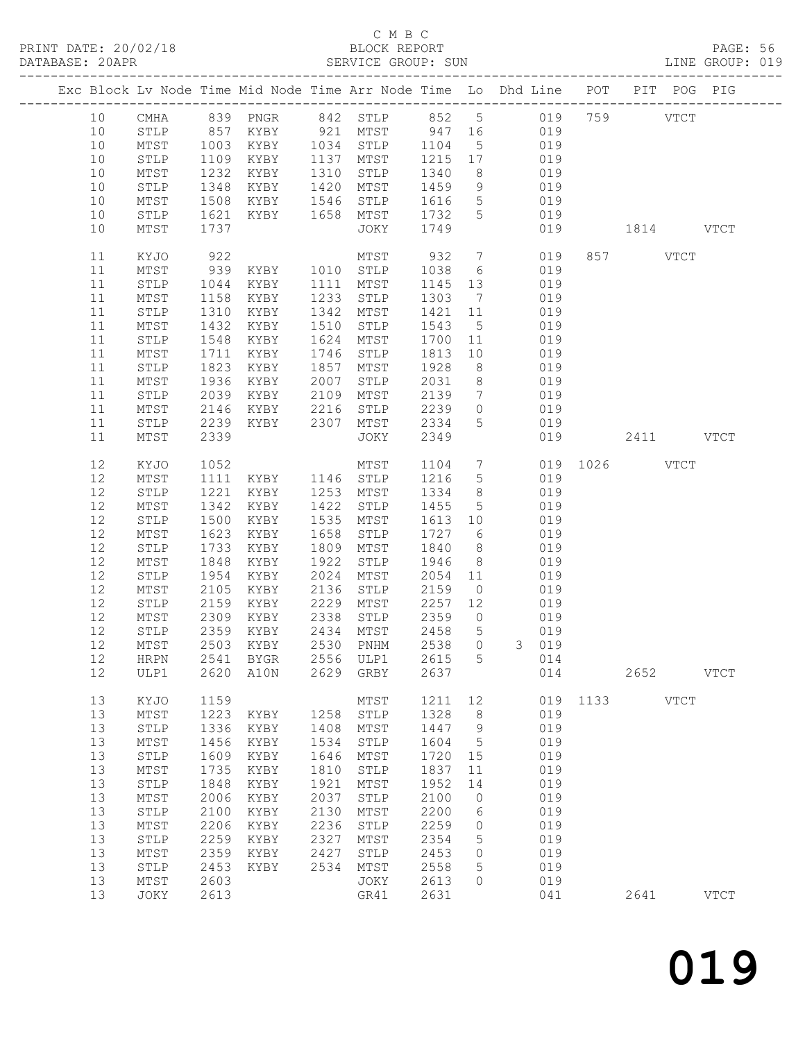# C M B C<br>BLOCK REPORT<br>SERVICE GROUP: SUN

|                                                                                              |                                                                                                                                                                      |                                                                                                                              |                                                                                                                                                                                         |                                                                                                      | C M B C                                                                                                                      |                                                                                                                              |                                                                              |                                                                                                                                                                                                                                                                                                                                                                        |           |          |                     |                            |  |
|----------------------------------------------------------------------------------------------|----------------------------------------------------------------------------------------------------------------------------------------------------------------------|------------------------------------------------------------------------------------------------------------------------------|-----------------------------------------------------------------------------------------------------------------------------------------------------------------------------------------|------------------------------------------------------------------------------------------------------|------------------------------------------------------------------------------------------------------------------------------|------------------------------------------------------------------------------------------------------------------------------|------------------------------------------------------------------------------|------------------------------------------------------------------------------------------------------------------------------------------------------------------------------------------------------------------------------------------------------------------------------------------------------------------------------------------------------------------------|-----------|----------|---------------------|----------------------------|--|
|                                                                                              |                                                                                                                                                                      |                                                                                                                              |                                                                                                                                                                                         |                                                                                                      |                                                                                                                              |                                                                                                                              |                                                                              | Exc Block Lv Node Time Mid Node Time Arr Node Time Lo Dhd Line POT PIT POG PIG                                                                                                                                                                                                                                                                                         |           |          |                     |                            |  |
| 10<br>10<br>10<br>10<br>10<br>10<br>10                                                       | MTST<br>STLP<br>MTST<br>STLP<br>MTST<br>STLP                                                                                                                         | 1621                                                                                                                         |                                                                                                                                                                                         |                                                                                                      |                                                                                                                              |                                                                                                                              |                                                                              | 10 CMHA 839 PNGR 842 STLP 852 5 019 759 VTCT<br>STLP 857 KYBY 921 MTST 947 16 019<br>1003 KYBY 1034 STLP 1104 5 019<br>1109 KYBY 1137 MTST 1215 17 019<br>1232 KYBY 1310 STLP 1340 8 019<br>1348 KYBY 1420 MTST 1459 9 019<br>1508 KYBY 1546 STLP 1616 5 019<br>KYBY 1658 MTST 1732 5 019                                                                              |           |          |                     |                            |  |
| 10                                                                                           | MTST                                                                                                                                                                 | 1737                                                                                                                         |                                                                                                                                                                                         |                                                                                                      | JOKY 1749                                                                                                                    |                                                                                                                              |                                                                              | 019                                                                                                                                                                                                                                                                                                                                                                    | 1814 VTCT |          |                     |                            |  |
| 11<br>11<br>11<br>11<br>11<br>11<br>11<br>11<br>11<br>11<br>11<br>11<br>11<br>11             | KYJO<br>MTST<br>${\tt STLP}$<br>MTST<br>STLP<br>MTST<br>STLP<br>MTST<br>STLP<br>MTST<br>STLP<br>MTST<br>STLP<br>MTST                                                 | 1310<br>1432<br>1548<br>1823<br>1936<br>2039<br>2146<br>2339                                                                 | KYBY<br>KYBY<br>KYBY<br>1711 KYBY<br>KYBY<br>KYBY                                                                                                                                       | 1857<br>2007                                                                                         | 1342 MTST<br>1510 STLP<br>1624 MTST<br>1746 STLP<br>MTST<br>STLP<br>JOKY                                                     | 1928<br>2349                                                                                                                 |                                                                              | MTST 932 7 019<br>922 MTST 932 7 019<br>939 KYBY 1010 STLP 1038 6 019<br>1044 KYBY 1111 MTST 1145 13 019<br>1158 KYBY 1233 STLP 1303 7 019<br>1421 11 019<br>$\begin{array}{cccc} 1543 & 5 & 019 \\ 1700 & 11 & 019 \\ 1813 & 10 & 019 \end{array}$<br>8 019<br>2031 8 019<br>XYBY 2109 MTST 2139 7 019<br>XYBY 2216 STLP 2239 0 019<br>2239 KYBY 2307 MTST 2334 5 019 |           | 857 VTCT |                     |                            |  |
| 12<br>12<br>12<br>12<br>12<br>12<br>12<br>12<br>12<br>12<br>12<br>12<br>12<br>12<br>12       | KYJO<br>MTST<br>STLP<br>MTST<br>STLP<br>MTST<br>STLP<br>MTST<br>STLP<br>MTST<br>STLP<br>MTST<br>STLP<br>$\mathtt{MTST}$<br><b>HRPN</b>                               | 1342<br>1500<br>1623<br>1733<br>1848<br>2309<br>2359<br>2503<br>2541                                                         | 1052 MTST<br>1111 KYBY 1146 STLP<br>1221 KYBY 1253 MTST<br>KYBY<br>KYBY<br>KYBY<br>KYBY<br>KYBY<br>1954 KYBY<br>2105 KYBY<br>2159 KYBY 2229 MTST<br>KYBY<br>KYBY<br>KYBY<br><b>BYGR</b> | 1422<br>1658<br>2338<br>2434<br>2530<br>2556                                                         | MTST<br>STLP<br>1535 MTST<br>STLP<br>1809 MTST<br>STLP<br>MTST<br>PNHM<br>ULP1                                               | 2359<br>2458<br>2538<br>2615                                                                                                 | $\circ$<br>5<br>$\circ$<br>5                                                 | 1104 7 019 1026 VTCT<br>1216 5 019<br>1334 8 019<br>$\begin{array}{cccc} 1455 & 5 & 019 \\ 1613 & 10 & 019 \\ 1727 & 6 & 019 \end{array}$<br>1840 8 019<br>1922 STLP 1946 8 019<br>2024 MTST 2054 11 019<br>2136 STLP 2159 0 019<br>2257 12 019<br>019<br>019<br>$\mathcal{E}$<br>019<br>014                                                                           |           |          |                     |                            |  |
| 12<br>13<br>13<br>13<br>13<br>13<br>13<br>13<br>13<br>13<br>13<br>13<br>13<br>13<br>13<br>13 | ULP1<br>KYJO<br>MTST<br>${\tt STLP}$<br>MTST<br>${\tt STLP}$<br>MTST<br>STLP<br>$\mathtt{MTST}$<br>STLP<br>$MTST$<br>STLP<br>$\mathtt{MTST}$<br>STLP<br>MTST<br>JOKY | 2620<br>1159<br>1223<br>1336<br>1456<br>1609<br>1735<br>1848<br>2006<br>2100<br>2206<br>2259<br>2359<br>2453<br>2603<br>2613 | A10N<br>KYBY<br>KYBY<br>KYBY<br>KYBY<br>KYBY<br>KYBY<br>KYBY<br>KYBY<br>KYBY<br>KYBY<br>KYBY<br>KYBY                                                                                    | 2629<br>1258<br>1408<br>1534<br>1646<br>1810<br>1921<br>2037<br>2130<br>2236<br>2327<br>2427<br>2534 | GRBY<br>MTST<br>STLP<br>MTST<br>STLP<br>MTST<br>STLP<br>MTST<br>STLP<br>MTST<br>STLP<br>MTST<br>STLP<br>MTST<br>JOKY<br>GR41 | 2637<br>1211<br>1328<br>1447<br>1604<br>1720<br>1837<br>1952<br>2100<br>2200<br>2259<br>2354<br>2453<br>2558<br>2613<br>2631 | 12<br>8<br>9<br>5<br>15<br>11<br>14<br>$\circ$<br>6<br>0<br>5<br>0<br>5<br>0 | 014<br>019<br>019<br>019<br>019<br>019<br>019<br>019<br>019<br>019<br>019<br>019<br>019<br>019<br>019<br>041                                                                                                                                                                                                                                                           | 1133      | 2641     | 2652<br><b>VTCT</b> | <b>VTCT</b><br><b>VTCT</b> |  |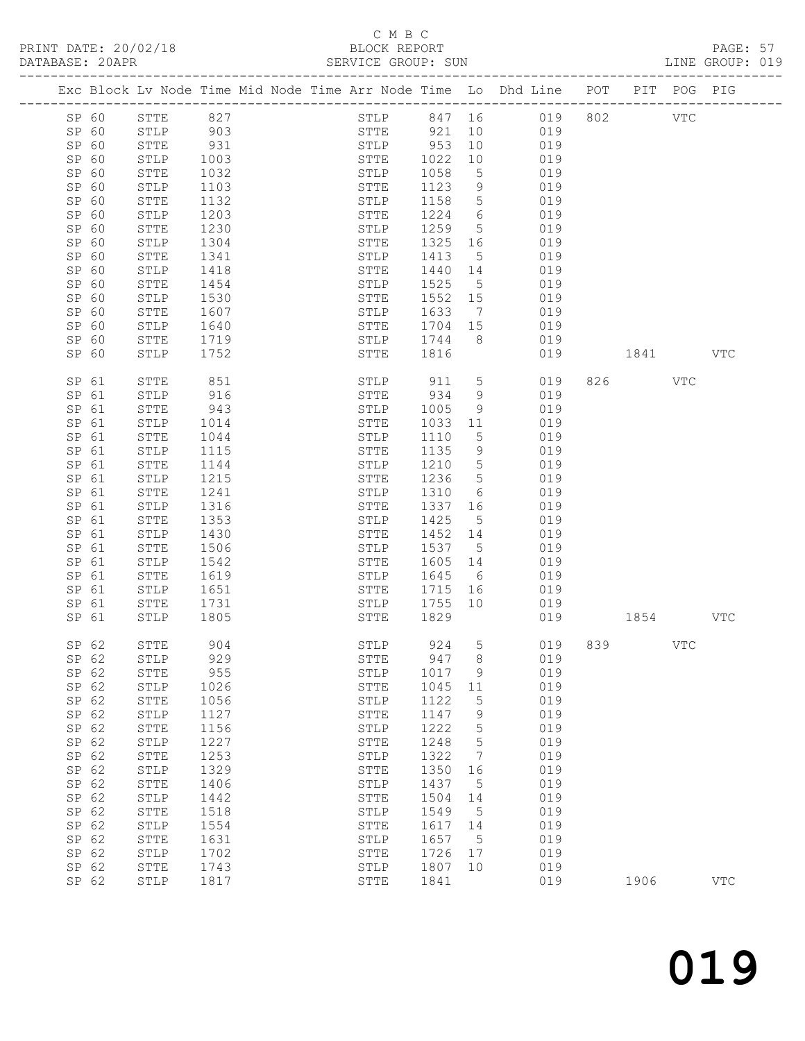## C M B C<br>BLOCK REPORT

| DATABASE: 20APR |       |              |              |  | SERVICE GROUP: SUN                 |         |                       |                                                                                |          |         |     | LINE GROUP: 019 |  |
|-----------------|-------|--------------|--------------|--|------------------------------------|---------|-----------------------|--------------------------------------------------------------------------------|----------|---------|-----|-----------------|--|
|                 |       |              |              |  |                                    |         |                       | Exc Block Lv Node Time Mid Node Time Arr Node Time Lo Dhd Line POT PIT POG PIG |          |         |     |                 |  |
|                 | SP 60 | STTE 827     |              |  |                                    |         |                       | STLP 847 16 019 802 VTC                                                        |          |         |     |                 |  |
|                 | SP 60 | STLP 903     |              |  |                                    |         |                       | STTE 921 10 019                                                                |          |         |     |                 |  |
| SP 60           |       | STTE         | 931          |  | STLP 953<br>STTE 1022<br>STLP 1058 |         | 10                    | 019                                                                            |          |         |     |                 |  |
| SP 60           |       | STLP         | 1003         |  |                                    |         | 10                    | 019                                                                            |          |         |     |                 |  |
| SP 60           |       | STTE         | 1032         |  |                                    |         | $5\overline{)}$       | 019                                                                            |          |         |     |                 |  |
| SP 60           |       | STLP         | 1103         |  | STTE                               | 1123    | 9                     | 019                                                                            |          |         |     |                 |  |
| SP 60           |       | STTE         | 1132         |  | STLP                               | 1158    | $5\overline{)}$       | 019                                                                            |          |         |     |                 |  |
| SP 60           |       | STLP         | 1203         |  | STTE                               | 1224    | $6\overline{6}$       | 019                                                                            |          |         |     |                 |  |
| SP 60           |       | STTE         | 1230         |  | STLP                               | 1259    | 5 <sup>5</sup>        | 019                                                                            |          |         |     |                 |  |
| SP 60           |       | STLP         | 1304         |  | STTE                               | 1325 16 |                       | 019                                                                            |          |         |     |                 |  |
| SP 60           |       | STTE         | 1341         |  | STLP                               | 1413    | $5\overline{)}$       | 019                                                                            |          |         |     |                 |  |
| SP 60           |       | STLP         | 1418         |  | STTE                               | 1440 14 |                       | 019                                                                            |          |         |     |                 |  |
| SP 60           |       | STTE         | 1454         |  | STLP                               | 1525    | $5\overline{)}$       | 019                                                                            |          |         |     |                 |  |
| SP 60           |       | STLP         | 1530         |  | STTE                               | 1552 15 |                       | 019                                                                            |          |         |     |                 |  |
| SP 60           |       | STTE         | 1607         |  | STLP                               | 1633    | $7\overline{)}$       | 019                                                                            |          |         |     |                 |  |
| SP 60           |       | STLP         | 1640         |  | STTE 1704 15<br>STLP 1744 8        |         |                       | 019                                                                            |          |         |     |                 |  |
| SP 60           |       | STTE         | 1719         |  |                                    |         |                       | 019                                                                            |          |         |     |                 |  |
| SP 60           |       | STLP         | 1752         |  | STTE 1816                          |         |                       | 019                                                                            | 1841 VTC |         |     |                 |  |
| SP 61           |       | STTE         | 851          |  | STLP 911                           |         | 5 <sup>5</sup>        | 019                                                                            |          | 826 VTC |     |                 |  |
| SP 61           |       | STLP         | 916          |  | STTE                               | 934     | 9                     | 019                                                                            |          |         |     |                 |  |
| SP 61           |       | STTE         | 943          |  | STLP                               | 1005    | 9                     | 019                                                                            |          |         |     |                 |  |
| SP 61           |       | STLP         | 1014         |  | STTE                               | 1033    | 11                    | 019                                                                            |          |         |     |                 |  |
| SP 61           |       | STTE         | 1044         |  | STLP                               | 1110    | 5                     | 019                                                                            |          |         |     |                 |  |
| SP 61           |       | STLP         | 1115         |  | STTE                               | 1135    | 9                     | 019                                                                            |          |         |     |                 |  |
| SP 61           |       | STTE         | 1144         |  | STLP                               | 1210    | $5\overline{)}$       | 019                                                                            |          |         |     |                 |  |
| SP 61           |       | STLP         | 1215         |  | STTE                               | 1236    | $5\overline{)}$       | 019                                                                            |          |         |     |                 |  |
| SP 61           |       | STTE         | 1241         |  | STLP                               | 1310    | 6                     | 019                                                                            |          |         |     |                 |  |
| SP 61<br>SP 61  |       | STLP         | 1316<br>1353 |  | STTE<br>STLP 1425                  | 1337    | 16<br>$5\overline{)}$ | 019<br>019                                                                     |          |         |     |                 |  |
| SP 61           |       | STTE<br>STLP | 1430         |  | STTE                               | 1452 14 |                       | 019                                                                            |          |         |     |                 |  |
| SP 61           |       | STTE         | 1506         |  | STLP                               | 1537    | $5\overline{)}$       | 019                                                                            |          |         |     |                 |  |
| SP 61           |       | STLP         | 1542         |  | STTE                               | 1605 14 |                       | 019                                                                            |          |         |     |                 |  |
| SP 61           |       | STTE         | 1619         |  | STLP                               | 1645 6  |                       | 019                                                                            |          |         |     |                 |  |
| SP 61           |       | STLP         | 1651         |  | STTE                               | 1715 16 |                       | 019                                                                            |          |         |     |                 |  |
| SP 61           |       | STTE         | 1731         |  | STLP                               | 1755 10 |                       | 019                                                                            |          |         |     |                 |  |
| SP 61           |       | STLP         | 1805         |  | STTE                               | 1829    |                       | 019                                                                            | 1854     |         |     | VTC             |  |
|                 | SP 62 | ${\tt STTE}$ | 904          |  | STLP                               | 924     |                       | 5 019 839                                                                      |          |         | VTC |                 |  |
| SP 62           |       | STLP         | 929          |  | STTE                               | 947     | 8                     | 019                                                                            |          |         |     |                 |  |
| SP 62           |       | STTE         | 955          |  | STLP                               | 1017    | 9                     | 019                                                                            |          |         |     |                 |  |
| SP 62           |       | ${\tt STLP}$ | 1026         |  | STTE                               | 1045    | 11                    | 019                                                                            |          |         |     |                 |  |
| SP 62           |       | STTE         | 1056         |  | STLP                               | 1122    | 5                     | 019                                                                            |          |         |     |                 |  |
| SP 62           |       | STLP         | 1127         |  | ${\tt STTE}$                       | 1147    | 9                     | 019                                                                            |          |         |     |                 |  |
| SP 62           |       | STTE         | 1156         |  | STLP                               | 1222    | $5\phantom{.0}$       | 019                                                                            |          |         |     |                 |  |
| SP 62           |       | ${\tt STLP}$ | 1227         |  | ${\tt STTE}$                       | 1248    | $5\phantom{.0}$       | 019                                                                            |          |         |     |                 |  |
| SP 62           |       | STTE         | 1253         |  | STLP                               | 1322    | $\overline{7}$        | 019                                                                            |          |         |     |                 |  |
| SP 62           |       | STLP         | 1329         |  | STTE                               | 1350    | 16                    | 019                                                                            |          |         |     |                 |  |
| SP 62           |       | STTE         | 1406         |  | STLP                               | 1437    | $5^{\circ}$           | 019                                                                            |          |         |     |                 |  |
| SP 62           |       | ${\tt STLP}$ | 1442         |  | STTE                               | 1504    | 14                    | 019                                                                            |          |         |     |                 |  |
| SP 62           |       | ${\tt STTE}$ | 1518         |  | STLP                               | 1549    | $5^{\circ}$           | 019                                                                            |          |         |     |                 |  |
| SP 62           |       | STLP         | 1554         |  | STTE                               | 1617    | 14                    | 019                                                                            |          |         |     |                 |  |
| SP 62           |       | STTE         | 1631         |  | STLP                               | 1657    | $5^{\circ}$           | 019                                                                            |          |         |     |                 |  |
| SP 62           |       | STLP         | 1702         |  | ${\tt STTE}$                       | 1726    | 17                    | 019                                                                            |          |         |     |                 |  |
| SP 62           |       | STTE         | 1743         |  | STLP                               | 1807 10 |                       | 019                                                                            |          |         |     |                 |  |
| SP 62           |       | STLP         | 1817         |  | STTE                               | 1841    |                       | 019                                                                            |          | 1906    |     | $_{\rm VTC}$    |  |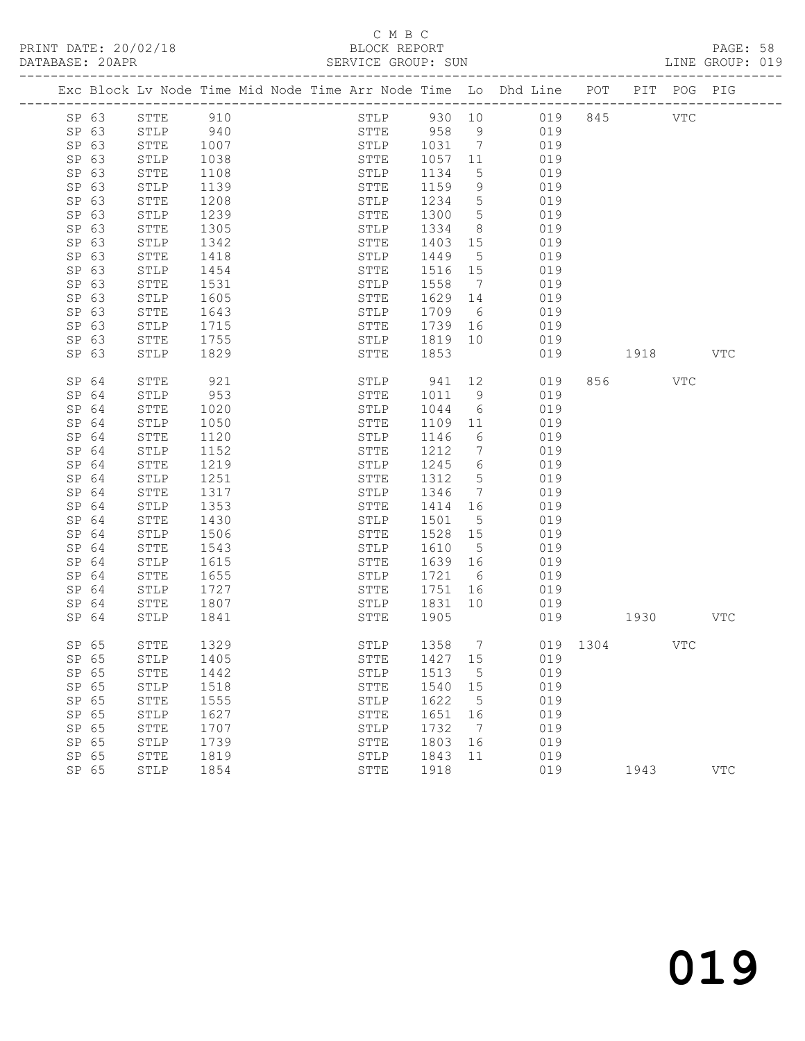## C M B C<br>BLOCK REPORT

PAGE: 58<br>LINE GROUP: 019

|                |                 |              |  |                     |                       |                              | Exc Block Lv Node Time Mid Node Time Arr Node Time Lo Dhd Line POT PIT POG PIG |              |      |            |            |
|----------------|-----------------|--------------|--|---------------------|-----------------------|------------------------------|--------------------------------------------------------------------------------|--------------|------|------------|------------|
| SP 63          | STTE            | 910          |  | STLP                |                       |                              | 930 10 019 845                                                                 |              |      | <b>VTC</b> |            |
| SP 63          | STLP            | 940<br>1007  |  |                     | STTE 958<br>STLP 1031 | 9                            | 019                                                                            |              |      |            |            |
| SP 63          | STTE            |              |  |                     |                       | $\overline{7}$               | 019                                                                            |              |      |            |            |
| SP 63          | STLP            | 1038         |  | STTE                | 1057                  | 11                           | 019                                                                            |              |      |            |            |
| SP 63          | STTE            | 1108         |  | STLP                | 1134                  | $5\overline{)}$              | 019                                                                            |              |      |            |            |
| SP 63          | STLP            | 1139         |  | STTE                | 1159                  | 9                            | 019                                                                            |              |      |            |            |
| SP 63          | STTE            | 1208         |  | STLP                | 1234                  | $5\phantom{.0}$              | 019                                                                            |              |      |            |            |
| SP 63          | STLP            | 1239         |  | STTE                | 1300                  | $5\overline{)}$              | 019                                                                            |              |      |            |            |
| SP 63          | STTE            | 1305         |  | STLP                | 1334                  | 8 <sup>8</sup>               | 019                                                                            |              |      |            |            |
| SP 63<br>SP 63 | STLP<br>STTE    | 1342<br>1418 |  | STTE<br>STLP        | 1403<br>1449          | 15<br>$5\overline{)}$        | 019<br>019                                                                     |              |      |            |            |
| SP 63          | STLP            | 1454         |  | STTE                | 1516                  | 15                           | 019                                                                            |              |      |            |            |
| SP 63          | STTE            | 1531         |  | STLP                | 1558                  | $\overline{7}$               | 019                                                                            |              |      |            |            |
| SP 63          | STLP            | 1605         |  | STTE                | 1629                  | 14                           | 019                                                                            |              |      |            |            |
| SP 63          | <b>STTE</b>     | 1643         |  | STLP                | 1709                  | 6                            | 019                                                                            |              |      |            |            |
| SP 63          | STLP            | 1715         |  | STTE                | 1739                  | 16                           | 019                                                                            |              |      |            |            |
| SP 63          | STTE            | 1755         |  | STLP                | 1819                  | 10                           | 019                                                                            |              |      |            |            |
| SP 63          | STLP            | 1829         |  | STTE                | 1853                  |                              | 019                                                                            |              | 1918 |            | <b>VTC</b> |
|                |                 |              |  |                     |                       |                              |                                                                                |              |      |            |            |
| SP 64          | STTE            | 921          |  | STLP                | 941 12                |                              | 019                                                                            | 856          |      | VTC        |            |
| SP 64          | STLP            | 953          |  | STTE                | 1011                  | - 9                          | 019                                                                            |              |      |            |            |
| SP 64          | STTE            | 1020         |  | STLP                | 1044                  | 6                            | 019                                                                            |              |      |            |            |
| SP 64          | STLP            | 1050         |  | STTE                | 1109                  | 11                           | 019                                                                            |              |      |            |            |
| SP 64          | STTE            | 1120         |  | STLP                | 1146                  | 6                            | 019                                                                            |              |      |            |            |
| SP 64          | STLP            | 1152         |  | STTE                | 1212                  | 7                            | 019                                                                            |              |      |            |            |
| SP 64          | STTE            | 1219         |  | STLP                | 1245                  | 6                            | 019                                                                            |              |      |            |            |
| SP 64          | STLP            | 1251         |  | STTE                | 1312                  | $5^{\circ}$                  | 019                                                                            |              |      |            |            |
| SP 64          | STTE            | 1317         |  | STLP                | 1346                  | $7\phantom{.0}\phantom{.0}7$ | 019                                                                            |              |      |            |            |
| SP 64<br>SP 64 | STLP<br>STTE    | 1353<br>1430 |  | STTE<br>STLP        | 1414<br>1501          | 16<br>$5\phantom{.0}$        | 019<br>019                                                                     |              |      |            |            |
| SP 64          | STLP            | 1506         |  | STTE                | 1528                  | 15                           | 019                                                                            |              |      |            |            |
| SP 64          | STTE            | 1543         |  | STLP                | 1610                  | $5^{\circ}$                  | 019                                                                            |              |      |            |            |
| SP 64          | STLP            | 1615         |  | STTE                | 1639                  | 16                           | 019                                                                            |              |      |            |            |
| SP 64          | STTE            | 1655         |  | STLP                | 1721                  | 6                            | 019                                                                            |              |      |            |            |
| SP 64          | STLP            | 1727         |  | STTE                | 1751                  | 16                           | 019                                                                            |              |      |            |            |
| SP 64          | STTE            | 1807         |  | STLP                | 1831                  | 10                           | 019                                                                            |              |      |            |            |
| SP 64          | STLP            | 1841         |  | STTE                | 1905                  |                              |                                                                                | 019          | 1930 |            | VTC        |
|                |                 |              |  |                     |                       |                              |                                                                                |              |      |            |            |
| SP 65          | STTE            | 1329         |  | STLP                | 1358 7                |                              |                                                                                | 019 1304 VTC |      |            |            |
|                | SP 65 STLP 1405 |              |  |                     | STTE 1427 15          |                              | 019                                                                            |              |      |            |            |
| SP 65          | STTE            | 1442         |  | STLP                | 1513                  | 5                            | 019                                                                            |              |      |            |            |
| SP 65          | STLP            | 1518         |  | ${\tt STTE}$        | 1540                  | 15                           | 019                                                                            |              |      |            |            |
| SP 65          | STTE            | 1555         |  | STLP                | 1622                  | 5                            | 019                                                                            |              |      |            |            |
| SP 65          | STLP            | 1627         |  | STTE                | 1651                  | 16                           | 019                                                                            |              |      |            |            |
| SP 65          | STTE            | 1707         |  | STLP                | 1732                  | $7\phantom{.0}$              | 019                                                                            |              |      |            |            |
| SP 65          | STLP            | 1739         |  | <b>STTE</b>         | 1803                  | 16                           | 019                                                                            |              |      |            |            |
| SP 65<br>SP 65 | STTE<br>STLP    | 1819<br>1854 |  | STLP<br><b>STTE</b> | 1843<br>1918          | 11                           | 019<br>019                                                                     |              | 1943 |            | VTC        |
|                |                 |              |  |                     |                       |                              |                                                                                |              |      |            |            |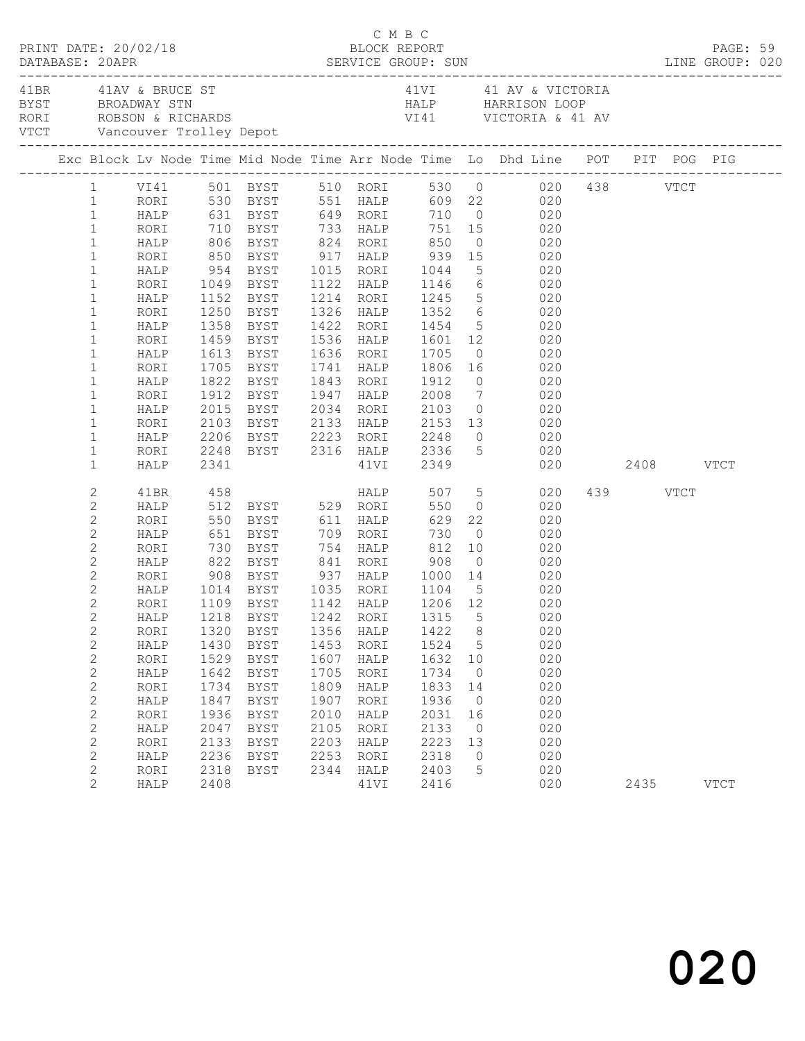|                                                                                                                                                                                                                                                                                                                                                     | PRINT DATE: 20/02/18                                                                                                                                 |                                                                                                            |                                                                                                                                                                                                                                                                                         |                                                                                      | C M B C<br>BLOCK REPORT                                                                                     |                                                                                                     |                                                                                                      |                                                                                                                                                                                                                                                                                                                                                                                                                                                                                                                                                                                                 |                  | PAGE: 59    |  |
|-----------------------------------------------------------------------------------------------------------------------------------------------------------------------------------------------------------------------------------------------------------------------------------------------------------------------------------------------------|------------------------------------------------------------------------------------------------------------------------------------------------------|------------------------------------------------------------------------------------------------------------|-----------------------------------------------------------------------------------------------------------------------------------------------------------------------------------------------------------------------------------------------------------------------------------------|--------------------------------------------------------------------------------------|-------------------------------------------------------------------------------------------------------------|-----------------------------------------------------------------------------------------------------|------------------------------------------------------------------------------------------------------|-------------------------------------------------------------------------------------------------------------------------------------------------------------------------------------------------------------------------------------------------------------------------------------------------------------------------------------------------------------------------------------------------------------------------------------------------------------------------------------------------------------------------------------------------------------------------------------------------|------------------|-------------|--|
|                                                                                                                                                                                                                                                                                                                                                     | 41BR 41AV & BRUCE ST                                                                                                                                 |                                                                                                            |                                                                                                                                                                                                                                                                                         |                                                                                      |                                                                                                             |                                                                                                     |                                                                                                      | 41VI 41 AV & VICTORIA<br>BYST BROADWAY STN HALP HARRISON LOOP<br>RORI ROBSON & RICHARDS VI41 VICTORIA & 41 AV<br>VTCT Vancouver Trolley Depot VI41 VICTORIA & 41 AV                                                                                                                                                                                                                                                                                                                                                                                                                             |                  |             |  |
|                                                                                                                                                                                                                                                                                                                                                     |                                                                                                                                                      |                                                                                                            |                                                                                                                                                                                                                                                                                         |                                                                                      |                                                                                                             |                                                                                                     |                                                                                                      | Exc Block Lv Node Time Mid Node Time Arr Node Time Lo Dhd Line POT PIT POG PIG                                                                                                                                                                                                                                                                                                                                                                                                                                                                                                                  |                  |             |  |
| $\mathbf{1}$<br>$\mathbf{1}$<br>$\mathbf{1}$<br>$\mathbf{1}$<br>$1\,$<br>$\mathbf{1}$<br>$1\,$<br>$\mathbf{1}$<br>$\mathbf{1}$<br>$\mathbf{1}$<br>$\mathbf{1}$<br>$\mathbf{1}$<br>$\mathbf 1$<br>$\mathbf{1}$<br>$\mathbf 1$<br>$\mathbf{1}$<br>$\mathbf{1}$                                                                                        | RORI<br>HALP<br>RORI<br>HALP<br>RORI<br>HALP<br>RORI<br>HALP<br>RORI<br>HALP<br>RORI<br>HALP                                                         |                                                                                                            | HALP 954 BYST 1015 RORI 1044<br>1358 BYST<br>1459 BYST<br>1613 BYST<br>1705 BYST<br>1822 BYST<br>1912 BYST                                                                                                                                                                              |                                                                                      |                                                                                                             | 1843 RORI 1912                                                                                      |                                                                                                      | 1 VI41 501 BYST 510 RORI 530 0 020 438 VTCT<br>1 RORI 530 BYST 551 HALP 609 22 020<br>HALP 631 BYST 649 RORI 710 0 020<br>RORI 710 BYST 733 HALP 751 15 020<br>HALP 806 BYST 824 RORI 850 0 020<br>RORI 850 BYST 917 HALP 939 15 020<br>5 020<br>1049 BYST 1122 HALP 1146 6 020<br>1152 BYST 1214 RORI 1245 5 020<br>1250 BYST 1326 HALP 1352 6 020<br>1422 RORI 1454 5 020<br>1536 HALP 1601 12 020<br>1636 RORI 1705 0 020<br>1741 HALP 1806 16 020<br>$0$ 020<br>1947 HALP 2008 7 020<br>2015 BYST 2034 RORI 2103 0 020<br>2103 BYST 2133 HALP 2153 13 020<br>2206 BYST 2223 RORI 2248 0 020 |                  |             |  |
| $\mathbf{1}$<br>$\mathbf{1}$                                                                                                                                                                                                                                                                                                                        | RORI<br>HALP                                                                                                                                         | 2341                                                                                                       |                                                                                                                                                                                                                                                                                         |                                                                                      |                                                                                                             |                                                                                                     |                                                                                                      | 2248 BYST 2316 HALP 2336 5 020<br>41VI 2349 020 2408 VTCT                                                                                                                                                                                                                                                                                                                                                                                                                                                                                                                                       |                  |             |  |
| 2<br>$\mathbf{2}$<br>$\mathbf{2}$<br>$\mathbf{2}$<br>$\mathbf{2}$<br>$\mathbf{2}$<br>$\mathbf{2}$<br>$\overline{2}$<br>$\mathbf{2}$<br>$\mathbf{2}^{\mathsf{I}}$<br>$\mathbf{2}$<br>$\mathbf{2}$<br>$\mathbf{2}$<br>$\mathbf{2}$<br>$\mathbf{2}$<br>$\mathbf{2}$<br>$\mathbf{2}$<br>$\mathbf{2}$<br>$\mathbf{2}$<br>$\mathbf{2}$<br>$\sqrt{2}$<br>2 | 41BR<br>RORI<br>HALP<br>RORI<br>RORI<br>HALP<br>RORI<br>RORI<br>HALP<br>RORI<br>HALP<br>RORI<br>HALP<br>RORI<br>HALP<br>RORI<br>HALP<br>RORI<br>HALP | 458<br>908<br>1320<br>1430<br>1529<br>1642<br>1734<br>1847<br>1936<br>2047<br>2133<br>2236<br>2318<br>2408 | HALP 512 BYST 529 RORI<br>HALP 822 BYST 841 RORI 908<br>1014    BYST         1035     RORI         1104       5<br>1109     BYST         1142     HALP         1206     12<br>BYST<br>BYST<br>BYST<br>BYST<br><b>BYST</b><br><b>BYST</b><br><b>BYST</b><br>BYST<br>BYST<br>BYST<br>BYST | 1356<br>1453<br>1607<br>1705<br>1809<br>1907<br>2010<br>2105<br>2203<br>2253<br>2344 | <b>HALP</b><br>HALP<br>RORI<br>HALP<br>RORI<br>HALP<br>RORI<br>HALP<br>RORI<br>HALP<br>RORI<br>HALP<br>41VI | 550<br>1422<br>1524<br>1632<br>1734<br>1833<br>1936<br>2031<br>2133<br>2223<br>2318<br>2403<br>2416 | 8<br>5<br>10<br>$\overline{0}$<br>14<br>$\overline{0}$<br>16<br>$\overline{0}$<br>13<br>$\circ$<br>5 | 507 5 020<br>$0 \qquad 020$<br>550 BYST 611 HALP 629 22 020<br>651 BYST 709 RORI 730 0 020<br>730 BYST 754 HALP 812 10 020<br>$0 \qquad \qquad 020$<br>BYST 937 HALP 1000 14 020<br>$\begin{array}{c} 020 \\ 020 \end{array}$<br>HALP 1218 BYST 1242 RORI 1315 5 020<br>020<br>020<br>020<br>020<br>020<br>020<br>020<br>020<br>020<br>020<br>020<br>020                                                                                                                                                                                                                                        | 439 VTCT<br>2435 | <b>VTCT</b> |  |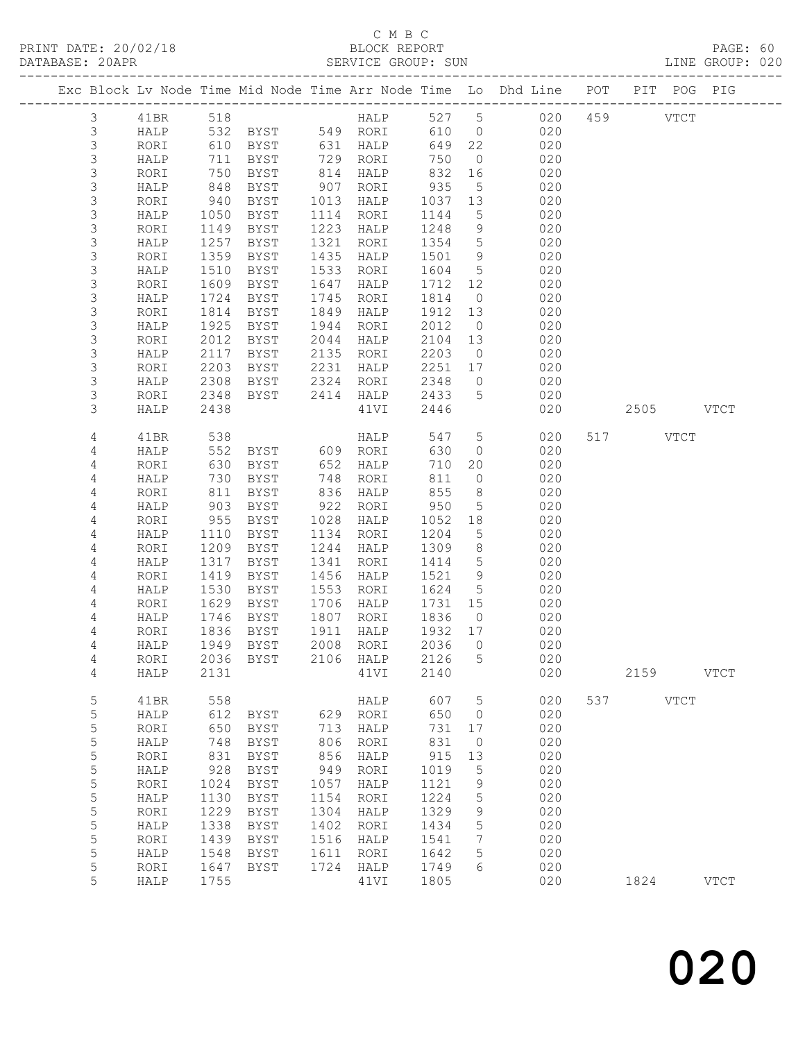### C M B C<br>BLOCK REPORT

LINE GROUP: 020

|                |       |      |               |      |                      |      |                     | Exc Block Lv Node Time Mid Node Time Arr Node Time Lo Dhd Line POT PIT POG PIG |     |             |             |
|----------------|-------|------|---------------|------|----------------------|------|---------------------|--------------------------------------------------------------------------------|-----|-------------|-------------|
| 3 41BR         |       | 518  |               |      |                      |      |                     | HALP 527 5 020 459 VTCT                                                        |     |             |             |
| $\mathfrak{Z}$ | HALP  |      |               |      |                      |      |                     | 532 BYST 549 RORI 610 0 020                                                    |     |             |             |
| $\mathfrak{Z}$ | RORI  |      | 610 BYST      |      | 631 HALP<br>729 POPT | 649  |                     | 22 020                                                                         |     |             |             |
| $\mathsf 3$    | HALP  |      | 711 BYST      |      | 729 RORI             | 750  | $\overline{0}$      | 020                                                                            |     |             |             |
| $\mathfrak{Z}$ | RORI  | 750  | BYST          |      | 814 HALP             | 832  |                     | 16<br>020                                                                      |     |             |             |
| 3              | HALP  | 848  | BYST          | 907  | RORI                 | 935  |                     | 020<br>$5 - 5$                                                                 |     |             |             |
| 3              | RORI  | 940  | BYST          | 1013 | HALP                 | 1037 |                     | $\frac{13}{13}$ $\frac{02}{020}$                                               |     |             |             |
| 3              | HALP  | 1050 | BYST          | 1114 | RORI                 | 1144 |                     |                                                                                |     |             |             |
| 3              | RORI  | 1149 | BYST          | 1223 | HALP                 | 1248 |                     | $9$ 020                                                                        |     |             |             |
| 3              | HALP  | 1257 | BYST          | 1321 | RORI                 |      |                     | 1354 5 020                                                                     |     |             |             |
| 3              | RORI  | 1359 | BYST          | 1435 | HALP                 | 1501 | 9                   | 020<br>020                                                                     |     |             |             |
| $\mathsf S$    | HALP  | 1510 | BYST          | 1533 | RORI                 | 1604 | 5 <sup>5</sup>      |                                                                                |     |             |             |
| 3              | RORI  | 1609 | BYST          | 1647 | HALP                 | 1712 | 12                  | 020                                                                            |     |             |             |
| 3              | HALP  | 1724 | BYST          | 1745 | RORI                 | 1814 |                     | 020<br>$\overline{O}$                                                          |     |             |             |
| 3              | RORI  | 1814 | BYST          | 1849 | HALP                 | 1912 | 13                  | 020                                                                            |     |             |             |
| $\mathsf S$    | HALP  | 1925 | BYST          | 1944 | RORI                 | 2012 | $\overline{0}$      | 020                                                                            |     |             |             |
| 3              | RORI  | 2012 | BYST          | 2044 | HALP                 | 2104 | 13                  | 020                                                                            |     |             |             |
| 3              | HALP  | 2117 | BYST          | 2135 | RORI                 | 2203 | $\overline{0}$      | 020                                                                            |     |             |             |
| 3              | RORI  | 2203 | BYST          | 2231 | HALP                 | 2251 |                     | 020<br>17                                                                      |     |             |             |
| 3              | HALP  | 2308 | BYST          | 2324 | RORI                 | 2348 | $\overline{0}$      | 020                                                                            |     |             |             |
| 3              | RORI  | 2348 | BYST          | 2414 | HALP                 | 2433 | 5 <sup>5</sup>      | 020                                                                            |     |             |             |
| 3              | HALP  | 2438 |               |      | 41VI                 | 2446 |                     | 020                                                                            |     | 2505 VTCT   |             |
| 4              | 41BR  | 538  |               |      | HALP                 | 547  |                     | 5 <sub>5</sub><br>020                                                          |     | 517 VTCT    |             |
| 4              | HALP  | 552  | BYST 609 RORI |      |                      | 630  | $\overline{O}$      | 020                                                                            |     |             |             |
| 4              | RORI  | 630  | BYST          |      | 652 HALP             | 710  |                     | 20<br>020                                                                      |     |             |             |
| 4              | HALP  | 730  | BYST          | 748  | RORI                 | 811  | $\circ$             | 020                                                                            |     |             |             |
| 4              | RORI  | 811  | BYST          | 836  | HALP                 | 855  |                     | 020<br>$\frac{1}{8}$                                                           |     |             |             |
| 4              | HALP  | 903  | BYST          |      | 922 RORI             | 950  | 5 <sup>5</sup>      | 020                                                                            |     |             |             |
| 4              | RORI  | 955  | BYST          | 1028 | HALP                 | 1052 |                     | 18<br>020                                                                      |     |             |             |
| 4              | HALP  | 1110 | BYST          | 1134 | RORI                 | 1204 | $5\overline{)}$     | 020                                                                            |     |             |             |
| 4              | RORI  | 1209 | BYST          | 1244 | HALP                 | 1309 | 8                   | 020                                                                            |     |             |             |
| 4              | HALP  | 1317 | BYST          | 1341 | RORI                 | 1414 | 5 <sup>5</sup>      | 020                                                                            |     |             |             |
| 4              | RORI  | 1419 | BYST          | 1456 | HALP                 | 1521 |                     | $9 \left( \frac{1}{2} \right)$<br>020                                          |     |             |             |
| 4              | HALP  | 1530 | BYST          | 1553 | RORI                 | 1624 |                     | 5 <sub>5</sub><br>020                                                          |     |             |             |
| 4              | RORI  | 1629 | BYST          | 1706 | HALP                 | 1731 | 15                  | 020                                                                            |     |             |             |
| 4              | HALP  | 1746 | BYST          | 1807 | RORI                 | 1836 | $\overline{0}$      | 020                                                                            |     |             |             |
| 4              | RORI  | 1836 | BYST          | 1911 | HALP                 | 1932 | 17                  | 020                                                                            |     |             |             |
| 4              | HALP  |      | 1949 BYST     | 2008 | RORI                 | 2036 | $\overline{0}$      | 020                                                                            |     |             |             |
| 4              | RORI  | 2036 | BYST          | 2106 | HALP                 | 2126 | 5                   | 020                                                                            |     |             |             |
| 4              | HALP  | 2131 |               |      | 41VI                 | 2140 |                     | 020                                                                            |     | 2159        | <b>VTCT</b> |
| 5              | 41BR  | 558  |               |      | HALP                 | 607  | 5                   | 020                                                                            | 537 | <b>VTCT</b> |             |
| 5              | HALP  | 612  | BYST          | 629  | RORI                 | 650  | 0                   | 020                                                                            |     |             |             |
| 5              | RORI  | 650  | BYST          | 713  | HALP                 | 731  | 17                  | 020                                                                            |     |             |             |
| 5              | HALP  | 748  | <b>BYST</b>   | 806  | RORI                 | 831  | $\circlearrowright$ | 020                                                                            |     |             |             |
| 5              | RORI  | 831  | <b>BYST</b>   | 856  | HALP                 | 915  | 13                  | 020                                                                            |     |             |             |
| 5              | HALP  | 928  | <b>BYST</b>   | 949  | RORI                 | 1019 | $\mathsf S$         | 020                                                                            |     |             |             |
| 5              | RORI  | 1024 | BYST          | 1057 | HALP                 | 1121 | $\mathsf 9$         | 020                                                                            |     |             |             |
| 5              | HALP  | 1130 | ${\tt BYST}$  | 1154 | RORI                 | 1224 | $\mathsf S$         | 020                                                                            |     |             |             |
| 5              | RORI  | 1229 | <b>BYST</b>   | 1304 | HALP                 | 1329 | 9                   | 020                                                                            |     |             |             |
| 5              | HALP  | 1338 | BYST          | 1402 | RORI                 | 1434 | 5                   | 020                                                                            |     |             |             |
| 5              | RORI  | 1439 | <b>BYST</b>   | 1516 | HALP                 | 1541 | 7                   | 020                                                                            |     |             |             |
| $\overline{5}$ | HAT.P |      | 1548 RYST     | 1611 | ROR <sub>T</sub>     | 1642 | $\overline{5}$      | 020                                                                            |     |             |             |

 5 RORI 1439 BYST 1516 HALP 1541 7 020 5 HALP 1548 BYST 1611 RORI 1642 5 020 5 RORI 1647 BYST 1724 HALP 1749 6 020

5 HALP 1755 41VI 1805 020 1824 VTCT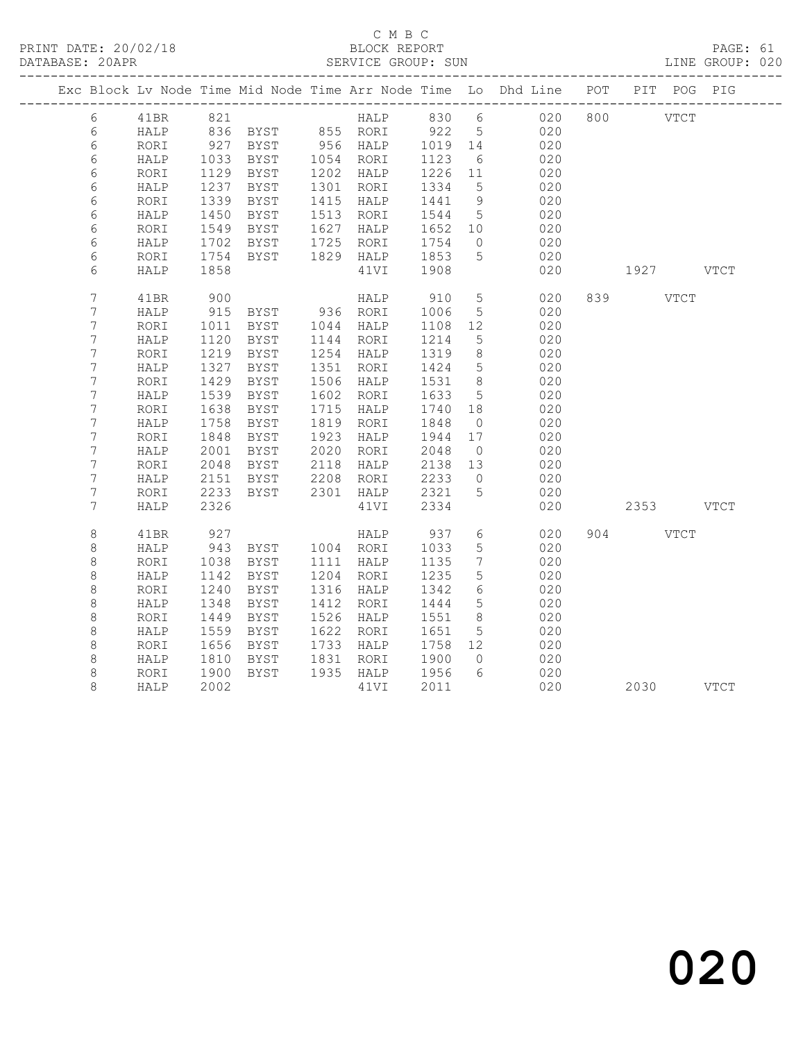#### C M B C<br>BLOCK REPORT

PAGE: 61<br>LINE GROUP: 020

|                  |            |      |                                 |            |      |            |                 | Exc Block Lv Node Time Mid Node Time Arr Node Time Lo Dhd Line POT |     |             | PIT POG   | PIG |
|------------------|------------|------|---------------------------------|------------|------|------------|-----------------|--------------------------------------------------------------------|-----|-------------|-----------|-----|
| 6                | 41BR       | 821  |                                 |            |      | HALP 830 6 |                 | 020                                                                | 800 | <b>VTCT</b> |           |     |
| 6                | HALP       |      | 836 BYST 855 RORI 922 5         |            |      |            |                 | 020                                                                |     |             |           |     |
| 6                | RORI       | 927  | BYST                            | $956$ HALP |      | 1019 14    |                 | 020                                                                |     |             |           |     |
| 6                | HALP       | 1033 | BYST                            | 1054 RORI  |      | 1123       | 6               | 020                                                                |     |             |           |     |
| 6                | RORI       | 1129 | BYST                            | 1202 HALP  |      | 1226       | 11              | 020                                                                |     |             |           |     |
| 6                | HALP       | 1237 | BYST                            | 1301 RORI  |      | 1334       | $5^{\circ}$     | 020                                                                |     |             |           |     |
| 6                | RORI       | 1339 | BYST                            | 1415 HALP  |      | 1441       | 9               | 020                                                                |     |             |           |     |
| 6                | HALP       | 1450 | BYST                            | 1513 RORI  |      | 1544       | $5\overline{)}$ | 020                                                                |     |             |           |     |
| 6                | RORI       | 1549 | BYST                            | 1627       | HALP | 1652 10    |                 | 020                                                                |     |             |           |     |
| $\epsilon$       | HALP       | 1702 | BYST                            | 1725       | RORI | 1754       | $\overline{0}$  | 020                                                                |     |             |           |     |
| 6                | RORI       | 1754 | BYST                            | 1829 HALP  |      | 1853       | $5\overline{)}$ | 020                                                                |     |             |           |     |
| 6                | HALP       | 1858 |                                 |            | 41VI | 1908       |                 | 020                                                                |     |             | 1927 VTCT |     |
| $\overline{7}$   | 41BR       | 900  |                                 |            | HALP | 910        | $5\overline{)}$ | 020                                                                |     | 839 VTCT    |           |     |
| 7                | HALP       | 915  | BYST 936 RORI<br>BYST 1044 HALP |            |      | 1006       | 5               | 020                                                                |     |             |           |     |
| $\boldsymbol{7}$ | RORI       | 1011 |                                 |            |      | 1108       | 12              | 020                                                                |     |             |           |     |
| $\boldsymbol{7}$ | HALP       | 1120 | BYST                            | 1144 RORI  |      | 1214       | $5\phantom{.0}$ | 020                                                                |     |             |           |     |
| $\boldsymbol{7}$ | RORI       | 1219 | BYST                            | 1254 HALP  |      | 1319       | 8 <sup>8</sup>  | 020                                                                |     |             |           |     |
| 7                | HALP       | 1327 | BYST                            | 1351       | RORI | 1424       | $5^{\circ}$     | 020                                                                |     |             |           |     |
| 7                | RORI       | 1429 | BYST                            | 1506       | HALP | 1531       | 8               | 020                                                                |     |             |           |     |
| $\boldsymbol{7}$ | HALP       | 1539 | BYST                            | 1602       | RORI | 1633       | 5               | 020                                                                |     |             |           |     |
| $\boldsymbol{7}$ | RORI       | 1638 | BYST                            | 1715       | HALP | 1740       | 18              | 020                                                                |     |             |           |     |
| 7                | HALP       | 1758 | BYST                            | 1819       | RORI | 1848       | $\overline{0}$  | 020                                                                |     |             |           |     |
| $\boldsymbol{7}$ | $\tt RORI$ | 1848 | BYST                            | 1923       | HALP | 1944       | 17              | 020                                                                |     |             |           |     |
| $\boldsymbol{7}$ | HALP       | 2001 | BYST                            | 2020       | RORI | 2048       | $\overline{0}$  | 020                                                                |     |             |           |     |
| $\boldsymbol{7}$ | RORI       | 2048 | BYST                            | 2118       | HALP | 2138       | 13              | 020                                                                |     |             |           |     |
| $\boldsymbol{7}$ | HALP       | 2151 | BYST                            | 2208       | RORI | 2233       | $\overline{0}$  | 020                                                                |     |             |           |     |
| $\overline{7}$   | RORI       | 2233 | BYST                            | 2301       | HALP | 2321       | 5               | 020                                                                |     |             |           |     |
| 7                | HALP       | 2326 |                                 |            | 41VI | 2334       |                 | 020                                                                |     |             | 2353 VTCT |     |
| 8                | 41BR       | 927  |                                 |            | HALP | 937        | 6               | 020                                                                |     | 904 VTCT    |           |     |
| $\,8\,$          | HALP       | 943  | BYST 1004 RORI                  |            |      | 1033       | 5 <sup>5</sup>  | 020                                                                |     |             |           |     |
| 8                | RORI       | 1038 | BYST                            | 1111 HALP  |      | 1135       | $7\phantom{.0}$ | 020                                                                |     |             |           |     |
| 8                | HALP       | 1142 | BYST                            | 1204 RORI  |      | 1235       | $5\phantom{.0}$ | 020                                                                |     |             |           |     |
| $\,8\,$          | RORI       | 1240 | BYST                            | 1316       | HALP | 1342       | 6               | 020                                                                |     |             |           |     |
| 8                | HALP       | 1348 | BYST                            | 1412       | RORI | 1444       | $5\phantom{.0}$ | 020                                                                |     |             |           |     |
| 8                | RORI       | 1449 | BYST                            | 1526       | HALP | 1551       | 8 <sup>8</sup>  | 020                                                                |     |             |           |     |
| 8                | HALP       | 1559 | BYST                            | 1622       | RORI | 1651       | $5^{\circ}$     | 020                                                                |     |             |           |     |
| 8                | RORI       | 1656 | BYST                            | 1733       | HALP | 1758       | 12              | 020                                                                |     |             |           |     |
| 8                | HALP       | 1810 | BYST                            | 1831 RORI  |      | 1900       | $\overline{0}$  | 020                                                                |     |             |           |     |
| 8                | RORI       | 1900 | BYST                            | 1935 HALP  |      | 1956       | 6               | 020                                                                |     |             |           |     |
| 8                | HALP       | 2002 |                                 |            | 41VI | 2011       |                 | 020                                                                |     |             | 2030 VTCT |     |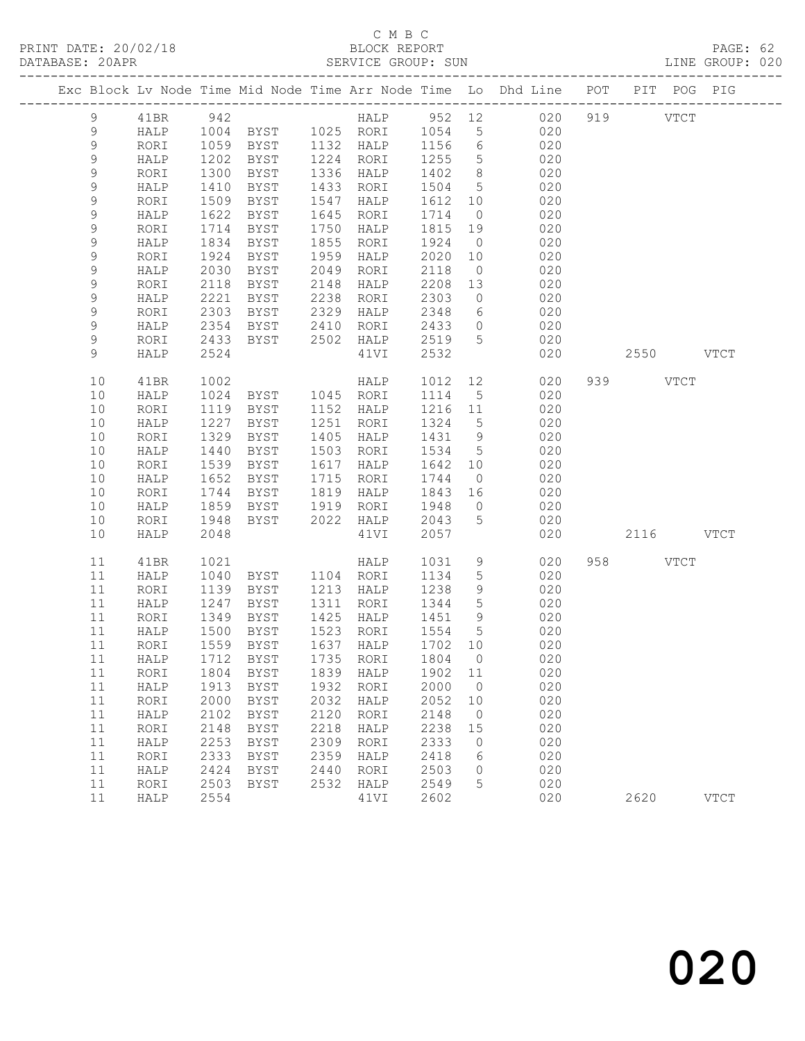## C M B C<br>BLOCK REPORT

PAGE: 62<br>LINE GROUP: 020

|               |                      |              |                     |              |                            |              |                      | Exc Block Lv Node Time Mid Node Time Arr Node Time Lo Dhd Line POT PIT POG PIG |           |             |
|---------------|----------------------|--------------|---------------------|--------------|----------------------------|--------------|----------------------|--------------------------------------------------------------------------------|-----------|-------------|
| $\mathcal{G}$ | 41BR 942             |              |                     |              |                            |              |                      | HALP 952 12 020                                                                | 919 VTCT  |             |
| $\mathcal{G}$ | HALP                 |              |                     |              | 1004 BYST 1025 RORI 1054 5 |              |                      | 020                                                                            |           |             |
| $\mathsf 9$   | RORI                 |              |                     |              | 1059 BYST 1132 HALP 1156 6 |              |                      | 020                                                                            |           |             |
| $\mathsf 9$   | HALP                 | 1202         | BYST                |              | 1224 RORI                  | 1255         | $5\overline{)}$      | 020                                                                            |           |             |
| $\mathsf 9$   | RORI                 | 1300         | BYST                |              | 1336 HALP                  | 1402 8       |                      | 020                                                                            |           |             |
| 9             | HALP                 | 1410         | BYST                |              | 1433 RORI                  | 1504 5       |                      | 020                                                                            |           |             |
| 9             | RORI                 | 1509         | BYST                |              | 1547 HALP                  | 1612 10      |                      | 020                                                                            |           |             |
| $\mathsf 9$   | HALP                 | 1622         | BYST                |              | 1645 RORI                  | 1714         | $\overline{0}$       | 020                                                                            |           |             |
| 9             | RORI                 | 1714         | BYST                |              | 1750 HALP                  | 1815 19      |                      | 020                                                                            |           |             |
| 9             | HALP                 | 1834         | BYST                |              | 1855 RORI                  | 1924         | $\overline{0}$       | 020                                                                            |           |             |
| 9             | RORI                 | 1924         | BYST                | 1959         | HALP                       | 2020 10      |                      | 020                                                                            |           |             |
| 9             | HALP                 | 2030         | BYST                | 2049         | RORI                       | 2118         | $\overline{0}$       | 020                                                                            |           |             |
| 9             | RORI                 | 2118         | BYST                |              | 2148 HALP                  | 2208 13      |                      | 020                                                                            |           |             |
| 9             | HALP                 | 2221         | BYST                |              | 2238 RORI                  | 2303         | $\overline{0}$       | 020                                                                            |           |             |
| 9             | RORI                 | 2303         | BYST 2329 HALP      |              |                            | 2348         | $6\overline{6}$      | 020                                                                            |           |             |
| 9             | HALP                 | 2354         | BYST 2410 RORI      |              |                            | 2433         | $\overline{0}$       | 020                                                                            |           |             |
| 9             | RORI                 | 2433         | BYST 2502 HALP      |              |                            | 2519 5       |                      | 020                                                                            |           |             |
| 9             | HALP                 | 2524         |                     |              | 41VI                       | 2532         |                      | 020                                                                            | 2550 VTCT |             |
| 10            | 41BR                 | 1002         |                     |              | HALP                       |              |                      | 1012 12<br>020                                                                 | 939 VTCT  |             |
| 10            | HALP                 | 1024         | BYST 1045 RORI      |              |                            | 1114 5       |                      | 020                                                                            |           |             |
| 10            | RORI                 | 1119         | BYST                |              | 1152 HALP                  | 1216 11      |                      | 020                                                                            |           |             |
| 10            | HALP                 | 1227         | BYST                |              | 1251 RORI                  | 1324 5       |                      | 020                                                                            |           |             |
| 10            | RORI                 | 1329         | BYST                |              | 1405 HALP                  | 1431 9       |                      | 020                                                                            |           |             |
| 10            | HALP                 | 1440         | BYST                |              | 1503 RORI                  | 1534 5       |                      | 020                                                                            |           |             |
| 10            | RORI                 | 1539         | BYST                |              | 1617 HALP                  | 1642 10      |                      | 020                                                                            |           |             |
| 10            | HALP                 | 1652         | BYST                |              | 1715 RORI                  | 1744         | $\overline{0}$       | 020                                                                            |           |             |
| 10            | RORI                 | 1744         | <b>BYST</b>         |              | 1819 HALP                  | 1843 16      |                      | 020                                                                            |           |             |
| 10            | HALP                 | 1859         | BYST                | 1919         | RORI                       | 1948         | $\overline{0}$       | 020                                                                            |           |             |
| 10            | RORI                 | 1948         | BYST                |              | 2022 HALP                  | 2043         | $5\overline{)}$      | 020                                                                            |           |             |
| 10            | HALP                 | 2048         |                     |              | 41VI                       | 2057         |                      | 020                                                                            | 2116 VTCT |             |
| 11            | 41BR                 | 1021         |                     |              | HALP                       | 1031 9       |                      | 020                                                                            | 958 VTCT  |             |
| 11            | HALP                 | 1040         | BYST 1104 RORI      |              |                            | 1134         | $5\phantom{.0}$      | 020                                                                            |           |             |
| 11            | RORI                 | 1139         | BYST                |              | 1213 HALP                  | 1238         | 9                    | 020                                                                            |           |             |
| 11            | HALP                 | 1247         | BYST                |              | 1311 RORI                  | 1344         | $5^{\circ}$          | 020                                                                            |           |             |
| 11            | RORI                 | 1349         | BYST                |              | 1425 HALP                  | 1451 9       |                      | 020                                                                            |           |             |
| 11            | HALP                 | 1500         | BYST                |              | 1523 RORI                  | 1554         | $5\overline{)}$      | 020                                                                            |           |             |
| 11            | RORI                 |              | $1559$ BYST         |              | 1637 HALP                  | 1702 10      |                      | 020                                                                            |           |             |
|               |                      |              |                     |              |                            |              |                      | 11 HALP 1712 BYST 1735 RORI 1804 0 020                                         |           |             |
| 11            | RORI                 | 1804         | BYST                | 1839         | HALP                       | 1902         | 11                   | 020                                                                            |           |             |
| 11<br>11      | HALP                 | 1913<br>2000 | BYST                | 1932<br>2032 | RORI                       | 2000<br>2052 | $\overline{0}$       | 020<br>020                                                                     |           |             |
| 11            | RORI<br>${\tt HALP}$ | 2102         | BYST<br><b>BYST</b> | 2120         | HALP<br>RORI               | 2148         | 10<br>$\overline{0}$ | 020                                                                            |           |             |
| 11            | RORI                 | 2148         | <b>BYST</b>         | 2218         | HALP                       | 2238         | 15                   | 020                                                                            |           |             |
| 11            | HALP                 | 2253         | <b>BYST</b>         | 2309         | RORI                       | 2333         | $\circ$              | 020                                                                            |           |             |
| 11            | RORI                 | 2333         | BYST                | 2359         | HALP                       | 2418         | 6                    | 020                                                                            |           |             |
| 11            | HALP                 | 2424         | BYST                | 2440         | RORI                       | 2503         | $\circ$              | 020                                                                            |           |             |
| 11            | RORI                 | 2503         | BYST                | 2532         | HALP                       | 2549         | 5                    | 020                                                                            |           |             |
| 11            | HALP                 | 2554         |                     |              | 41VI                       | 2602         |                      | 020                                                                            | 2620      | <b>VTCT</b> |
|               |                      |              |                     |              |                            |              |                      |                                                                                |           |             |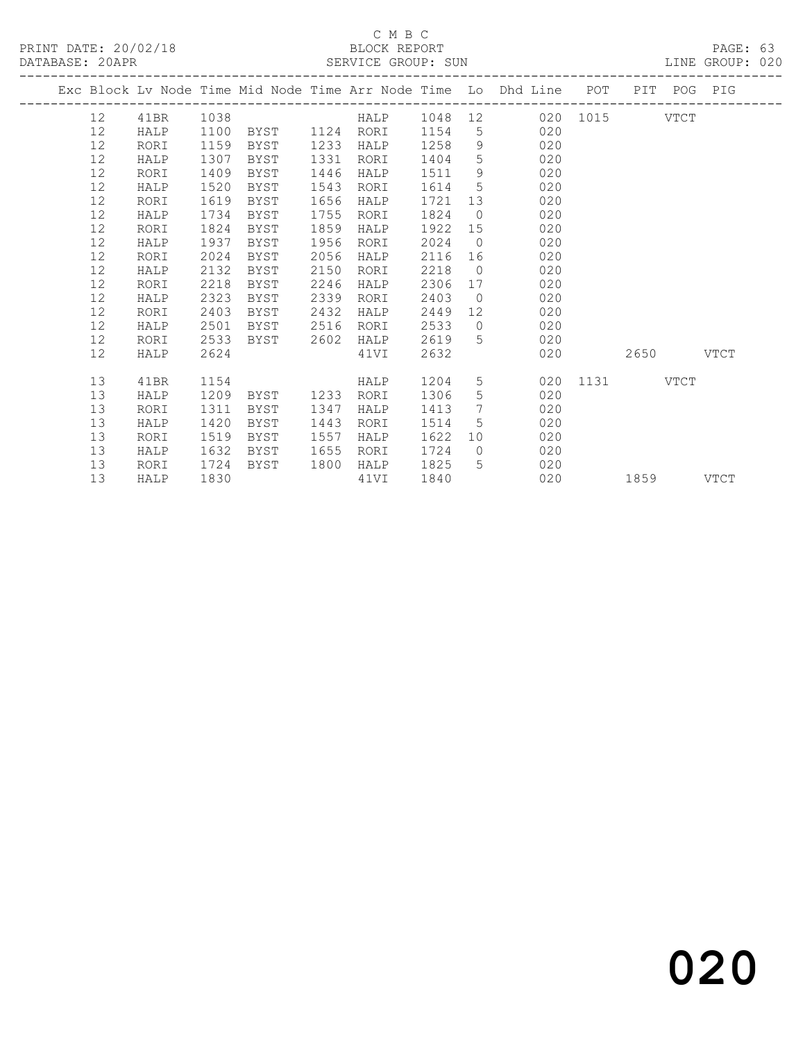#### C M B C<br>BLOCK REPORT SERVICE GROUP: SUN

|  |          |              |              |              |              |              |              |                 | Exc Block Lv Node Time Mid Node Time Arr Node Time Lo Dhd Line POT |               |           | PIT POG PIG |      |
|--|----------|--------------|--------------|--------------|--------------|--------------|--------------|-----------------|--------------------------------------------------------------------|---------------|-----------|-------------|------|
|  | 12       | 41BR         | 1038         |              |              | HALP         | 1048 12      |                 |                                                                    | 020 1015 VTCT |           |             |      |
|  | 12       | HALP         | 1100         | BYST         |              | 1124 RORI    | 1154         | 5 <sup>5</sup>  | 020                                                                |               |           |             |      |
|  | 12       | RORI         | 1159         | BYST         | 1233         | HALP         | 1258         | 9               | 020                                                                |               |           |             |      |
|  | 12       | HALP         | 1307         | <b>BYST</b>  | 1331         | RORI         | 1404         | 5               | 020                                                                |               |           |             |      |
|  | 12       | RORI         | 1409         | <b>BYST</b>  | 1446         | HALP         | 1511         | 9               | 020                                                                |               |           |             |      |
|  | 12       | HALP         | 1520         | BYST         | 1543         | RORI         | 1614         | $5\overline{)}$ | 020                                                                |               |           |             |      |
|  | 12       | RORI         | 1619         | BYST         | 1656         | HALP         | 1721         | 13              | 020                                                                |               |           |             |      |
|  | 12       | HALP         | 1734         | BYST         | 1755         | RORI         | 1824         | $\overline{0}$  | 020                                                                |               |           |             |      |
|  | 12       | RORI         | 1824         | <b>BYST</b>  | 1859         | HALP         | 1922         | 15              | 020                                                                |               |           |             |      |
|  | 12       | HALP         | 1937         | BYST         | 1956         | RORI         | 2024         | $\bigcirc$      | 020                                                                |               |           |             |      |
|  | 12       | RORI         | 2024         | BYST         | 2056         | HALP         | 2116         | 16              | 020                                                                |               |           |             |      |
|  | 12       | HALP         | 2132         | BYST         | 2150         | RORI         | 2218         | $\overline{0}$  | 020                                                                |               |           |             |      |
|  | 12       | RORI         | 2218         | <b>BYST</b>  | 2246         | HALP         | 2306         | 17              | 020                                                                |               |           |             |      |
|  | 12       | HALP         | 2323         | BYST         | 2339         | RORI         | 2403         | $\overline{0}$  | 020                                                                |               |           |             |      |
|  | 12       | RORI         | 2403         | BYST         | 2432         | HALP         | 2449         | 12              | 020                                                                |               |           |             |      |
|  | 12       | HALP         | 2501         | BYST         | 2516         | RORI         | 2533         | $\bigcirc$      | 020                                                                |               |           |             |      |
|  | 12       | RORI         | 2533         | BYST         | 2602         | HALP         | 2619         | $5^{\circ}$     | 020                                                                |               |           |             |      |
|  | 12       | HALP         | 2624         |              |              | 41VI         | 2632         |                 | 020                                                                |               | 2650      |             | VTCT |
|  |          |              |              |              |              |              |              |                 |                                                                    |               |           |             |      |
|  | 13       | 41BR         | 1154         |              |              | HALP         | 1204         |                 | 5 <sub>5</sub>                                                     | 020 1131 VTCT |           |             |      |
|  | 13       | HALP         | 1209         | BYST         | 1233         | RORI         | 1306         | 5               | 020                                                                |               |           |             |      |
|  | 13       | RORI         | 1311         | <b>BYST</b>  | 1347         | HALP         | 1413         | 7               | 020                                                                |               |           |             |      |
|  | 13<br>13 | HALP         | 1420         | BYST         | 1443<br>1557 | RORI         | 1514         | 5               | 020<br>10<br>020                                                   |               |           |             |      |
|  | 13       | RORI<br>HALP | 1519<br>1632 | BYST<br>BYST | 1655         | HALP<br>RORI | 1622<br>1724 | $\overline{0}$  | 020                                                                |               |           |             |      |
|  | 13       | RORI         | 1724         | BYST         | 1800         | HALP         | 1825         | 5               | 020                                                                |               |           |             |      |
|  | 13       | HALP         | 1830         |              |              | 41VI         | 1840         |                 | 020                                                                |               |           |             |      |
|  |          |              |              |              |              |              |              |                 |                                                                    |               | 1859 VTCT |             |      |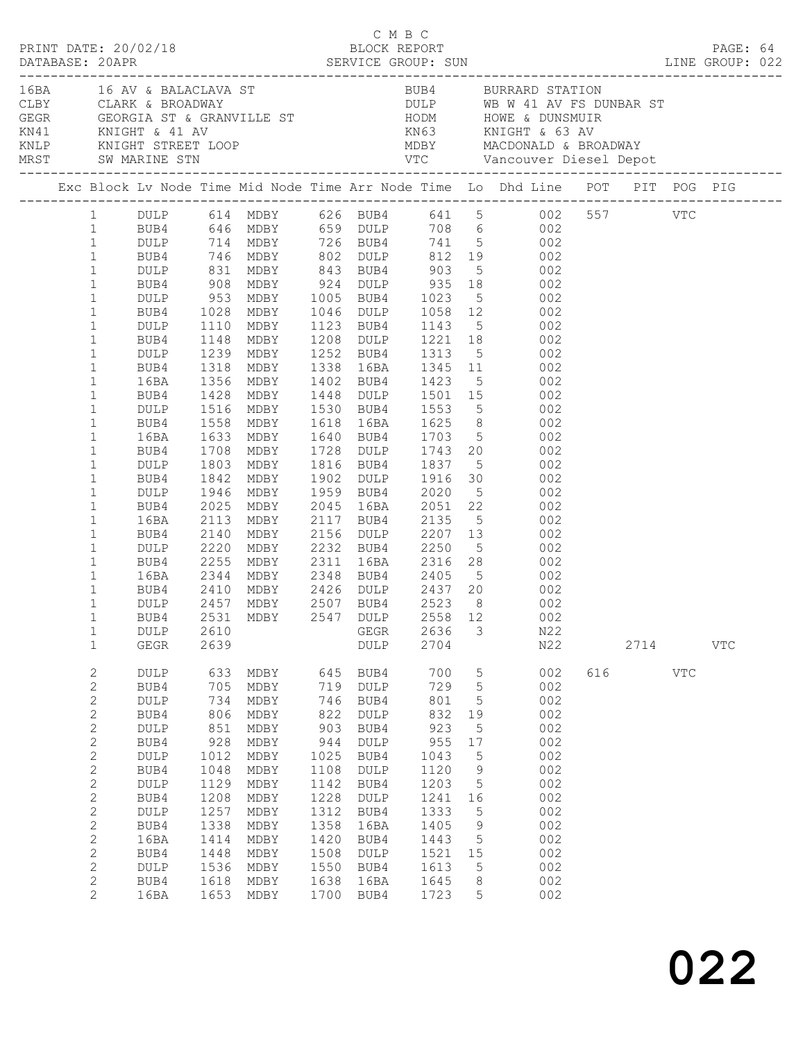|  |                                                                                                                                                                                                                                                                        |                                                                                                                                                 |                                                                                                                                | C M B C<br>PRINT DATE: 20/02/18<br>BLOCK REPORT                                                                                      |                                                                                                                                |                                                                                                                                      |                                                                                                                                |                                                                                                        |                                                                                                                                                                                                                                                                                                                                                                                 |     |      |            | PAGE: 64   |  |
|--|------------------------------------------------------------------------------------------------------------------------------------------------------------------------------------------------------------------------------------------------------------------------|-------------------------------------------------------------------------------------------------------------------------------------------------|--------------------------------------------------------------------------------------------------------------------------------|--------------------------------------------------------------------------------------------------------------------------------------|--------------------------------------------------------------------------------------------------------------------------------|--------------------------------------------------------------------------------------------------------------------------------------|--------------------------------------------------------------------------------------------------------------------------------|--------------------------------------------------------------------------------------------------------|---------------------------------------------------------------------------------------------------------------------------------------------------------------------------------------------------------------------------------------------------------------------------------------------------------------------------------------------------------------------------------|-----|------|------------|------------|--|
|  |                                                                                                                                                                                                                                                                        |                                                                                                                                                 |                                                                                                                                |                                                                                                                                      |                                                                                                                                |                                                                                                                                      |                                                                                                                                |                                                                                                        | CLARE & BROADWAY<br>CLARE & BROADWAY<br>CLARE & BROADWAY<br>CLARE & GEORGIA ST & GRANVILLE ST HODM HOWE & DUNSMUIR<br>KN14 KNIGHT & 41 AV KN63 KNIGHT & 63 AV<br>KNLP KNIGHT STREET LOOP MDBY MACDONALD & BROADWAY<br>MRST SW MARINE STN V                                                                                                                                      |     |      |            |            |  |
|  |                                                                                                                                                                                                                                                                        |                                                                                                                                                 |                                                                                                                                |                                                                                                                                      |                                                                                                                                |                                                                                                                                      |                                                                                                                                |                                                                                                        | Exc Block Lv Node Time Mid Node Time Arr Node Time Lo Dhd Line POT PIT POG PIG                                                                                                                                                                                                                                                                                                  |     |      |            |            |  |
|  | $\mathbf{1}$<br>$\mathbf{1}$<br>$\mathbf{1}$<br>$\mathbf{1}$<br>$\mathbf{1}$<br>$1\,$<br>$\mathbf{1}$                                                                                                                                                                  | <b>DULP</b> 1110<br>BUB4<br>DULP                                                                                                                | 1148                                                                                                                           |                                                                                                                                      |                                                                                                                                |                                                                                                                                      |                                                                                                                                |                                                                                                        | 1 DULP 614 MDBY 626 BUB4 641 5 002 557 VTC<br>1 BUB4 646 MDBY 659 DULP 708 6 002<br>1 DULP 714 MDBY 726 BUB4 741 5 002<br>1 BUB4 746 MDBY 802 DULP 812 19 002<br>DULP 831 MDBY 843 BUB4 903 5 002<br>BUB4 908 MDBY 924 DULP 935 18 002<br>DULP 953 MDBY 1005 BUB4 1023 5 002<br>BUB4 1028 MDBY 1046 DULP 1058 12 002<br>MDBY 1123 BUB4 1143 5 002<br>MDBY 1208 DULP 1221 18 002 |     |      |            |            |  |
|  | $\mathbf{1}$<br>$\mathbf{1}$<br>$\mathbf{1}$<br>$\mathbf{1}$<br>$\mathbf{1}$<br>$\mathbf{1}$<br>$\mathbf{1}$<br>$\mathbf{1}$<br>$\mathbf{1}$<br>$\mathbf{1}$<br>$1\,$                                                                                                  | BUB4<br>16BA<br>BUB4<br>DULP<br>BUB4<br>16BA<br>BUB4<br>DULP<br>BUB4<br>DULP<br>BUB4                                                            | 1239<br>1318<br>1428<br>1708<br>2025                                                                                           | 1356 MDBY<br>MDBY<br>1516 MDBY<br>1558 MDBY<br>1633 MDBY<br>1803 MDBY<br>1842 MDBY<br>1946 MDBY<br>MDBY                              |                                                                                                                                |                                                                                                                                      |                                                                                                                                |                                                                                                        | MDBY 1252 BUB4 1313 5 002<br>MDBY 1338 16BA 1345 11 002<br>1402 BUB4 1423 5 002<br>1448 DULP 1501 15 002<br>MDBY 1530 BUB4 1553 5 002<br>MDBY 1618 16BA 1625 8 002<br>MDBY 1640 BUB4 1703 5 002<br>MDBY 1728 DULP 1743 20 002<br>1816 BUB4 1837 5 002<br>1902 DULP 1916 30 002<br>1959 BUB4 2020 5 002<br>2045 16BA 2051 22 002                                                 |     |      |            |            |  |
|  | $\mathbf{1}$<br>$1\,$<br>$\mathbf{1}$<br>$1\,$<br>$\mathbf{1}$<br>$\mathbf{1}$<br>$\mathbf{1}$<br>1<br>$\mathbf{1}$<br>$\mathbf{1}$                                                                                                                                    | 16BA<br>BUB4<br>DULP<br>BUB4<br>16BA<br>BUB4<br>DULP<br>DULP<br>GEGR                                                                            | 2113<br>2140<br>2220<br>2255<br>2344<br>2610<br>2639                                                                           | MDBY<br>MDBY<br>MDBY<br>MDBY<br>2410 MDBY<br>2457 MDBY                                                                               |                                                                                                                                | GEGR<br>DULP                                                                                                                         | 2636<br>2704                                                                                                                   | 3                                                                                                      | 2117 BUB4 2135 5 002<br>2156 DULP 2207 13 002<br>2232 BUB4 2250 5 002<br>2311 16BA 2316 28 002<br>MDBY 2348 BUB4 2405 5 002<br>MDBY 2426 DULP 2437 20 002<br>MDBY 2507 BUB4 2523 8 002<br>BUB4 2531 MDBY 2547 DULP 2558 12 002<br>N22<br>N22                                                                                                                                    |     | 2714 |            | <b>VTC</b> |  |
|  | $\mathbf{2}$<br>$\mathbf{2}$<br>$\mathbf{2}$<br>$\mathbf{2}$<br>$\mathbf{2}$<br>$\mathbf{2}$<br>$\mathbf{2}$<br>$\sqrt{2}$<br>$\mathbf{2}$<br>$\sqrt{2}$<br>$\mathbf{2}$<br>$\mathbf{2}$<br>$\mathbf{2}$<br>$\mathbf{2}$<br>2<br>$\mathbf{2}$<br>$\mathbf{2}^{\prime}$ | DULP<br>BUB4<br>DULP<br>BUB4<br>DULP<br>BUB4<br>DULP<br>BUB4<br>$\texttt{DULP}$<br>BUB4<br>DULP<br>BUB4<br>16BA<br>BUB4<br>DULP<br>BUB4<br>16BA | 633<br>705<br>734<br>806<br>851<br>928<br>1012<br>1048<br>1129<br>1208<br>1257<br>1338<br>1414<br>1448<br>1536<br>1618<br>1653 | MDBY<br>MDBY<br>MDBY<br>MDBY<br>MDBY<br>MDBY<br>MDBY<br>MDBY<br>MDBY<br>MDBY<br>MDBY<br>MDBY<br>MDBY<br>MDBY<br>MDBY<br>MDBY<br>MDBY | 645<br>719<br>746<br>822<br>903<br>944<br>1025<br>1108<br>1142<br>1228<br>1312<br>1358<br>1420<br>1508<br>1550<br>1638<br>1700 | BUB4<br>DULP<br>BUB4<br>DULP<br>BUB4<br>DULP<br>BUB4<br>DULP<br>BUB4<br>DULP<br>BUB4<br>16BA<br>BUB4<br>DULP<br>BUB4<br>16BA<br>BUB4 | 700<br>729<br>801<br>832<br>923<br>955<br>1043<br>1120<br>1203<br>1241<br>1333<br>1405<br>1443<br>1521<br>1613<br>1645<br>1723 | 5<br>5<br>5<br>19<br>5<br>17<br>5<br>$\overline{9}$<br>5<br>16<br>5<br>$\,9$<br>5<br>15<br>5<br>8<br>5 | 002<br>002<br>002<br>002<br>002<br>002<br>002<br>002<br>002<br>002<br>002<br>002<br>002<br>002<br>002<br>002<br>002                                                                                                                                                                                                                                                             | 616 |      | <b>VTC</b> |            |  |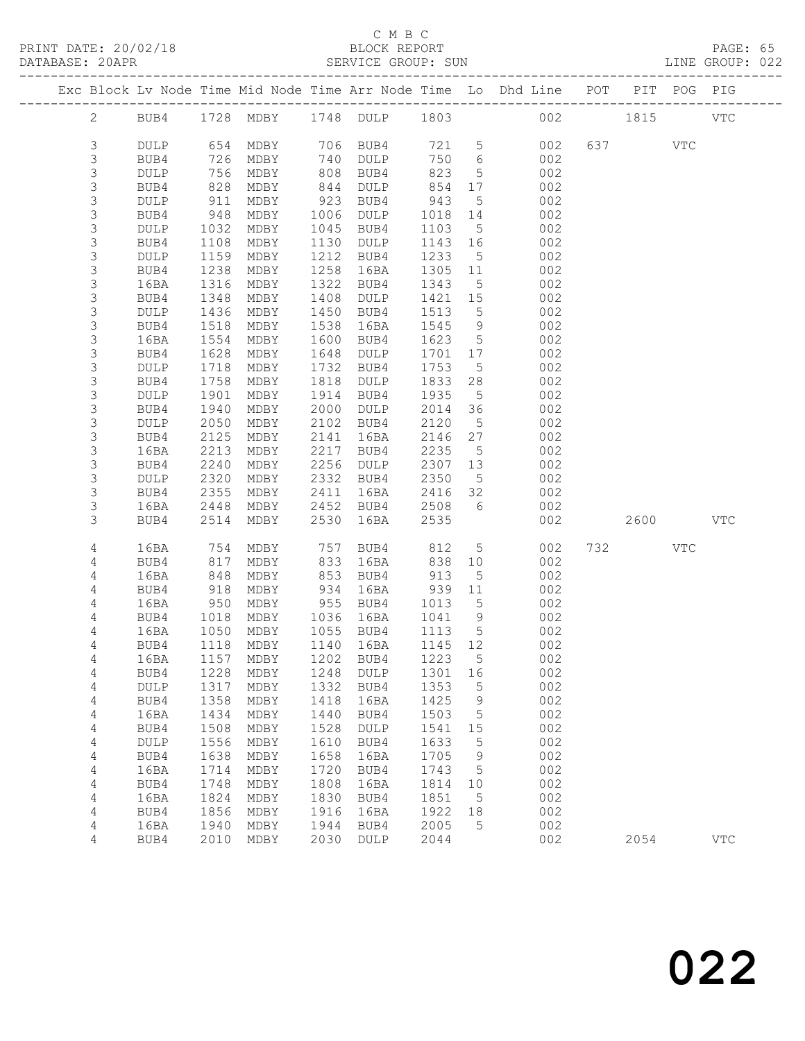|                            |              |              |                                 |              |                   |                 |                      | Exc Block Lv Node Time Mid Node Time Arr Node Time Lo Dhd Line POT |           | PIT POG PIG |              |
|----------------------------|--------------|--------------|---------------------------------|--------------|-------------------|-----------------|----------------------|--------------------------------------------------------------------|-----------|-------------|--------------|
|                            |              |              |                                 |              |                   |                 |                      | 1728 MDBY 1748 DULP 1803 002 1815                                  |           |             |              |
| $\overline{2}$             | BUB4         |              |                                 |              |                   |                 |                      |                                                                    |           |             | $_{\rm VTC}$ |
| 3                          | DULP         |              | 654 MDBY 706 BUB4               |              |                   | 721 5           |                      | 002                                                                | 637 VTC   |             |              |
| 3                          | BUB4         | 726          | MDBY                            |              | 740 DULP          | 750 6           |                      | 002                                                                |           |             |              |
| 3                          | <b>DULP</b>  | 756          | MDBY                            | 808          | BUB4              | 823             | $5\overline{)}$      | 002                                                                |           |             |              |
| 3                          | BUB4         | 828          | MDBY                            | 844          | DULP              | 854             | 17                   | 002                                                                |           |             |              |
| 3                          | DULP         | 911          | MDBY                            | 923          | BUB4              | 943             | $5^{\circ}$          | 002                                                                |           |             |              |
| 3                          | BUB4         | 948          | MDBY                            | 1006         | DULP              | 1018            | 14                   | 002                                                                |           |             |              |
| $\mathsf S$                | DULP         | 1032         | MDBY                            | 1045         | BUB4              | 1103            | $5^{\circ}$          | 002                                                                |           |             |              |
| $\mathsf S$                | BUB4         | 1108         | MDBY                            | 1130         | DULP              | 1143 16         |                      | 002                                                                |           |             |              |
| $\mathsf S$<br>$\mathsf 3$ | DULP<br>BUB4 | 1159<br>1238 | MDBY<br>MDBY                    | 1212<br>1258 | BUB4<br>16BA      | 1233<br>1305 11 | $5^{\circ}$          | 002<br>002                                                         |           |             |              |
| $\mathsf S$                | 16BA         | 1316         | MDBY                            | 1322         | BUB4              | 1343            | $5\overline{)}$      | 002                                                                |           |             |              |
| $\mathsf S$                | BUB4         | 1348         | MDBY                            | 1408         | DULP              | 1421 15         |                      | 002                                                                |           |             |              |
| $\mathsf S$                | DULP         | 1436         | MDBY                            | 1450         | BUB4              | 1513            | $5\overline{)}$      | 002                                                                |           |             |              |
| $\mathsf 3$                | BUB4         | 1518         | MDBY                            | 1538         | 16BA              | 1545            | 9                    | 002                                                                |           |             |              |
| $\mathsf S$                | 16BA         | 1554         | MDBY                            | 1600         | BUB4              | 1623            | $5^{\circ}$          | 002                                                                |           |             |              |
| 3                          | BUB4         | 1628         | MDBY                            | 1648         | DULP              | 1701            | 17                   | 002                                                                |           |             |              |
| $\mathsf S$                | DULP         | 1718         | MDBY                            | 1732         | BUB4              | 1753            | $5\overline{)}$      | 002                                                                |           |             |              |
| 3                          | BUB4         | 1758         | MDBY                            | 1818         | DULP              | 1833            | 28                   | 002                                                                |           |             |              |
| $\mathsf 3$                | <b>DULP</b>  | 1901         | MDBY                            | 1914         | BUB4              | 1935            | $5^{\circ}$          | 002                                                                |           |             |              |
| 3                          | BUB4         | 1940         | MDBY                            | 2000         | DULP              | 2014            | 36                   | 002                                                                |           |             |              |
| $\mathsf S$                | <b>DULP</b>  | 2050         | MDBY                            | 2102         | BUB4              | 2120            | $5\overline{)}$      | 002                                                                |           |             |              |
| $\mathsf 3$                | BUB4         | 2125         | MDBY                            | 2141         | 16BA              | 2146            | 27                   | 002                                                                |           |             |              |
| $\mathsf S$                | 16BA         | 2213         | MDBY                            | 2217         | BUB4              | 2235            | $5^{\circ}$          | 002                                                                |           |             |              |
| 3                          | BUB4         | 2240         | MDBY                            | 2256         | DULP              | 2307            | 13                   | 002                                                                |           |             |              |
| $\mathsf S$                | <b>DULP</b>  | 2320         | MDBY                            | 2332         | BUB4              | 2350            | $5^{\circ}$          | 002                                                                |           |             |              |
| 3<br>3                     | BUB4<br>16BA | 2355<br>2448 | MDBY<br>MDBY                    | 2411<br>2452 | 16BA<br>BUB4      | 2416<br>2508    | 32<br>6              | 002<br>002                                                         |           |             |              |
| 3                          | BUB4         | 2514         | MDBY                            | 2530         | 16BA              | 2535            |                      | 002                                                                | 2600 2600 |             | <b>VTC</b>   |
|                            |              |              |                                 |              |                   |                 |                      |                                                                    |           |             |              |
| 4                          | 16BA         | 754          | MDBY                            | 757          | BUB4              | 812             | $5\overline{)}$      | 002                                                                | 732       | VTC         |              |
| 4                          | BUB4         | 817          | MDBY                            | 833          | 16BA              | 838             | 10                   | 002                                                                |           |             |              |
| 4                          | 16BA         | 848          | MDBY                            | 853          | BUB4              | 913             | $5\phantom{.0}$      | 002                                                                |           |             |              |
| $\overline{4}$             | BUB4         | 918          | MDBY                            | 934          | 16BA              | 939             | 11                   | 002                                                                |           |             |              |
| 4<br>4                     | 16BA<br>BUB4 | 950<br>1018  | MDBY<br>MDBY                    | 955          | BUB4<br>1036 16BA | 1013<br>1041    | $5\overline{)}$<br>9 | 002<br>002                                                         |           |             |              |
| 4                          | 16BA         | 1050         | MDBY                            |              | 1055 BUB4         | 1113            | $5^{\circ}$          | 002                                                                |           |             |              |
| 4                          | BUB4         |              | 1118 MDBY                       |              | 1140 16BA         | 1145 12         |                      | 002                                                                |           |             |              |
| 4                          |              |              | 16BA 1157 MDBY 1202 BUB4 1223 5 |              |                   |                 |                      | 002                                                                |           |             |              |
| 4                          | BUB4         | 1228         | MDBY                            | 1248         | <b>DULP</b>       | 1301            | 16                   | 002                                                                |           |             |              |
| 4                          | DULP         | 1317         | MDBY                            | 1332         | BUB4              | 1353            | 5                    | 002                                                                |           |             |              |
| 4                          | BUB4         | 1358         | MDBY                            | 1418         | 16BA              | 1425            | 9                    | 002                                                                |           |             |              |
| 4                          | 16BA         | 1434         | MDBY                            | 1440         | BUB4              | 1503            | 5                    | 002                                                                |           |             |              |
| 4                          | BUB4         | 1508         | MDBY                            | 1528         | <b>DULP</b>       | 1541            | 15                   | 002                                                                |           |             |              |
| 4                          | <b>DULP</b>  | 1556         | MDBY                            | 1610         | BUB4              | 1633            | 5                    | 002                                                                |           |             |              |
| 4                          | BUB4         | 1638         | MDBY                            | 1658         | 16BA              | 1705            | 9                    | 002                                                                |           |             |              |
| 4                          | 16BA         | 1714         | MDBY                            | 1720         | BUB4              | 1743            | 5                    | 002                                                                |           |             |              |
| 4                          | BUB4         | 1748         | MDBY                            | 1808         | 16BA              | 1814            | 10                   | 002                                                                |           |             |              |
| 4                          | 16BA         | 1824         | MDBY                            | 1830         | BUB4              | 1851            | 5                    | 002                                                                |           |             |              |
| 4                          | BUB4         | 1856         | MDBY                            | 1916         | 16BA              | 1922            | 18                   | 002                                                                |           |             |              |
| $\overline{4}$<br>4        | 16BA<br>BUB4 | 1940<br>2010 | MDBY                            | 1944<br>2030 | BUB4              | 2005<br>2044    | 5                    | 002<br>002                                                         | 2054      |             | <b>VTC</b>   |
|                            |              |              | MDBY                            |              | DULP              |                 |                      |                                                                    |           |             |              |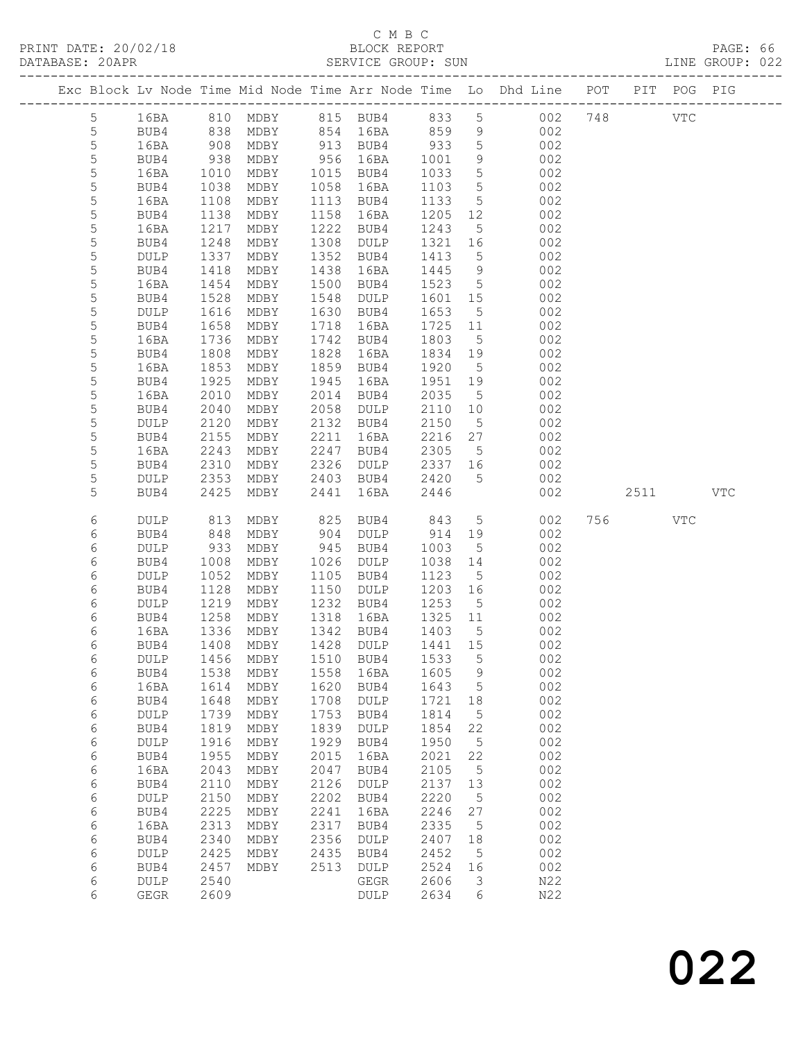|                  |              |              |              |              |                                 |              |                                   | Exc Block Lv Node Time Mid Node Time Arr Node Time Lo Dhd Line POT |         | PIT POG PIG |     |
|------------------|--------------|--------------|--------------|--------------|---------------------------------|--------------|-----------------------------------|--------------------------------------------------------------------|---------|-------------|-----|
| $5\overline{)}$  | 16BA         |              |              |              |                                 |              |                                   | 810 MDBY 815 BUB4 833 5 002 748                                    |         | VTC         |     |
| 5                | BUB4         | 838          | MDBY         |              | 854 16BA                        | 859          | 9                                 | 002                                                                |         |             |     |
| 5                | 16BA         | 908          | MDBY         |              | 913 BUB4                        | 933          | $5\overline{)}$                   | 002                                                                |         |             |     |
| 5                | BUB4         | 938          | MDBY         |              | 956 16BA                        | 1001         | 9                                 | 002                                                                |         |             |     |
| 5                | 16BA         | 1010         | MDBY         |              | 1015 BUB4                       | 1033         | $5\overline{)}$                   | 002                                                                |         |             |     |
| $\mathsf S$<br>5 | BUB4         | 1038         | MDBY         | 1058<br>1113 | 16BA                            | 1103<br>1133 | $5\phantom{.0}$<br>5 <sup>5</sup> | 002<br>002                                                         |         |             |     |
| 5                | 16BA<br>BUB4 | 1108<br>1138 | MDBY<br>MDBY | 1158         | BUB4<br>16BA                    | 1205         | 12                                | 002                                                                |         |             |     |
| 5                | 16BA         | 1217         | MDBY         | 1222         | BUB4                            | 1243         | $5^{\circ}$                       | 002                                                                |         |             |     |
| 5                | BUB4         | 1248         | MDBY         | 1308         | DULP                            | 1321         | 16                                | 002                                                                |         |             |     |
| 5                | DULP         | 1337         | MDBY         | 1352         | BUB4                            | 1413         | 5 <sup>5</sup>                    | 002                                                                |         |             |     |
| 5                | BUB4         | 1418         | MDBY         | 1438         | 16BA                            | 1445         | 9                                 | 002                                                                |         |             |     |
| 5                | 16BA         | 1454         | MDBY         | 1500         | BUB4                            | 1523         | $5\overline{)}$                   | 002                                                                |         |             |     |
| 5                | BUB4         | 1528         | MDBY         | 1548         | DULP                            | 1601         | 15                                | 002                                                                |         |             |     |
| 5                | DULP         | 1616         | MDBY         |              | 1630 BUB4                       | 1653         | $5\overline{)}$                   | 002                                                                |         |             |     |
| 5                | BUB4         | 1658         | MDBY         | 1718         | 16BA                            | 1725         | 11                                | 002                                                                |         |             |     |
| $\mathsf S$      | 16BA         | 1736         | MDBY         | 1742         | BUB4                            | 1803         | $5\overline{)}$                   | 002                                                                |         |             |     |
| 5                | BUB4         | 1808         | MDBY         | 1828         | 16BA                            | 1834         | 19                                | 002                                                                |         |             |     |
| 5                | 16BA         | 1853         | MDBY         | 1859         | BUB4                            | 1920         | $5\overline{)}$                   | 002                                                                |         |             |     |
| 5                | BUB4         | 1925         | MDBY         | 1945         | 16BA                            | 1951 19      |                                   | 002                                                                |         |             |     |
| 5<br>5           | 16BA<br>BUB4 | 2010<br>2040 | MDBY<br>MDBY | 2014<br>2058 | BUB4<br>DULP                    | 2035<br>2110 | $5^{\circ}$<br>10                 | 002<br>002                                                         |         |             |     |
| 5                | DULP         | 2120         | MDBY         |              | 2132 BUB4                       | 2150         | $5\overline{)}$                   | 002                                                                |         |             |     |
| 5                | BUB4         | 2155         | MDBY         | 2211         | 16BA                            | 2216         | 27                                | 002                                                                |         |             |     |
| 5                | 16BA         | 2243         | MDBY         | 2247         | BUB4                            | 2305         | $5\overline{)}$                   | 002                                                                |         |             |     |
| 5                | BUB4         | 2310         | MDBY         | 2326         | DULP                            | 2337         | 16                                | 002                                                                |         |             |     |
| 5                | DULP         | 2353         | MDBY         |              | 2403 BUB4                       | 2420         | $5^{\circ}$                       | 002                                                                |         |             |     |
| 5                | BUB4         | 2425         | MDBY         | 2441         | 16BA                            | 2446         |                                   | 002                                                                | 2511    |             | VTC |
| 6                | DULP         | 813          | MDBY         | 825          | BUB4                            | 843          | $5\overline{)}$                   | 002                                                                | 756 VTC |             |     |
| 6                | BUB4         | 848          | MDBY         |              | 904 DULP                        | 914          | 19                                | 002                                                                |         |             |     |
| 6                | DULP         | 933          | MDBY         | 945          | BUB4                            | 1003         | $5^{\circ}$                       | 002                                                                |         |             |     |
| 6                | BUB4         | 1008         | MDBY         | 1026         | DULP                            | 1038         | 14                                | 002                                                                |         |             |     |
| 6                | <b>DULP</b>  | 1052         | MDBY         | 1105         | BUB4                            | 1123         | 5                                 | 002                                                                |         |             |     |
| 6                | BUB4         | 1128         | MDBY         | 1150         | DULP                            | 1203 16      |                                   | 002                                                                |         |             |     |
| 6                | DULP         | 1219         | MDBY         | 1232         | BUB4                            | 1253         | $5\overline{)}$                   | 002                                                                |         |             |     |
| 6                | BUB4         | 1258         | MDBY         | 1318         | 16BA                            | 1325 11      |                                   | 002                                                                |         |             |     |
| 6                | 16BA         | 1336         | MDBY         |              | 1342 BUB4                       | 1403         | 5                                 | 002                                                                |         |             |     |
| 6                | BUB4         | 1408         | MDBY         |              | 1428 DULP                       | 1441 15      |                                   | 002                                                                |         |             |     |
| 6                |              |              |              |              | DULP 1456 MDBY 1510 BUB4 1533 5 |              |                                   | 002                                                                |         |             |     |
| 6                | BUB4         | 1538         | MDBY         | 1558         | 16BA                            | 1605         | 9                                 | 002                                                                |         |             |     |
| 6                | 16BA         | 1614         | MDBY         | 1620         | BUB4                            | 1643         | 5                                 | 002                                                                |         |             |     |
| 6                | BUB4         | 1648         | MDBY         | 1708         | DULP                            | 1721         | 18                                | 002                                                                |         |             |     |
| 6                | DULP         | 1739<br>1819 | MDBY         | 1753<br>1839 | BUB4                            | 1814         | 5                                 | 002<br>002                                                         |         |             |     |
| 6                | BUB4         | 1916         | MDBY         | 1929         | DULP                            | 1854<br>1950 | 22                                | 002                                                                |         |             |     |
| 6<br>6           | DULP<br>BUB4 | 1955         | MDBY<br>MDBY | 2015         | BUB4<br>16BA                    | 2021         | 5<br>22                           | 002                                                                |         |             |     |
| 6                | 16BA         | 2043         | MDBY         | 2047         | BUB4                            | 2105         | 5                                 | 002                                                                |         |             |     |
| 6                | BUB4         | 2110         | MDBY         | 2126         | DULP                            | 2137         | 13                                | 002                                                                |         |             |     |
| 6                | DULP         | 2150         | MDBY         | 2202         | BUB4                            | 2220         | 5                                 | 002                                                                |         |             |     |
| 6                | BUB4         | 2225         | MDBY         | 2241         | 16BA                            | 2246         | 27                                | 002                                                                |         |             |     |
| $\epsilon$       | 16BA         | 2313         | MDBY         | 2317         | BUB4                            | 2335         | 5                                 | 002                                                                |         |             |     |
| 6                | BUB4         | 2340         | MDBY         | 2356         | DULP                            | 2407         | 18                                | 002                                                                |         |             |     |
| 6                | DULP         | 2425         | MDBY         | 2435         | BUB4                            | 2452         | 5                                 | 002                                                                |         |             |     |
| 6                | BUB4         | 2457         | MDBY         | 2513         | DULP                            | 2524         | 16                                | 002                                                                |         |             |     |
| 6                | DULP         | 2540         |              |              | GEGR                            | 2606         | 3                                 | N22                                                                |         |             |     |
| 6                | GEGR         | 2609         |              |              | DULP                            | 2634         | 6                                 | N22                                                                |         |             |     |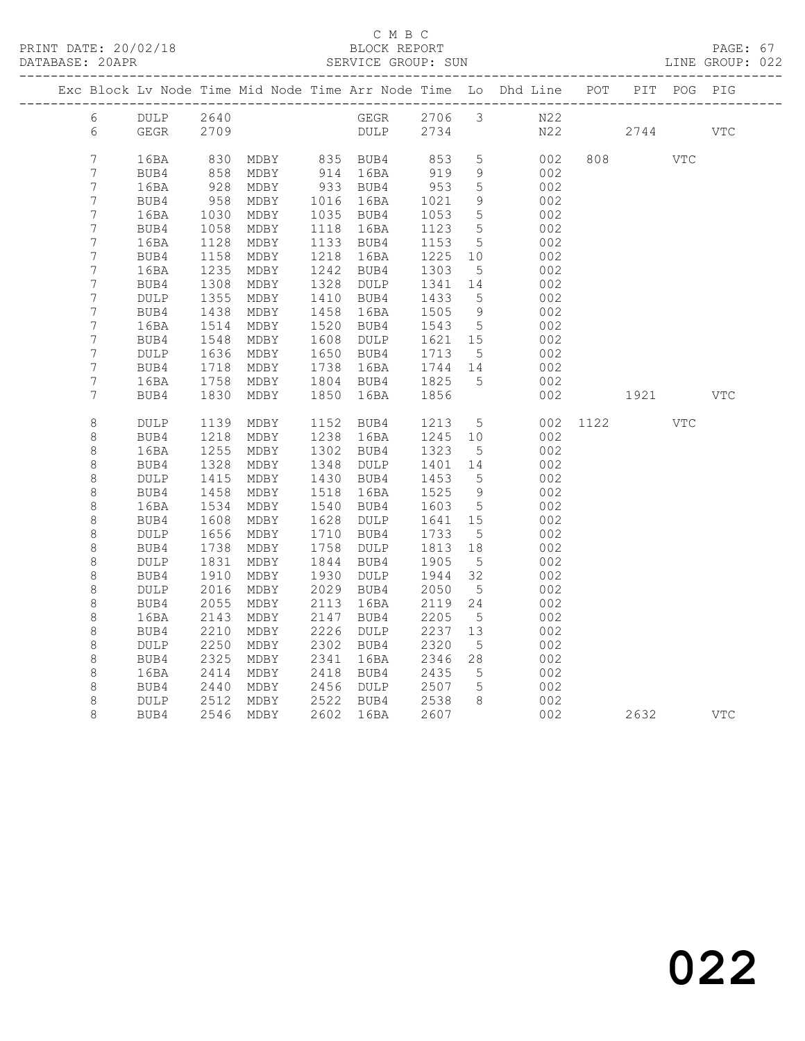|  |                                      |                         |              |                   |              |                      |              |                      | Exc Block Lv Node Time Mid Node Time Arr Node Time Lo Dhd Line POT |      |                                                                                                                                                                                                                                 | PIT POG PIG |            |
|--|--------------------------------------|-------------------------|--------------|-------------------|--------------|----------------------|--------------|----------------------|--------------------------------------------------------------------|------|---------------------------------------------------------------------------------------------------------------------------------------------------------------------------------------------------------------------------------|-------------|------------|
|  | $6\overline{6}$                      | DULP                    | 2640         |                   |              |                      |              |                      | GEGR 2706 3 N22                                                    |      |                                                                                                                                                                                                                                 |             |            |
|  | 6                                    | GEGR                    | 2709         |                   |              | DULP 2734            |              |                      |                                                                    | N22  | 2744                                                                                                                                                                                                                            |             | <b>VTC</b> |
|  | $\overline{7}$                       |                         |              |                   |              |                      |              |                      |                                                                    |      |                                                                                                                                                                                                                                 |             |            |
|  | $\overline{7}$                       | 16BA<br>BUB4            | 830<br>858   | MDBY<br>MDBY      |              | 835 BUB4<br>914 16BA | 853<br>919   | $5\phantom{.0}$<br>9 | 002<br>002                                                         |      |                                                                                                                                                                                                                                 | <b>VTC</b>  |            |
|  | $\overline{7}$                       | 16BA                    | 928          | MDBY              |              | 933 BUB4             | 953          | 5                    | 002                                                                |      |                                                                                                                                                                                                                                 |             |            |
|  | $\overline{7}$                       | BUB4                    | 958          | MDBY              | 1016         | 16BA                 | 1021         | 9                    | 002                                                                |      |                                                                                                                                                                                                                                 |             |            |
|  | $\overline{7}$                       | 16BA                    | 1030         | MDBY              |              | 1035 BUB4            | 1053         | 5                    | 002                                                                |      |                                                                                                                                                                                                                                 |             |            |
|  | $\boldsymbol{7}$                     | BUB4                    | 1058         | MDBY              | 1118         | 16BA                 | 1123         | $5\overline{)}$      | 002                                                                |      |                                                                                                                                                                                                                                 |             |            |
|  | $\overline{7}$                       | 16BA                    | 1128         | MDBY              |              | 1133 BUB4            | 1153         | $5\phantom{.0}$      | 002                                                                |      |                                                                                                                                                                                                                                 |             |            |
|  | $7\phantom{.}$                       | BUB4                    | 1158         | MDBY              | 1218         | 16BA                 | 1225         | 10 <sup>°</sup>      | 002                                                                |      |                                                                                                                                                                                                                                 |             |            |
|  | $\overline{7}$                       | 16BA                    | 1235         | MDBY              | 1242         | BUB4                 | 1303         | $5\phantom{.0}$      | 002                                                                |      |                                                                                                                                                                                                                                 |             |            |
|  | $\boldsymbol{7}$                     | BUB4                    | 1308         | MDBY              | 1328         | DULP                 | 1341         | 14                   | 002                                                                |      |                                                                                                                                                                                                                                 |             |            |
|  | $\boldsymbol{7}$                     | $\texttt{DULP}$         | 1355         | MDBY              | 1410         | BUB4                 | 1433         | $5\phantom{.0}$      | 002                                                                |      |                                                                                                                                                                                                                                 |             |            |
|  | $\boldsymbol{7}$<br>$\boldsymbol{7}$ | BUB4                    | 1438         | MDBY              | 1458         | 16BA                 | 1505         | 9<br>$5\overline{)}$ | 002                                                                |      |                                                                                                                                                                                                                                 |             |            |
|  | $\boldsymbol{7}$                     | 16BA<br>BUB4            | 1514<br>1548 | MDBY<br>MDBY      | 1520<br>1608 | BUB4<br>DULP         | 1543<br>1621 | 15                   | 002<br>002                                                         |      |                                                                                                                                                                                                                                 |             |            |
|  | 7                                    | <b>DULP</b>             | 1636         | MDBY              | 1650         | BUB4                 | 1713         | $5^{\circ}$          | 002                                                                |      |                                                                                                                                                                                                                                 |             |            |
|  | $\boldsymbol{7}$                     | BUB4                    | 1718         | MDBY              | 1738         | 16BA                 | 1744 14      |                      | 002                                                                |      |                                                                                                                                                                                                                                 |             |            |
|  | $\boldsymbol{7}$                     | 16BA                    | 1758         | MDBY              |              | 1804 BUB4            | 1825         | $5^{\circ}$          | 002                                                                |      |                                                                                                                                                                                                                                 |             |            |
|  | 7                                    | BUB4                    | 1830         | MDBY              | 1850         | 16BA                 | 1856         |                      | 002                                                                |      | 1921 — 1921 — 1922 — 1923 — 1924 — 1925 — 1927 — 1928 — 1928 — 1928 — 1928 — 1928 — 1928 — 1928 — 1928 — 1928 — 1928 — 1928 — 1928 — 1928 — 1928 — 1928 — 1928 — 1928 — 1928 — 1928 — 1928 — 1928 — 1928 — 1928 — 1928 — 1928 — |             | <b>VTC</b> |
|  |                                      |                         |              |                   |              |                      |              |                      |                                                                    |      |                                                                                                                                                                                                                                 |             |            |
|  | 8                                    | DULP                    | 1139         | MDBY              |              | 1152 BUB4            | 1213         | $5\overline{)}$      | 002                                                                | 1122 |                                                                                                                                                                                                                                 | <b>VTC</b>  |            |
|  | 8                                    | BUB4                    | 1218         | MDBY              | 1238         | 16BA                 | 1245         | 10                   | 002                                                                |      |                                                                                                                                                                                                                                 |             |            |
|  | $\,8\,$                              | 16BA                    | 1255         | MDBY              | 1302         | BUB4                 | 1323         | $5\phantom{.0}$      | 002                                                                |      |                                                                                                                                                                                                                                 |             |            |
|  | $\,8\,$                              | BUB4                    | 1328         | MDBY              | 1348         | DULP                 | 1401         | 14                   | 002                                                                |      |                                                                                                                                                                                                                                 |             |            |
|  | 8                                    | <b>DULP</b>             | 1415         | MDBY              | 1430         | BUB4                 | 1453         | $5^{\circ}$          | 002                                                                |      |                                                                                                                                                                                                                                 |             |            |
|  | $\,8\,$                              | BUB4                    | 1458         | MDBY              | 1518<br>1540 | 16BA                 | 1525         | 9<br>$5\overline{)}$ | 002                                                                |      |                                                                                                                                                                                                                                 |             |            |
|  | $\,8\,$<br>8                         | 16BA                    | 1534<br>1608 | MDBY<br>MDBY      | 1628         | BUB4<br>DULP         | 1603<br>1641 | 15                   | 002<br>002                                                         |      |                                                                                                                                                                                                                                 |             |            |
|  | $\,8\,$                              | BUB4<br>$\texttt{DULP}$ | 1656         | MDBY              | 1710         | BUB4                 | 1733         | $5\phantom{.0}$      | 002                                                                |      |                                                                                                                                                                                                                                 |             |            |
|  | 8                                    | BUB4                    | 1738         | MDBY              | 1758         | DULP                 | 1813         | 18                   | 002                                                                |      |                                                                                                                                                                                                                                 |             |            |
|  | $\,8\,$                              | DULP                    | 1831         | MDBY              | 1844         | BUB4                 | 1905         | $5\overline{)}$      | 002                                                                |      |                                                                                                                                                                                                                                 |             |            |
|  | 8                                    | BUB4                    | 1910         | MDBY              | 1930         | DULP                 | 1944         | 32                   | 002                                                                |      |                                                                                                                                                                                                                                 |             |            |
|  | 8                                    | <b>DULP</b>             | 2016         | MDBY              | 2029         | BUB4                 | 2050         | $5\phantom{.0}$      | 002                                                                |      |                                                                                                                                                                                                                                 |             |            |
|  | 8                                    | BUB4                    | 2055         | MDBY              | 2113         | 16BA                 | 2119         | 24                   | 002                                                                |      |                                                                                                                                                                                                                                 |             |            |
|  | 8                                    | 16BA                    | 2143         | MDBY              | 2147         | BUB4                 | 2205         | $5^{\circ}$          | 002                                                                |      |                                                                                                                                                                                                                                 |             |            |
|  | 8                                    | BUB4                    | 2210         | MDBY              | 2226         | DULP                 | 2237         | 13                   | 002                                                                |      |                                                                                                                                                                                                                                 |             |            |
|  | 8                                    | <b>DULP</b>             | 2250         | MDBY              | 2302         | BUB4                 | 2320         | $5\phantom{.0}$      | 002                                                                |      |                                                                                                                                                                                                                                 |             |            |
|  | $\,8\,$                              | BUB4                    | 2325         | MDBY              | 2341         | 16BA                 | 2346         | 28                   | 002                                                                |      |                                                                                                                                                                                                                                 |             |            |
|  | 8                                    | 16BA                    | 2414         | MDBY              | 2418         | BUB4                 | 2435         | $5\phantom{.0}$      | 002                                                                |      |                                                                                                                                                                                                                                 |             |            |
|  | 8                                    | BUB4                    | 2440         | MDBY              | 2456         | DULP                 | 2507<br>2538 | $5\overline{)}$      | 002                                                                |      |                                                                                                                                                                                                                                 |             |            |
|  | 8<br>8                               | <b>DULP</b><br>BUB4     | 2512         | MDBY<br>2546 MDBY | 2522         | BUB4<br>2602 16BA    | 2607         | 8                    | 002<br>002                                                         |      | 2632                                                                                                                                                                                                                            |             | <b>VTC</b> |
|  |                                      |                         |              |                   |              |                      |              |                      |                                                                    |      |                                                                                                                                                                                                                                 |             |            |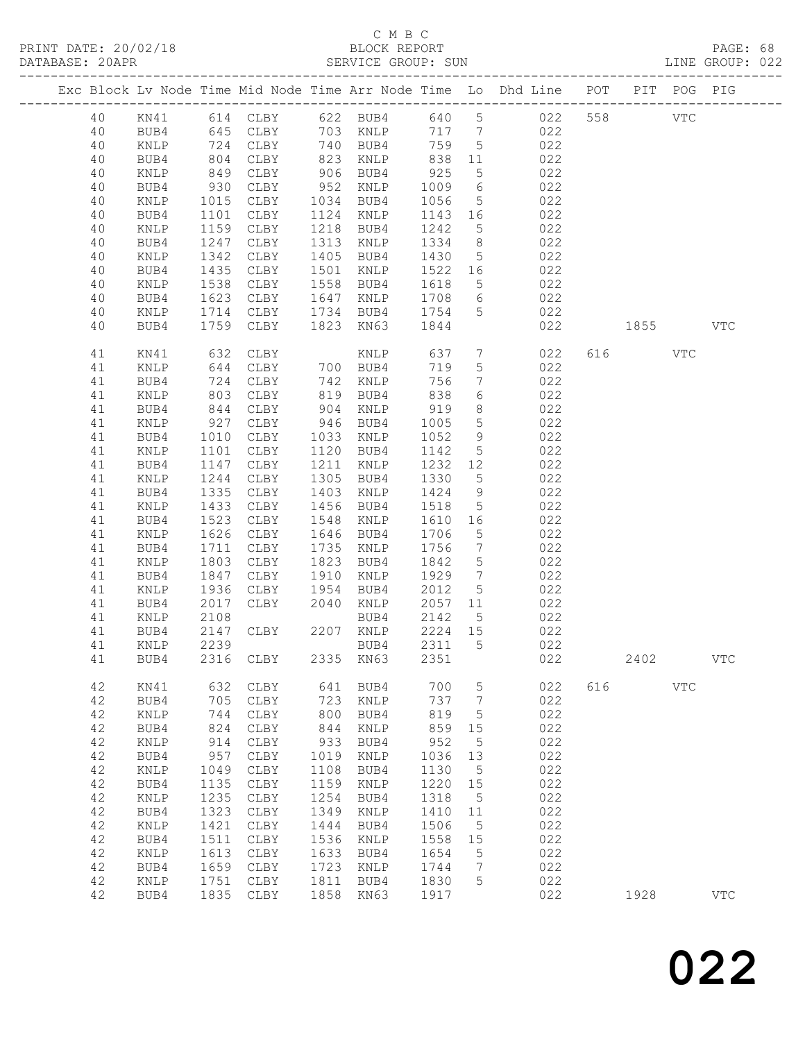|             |                 |              |                      |              |                 |              |                                | Exc Block Lv Node Time Mid Node Time Arr Node Time Lo Dhd Line POT PIT POG PIG |     |       |              |              |
|-------------|-----------------|--------------|----------------------|--------------|-----------------|--------------|--------------------------------|--------------------------------------------------------------------------------|-----|-------|--------------|--------------|
| 40          | KN41            |              |                      |              |                 |              |                                | 614 CLBY 622 BUB4 640 5 022                                                    | 558 |       | $_{\rm VTC}$ |              |
| 40          | BUB4            |              | 645 CLBY             |              | 703 KNLP        | 717 7        |                                | 022                                                                            |     |       |              |              |
| 40          | $\texttt{KNLP}$ |              | 724 CLBY<br>804 CLBY |              | 740 BUB4        | 759          | $5\overline{)}$                | 022                                                                            |     |       |              |              |
| 40          | BUB4            |              |                      |              | 823 KNLP        | 838          | 11                             | 022                                                                            |     |       |              |              |
| 40          | KNLP            | 849          | CLBY                 | 906          | BUB4            | 925          | $5\overline{)}$                | 022                                                                            |     |       |              |              |
| 40          | BUB4            | 930          | CLBY                 | 952          | KNLP            | 1009         | 6                              | 022                                                                            |     |       |              |              |
| 40          | KNLP            | 1015         | CLBY                 |              | 1034 BUB4       | 1056         | $5\overline{)}$                | 022                                                                            |     |       |              |              |
| 40          | BUB4            | 1101         | CLBY                 | 1124         | KNLP            | 1143         | 16                             | 022                                                                            |     |       |              |              |
| 40          | KNLP            | 1159         | CLBY                 | 1218         | BUB4            | 1242         | $5^{\circ}$                    | 022                                                                            |     |       |              |              |
| 40          | BUB4            | 1247         | CLBY                 | 1313         | KNLP            | 1334         | 8 <sup>8</sup>                 | 022                                                                            |     |       |              |              |
| 40          | KNLP            | 1342         | CLBY                 | 1405         | BUB4            | 1430         | $5\overline{)}$                | 022                                                                            |     |       |              |              |
| 40<br>40    | BUB4            | 1435         | CLBY                 | 1501<br>1558 | KNLP            | 1522 16      |                                | 022<br>022                                                                     |     |       |              |              |
| 40          | KNLP<br>BUB4    | 1538<br>1623 | CLBY<br>CLBY         | 1647         | BUB4<br>KNLP    | 1618<br>1708 | $5^{\circ}$<br>$6\overline{6}$ | 022                                                                            |     |       |              |              |
| 40          | KNLP            | 1714         | CLBY                 | 1734         | BUB4            | 1754         | 5                              | 022                                                                            |     |       |              |              |
| 40          | BUB4            | 1759         | CLBY                 |              | 1823 KN63       | 1844         |                                | 022                                                                            |     | 1855  |              | <b>VTC</b>   |
|             |                 |              |                      |              |                 |              |                                |                                                                                |     |       |              |              |
| 41          | KN41            | 632          | CLBY                 |              | KNLP            | 637          | $7\phantom{.0}$                | 022                                                                            |     | 616 7 | <b>VTC</b>   |              |
| 41          | KNLP            | 644<br>724   | CLBY                 |              | 700 BUB4        | 719          | $5\phantom{.0}$                | 022                                                                            |     |       |              |              |
| 41          | BUB4            |              | CLBY                 |              | 742 KNLP        | 756          | $7\phantom{.0}$                | 022                                                                            |     |       |              |              |
| 41          | KNLP            | 803          | CLBY                 |              | 819 BUB4        | 838          | 6                              | 022                                                                            |     |       |              |              |
| 41          | BUB4            | 844          | CLBY                 | 904          | KNLP            | 919          | 8                              | 022                                                                            |     |       |              |              |
| 41          | KNLP            | 927          | CLBY                 | 946          | BUB4            | 1005         | $5\phantom{.0}$                | 022                                                                            |     |       |              |              |
| 41          | BUB4            | 1010         | CLBY                 |              | 1033 KNLP       | 1052         | 9                              | 022                                                                            |     |       |              |              |
| 41          | KNLP            | 1101         | CLBY                 | 1120         | BUB4            | 1142         | $5\overline{)}$                | 022                                                                            |     |       |              |              |
| 41          | BUB4            | 1147         | CLBY                 | 1211         | KNLP            | 1232         | 12                             | 022                                                                            |     |       |              |              |
| 41          | KNLP            | 1244         | CLBY                 | 1305         | BUB4            | 1330         | $5^{\circ}$                    | 022                                                                            |     |       |              |              |
| 41          | BUB4            | 1335         | CLBY                 | 1403         | KNLP            | 1424         | 9                              | 022                                                                            |     |       |              |              |
| 41          | KNLP            | 1433         | CLBY                 | 1456<br>1548 | BUB4            | 1518         | $5\overline{)}$                | 022                                                                            |     |       |              |              |
| 41<br>41    | BUB4<br>KNLP    | 1523<br>1626 | CLBY<br>CLBY         | 1646         | KNLP<br>BUB4    | 1610<br>1706 | 16<br>5                        | 022<br>022                                                                     |     |       |              |              |
| 41          | BUB4            | 1711         | CLBY                 | 1735         | KNLP            | 1756         | $7\phantom{.0}\phantom{.0}7$   | 022                                                                            |     |       |              |              |
| 41          | KNLP            | 1803         | CLBY                 | 1823         | BUB4            | 1842         | $5\overline{)}$                | 022                                                                            |     |       |              |              |
| 41          | BUB4            | 1847         | CLBY                 | 1910         | KNLP            | 1929         | $7\phantom{.0}\phantom{.0}7$   | 022                                                                            |     |       |              |              |
| 41          | KNLP            | 1936         | CLBY                 | 1954         | BUB4            | 2012         | $5\overline{)}$                | 022                                                                            |     |       |              |              |
| 41          | BUB4            | 2017         | CLBY                 | 2040         | KNLP            | 2057         | 11                             | 022                                                                            |     |       |              |              |
| 41          | KNLP            | 2108         |                      |              | BUB4            | 2142         | $5\overline{)}$                | 022                                                                            |     |       |              |              |
| 41          | BUB4            |              | 2147 CLBY            |              | 2207 KNLP       | 2224 15      |                                | 022                                                                            |     |       |              |              |
| 41          | KNLP            | 2239         |                      |              | BUB4            | 2311         | $5^{\circ}$                    | 022                                                                            |     |       |              |              |
| 41          | BUB4 2316 CLBY  |              |                      |              | 2335 KN63 2351  |              |                                | 022                                                                            |     | 2402  |              | ${\tt VTC}$  |
| 42          | KN41            | 632          | CLBY                 | 641          | BUB4            | 700          | $\overline{5}$                 | 022                                                                            | 616 |       | $_{\rm VTC}$ |              |
| 42          | BUB4            | 705          | CLBY                 | 723          | KNLP            | 737          | $7\phantom{.0}$                | 022                                                                            |     |       |              |              |
| 42          | $\texttt{KNLP}$ | 744          | CLBY                 | 800          | BUB4            | 819          | 5                              | 022                                                                            |     |       |              |              |
| 42          | BUB4            | 824          | CLBY                 | 844          | $\texttt{KNLP}$ | 859          | 15                             | 022                                                                            |     |       |              |              |
| $4\,2$      | KNLP            | 914          | CLBY                 | 933          | BUB4            | 952          | 5                              | 022                                                                            |     |       |              |              |
| $4\,2$      | BUB4            | 957          | CLBY                 | 1019         | $\texttt{KNLP}$ | 1036         | 13                             | 022                                                                            |     |       |              |              |
| $4\sqrt{2}$ | $\texttt{KNLP}$ | 1049         | CLBY                 | 1108         | BUB4            | 1130         | 5                              | 022                                                                            |     |       |              |              |
| 42          | BUB4            | 1135         | $\texttt{CLBY}{}$    | 1159         | $\texttt{KNLP}$ | 1220         | 15                             | 022                                                                            |     |       |              |              |
| 42          | $\texttt{KNLP}$ | 1235         | $\texttt{CLBY}{}$    | 1254         | BUB4            | 1318         | 5                              | 022                                                                            |     |       |              |              |
| 42          | BUB4            | 1323         | $\texttt{CLBY}{}$    | 1349         | KNLP            | 1410         | 11                             | 022                                                                            |     |       |              |              |
| 42          | KNLP            | 1421         | $\texttt{CLBY}{}$    | 1444         | BUB4            | 1506         | 5                              | 022                                                                            |     |       |              |              |
| $4\,2$      | BUB4            | 1511         | CLBY                 | 1536         | $\texttt{KNLP}$ | 1558         | 15                             | 022                                                                            |     |       |              |              |
| 42          | KNLP            | 1613         | CLBY                 | 1633         | BUB4            | 1654         | 5                              | 022                                                                            |     |       |              |              |
| $4\,2$      | BUB4            | 1659         | $\texttt{CLBY}{}$    | 1723         | KNLP            | 1744         | 7                              | 022                                                                            |     |       |              |              |
| 42          | KNLP            | 1751         | CLBY                 | 1811         | BUB4            | 1830         | 5                              | 022                                                                            |     |       |              |              |
| 42          | BUB4            | 1835         | ${\tt CLBY}$         | 1858         | KN63            | 1917         |                                | 022                                                                            |     | 1928  |              | $_{\rm VTC}$ |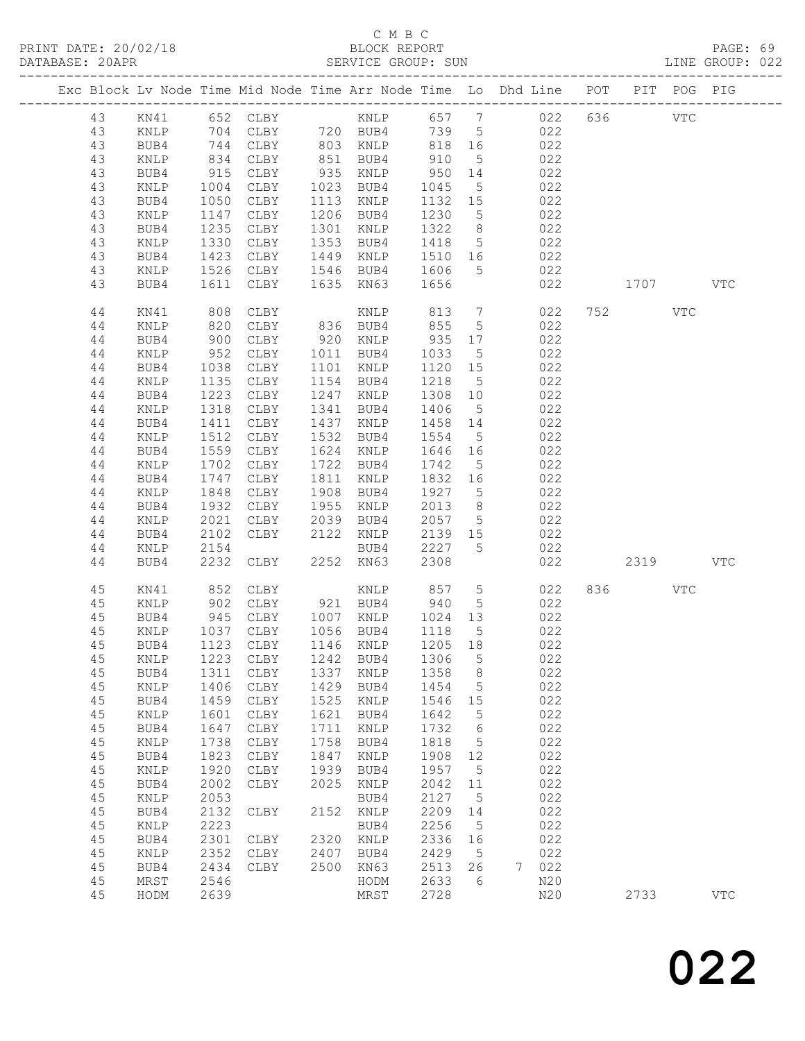|  |          |                 |                               |                            |      |                                                               |                 |                 | Exc Block Lv Node Time Mid Node Time Arr Node Time Lo Dhd Line POT PIT POG PIG |     |          |              |            |
|--|----------|-----------------|-------------------------------|----------------------------|------|---------------------------------------------------------------|-----------------|-----------------|--------------------------------------------------------------------------------|-----|----------|--------------|------------|
|  | 43       | KN41            |                               | 652 CLBY                   |      |                                                               |                 |                 | KNLP 657 7 022                                                                 | 636 |          | $_{\rm VTC}$ |            |
|  | 43       | KNLP            | 704                           | CLBY                       |      | 720 BUB4                                                      | 739 5           |                 | 022                                                                            |     |          |              |            |
|  | 43       | BUB4            |                               | CLBY                       |      |                                                               | 818 16          |                 | 022                                                                            |     |          |              |            |
|  | 43       | KNLP            | 744<br>834                    | CLBY                       |      | 803 KNLP 818<br>951 RIIB4 910<br>80 ב.<br>851 BUB4<br>א דזאיז |                 | $5\overline{)}$ | 022                                                                            |     |          |              |            |
|  | 43       | BUB4            | 915                           | CLBY                       |      | 935 KNLP                                                      | 950 14          |                 | 022                                                                            |     |          |              |            |
|  | 43       | KNLP            | 1004                          | CLBY                       |      | 1023 BUB4                                                     | 1045            | $5\overline{)}$ | 022                                                                            |     |          |              |            |
|  | 43       | BUB4            | 1050                          | CLBY                       |      | 1113 KNLP                                                     | 1132 15         |                 | 022                                                                            |     |          |              |            |
|  | 43       | KNLP            | 1147                          | CLBY                       |      | 1206 BUB4                                                     | 1230            | $5\overline{)}$ | 022                                                                            |     |          |              |            |
|  | 43       | BUB4            | 1235                          | CLBY                       | 1301 | KNLP                                                          | 1322            | 8 <sup>8</sup>  | 022                                                                            |     |          |              |            |
|  | 43       | KNLP            | 1330                          | CLBY                       | 1353 | BUB4                                                          | 1418            | $5\overline{)}$ | 022                                                                            |     |          |              |            |
|  | 43       | BUB4            | 1423                          | CLBY                       | 1449 | KNLP                                                          | 1510 16         |                 | 022                                                                            |     |          |              |            |
|  | 43       | KNLP            |                               | CLBY                       |      | 1546 BUB4                                                     | 1606            | $5\overline{)}$ | 022                                                                            |     |          |              |            |
|  | 43       | BUB4            | $142$<br>1526<br>1611<br>1611 | CLBY                       |      | 1635 KN63                                                     | 1656            |                 | 022                                                                            |     | 1707 VTC |              |            |
|  | 44       | KN41            | 808                           | CLBY                       |      | KNLP                                                          | 813             | $7\overline{ }$ | 022                                                                            |     | 752      | VTC          |            |
|  | 44       | KNLP            | 820                           | CLBY                       |      | 836 BUB4                                                      | 855             | $5^{\circ}$     | 022                                                                            |     |          |              |            |
|  | 44       | BUB4            | 900                           | CLBY                       |      | 920 KNLP                                                      | 935 17          |                 | 022                                                                            |     |          |              |            |
|  | 44       | KNLP            | 952                           | CLBY                       |      | 1011 BUB4                                                     | 1033            | $5^{\circ}$     | 022                                                                            |     |          |              |            |
|  | 44       | BUB4            | 1038                          | CLBY                       |      | 1101 KNLP                                                     | 1120 15         |                 | 022                                                                            |     |          |              |            |
|  | 44       | KNLP            | 1135                          | CLBY                       |      | 1154 BUB4                                                     | 1218            | $5\overline{)}$ | 022                                                                            |     |          |              |            |
|  | 44       | BUB4            | 1223                          | CLBY                       | 1247 | KNLP                                                          | 1308 10         |                 | 022                                                                            |     |          |              |            |
|  | 44       | KNLP            | 1318                          | CLBY                       | 1341 | BUB4                                                          | 1406            | $5\overline{)}$ | 022                                                                            |     |          |              |            |
|  | 44       | BUB4            | 1411                          | CLBY                       | 1437 | KNLP                                                          | 1458            | 14              | 022                                                                            |     |          |              |            |
|  | 44       | KNLP            | 1512                          | CLBY                       |      | 1532 BUB4                                                     | 1554            | $5\overline{)}$ | 022                                                                            |     |          |              |            |
|  | 44       | BUB4            | 1559                          | CLBY                       |      | 1624 KNLP                                                     | 1646 16         |                 | 022                                                                            |     |          |              |            |
|  | 44       | KNLP            | 1702                          | CLBY                       |      | 1722 BUB4                                                     | 1742            | $5\overline{)}$ | 022                                                                            |     |          |              |            |
|  | 44       | BUB4            | 1747                          | CLBY                       | 1811 | KNLP                                                          | 1832 16         |                 | 022                                                                            |     |          |              |            |
|  | 44       | KNLP            | 1848                          | CLBY                       | 1908 | BUB4                                                          | 1927 5          |                 | 022                                                                            |     |          |              |            |
|  | 44       | BUB4            | 1932                          | CLBY                       | 1955 | KNLP                                                          | 2013            | 8 <sup>8</sup>  | 022                                                                            |     |          |              |            |
|  | 44       | KNLP            | 2021                          | CLBY                       | 2039 | BUB4                                                          | 2057            | $5\overline{)}$ | 022                                                                            |     |          |              |            |
|  |          |                 |                               | CLBY                       | 2122 |                                                               |                 |                 | 022                                                                            |     |          |              |            |
|  | 44<br>44 | BUB4            | 2102<br>2154                  |                            |      | KNLP                                                          | 2139 15<br>2227 | $5^{\circ}$     | 022                                                                            |     |          |              |            |
|  | 44       | KNLP<br>BUB4    | 2232                          | CLBY                       |      | BUB4<br>2252 KN63                                             | 2308            |                 | 022                                                                            |     | 2319     |              | <b>VTC</b> |
|  |          |                 |                               |                            |      |                                                               |                 |                 |                                                                                |     |          |              |            |
|  | 45       | KN41            | 852                           | CLBY                       |      | KNLP                                                          | 857             | $5\overline{)}$ | 022                                                                            |     | 836 8    | <b>VTC</b>   |            |
|  | 45       | KNLP            | 902<br>945                    | CLBY                       |      | 921 BUB4                                                      | 940             | $5\overline{)}$ | 022                                                                            |     |          |              |            |
|  | 45       | BUB4            |                               | CLBY                       |      | 1007 KNLP 1024 13                                             |                 |                 | 022                                                                            |     |          |              |            |
|  | 45       | KNLP            | 1037                          | CLBY                       |      | 1056 BUB4 1118                                                |                 | $5\overline{)}$ | 022                                                                            |     |          |              |            |
|  | 45       | BUB4            |                               | 1123 CLBY                  |      | 1146 KNLP                                                     | 1205 18         |                 | 022                                                                            |     |          |              |            |
|  | 45       | KNLP            |                               | 1223 CLBY 1242 BUB4 1306 5 |      |                                                               |                 |                 | 022                                                                            |     |          |              |            |
|  | 45       | BUB4            | 1311                          | CLBY                       | 1337 | KNLP                                                          | 1358            | 8               | 022                                                                            |     |          |              |            |
|  | 45       | $\texttt{KNLP}$ | 1406                          | ${\tt CLBY}$               | 1429 | BUB4                                                          | 1454            | $\mathsf S$     | 022                                                                            |     |          |              |            |
|  | 45       | BUB4            | 1459                          | CLBY                       | 1525 | KNLP                                                          | 1546            | 15              | 022                                                                            |     |          |              |            |
|  | 45       | $\texttt{KNLP}$ | 1601                          | ${\tt CLBY}$               | 1621 | BUB4                                                          | 1642            | 5               | 022                                                                            |     |          |              |            |
|  | 45       | BUB4            | 1647                          | CLBY                       | 1711 | KNLP                                                          | 1732            | 6               | 022                                                                            |     |          |              |            |
|  | 45       | KNLP            | 1738                          | ${\tt CLBY}$               | 1758 | BUB4                                                          | 1818            | 5               | 022                                                                            |     |          |              |            |
|  | 45       | BUB4            | 1823                          | ${\tt CLBY}$               | 1847 | KNLP                                                          | 1908            | 12              | 022                                                                            |     |          |              |            |
|  | 45       | KNLP            | 1920                          | CLBY                       | 1939 | BUB4                                                          | 1957            | 5               | 022                                                                            |     |          |              |            |
|  | 45       | BUB4            | 2002                          | CLBY                       | 2025 | KNLP                                                          | 2042            | 11              | 022                                                                            |     |          |              |            |
|  | 45       | KNLP            | 2053                          |                            |      | BUB4                                                          | 2127            | $\mathsf S$     | 022                                                                            |     |          |              |            |
|  | 45       | BUB4            | 2132                          | CLBY                       | 2152 | KNLP                                                          | 2209            | 14              | 022                                                                            |     |          |              |            |
|  | 45       | KNLP            | 2223                          |                            |      | BUB4                                                          | 2256            | 5               | 022                                                                            |     |          |              |            |
|  | 45       | BUB4            | 2301                          | CLBY                       | 2320 | KNLP                                                          | 2336            | 16              | 022                                                                            |     |          |              |            |
|  | 45       | KNLP            | 2352                          | CLBY                       | 2407 | BUB4                                                          | 2429            | 5               | 022                                                                            |     |          |              |            |
|  | 45       | BUB4            | 2434                          | CLBY                       | 2500 | KN63                                                          | 2513            | 26              | 022<br>7                                                                       |     |          |              |            |
|  | 45       | MRST            | 2546                          |                            |      | HODM                                                          | 2633            | 6               | N20                                                                            |     |          |              |            |
|  | 45       | HODM            | 2639                          |                            |      | MRST                                                          | 2728            |                 | N20                                                                            |     | 2733     |              | <b>VTC</b> |
|  |          |                 |                               |                            |      |                                                               |                 |                 |                                                                                |     |          |              |            |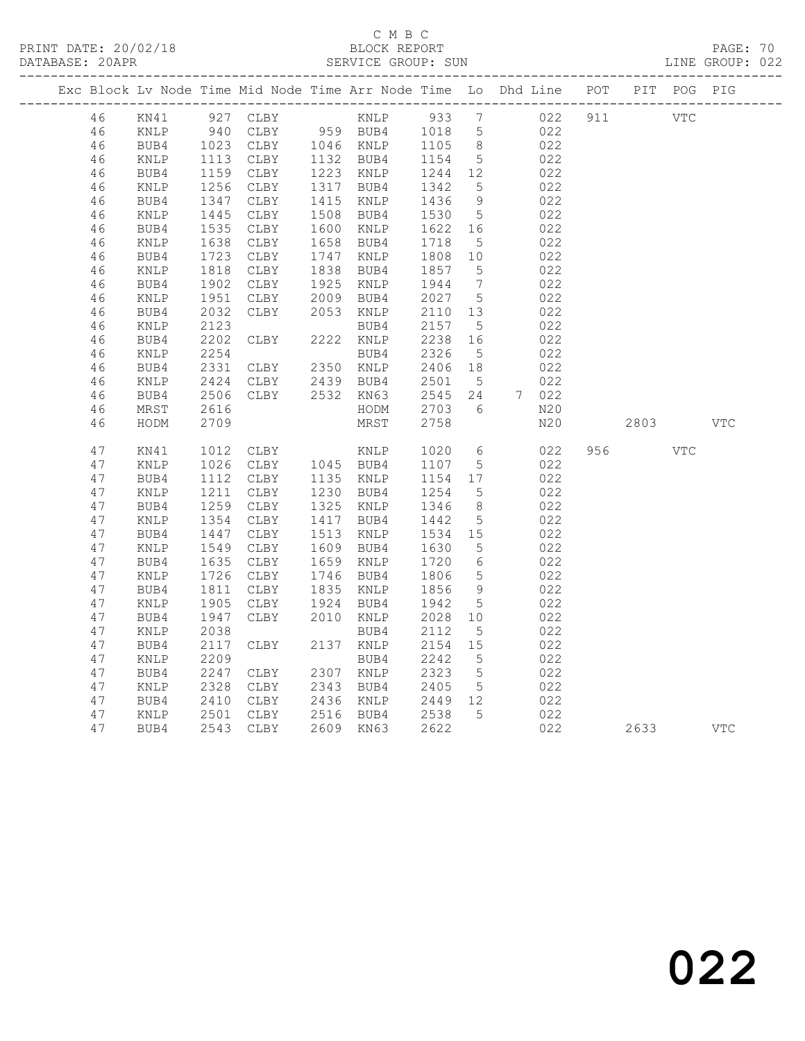## C M B C

| DATABASE: 20APR |    |      |      |      |      | SERVICE GROUP: SUN |      |                 |                                                                    |     |      |             | LINE GROUP: 022 |
|-----------------|----|------|------|------|------|--------------------|------|-----------------|--------------------------------------------------------------------|-----|------|-------------|-----------------|
|                 |    |      |      |      |      |                    |      |                 | Exc Block Lv Node Time Mid Node Time Arr Node Time Lo Dhd Line POT |     |      | PIT POG PIG |                 |
|                 | 46 | KN41 | 927  | CLBY |      | KNLP               | 933  | 7               | 022                                                                | 911 |      | <b>VTC</b>  |                 |
|                 | 46 | KNLP | 940  | CLBY | 959  | BUB4               | 1018 | 5               | 022                                                                |     |      |             |                 |
|                 | 46 | BUB4 | 1023 | CLBY | 1046 | KNLP               | 1105 | - 8             | 022                                                                |     |      |             |                 |
|                 | 46 | KNLP | 1113 | CLBY | 1132 | BUB4               | 1154 | $5\phantom{.0}$ | 022                                                                |     |      |             |                 |
|                 | 46 | BUB4 | 1159 | CLBY | 1223 | KNLP               | 1244 | 12              | 022                                                                |     |      |             |                 |
|                 | 46 | KNLP | 1256 | CLBY | 1317 | BUB4               | 1342 | 5               | 022                                                                |     |      |             |                 |
|                 | 46 | BUB4 | 1347 | CLBY | 1415 | KNLP               | 1436 | $\,9$           | 022                                                                |     |      |             |                 |
|                 | 46 | KNLP | 1445 | CLBY | 1508 | BUB4               | 1530 | $5\phantom{.0}$ | 022                                                                |     |      |             |                 |
|                 | 46 | BUB4 | 1535 | CLBY | 1600 | KNLP               | 1622 | 16              | 022                                                                |     |      |             |                 |
|                 | 46 | KNLP | 1638 | CLBY | 1658 | BUB4               | 1718 | 5               | 022                                                                |     |      |             |                 |
|                 | 46 | BUB4 | 1723 | CLBY | 1747 | KNLP               | 1808 | 10              | 022                                                                |     |      |             |                 |
|                 | 46 | KNLP | 1818 | CLBY | 1838 | BUB4               | 1857 | 5               | 022                                                                |     |      |             |                 |
|                 | 46 | BUB4 | 1902 | CLBY | 1925 | KNLP               | 1944 | $7\phantom{.0}$ | 022                                                                |     |      |             |                 |
|                 | 46 | KNLP | 1951 | CLBY | 2009 | BUB4               | 2027 | 5               | 022                                                                |     |      |             |                 |
|                 | 46 | BUB4 | 2032 | CLBY | 2053 | KNLP               | 2110 | 13              | 022                                                                |     |      |             |                 |
|                 | 46 | KNLP | 2123 |      |      | BUB4               | 2157 | 5               | 022                                                                |     |      |             |                 |
|                 | 46 | BUB4 | 2202 | CLBY | 2222 | KNLP               | 2238 | 16              | 022                                                                |     |      |             |                 |
|                 | 46 | KNLP | 2254 |      |      | BUB4               | 2326 | $5\phantom{.0}$ | 022                                                                |     |      |             |                 |
|                 | 46 | BUB4 | 2331 | CLBY | 2350 | KNLP               | 2406 | 18              | 022                                                                |     |      |             |                 |
|                 | 46 | KNLP | 2424 | CLBY | 2439 | BUB4               | 2501 | $5\overline{)}$ | 022                                                                |     |      |             |                 |
|                 | 46 | BUB4 | 2506 | CLBY | 2532 | KN63               | 2545 | 24              | 7<br>022                                                           |     |      |             |                 |
|                 | 46 | MRST | 2616 |      |      | HODM               | 2703 | 6               | N20                                                                |     |      |             |                 |
|                 | 46 | HODM | 2709 |      |      | MRST               | 2758 |                 | N20                                                                |     | 2803 |             | <b>VTC</b>      |
|                 | 47 | KN41 | 1012 | CLBY |      | KNLP               | 1020 | 6               | 022                                                                | 956 |      | <b>VTC</b>  |                 |
|                 | 47 | KNLP | 1026 | CLBY |      | 1045 BUB4          | 1107 | $\mathsf S$     | 022                                                                |     |      |             |                 |
|                 | 47 | BUB4 | 1112 | CLBY |      | 1135 KNLP          | 1154 | 17              | 022                                                                |     |      |             |                 |
|                 | 47 | KNLP | 1211 | CLBY | 1230 | BUB4               | 1254 | 5               | 022                                                                |     |      |             |                 |
|                 | 47 | BUB4 | 1259 | CLBY | 1325 | KNLP               | 1346 | 8               | 022                                                                |     |      |             |                 |
|                 | 47 | KNLP | 1354 | CLBY | 1417 | BUB4               | 1442 | 5               | 022                                                                |     |      |             |                 |
|                 | 47 | BUB4 | 1447 | CLBY | 1513 | KNLP               | 1534 | 15              | 022                                                                |     |      |             |                 |
|                 | 47 | KNLP | 1549 | CLBY | 1609 | BUB4               | 1630 | 5               | 022                                                                |     |      |             |                 |
|                 | 47 | BUB4 | 1635 | CLBY | 1659 | KNLP               | 1720 | 6               | 022                                                                |     |      |             |                 |
|                 | 47 | KNLP | 1726 | CLBY | 1746 | BUB4               | 1806 | 5               | 022                                                                |     |      |             |                 |
|                 | 47 | BUB4 | 1811 | CLBY | 1835 | KNLP               | 1856 | 9               | 022                                                                |     |      |             |                 |
|                 | 47 | KNLP | 1905 | CLBY | 1924 | BUB4               | 1942 | $5\phantom{.0}$ | 022                                                                |     |      |             |                 |
|                 | 47 | BUB4 | 1947 | CLBY | 2010 | KNLP               | 2028 | 10              | 022                                                                |     |      |             |                 |
|                 | 47 | KNLP | 2038 |      |      | BUB4               | 2112 | 5               | 022                                                                |     |      |             |                 |
|                 | 47 | BUB4 | 2117 | CLBY | 2137 | KNLP               | 2154 | 15              | 022                                                                |     |      |             |                 |
|                 | 47 | KNLP | 2209 |      |      | BUB4               | 2242 | 5               | 022                                                                |     |      |             |                 |
|                 | 47 | BUB4 | 2247 | CLBY | 2307 | KNLP               | 2323 | $\mathsf 5$     | 022                                                                |     |      |             |                 |
|                 | 47 | KNLP | 2328 | CLBY | 2343 | BUB4               | 2405 | $5\phantom{.0}$ | 022                                                                |     |      |             |                 |
|                 | 47 | BUB4 | 2410 | CLBY | 2436 | KNLP               | 2449 | 12              | 022                                                                |     |      |             |                 |
|                 | 47 | KNLP | 2501 | CLBY | 2516 | BUB4               | 2538 | 5               | 022                                                                |     |      |             |                 |
|                 | 47 | BUB4 | 2543 | CLBY |      | 2609 KN63          | 2622 |                 | 022                                                                |     | 2633 |             | <b>VTC</b>      |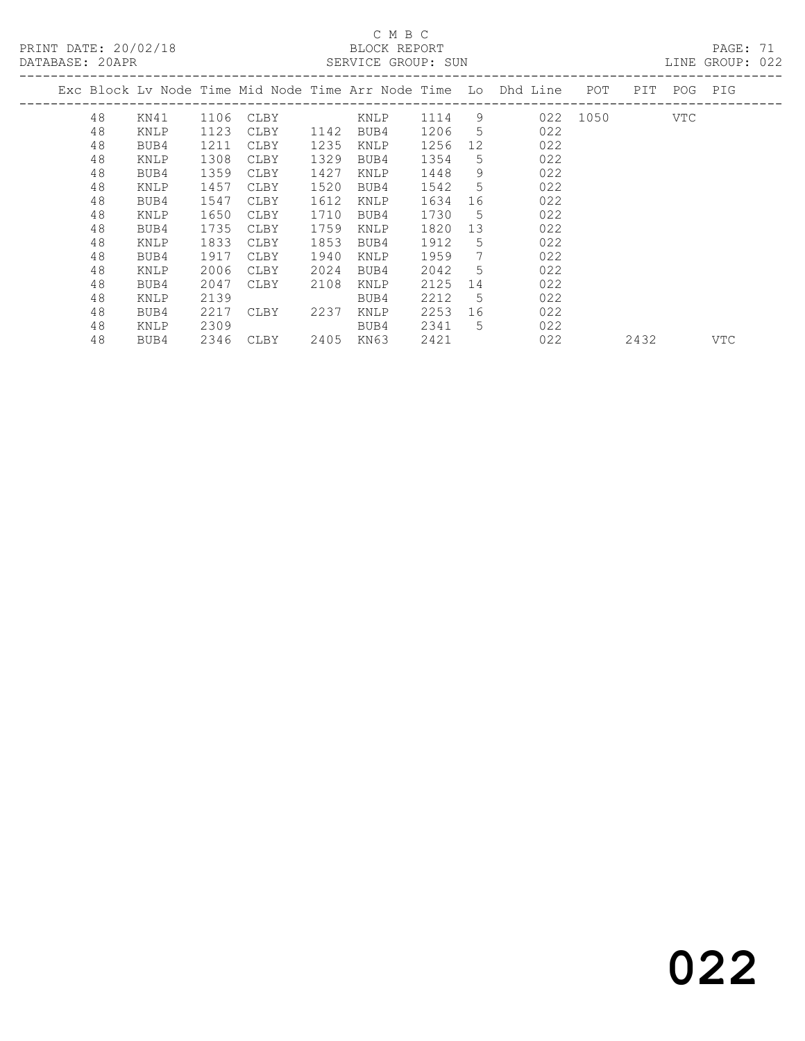# C M B C<br>BLOCK REPORT

PAGE: 71<br>LINE GROUP: 022

|  |    |      |      |      |      |      |      |    | Exc Block Lv Node Time Mid Node Time Arr Node Time Lo Dhd Line | POT  | PIT. | POG | PIG |
|--|----|------|------|------|------|------|------|----|----------------------------------------------------------------|------|------|-----|-----|
|  | 48 | KN41 | 1106 | CLBY |      | KNLP | 1114 | 9  | 022                                                            | 1050 |      | VTC |     |
|  | 48 | KNLP | 1123 | CLBY | 1142 | BUB4 | 1206 | 5  | 022                                                            |      |      |     |     |
|  | 48 | BUB4 | 1211 | CLBY | 1235 | KNLP | 1256 | 12 | 022                                                            |      |      |     |     |
|  | 48 | KNLP | 1308 | CLBY | 1329 | BUB4 | 1354 | 5  | 022                                                            |      |      |     |     |
|  | 48 | BUB4 | 1359 | CLBY | 1427 | KNLP | 1448 | 9  | 022                                                            |      |      |     |     |
|  | 48 | KNLP | 1457 | CLBY | 1520 | BUB4 | 1542 | 5  | 022                                                            |      |      |     |     |
|  | 48 | BUB4 | 1547 | CLBY | 1612 | KNLP | 1634 | 16 | 022                                                            |      |      |     |     |
|  | 48 | KNLP | 1650 | CLBY | 1710 | BUB4 | 1730 | 5  | 022                                                            |      |      |     |     |
|  | 48 | BUB4 | 1735 | CLBY | 1759 | KNLP | 1820 | 13 | 022                                                            |      |      |     |     |
|  | 48 | KNLP | 1833 | CLBY | 1853 | BUB4 | 1912 | 5  | 022                                                            |      |      |     |     |
|  | 48 | BUB4 | 1917 | CLBY | 1940 | KNLP | 1959 | 7  | 022                                                            |      |      |     |     |
|  | 48 | KNLP | 2006 | CLBY | 2024 | BUB4 | 2042 | .5 | 022                                                            |      |      |     |     |
|  | 48 | BUB4 | 2047 | CLBY | 2108 | KNLP | 2125 | 14 | 022                                                            |      |      |     |     |
|  | 48 | KNLP | 2139 |      |      | BUB4 | 2212 | 5  | 022                                                            |      |      |     |     |
|  | 48 | BUB4 | 2217 | CLBY | 2237 | KNLP | 2253 | 16 | 022                                                            |      |      |     |     |
|  | 48 | KNLP | 2309 |      |      | BUB4 | 2341 | 5  | 022                                                            |      |      |     |     |
|  | 48 | BUB4 | 2346 | CLBY | 2405 | KN63 | 2421 |    | 022                                                            |      | 2432 |     | VTC |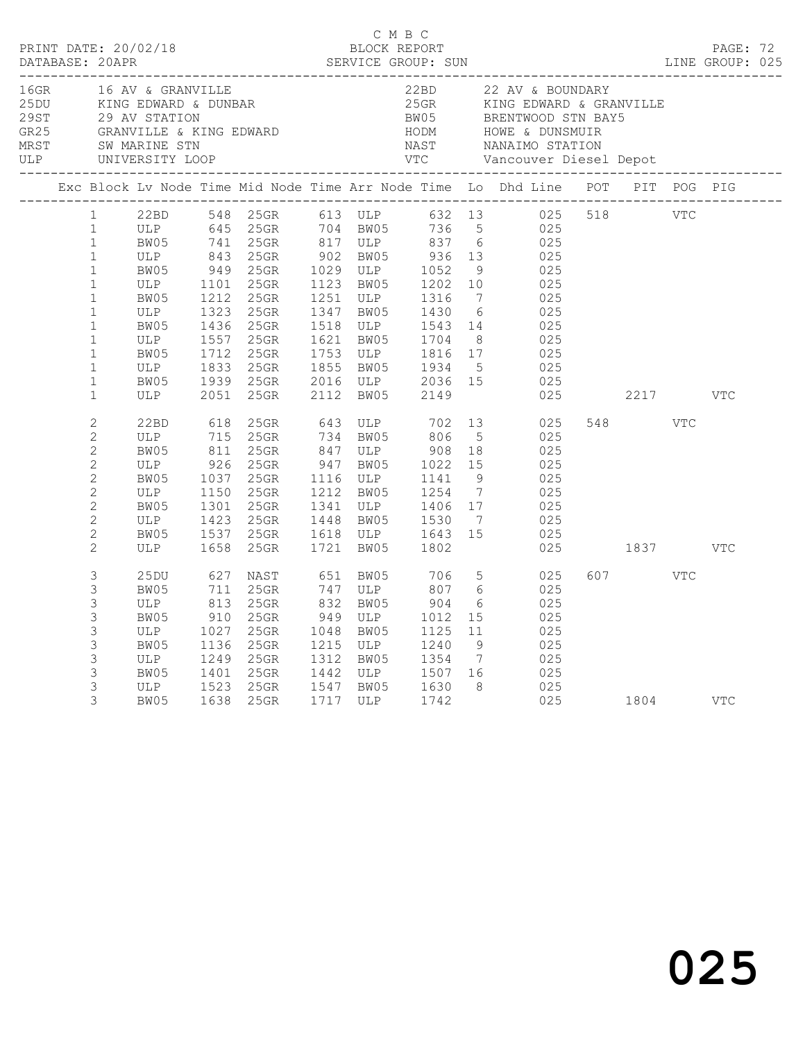|  |                                                                                                                                                                                                                   |                                                                                     |                                                                          | C M B C                                                                                                              |      |                                                                                                                                                                                                                                        |                                     |                                       |                                                                                                                                                                                                                                                                                                  |  |          |            |            |  |
|--|-------------------------------------------------------------------------------------------------------------------------------------------------------------------------------------------------------------------|-------------------------------------------------------------------------------------|--------------------------------------------------------------------------|----------------------------------------------------------------------------------------------------------------------|------|----------------------------------------------------------------------------------------------------------------------------------------------------------------------------------------------------------------------------------------|-------------------------------------|---------------------------------------|--------------------------------------------------------------------------------------------------------------------------------------------------------------------------------------------------------------------------------------------------------------------------------------------------|--|----------|------------|------------|--|
|  |                                                                                                                                                                                                                   |                                                                                     |                                                                          |                                                                                                                      |      | 16GR 16 AV & GRANVILLE 22BD 22 AV & BOUNDARY<br>25DU KING EDWARD & DUNBAR 25GR KING EDWARD & GRANVILLE<br>29 AV STATION BW05 BRENTWOOD STN BAY5<br>GR25 GRANVILLE & KING EDWARD HODM HOWE & DUNSMUIR<br>MRST SW_MARINE_STN NAST NANAIM |                                     |                                       |                                                                                                                                                                                                                                                                                                  |  |          |            |            |  |
|  |                                                                                                                                                                                                                   |                                                                                     |                                                                          |                                                                                                                      |      |                                                                                                                                                                                                                                        |                                     |                                       | Exc Block Lv Node Time Mid Node Time Arr Node Time Lo Dhd Line POT PIT POG PIG                                                                                                                                                                                                                   |  |          |            |            |  |
|  | 1<br>$\mathbf{1}$<br>$\mathbf{1}$<br>$\mathbf{1}$<br>$\mathbf{1}$<br>$\mathbf{1}$<br>$\mathbf{1}$<br>$\mathbf{1}$<br>$\mathbf{1}$<br>$\mathbf{1}$<br>$\mathbf{1}$<br>$\mathbf{1}$<br>$\mathbf{1}$<br>$\mathbf{1}$ | ULP 1101 25GR<br>BW05 1212 25GR<br>ULP<br>BW05<br>ULP<br>BW05<br>ULP<br>BW05<br>ULP | 2051                                                                     | 1323 25GR<br>1436 25GR<br>1557 25GR<br>1712 25GR<br>1833 25GR<br>1939 25GR<br>25GR                                   | 2112 | 1123   BW05       1202   10<br>1251   ULP        1316     7<br>1621 BW05 1704 8<br>1753 ULP 1816 17<br>1855 BW05 1934 5<br>2016 ULP 2036 15<br>BW05                                                                                    | 2149                                |                                       | 22BD 548 25GR 613 ULP 632 13 025 518 VTC<br>ULP 645 25GR 704 BW05 736 5 025<br>BW05 741 25GR 817 ULP 837 6 025<br>ULP 843 25GR 902 BW05 936 13 025<br>BW05 949 25GR 1029 ULP 1052 9 025<br>025<br>025<br>1347 BW05 1430 6 025<br>1518 ULP 1543 14 025<br>$025$<br>$025$<br>$025$<br>$025$<br>025 |  | 2217     |            | <b>VTC</b> |  |
|  | $\overline{c}$<br>$\overline{2}$<br>$\overline{c}$<br>$\sqrt{2}$<br>$\overline{2}$<br>$\mathbf{2}$<br>$\overline{c}$<br>$\mathbf{2}$<br>$\overline{c}$<br>$\overline{c}$                                          | 22BD<br>ULP<br>BW05<br>ULP 926<br>BW05<br>ULP<br>BW05<br>ULP<br>BW05<br>ULP         | 618<br>715<br>811<br>1150<br>1423<br>1658                                | 25GR 643 ULP 702<br>25GR 734 BW05 806<br>25GR<br>25GR<br>1037 25GR<br>25GR<br>1301 25GR<br>25GR<br>1537 25GR<br>25GR |      | 847 ULP 908 18<br>947 BW05 1022 15<br>1116 ULP 1141<br>1212 BW05 1254<br>1341 ULP 1406 17<br>1448 BW05 1530 7<br>1618 ULP 1643 15<br>1721 BW05 1802                                                                                    |                                     | 5 <sup>5</sup><br>9<br>$\overline{7}$ | 13 025<br>025<br>025<br>025<br>025<br>025<br>025<br>025<br>025                                                                                                                                                                                                                                   |  | 025 1837 | <b>VTC</b> | VTC        |  |
|  | 3<br>3<br>3<br>3<br>3<br>3<br>3<br>3<br>3<br>3                                                                                                                                                                    | 25DU<br>BW05<br>ULP<br>BW05<br>ULP<br>BW05<br>ULP<br>BW05<br>ULP<br>BW05<br>BW05    | 627<br>711<br>813<br>910<br>1027<br>1136<br>1249<br>1249<br>1401<br>1523 | NAST 651 BW05<br>25GR<br>25GR<br>25GR<br>25GR<br>25GR<br>25GR<br>25GR<br>25GR<br>1638 25GR                           |      | 747 ULP<br>832 BW05<br>$949$ ULP $1012$<br>1048 BW05<br>1215 ULP<br>1312 BW05 1354 7<br>1442 ULP 1507 16<br>1547 BW05 1630 8<br>1717 ULP 1742                                                                                          | 706 5<br>807<br>904<br>1125<br>1240 | 6<br>6<br>15<br>11<br>9               | 025<br>025<br>025<br>025<br>025<br>025<br>025<br>025<br>025<br>025 1804 VTC                                                                                                                                                                                                                      |  | 607 VTC  |            |            |  |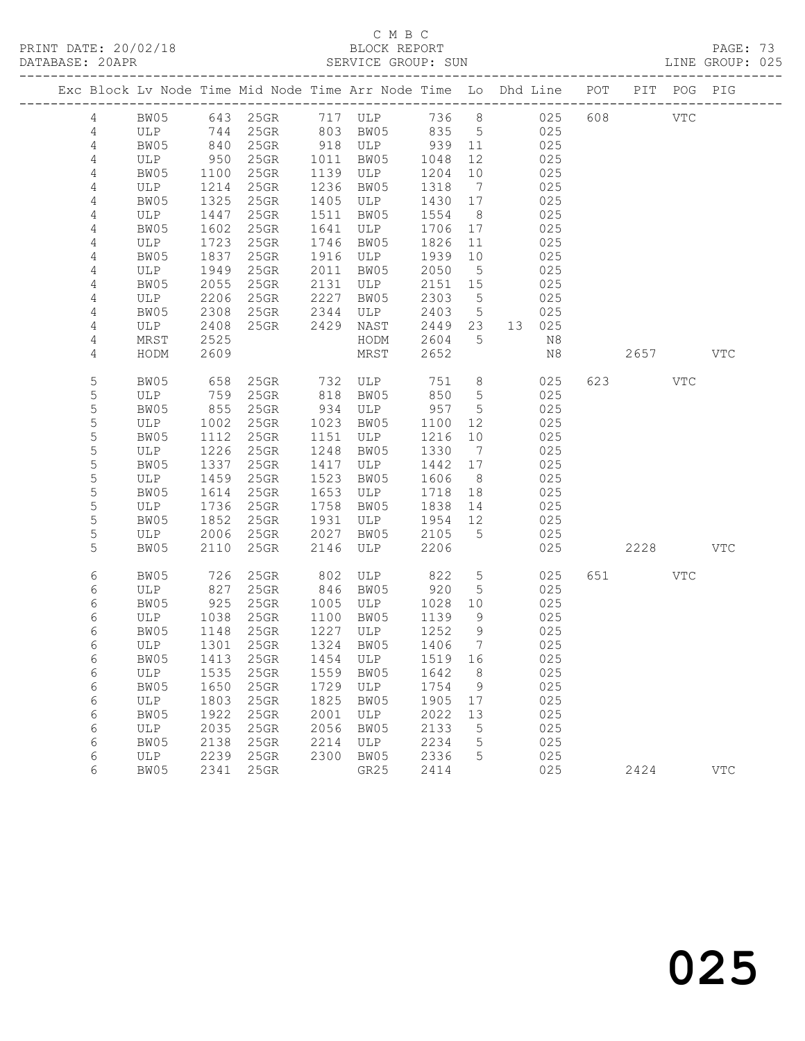#### C M B C DATABASE: 20APR SERVICE GROUP: SUN LINE GROUP: 025

| Exc Block Lv Node Time Mid Node Time Arr Node Time Lo Dhd Line POT |      |      |           |      |                                 |         |                 |           |         | PIT POG PIG |            |
|--------------------------------------------------------------------|------|------|-----------|------|---------------------------------|---------|-----------------|-----------|---------|-------------|------------|
| $\overline{4}$                                                     | BW05 |      |           |      | 643 25GR 717 ULP                |         |                 | 736 8 025 | 608 VTC |             |            |
| 4                                                                  | ULP  | 744  | 25GR      |      | 803 BW05                        | 835 5   |                 | 025       |         |             |            |
| 4                                                                  | BW05 | 840  | $25$ GR   |      | 918 ULP                         | 939 11  |                 | 025       |         |             |            |
| 4                                                                  | ULP  | 950  | 25GR      | 1011 | BW05                            | 1048    | 12              | 025       |         |             |            |
| $\overline{4}$                                                     | BW05 | 1100 | $25$ GR   |      | 1139 ULP                        | 1204    | 10              | 025       |         |             |            |
| 4                                                                  | ULP  | 1214 | 25GR      | 1236 | BW05                            | 1318    | $\overline{7}$  | 025       |         |             |            |
| 4                                                                  | BW05 | 1325 | 25GR      |      | 1405 ULP                        | 1430 17 |                 | 025       |         |             |            |
| 4                                                                  | ULP  | 1447 | $25$ GR   | 1511 | BW05                            | 1554    | 8 <sup>8</sup>  | 025       |         |             |            |
| $\sqrt{4}$                                                         | BW05 | 1602 | $25$ GR   | 1641 | ULP                             | 1706 17 |                 | 025       |         |             |            |
| $\overline{4}$                                                     | ULP  | 1723 | $25$ GR   | 1746 | BW05                            | 1826    | 11              | 025       |         |             |            |
| 4                                                                  | BW05 | 1837 | 25GR      | 1916 | ULP                             | 1939    | 10              | 025       |         |             |            |
| 4                                                                  | ULP  | 1949 | 25GR      | 2011 | BW05                            | 2050    | 5               | 025       |         |             |            |
| 4                                                                  | BW05 | 2055 | $25$ GR   | 2131 | ULP                             | 2151 15 |                 | 025       |         |             |            |
| 4                                                                  | ULP  | 2206 | $25$ GR   | 2227 | BW05                            | 2303    | $5^{\circ}$     | 025       |         |             |            |
| 4                                                                  | BW05 | 2308 | 25GR      | 2344 | ULP                             | 2403    | $5\overline{)}$ | 025       |         |             |            |
| 4                                                                  | ULP  | 2408 | 25GR 2429 |      | NAST                            | 2449 23 |                 | 13 025    |         |             |            |
| 4                                                                  | MRST | 2525 |           |      | HODM                            | 2604    | $5\overline{)}$ | N8        |         |             |            |
| 4                                                                  | HODM | 2609 |           |      | MRST                            | 2652    |                 | N8        | 2657    |             | VTC        |
| 5                                                                  | BW05 | 658  |           |      | 25GR 732 ULP 751                |         | 8 <sup>8</sup>  | 025       | 623 VTC |             |            |
| 5                                                                  | ULP  | 759  | 25GR      | 818  | BW05                            | 850     | $5\overline{)}$ | 025       |         |             |            |
| $\mathsf S$                                                        | BW05 | 855  | 25GR      |      | 934 ULP                         | 957     | $5\phantom{.0}$ | 025       |         |             |            |
| 5                                                                  | ULP  | 1002 | 25GR      | 1023 | BW05                            | 1100    | 12              | 025       |         |             |            |
| $\mathsf S$                                                        | BW05 | 1112 | $25$ GR   | 1151 | ULP                             | 1216    | 10              | 025       |         |             |            |
| 5                                                                  | ULP  | 1226 | $25$ GR   | 1248 | BW05                            | 1330    | $\overline{7}$  | 025       |         |             |            |
| $\mathsf S$                                                        | BW05 | 1337 | $25$ GR   | 1417 | ULP                             | 1442 17 |                 | 025       |         |             |            |
| $\mathsf S$                                                        | ULP  | 1459 | 25GR      | 1523 | BW05                            | 1606    | 8 <sup>8</sup>  | 025       |         |             |            |
| $\mathsf S$                                                        | BW05 | 1614 | $25$ GR   | 1653 | ULP                             | 1718    | 18              | 025       |         |             |            |
| 5                                                                  | ULP  | 1736 | $25$ GR   | 1758 | BW05                            | 1838    | 14              | 025       |         |             |            |
| $\mathsf S$                                                        | BW05 | 1852 | 25GR      | 1931 | ULP                             | 1954 12 |                 | 025       |         |             |            |
| 5                                                                  | ULP  | 2006 | 25GR      | 2027 | BW05                            | 2105    | $5\overline{)}$ | 025       |         |             |            |
| 5                                                                  | BW05 | 2110 | 25GR      | 2146 | ULP                             | 2206    |                 | 025       | 2228    |             | <b>VTC</b> |
| 6                                                                  | BW05 | 726  | 25GR      |      | 802 ULP<br>846 BW05<br>ULP      | 822     | $5\overline{)}$ | 025       | 651 VTC |             |            |
| 6                                                                  | ULP  | 827  | 25GR      |      |                                 | 920     | 5               | 025       |         |             |            |
| 6                                                                  | BW05 | 925  | $25$ GR   | 1005 | ULP                             | 1028    | 10              | 025       |         |             |            |
| 6                                                                  | ULP  | 1038 | 25GR      | 1100 | BW05                            | 1139    | 9               | 025       |         |             |            |
| 6                                                                  | BW05 | 1148 | $25$ GR   |      | 1227 ULP                        | 1252    | 9               | 025       |         |             |            |
| 6                                                                  | ULP  | 1301 | 25GR      |      | 1324 BW05                       | 1406    | $\overline{7}$  | 025       |         |             |            |
| 6                                                                  |      |      |           |      | BW05 1413 25GR 1454 ULP 1519 16 |         |                 | 025       |         |             |            |
| 6                                                                  | ULP  | 1535 | 25GR      | 1559 | BW05                            | 1642    | 8 <sup>8</sup>  | 025       |         |             |            |
| 6                                                                  | BW05 | 1650 | 25GR      | 1729 | ULP                             | 1754    | 9               | 025       |         |             |            |
| 6                                                                  | ULP  | 1803 | 25GR      | 1825 | BW05                            | 1905    | 17              | 025       |         |             |            |
| 6                                                                  | BW05 | 1922 | 25GR      | 2001 | ULP                             | 2022    | 13              | 025       |         |             |            |
| 6                                                                  | ULP  | 2035 | 25GR      | 2056 | BW05                            | 2133    | 5               | 025       |         |             |            |
| 6                                                                  | BW05 | 2138 | 25GR      | 2214 | ULP                             | 2234    | 5               | 025       |         |             |            |
| 6                                                                  | ULP  | 2239 | 25GR      | 2300 | BW05                            | 2336    | 5               | 025       |         |             |            |
| 6                                                                  | BW05 | 2341 | 25GR      |      | GR25                            | 2414    |                 | 025       | 2424    |             | <b>VTC</b> |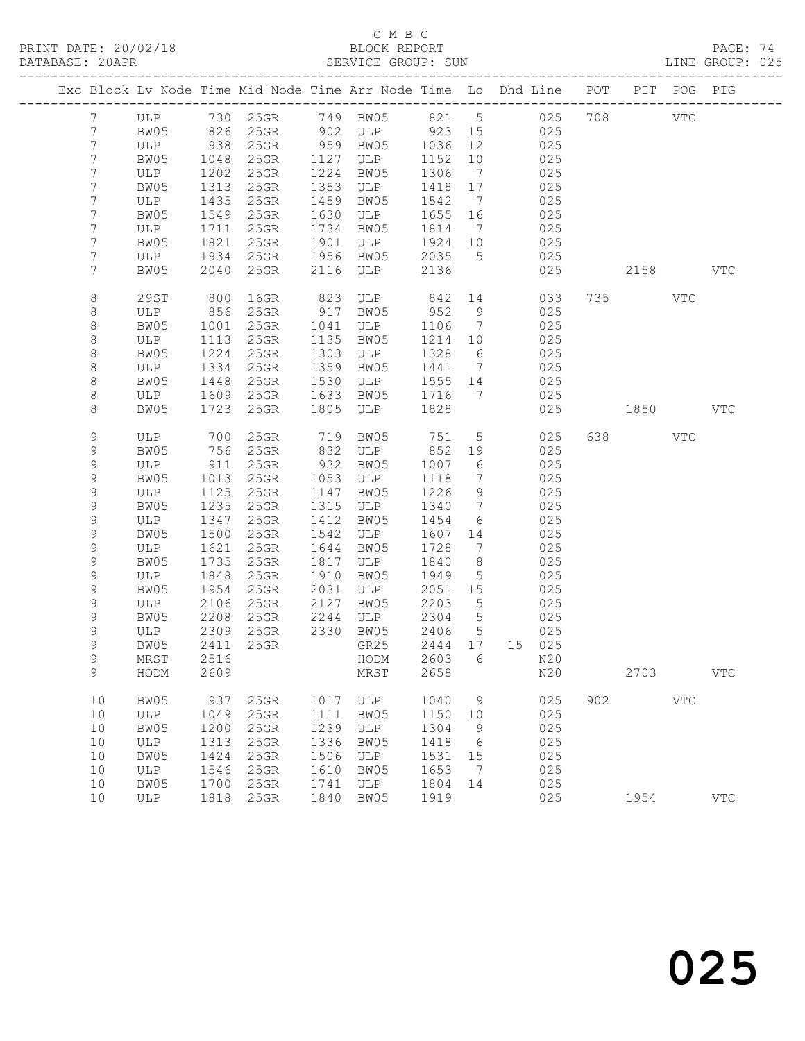PRINT DATE: 20/02/18 BLOCK REPORT BATABASE: 20APR BLOCK REPORT

#### C M B C<br>BLOCK REPORT

PAGE: 74<br>LINE GROUP: 025

|  |                 |             |              | Exc Block Lv Node Time Mid Node Time Arr Node Time Lo Dhd Line POT PIT POG PIG |              |                  |                 |                              |                       |            |     |         |     |            |
|--|-----------------|-------------|--------------|--------------------------------------------------------------------------------|--------------|------------------|-----------------|------------------------------|-----------------------|------------|-----|---------|-----|------------|
|  | $7\overline{ }$ |             |              | ULP 730 25GR 749 BW05 821 5 025                                                |              |                  |                 |                              |                       |            |     | 708 VTC |     |            |
|  | $7\phantom{.0}$ | BW05        |              | 826 25GR                                                                       |              | 902 ULP 923 15   |                 |                              | 025                   |            |     |         |     |            |
|  | $7\phantom{.0}$ | ULP         | 938          | 25GR                                                                           |              | 959 BW05         | 1036            | 12                           |                       | 025        |     |         |     |            |
|  | $7\phantom{.0}$ | BW05        | 1048         | $25$ GR                                                                        | 1127         | ULP              | 1152            | 10                           |                       | 025        |     |         |     |            |
|  | $7\phantom{.}$  | ULP         | 1202         | $25$ GR                                                                        | 1224         | BW05             | 1306            | $\overline{7}$               |                       | 025        |     |         |     |            |
|  | 7               | BW05        | 1313         | $25$ GR                                                                        | 1353         | ULP              | 1418            | 17                           |                       | 025        |     |         |     |            |
|  | $7\phantom{.}$  | ULP         | 1435         | 25GR                                                                           | 1459         | BW05             | 1542            | $\overline{7}$               |                       | 025        |     |         |     |            |
|  | 7               | BW05        | 1549         | 25GR                                                                           | 1630         | ULP              | 1655            | 16                           |                       | 025        |     |         |     |            |
|  | 7               | ULP         | 1711         | $25$ GR                                                                        | 1734         | BW05             | 1814            | $\overline{7}$               |                       | 025        |     |         |     |            |
|  | $7\phantom{.}$  | BW05        | 1821         | 25GR                                                                           | 1901         | ULP<br>BW05      | 1924            | 10                           |                       | 025        |     |         |     |            |
|  | 7<br>7          | ULP<br>BW05 | 1934<br>2040 | 25GR                                                                           | 1956<br>2116 |                  | 2035<br>2136    | $5^{\circ}$                  |                       | 025<br>025 |     |         |     | <b>VTC</b> |
|  |                 |             |              | 25GR                                                                           |              | ULP              |                 |                              |                       |            |     | 2158    |     |            |
|  | 8               | 29ST        | 800          | $16$ GR                                                                        | 823          | ULP              | 842             |                              | 14 and $\overline{a}$ | 033        |     | 735     | VTC |            |
|  | 8               | ULP         | 856          | $25$ GR                                                                        | 917          | BW05             | 952             | 9                            |                       | 025        |     |         |     |            |
|  | 8               | BW05        | 1001         | $25$ GR                                                                        | 1041         | ULP              | 1106            | $\overline{7}$               |                       | 025        |     |         |     |            |
|  | $\,8\,$         | ULP         | 1113         | 25GR                                                                           | 1135         | BW05             | 1214            | 10                           |                       | 025        |     |         |     |            |
|  | $\,8\,$         | BW05        | 1224         | 25GR                                                                           | 1303         | ULP              | 1328            | $6\overline{6}$              |                       | 025        |     |         |     |            |
|  | 8               | ULP         | 1334         | $25$ GR                                                                        | 1359         | BW05             | 1441            | $\overline{7}$               |                       | 025        |     |         |     |            |
|  | 8               | BW05        | 1448         | 25GR                                                                           | 1530         | ULP              | 1555            | 14                           |                       | 025        |     |         |     |            |
|  | 8               | ULP         | 1609         | 25GR                                                                           | 1633         | BW05             | 1716            | $\overline{7}$               |                       | 025        |     |         |     |            |
|  | 8               | BW05        | 1723         | $25$ GR                                                                        | 1805         | ULP              | 1828            |                              |                       | 025        |     | 1850    |     | <b>VTC</b> |
|  | 9               | ULP         | 700          | 25GR                                                                           | 719          | BW05             | 751             | $5\overline{)}$              |                       | 025        |     | 638 8   | VTC |            |
|  | 9               | BW05        | 756          | 25GR                                                                           | 832          | ULP              | 852             | 19                           |                       | 025        |     |         |     |            |
|  | 9               | ULP         | 911          | $25$ GR                                                                        | 932          | BW05             | 1007            | $6\overline{6}$              |                       | 025        |     |         |     |            |
|  | 9               | BW05        | 1013         | $25$ GR                                                                        | 1053         | ULP              | 1118            | $7\phantom{.0}\phantom{.0}7$ |                       | 025        |     |         |     |            |
|  | 9               | ULP         | 1125         | $25$ GR                                                                        | 1147         | BW05             | 1226            | 9                            |                       | 025        |     |         |     |            |
|  | 9               | BW05        | 1235         | 25GR                                                                           | 1315         | ULP              | 1340            | $7\phantom{.0}\phantom{.0}7$ |                       | 025        |     |         |     |            |
|  | $\mathsf 9$     | ULP         | 1347         | $25$ GR                                                                        | 1412         | BW05             | 1454            | 6                            |                       | 025        |     |         |     |            |
|  | 9               | BW05        | 1500         | 25GR                                                                           | 1542         | ULP              | 1607            | 14                           |                       | 025        |     |         |     |            |
|  | 9               | ULP         | 1621         | $25$ GR                                                                        | 1644         | BW05             | 1728            | $\overline{7}$               |                       | 025        |     |         |     |            |
|  | 9               | BW05        | 1735         | 25GR                                                                           | 1817         | ULP              | 1840            | 8                            |                       | 025        |     |         |     |            |
|  | 9               | ULP         | 1848         | 25GR                                                                           | 1910         | BW05             | 1949            | $5^{\circ}$                  |                       | 025        |     |         |     |            |
|  | 9               | BW05        | 1954         | 25GR                                                                           | 2031         | ULP              | 2051            | 15                           |                       | 025        |     |         |     |            |
|  | 9               | ULP         | 2106         | 25GR                                                                           | 2127         | BW05             | 2203            | 5                            |                       | 025        |     |         |     |            |
|  | 9               | BW05        | 2208         | $25$ GR                                                                        | 2244         | ULP<br>2330 BW05 | 2304            | $5\overline{)}$              |                       | 025        |     |         |     |            |
|  | 9<br>9          | ULP<br>BW05 | 2309         | 25GR<br>2411 25GR                                                              |              | GR25             | 2406<br>2444 17 | $5\overline{)}$              | 15 025                | 025        |     |         |     |            |
|  | 9               | $\tt MRST$  |              | 2516 2516                                                                      |              | HODM 2603 6 N20  |                 |                              |                       |            |     |         |     |            |
|  | 9               | HODM        | 2609         |                                                                                |              | MRST             | 2658            |                              |                       | N20        |     | 2703    |     | <b>VTC</b> |
|  |                 |             |              |                                                                                |              |                  |                 |                              |                       |            |     |         |     |            |
|  | 10              | BW05        | 937          | 25GR                                                                           | 1017         | ULP              | 1040            | 9                            |                       | 025        | 902 |         | VTC |            |
|  | 10              | ULP         | 1049         | 25GR                                                                           | 1111         | BW05             | 1150            | 10                           |                       | 025        |     |         |     |            |
|  | 10              | BW05        | 1200         | 25GR                                                                           | 1239         | ULP              | 1304            | 9                            |                       | 025        |     |         |     |            |
|  | 10              | ULP         | 1313         | 25GR                                                                           | 1336         | BW05             | 1418            | 6                            |                       | 025        |     |         |     |            |
|  | 10              | BW05        | 1424         | 25GR                                                                           | 1506         | ULP              | 1531            | 15                           |                       | 025        |     |         |     |            |
|  | 10              | ULP         | 1546         | 25GR                                                                           | 1610         | BW05             | 1653            | $\overline{7}$               |                       | 025        |     |         |     |            |
|  | 10              | BW05        | 1700         | 25GR                                                                           | 1741         | ULP              | 1804            | 14                           |                       | 025        |     |         |     |            |
|  | 10              | ULP         | 1818         | 25GR                                                                           | 1840         | BW05             | 1919            |                              |                       | 025        |     | 1954    |     | <b>VTC</b> |

# 025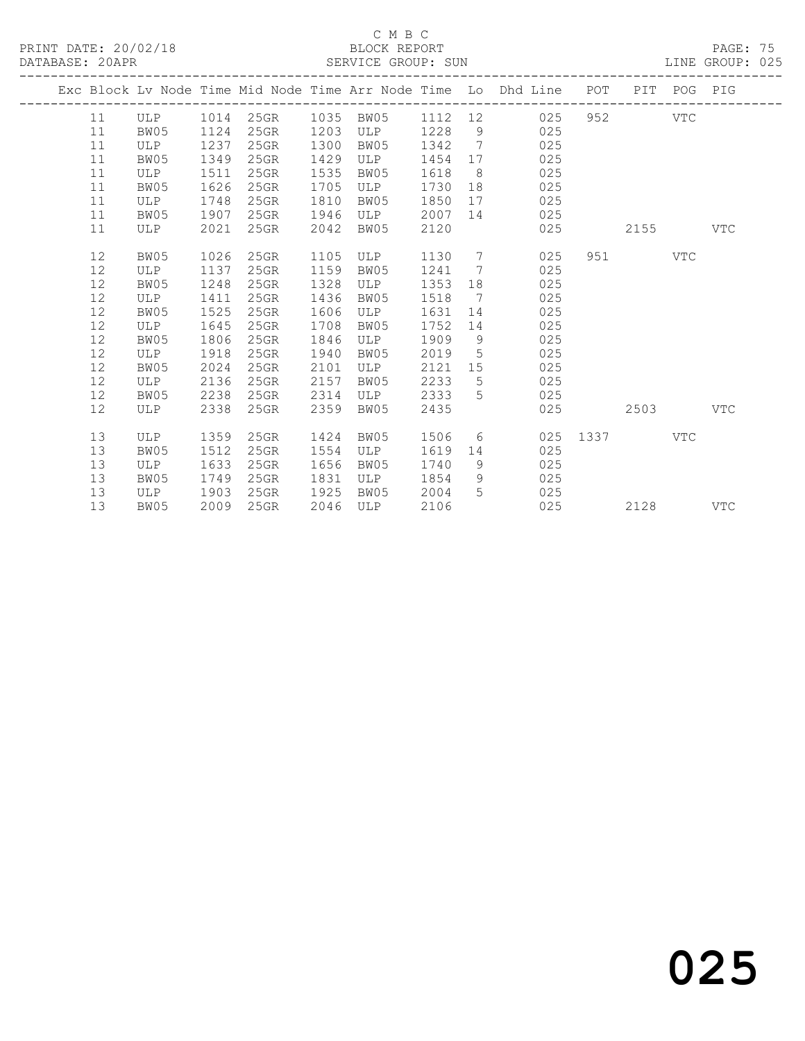PRINT DATE: 20/02/18 BLOCK REPORT BATABASE: 20APR BLOCK REPORT

#### C M B C<br>BLOCK REPORT

PAGE: 75<br>LINE GROUP: 025

|      |      |      |                             |      |      |      |                 | Exc Block Lv Node Time Mid Node Time Arr Node Time Lo Dhd Line POT PIT POG PIG |          |                           |     |            |
|------|------|------|-----------------------------|------|------|------|-----------------|--------------------------------------------------------------------------------|----------|---------------------------|-----|------------|
| 11   | ULP  |      | 1014 25GR 1035 BW05 1112 12 |      |      |      |                 | 025                                                                            |          | 952 and the set of $\sim$ | VTC |            |
| 11   | BW05 | 1124 | $25$ GR                     | 1203 | ULP  | 1228 |                 | $9 \left( \frac{1}{2} \right)$<br>025                                          |          |                           |     |            |
| 11   | ULP  | 1237 | 25GR                        | 1300 | BW05 | 1342 | $\overline{7}$  | 025                                                                            |          |                           |     |            |
| 11   | BW05 | 1349 | 25GR                        | 1429 | ULP  | 1454 | 17              | 025                                                                            |          |                           |     |            |
| 11   | ULP  | 1511 | 25GR                        | 1535 | BW05 | 1618 | 8 <sup>8</sup>  | 025                                                                            |          |                           |     |            |
| 11   | BW05 | 1626 | 25GR                        | 1705 | ULP  | 1730 |                 | 025<br>18                                                                      |          |                           |     |            |
| 11   | ULP  | 1748 | 25GR                        | 1810 | BW05 | 1850 |                 | 025                                                                            |          |                           |     |            |
| 11   | BW05 | 1907 | 25GR                        | 1946 | ULP  | 2007 |                 | 025<br>14 \                                                                    |          |                           |     |            |
| 11   | ULP  | 2021 | 25GR                        | 2042 | BW05 | 2120 |                 | 025                                                                            |          | 2155                      |     | <b>VTC</b> |
| 12   | BW05 | 1026 | 25GR                        | 1105 | ULP  | 1130 |                 | $7\overline{ }$<br>025                                                         |          | 951 — 100                 | VTC |            |
| 12   | ULP  | 1137 | $25$ GR                     | 1159 | BW05 | 1241 | $\overline{7}$  | 025                                                                            |          |                           |     |            |
| 12   | BW05 | 1248 | 25GR                        | 1328 | ULP  | 1353 | 18              | 025                                                                            |          |                           |     |            |
| 12   | ULP  | 1411 | 25GR                        | 1436 | BW05 | 1518 | $\overline{7}$  | 025                                                                            |          |                           |     |            |
| $12$ | BW05 | 1525 | 25GR                        | 1606 | ULP  | 1631 | 14              | 025                                                                            |          |                           |     |            |
| 12   | ULP  | 1645 | 25GR                        | 1708 | BW05 | 1752 | 14              | 025                                                                            |          |                           |     |            |
| 12   | BW05 | 1806 | $25$ GR                     | 1846 | ULP  | 1909 | 9 <sup>°</sup>  | 025                                                                            |          |                           |     |            |
| 12   | ULP  | 1918 | 25GR                        | 1940 | BW05 | 2019 | $5\overline{)}$ | 025                                                                            |          |                           |     |            |
| 12   | BW05 | 2024 | 25GR                        | 2101 | ULP  | 2121 | 15              | 025                                                                            |          |                           |     |            |
| 12   | ULP  | 2136 | 25GR                        | 2157 | BW05 | 2233 | 5               | 025                                                                            |          |                           |     |            |
| 12   | BW05 | 2238 | 25GR                        | 2314 | ULP  | 2333 | 5               | 025                                                                            |          |                           |     |            |
| 12   | ULP  | 2338 | 25GR                        | 2359 | BW05 | 2435 |                 | 025                                                                            |          | 2503                      |     | VTC        |
| 13   | ULP  | 1359 | 25GR                        | 1424 | BW05 | 1506 |                 | $6 \qquad \qquad$                                                              | 025 1337 |                           | VTC |            |
| 13   | BW05 | 1512 | 25GR                        | 1554 | ULP  | 1619 | 14              | 025                                                                            |          |                           |     |            |
| 13   | ULP  | 1633 | 25GR                        | 1656 | BW05 | 1740 | 9               | 025                                                                            |          |                           |     |            |
| 13   | BW05 | 1749 | 25GR                        | 1831 | ULP  | 1854 | 9               | 025                                                                            |          |                           |     |            |
| 13   | ULP  | 1903 | 25GR                        | 1925 | BW05 | 2004 | 5 <sup>1</sup>  | 025                                                                            |          |                           |     |            |
| 13   | BW05 | 2009 | 25GR                        | 2046 | ULP  | 2106 |                 | 025                                                                            |          | 2128                      |     | <b>VTC</b> |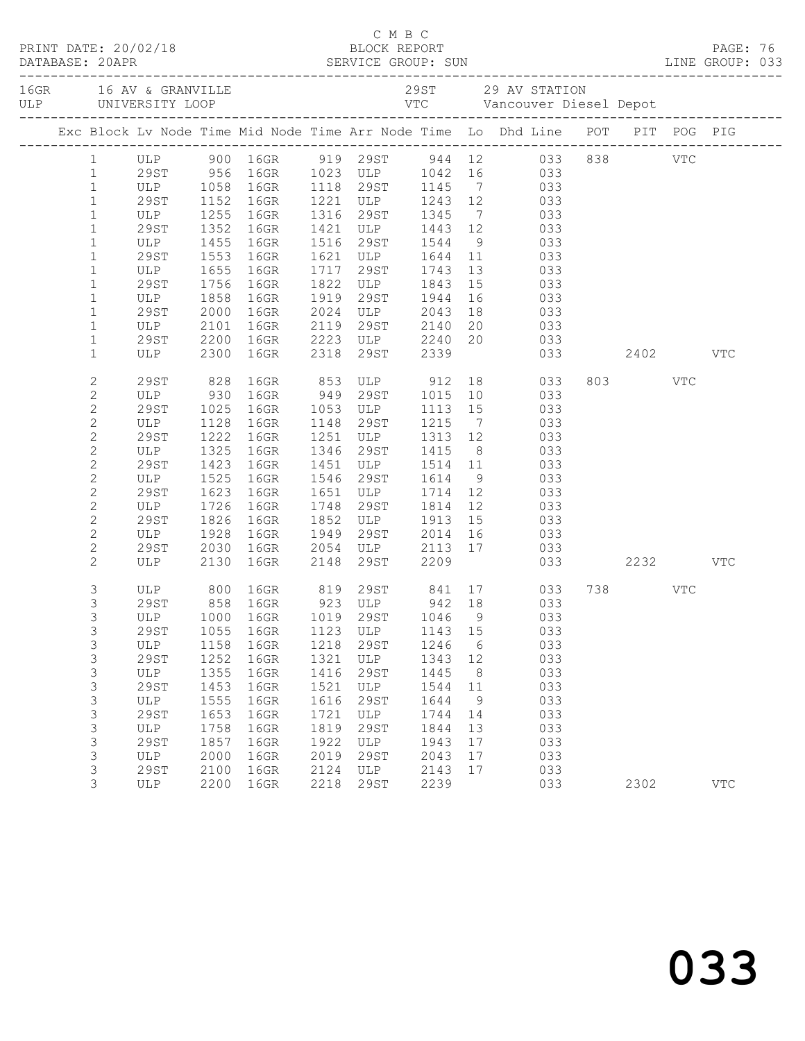|  |                                |                          |              |              |              |                                                  |              |                | C M B C<br>PRINT DATE: 20/02/18 BLOCK REPORT<br>DATABASE: 20APR SERVICE GROUP: SUN LINE GROUP: 033 |         |            |  |
|--|--------------------------------|--------------------------|--------------|--------------|--------------|--------------------------------------------------|--------------|----------------|----------------------------------------------------------------------------------------------------|---------|------------|--|
|  |                                |                          |              |              |              |                                                  |              |                |                                                                                                    |         |            |  |
|  |                                |                          |              |              |              |                                                  |              |                | Exc Block Lv Node Time Mid Node Time Arr Node Time Lo Dhd Line POT PIT POG PIG                     |         |            |  |
|  | $1 \quad \blacksquare$         |                          |              |              |              |                                                  |              |                | ULP 900 16GR 919 29ST 944 12 033 838 VTC<br>29ST 956 16GR 1023 ULP 1042 16 033                     |         |            |  |
|  | $\mathbf{1}$                   |                          |              |              |              |                                                  |              |                |                                                                                                    |         |            |  |
|  | $\mathbf{1}$                   | ULP 1058 16GR            |              |              |              |                                                  |              |                | 1118 29ST 1145 7 033                                                                               |         |            |  |
|  | $\mathbf{1}$                   | 29ST 1152<br>ULP 1255    |              | 16GR         |              |                                                  |              |                | 1221 ULP 1243 12 033<br>1316 29ST 1345 7 033<br>1421 ULP 1443 12 033                               |         |            |  |
|  | $\mathbf{1}$                   |                          |              | 16GR         |              |                                                  |              |                |                                                                                                    |         |            |  |
|  | $\mathbf{1}$                   | 29ST                     | 1352         | 16GR         |              |                                                  |              |                |                                                                                                    |         |            |  |
|  | $\mathbf{1}$                   | ULP                      | 1455         | 16GR         |              | 1516 29ST 1544                                   |              |                | 9 033                                                                                              |         |            |  |
|  | $\mathbf{1}$                   | 29ST                     | 1553         | 16GR         |              |                                                  |              |                |                                                                                                    |         |            |  |
|  | $\mathbf{1}$<br>$\mathbf{1}$   | ULP<br>29ST<br>29ST      | 1655<br>1756 | 16GR<br>16GR |              |                                                  |              |                | 1621 ULP 1644 11 033<br>1717 29ST 1743 13 033<br>1822 ULP 1843 15 033<br>033                       |         |            |  |
|  | $\mathbf{1}$                   | ULP                      | 1858         | 16GR         | 1919         | 29ST 1944                                        |              | 16             | 033                                                                                                |         |            |  |
|  | $\mathbf{1}$                   | 29ST                     | 2000         | 16GR         |              |                                                  |              | 18             | 033                                                                                                |         |            |  |
|  | $\mathbf{1}$                   | ULP                      |              | 16GR         |              |                                                  |              |                |                                                                                                    |         |            |  |
|  | $\mathbf{1}$                   | 29ST                     | 2101<br>2200 | 16GR         |              | 2024 ULP 2043<br>2119 29ST 2140<br>2223 ULP 2240 |              |                | 20 033<br>20 033                                                                                   |         |            |  |
|  | $\mathbf{1}$                   | ULP 2300                 |              | 16GR         |              | 2318 29ST 2339                                   |              |                | 033 2402 VTC                                                                                       |         |            |  |
|  | $\mathbf{2}$                   | 29ST 828<br>ULP 930      |              |              |              |                                                  |              |                | 16GR 853 ULP 912 18 033<br>16GR 949 29ST 1015 10 033                                               | 803 VTC |            |  |
|  | $\overline{c}$                 |                          |              |              |              |                                                  |              |                |                                                                                                    |         |            |  |
|  | $\mathbf{2}$                   | 29ST                     | 1025         | 16GR         |              | 1053 ULP 1113 15                                 |              |                | 033                                                                                                |         |            |  |
|  | $\overline{c}$                 | ULP                      | 1128         | 16GR         |              | 1148 29ST                                        | 1215         | $\overline{7}$ | 033                                                                                                |         |            |  |
|  | $\mathbf{2}$                   | 29ST<br>$\overline{ULP}$ | 1222         | 16GR         |              | 1251 ULP 1313 12<br>1346 29ST 1415 8             |              |                | 033                                                                                                |         |            |  |
|  | $\mathbf{2}$                   |                          | 1325         | 16GR         |              |                                                  |              |                | 033                                                                                                |         |            |  |
|  | $\mathbf{2}$                   | 29ST                     | 1423         | 16GR         |              | 1451 ULP 1514 11                                 |              |                | 033                                                                                                |         |            |  |
|  | $\overline{c}$                 | ULP                      | 1525         | 16GR         |              | 1546 29ST 1614                                   |              | 9              | 033                                                                                                |         |            |  |
|  | $\overline{c}$                 | 29ST                     | 1623         | 16GR         |              | 1651 ULP 1714 12<br>1748 29ST 1814 12            |              |                | 033                                                                                                |         |            |  |
|  | $\mathbf{2}$<br>$\overline{c}$ | ULP<br>29ST              | 1726<br>1826 | 16GR<br>16GR |              | 1852 ULP 1913 15                                 |              |                | 033<br>033                                                                                         |         |            |  |
|  | $\mathbf{2}$                   | ULP                      | 1928         | 16GR         |              | 1949 29ST 2014 16                                |              |                | 033                                                                                                |         |            |  |
|  | $\overline{c}$                 | 29ST                     | 2030         | 16GR         |              |                                                  |              |                |                                                                                                    |         |            |  |
|  | $\overline{2}$                 | ULP                      | 2130         | 16GR         |              |                                                  |              |                | 2054 ULP 2113 17 033<br>2148 29ST 2209 033<br>033 2232                                             |         | VTC        |  |
|  | 3                              |                          |              |              |              |                                                  |              |                | ULP 800 16GR 819 29ST 841 17 033                                                                   | 738 VTC |            |  |
|  | 3                              | 29ST                     |              |              |              |                                                  |              |                | 858 16GR 923 ULP 942 18 033                                                                        |         |            |  |
|  | 3                              |                          |              |              |              |                                                  |              |                | ULP 1000 16GR 1019 29ST 1046 9 033                                                                 |         |            |  |
|  | 3                              | 29ST                     | 1055         | 16GR         | 1123         | ULP                                              | 1143         | 15             | 033                                                                                                |         |            |  |
|  | 3                              | ULP                      | 1158         | 16GR         | 1218         | 29ST                                             | 1246         | 6              | 033                                                                                                |         |            |  |
|  | 3                              | 29ST                     | 1252         | 16GR         | 1321         | ULP                                              | 1343         | 12             | 033                                                                                                |         |            |  |
|  | 3                              | ULP                      | 1355         | 16GR         | 1416<br>1521 | <b>29ST</b>                                      | 1445         | 8              | 033<br>033                                                                                         |         |            |  |
|  | 3                              | 29ST<br>ULP              | 1453<br>1555 | 16GR<br>16GR | 1616         | ULP<br>29ST                                      | 1544<br>1644 | 11<br>9        | 033                                                                                                |         |            |  |
|  | 3<br>3                         | 29ST                     | 1653         | 16GR         | 1721         | ULP                                              | 1744         | 14             | 033                                                                                                |         |            |  |
|  | 3                              | ULP                      | 1758         | 16GR         | 1819         | 29ST                                             | 1844         | 13             | 033                                                                                                |         |            |  |
|  | 3                              | 29ST                     | 1857         | 16GR         | 1922         | ULP                                              | 1943         | 17             | 033                                                                                                |         |            |  |
|  | 3                              | ULP                      | 2000         | 16GR         | 2019         | 29ST                                             | 2043         | 17             | 033                                                                                                |         |            |  |
|  | 3                              | 29ST                     | 2100         | 16GR         | 2124         | ULP                                              | 2143         | 17             | 033                                                                                                |         |            |  |
|  | 3                              | ULP                      | 2200         | 16GR         | 2218         | 29ST                                             | 2239         |                | 033                                                                                                | 2302    | <b>VTC</b> |  |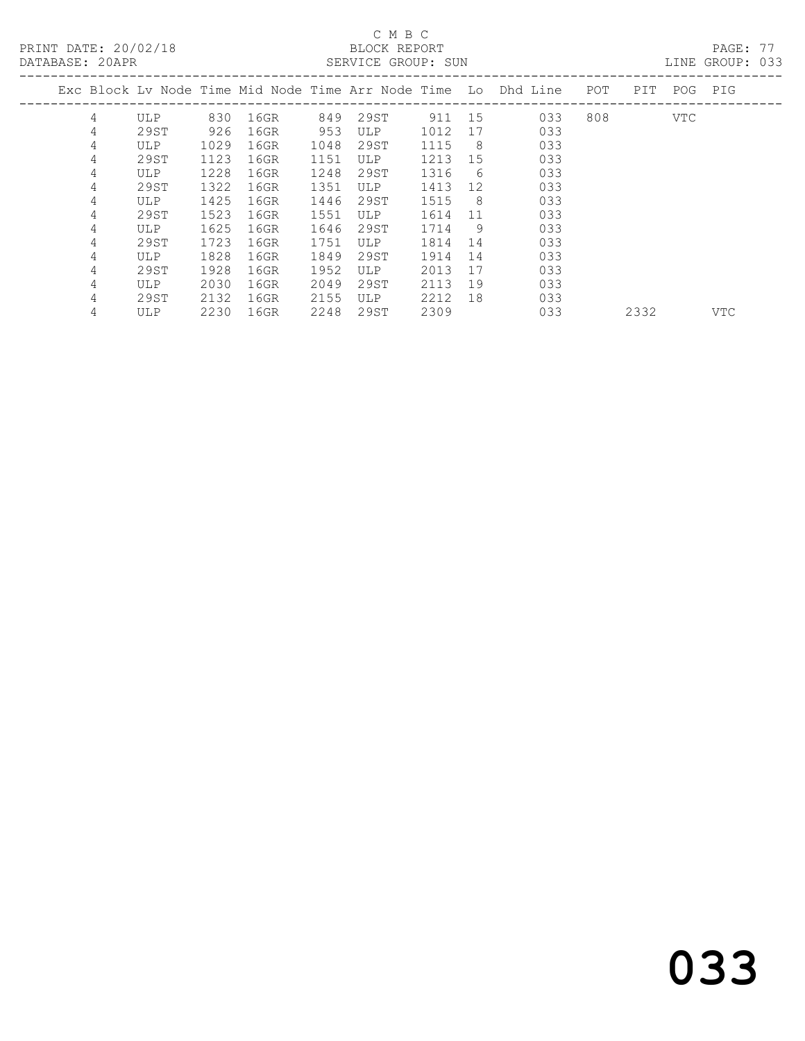## $\begin{tabular}{lllll} \multicolumn{2}{c}{\multicolumn{2}{c}{\textbf{C} M B C}}\\ \multicolumn{2}{c}{\multicolumn{2}{c}{\textbf{P R INT} DATE: }}&20/02/18\\ \multicolumn{2}{c}{\multicolumn{2}{c}{\textbf{C} M B C}}\\ \multicolumn{2}{c}{\multicolumn{2}{c}{\textbf{P R INT} DATE: }}&20/02/18\\ \multicolumn{2}{c}{\multicolumn{2}{c}{\textbf{C} M B C}}\\ \multicolumn{2}{c}{\multicolumn{2}{c}{\textbf{C} M B C}}\\ \multicolumn{2}{c}{\$

| DATABASE: 20APR |   |            |      |      |      | SERVICE GROUP: SUN |        |     |                                                                |     |      |     | LINE GROUP: 033 |  |
|-----------------|---|------------|------|------|------|--------------------|--------|-----|----------------------------------------------------------------|-----|------|-----|-----------------|--|
|                 |   |            |      |      |      |                    |        |     | Exc Block Lv Node Time Mid Node Time Arr Node Time Lo Dhd Line | POT | PIT  | POG | PIG             |  |
|                 | 4 | <b>ULP</b> | 830  | 16GR | 849  | 29ST               | 911 15 |     | 033                                                            | 808 |      | VTC |                 |  |
|                 | 4 | 29ST       | 926  | 16GR | 953  | ULP                | 1012   | 17  | 033                                                            |     |      |     |                 |  |
|                 | 4 | ULP        | 1029 | 16GR | 1048 | 29ST               | 1115   | - 8 | 033                                                            |     |      |     |                 |  |
|                 | 4 | 29ST       | 1123 | 16GR | 1151 | <b>ULP</b>         | 1213   | 15  | 033                                                            |     |      |     |                 |  |
|                 | 4 | ULP.       | 1228 | 16GR | 1248 | 29ST               | 1316   | 6   | 033                                                            |     |      |     |                 |  |
|                 | 4 | 29ST       | 1322 | 16GR | 1351 | <b>ULP</b>         | 1413   | 12  | 033                                                            |     |      |     |                 |  |
|                 | 4 | ULP.       | 1425 | 16GR | 1446 | 29ST               | 1515   | - 8 | 033                                                            |     |      |     |                 |  |
|                 | 4 | 29ST       | 1523 | 16GR | 1551 | <b>ULP</b>         | 1614   | 11  | 033                                                            |     |      |     |                 |  |
|                 | 4 | ULP.       | 1625 | 16GR | 1646 | 29ST               | 1714   | 9   | 033                                                            |     |      |     |                 |  |
|                 | 4 | 29ST       | 1723 | 16GR | 1751 | <b>ULP</b>         | 1814   | 14  | 033                                                            |     |      |     |                 |  |
|                 | 4 | <b>ULP</b> | 1828 | 16GR | 1849 | 29ST               | 1914   | 14  | 033                                                            |     |      |     |                 |  |
|                 | 4 | 29ST       | 1928 | 16GR | 1952 | <b>ULP</b>         | 2013   | 17  | 033                                                            |     |      |     |                 |  |
|                 | 4 | ULP.       | 2030 | 16GR | 2049 | 29ST               | 2113   | 19  | 033                                                            |     |      |     |                 |  |
|                 | 4 | 29ST       | 2132 | 16GR | 2155 | <b>ULP</b>         | 2212   | 18  | 033                                                            |     |      |     |                 |  |
|                 | 4 | <b>ULP</b> | 2230 | 16GR | 2248 | 29ST               | 2309   |     | 033                                                            |     | 2332 |     | <b>VTC</b>      |  |

033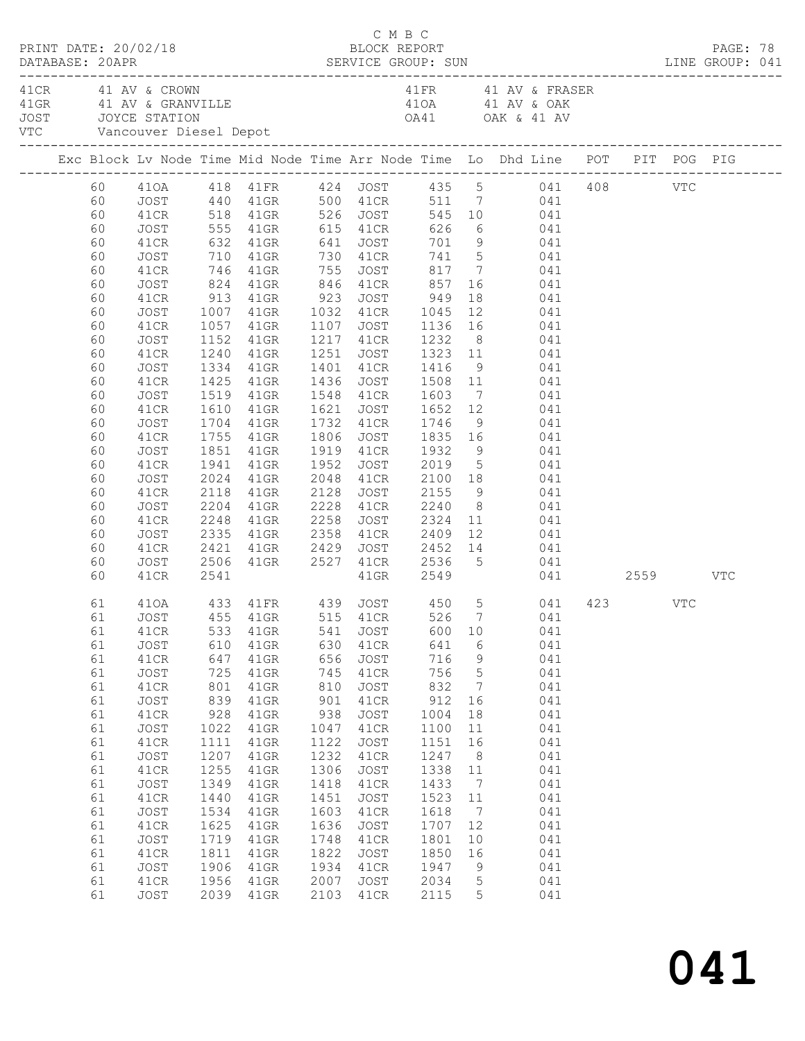|  | DATABASE: 20APR | PRINT DATE: 20/02/18 |      |                            |      | C M B C<br>BLOCK REPORT |        |                 |                                                                                                                                                                                                                                                                      |  | PAGE: 78 |  |
|--|-----------------|----------------------|------|----------------------------|------|-------------------------|--------|-----------------|----------------------------------------------------------------------------------------------------------------------------------------------------------------------------------------------------------------------------------------------------------------------|--|----------|--|
|  |                 | 41 CR 41 AV & CROWN  |      | VTC Vancouver Diesel Depot |      |                         |        |                 | 41 FR 41 AV & FRASER<br>41 CK 41 AV & CRANVILLE 41 AV & OAK<br>41 GRANVILLE 41 AV & OAK<br>50 JOYCE STATION<br>41 OAK & 41 AV                                                                                                                                        |  |          |  |
|  |                 |                      |      |                            |      |                         |        |                 | Exc Block Lv Node Time Mid Node Time Arr Node Time Lo Dhd Line POT PIT POG PIG                                                                                                                                                                                       |  |          |  |
|  |                 |                      |      |                            |      |                         |        |                 |                                                                                                                                                                                                                                                                      |  |          |  |
|  |                 |                      |      |                            |      |                         |        |                 |                                                                                                                                                                                                                                                                      |  |          |  |
|  |                 |                      |      |                            |      |                         |        |                 |                                                                                                                                                                                                                                                                      |  |          |  |
|  | 60              | JOST                 |      |                            |      |                         |        |                 | 555 41GR 615 41CR 626 6 041                                                                                                                                                                                                                                          |  |          |  |
|  | 60              | 41CR                 |      |                            |      |                         |        |                 |                                                                                                                                                                                                                                                                      |  |          |  |
|  | 60              | JOST                 |      |                            |      |                         |        |                 |                                                                                                                                                                                                                                                                      |  |          |  |
|  | 60              | 41CR                 |      |                            |      |                         |        |                 |                                                                                                                                                                                                                                                                      |  |          |  |
|  | 60              | JOST                 |      | 824 41GR 846 41CR          |      |                         | 857    |                 | 16 041                                                                                                                                                                                                                                                               |  |          |  |
|  | 60              |                      |      |                            |      |                         |        |                 | $\begin{array}{cccccc} 41 \text{CR} & 913 & 41 \text{GR} & 923 & \text{JOST} & 949 & 18 & 041 \\ \text{JOST} & 1007 & 41 \text{GR} & 1032 & 41 \text{CR} & 1045 & 12 & 041 \\ 41 \text{CR} & 1057 & 41 \text{GR} & 1107 & \text{JOST} & 1136 & 16 & 041 \end{array}$ |  |          |  |
|  | 60              |                      |      |                            |      |                         |        |                 |                                                                                                                                                                                                                                                                      |  |          |  |
|  | 60              |                      |      |                            |      |                         |        |                 |                                                                                                                                                                                                                                                                      |  |          |  |
|  | 60              | JOST                 |      |                            |      |                         |        |                 | 1152 41GR 1217 41CR 1232 8 041                                                                                                                                                                                                                                       |  |          |  |
|  | 60              | 41CR                 | 1240 | 41GR                       |      |                         |        |                 | 1251 JOST 1323 11 041<br>1401 41CR 1416 9 041<br>1436 JOST 1508 11 041                                                                                                                                                                                               |  |          |  |
|  | 60              | JOST                 |      | 1334 41GR<br>1425 41GR     |      |                         |        |                 |                                                                                                                                                                                                                                                                      |  |          |  |
|  | 60              | 41CR                 |      |                            |      |                         |        |                 |                                                                                                                                                                                                                                                                      |  |          |  |
|  | 60              | JOST                 |      |                            |      |                         |        |                 | 1519 41GR 1548 41CR 1603 7 041                                                                                                                                                                                                                                       |  |          |  |
|  | 60              | 41CR                 | 1610 | 41GR                       |      |                         |        |                 |                                                                                                                                                                                                                                                                      |  |          |  |
|  | 60              | JOST                 |      | 1704 41GR<br>1755 41GR     |      |                         |        |                 | 1621 JOST 1652 12 041<br>1732 41CR 1746 9 041<br>1806 JOST 1835 16 041                                                                                                                                                                                               |  |          |  |
|  | 60              | 41CR                 |      |                            |      |                         |        |                 |                                                                                                                                                                                                                                                                      |  |          |  |
|  | 60              | JOST                 |      |                            |      |                         |        |                 | 1851 41GR 1919 41CR 1932 9 041                                                                                                                                                                                                                                       |  |          |  |
|  | 60              | 41CR                 | 1941 | 41GR                       |      |                         |        |                 | 1952 JOST 2019 5 041<br>2048 41CR 2100 18 041<br>2128 JOST 2155 9 041                                                                                                                                                                                                |  |          |  |
|  | 60              | JOST                 |      | 2024 41GR<br>2118 41GR     |      |                         |        |                 |                                                                                                                                                                                                                                                                      |  |          |  |
|  | 60              | 41CR                 |      |                            |      |                         |        |                 |                                                                                                                                                                                                                                                                      |  |          |  |
|  | 60              | JOST                 |      | 2204 41GR                  |      | 2228 41CR 2240          |        |                 | 8 041                                                                                                                                                                                                                                                                |  |          |  |
|  | 60              | 41CR                 |      | 2248 41GR                  | 2258 |                         |        |                 | JOST 2324 11 041                                                                                                                                                                                                                                                     |  |          |  |
|  | 60              | JOST                 |      |                            |      |                         |        |                 |                                                                                                                                                                                                                                                                      |  |          |  |
|  | 60              | 41CR                 |      |                            |      |                         |        |                 | JOST 2506 41GR 2527 41CR 2536 5 041                                                                                                                                                                                                                                  |  |          |  |
|  | 60              |                      |      |                            |      |                         |        |                 |                                                                                                                                                                                                                                                                      |  |          |  |
|  | 60              | 41CR                 | 2541 |                            |      |                         |        |                 | 41GR 2549 041 2559 VTC                                                                                                                                                                                                                                               |  |          |  |
|  | 61              |                      |      |                            |      |                         |        |                 | 410A 433 41FR 439 JOST 450 5 041 423 VTC                                                                                                                                                                                                                             |  |          |  |
|  |                 |                      |      |                            |      |                         |        |                 | 61 JOST 455 41GR 515 41CR 526 7 041                                                                                                                                                                                                                                  |  |          |  |
|  | 61              | 41CR                 |      | 533 41GR                   | 541  | JOST                    | 600 10 |                 | 041                                                                                                                                                                                                                                                                  |  |          |  |
|  | 61              | JOST                 | 610  | 41GR                       | 630  | 41CR                    | 641    | 6               | 041                                                                                                                                                                                                                                                                  |  |          |  |
|  | 61              | 41CR                 | 647  | 41GR                       | 656  | JOST                    | 716    | $\overline{9}$  | 041                                                                                                                                                                                                                                                                  |  |          |  |
|  | 61              | JOST                 | 725  | 41GR                       | 745  | 41CR                    | 756    | $5\phantom{.0}$ | 041                                                                                                                                                                                                                                                                  |  |          |  |
|  | 61              | 41CR                 | 801  | 41GR                       | 810  | JOST                    | 832    | $\overline{7}$  | 041                                                                                                                                                                                                                                                                  |  |          |  |
|  | 61              | JOST                 | 839  | 41GR                       | 901  | 41CR                    | 912    | 16              | 041                                                                                                                                                                                                                                                                  |  |          |  |
|  | 61              | 41CR                 | 928  | 41GR                       | 938  | JOST                    | 1004   | 18              | 041                                                                                                                                                                                                                                                                  |  |          |  |
|  | 61              | JOST                 | 1022 | $41$ GR                    | 1047 | 41CR                    | 1100   | 11              | 041                                                                                                                                                                                                                                                                  |  |          |  |
|  | 61              | 41CR                 | 1111 | 41GR                       | 1122 | JOST                    | 1151   | 16              | 041                                                                                                                                                                                                                                                                  |  |          |  |
|  | 61              | JOST                 | 1207 | 41GR                       | 1232 | 41CR                    | 1247   | 8 <sup>8</sup>  | 041                                                                                                                                                                                                                                                                  |  |          |  |
|  | 61              | 41CR                 | 1255 | 41GR                       | 1306 | JOST                    | 1338   | 11              | 041                                                                                                                                                                                                                                                                  |  |          |  |
|  | 61              | JOST                 | 1349 | 41GR                       | 1418 | 41CR                    | 1433   | $\overline{7}$  | 041                                                                                                                                                                                                                                                                  |  |          |  |
|  | 61              | 41CR                 | 1440 | 41GR                       | 1451 | JOST                    | 1523   | 11              | 041                                                                                                                                                                                                                                                                  |  |          |  |
|  | 61              | JOST                 | 1534 | $41$ GR                    | 1603 | 41CR                    | 1618   | $\overline{7}$  | 041                                                                                                                                                                                                                                                                  |  |          |  |
|  | 61              | 41CR                 | 1625 | 41GR                       | 1636 | JOST                    | 1707   | 12              | 041                                                                                                                                                                                                                                                                  |  |          |  |
|  | 61              | JOST                 | 1719 | 41GR                       | 1748 | 41CR                    | 1801   | 10              | 041                                                                                                                                                                                                                                                                  |  |          |  |
|  | 61              | 41CR                 | 1811 | 41GR                       | 1822 | JOST                    | 1850   | 16              | 041                                                                                                                                                                                                                                                                  |  |          |  |
|  | 61              | JOST                 | 1906 | 41GR                       | 1934 | 41CR                    | 1947   | 9               | 041                                                                                                                                                                                                                                                                  |  |          |  |
|  | 61              | 41CR                 | 1956 | 41GR                       | 2007 | JOST                    | 2034   | $5^{\circ}$     | 041                                                                                                                                                                                                                                                                  |  |          |  |
|  | 61              | JOST                 |      | 2039 41GR                  | 2103 | 41CR                    | 2115   | 5               | 041                                                                                                                                                                                                                                                                  |  |          |  |

## 041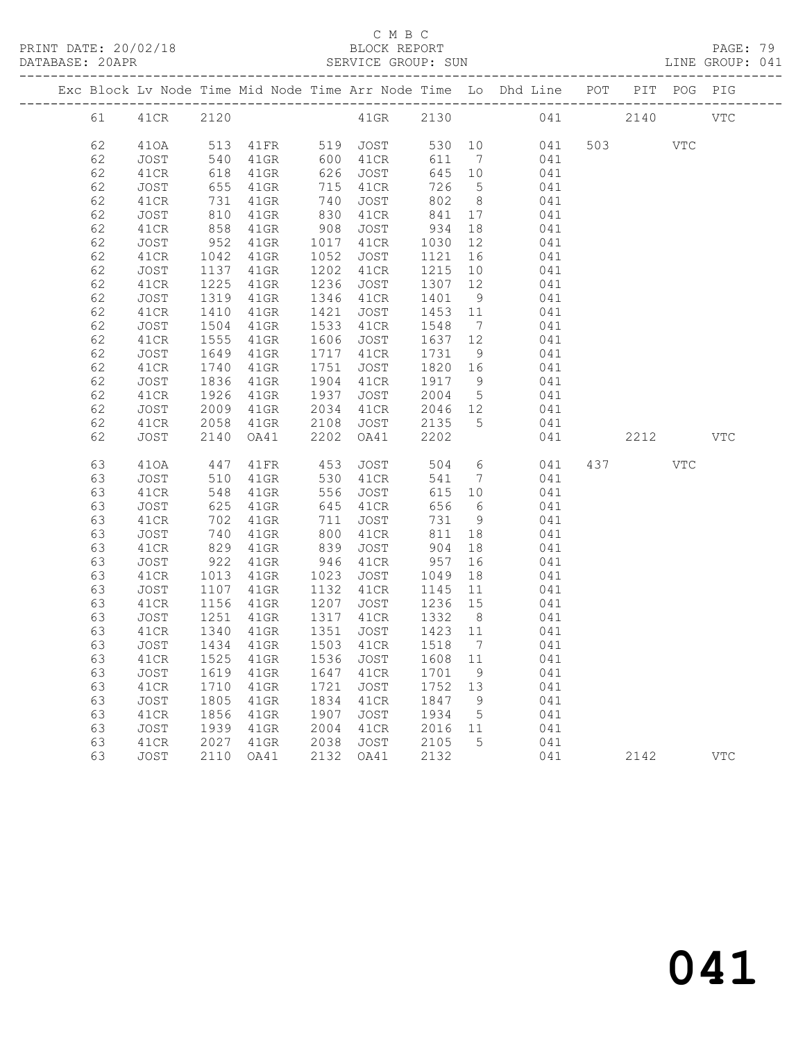PRINT DATE: 20/02/18 BLOCK REPORT BATABASE: 20APR BLOCK REPORT

#### C M B C<br>BLOCK REPORT

PAGE: 79<br>LINE GROUP: 041

|  |          |              |              |                            |              |              |              |                 | Exc Block Lv Node Time Mid Node Time Arr Node Time Lo Dhd Line POT |     |         | PIT POG PIG |              |
|--|----------|--------------|--------------|----------------------------|--------------|--------------|--------------|-----------------|--------------------------------------------------------------------|-----|---------|-------------|--------------|
|  | 61 0     | 41CR 2120    |              |                            |              | 41GR 2130    |              |                 |                                                                    | 041 | 2140    |             | <b>VTC</b>   |
|  | 62       | 410A         |              | 513    41FR    519    JOST |              |              |              |                 | 530 10<br>041                                                      |     | 503 VTC |             |              |
|  | 62       | JOST         | 540          | $41$ GR                    |              | 600 41CR     | 611          | $7\overline{7}$ | 041                                                                |     |         |             |              |
|  | 62       | 41CR         | 618          | 41GR                       |              | 626 JOST     | 645 10       |                 | 041                                                                |     |         |             |              |
|  | 62       | JOST         | 655          | $41$ GR                    |              | 715 41CR     | 726          | $5\overline{)}$ | 041                                                                |     |         |             |              |
|  | 62       | 41CR         | 731          | 41GR                       | 740          | JOST         | 802          | 8 <sup>8</sup>  | 041                                                                |     |         |             |              |
|  | 62       | JOST         | 810          | 41GR                       | 830          | 41CR         | 841          | 17              | 041                                                                |     |         |             |              |
|  | 62       | 41CR         | 858          | 41GR                       | 908          | JOST         | 934          | 18              | 041                                                                |     |         |             |              |
|  | 62       | JOST         | 952          | 41GR                       |              | 1017 41CR    | 1030         | 12              | 041                                                                |     |         |             |              |
|  | 62       | 41CR         | 1042         | 41GR                       | 1052         | JOST         | 1121         |                 | 041                                                                |     |         |             |              |
|  | 62       | JOST         | 1137         | 41GR                       | 1202         | 41CR         | 1215         |                 | 10<br>041                                                          |     |         |             |              |
|  | 62       | 41CR         | 1225         | 41GR                       | 1236         | JOST         | 1307 12      |                 | 041                                                                |     |         |             |              |
|  | 62       | JOST         | 1319         | $41$ GR                    |              | 1346 41CR    | 1401 9       |                 | 041                                                                |     |         |             |              |
|  | 62       | 41CR         | 1410         | $41$ GR                    | 1421         | JOST         | 1453 11      |                 | 041                                                                |     |         |             |              |
|  | 62       | JOST         | 1504         | 41GR                       |              | 1533 41CR    | 1548         | $\overline{7}$  | 041                                                                |     |         |             |              |
|  | 62       | 41CR         | 1555         | 41GR                       |              | 1606 JOST    | 1637 12      |                 | 041                                                                |     |         |             |              |
|  | 62       | JOST         | 1649         | 41GR                       |              | 1717 41CR    | 1731 9       |                 | 041                                                                |     |         |             |              |
|  | 62       | 41CR         | 1740         | 41GR                       | 1751         | JOST         | 1820 16      |                 | 041                                                                |     |         |             |              |
|  | 62       | JOST         | 1836         | 41GR                       | 1904         | 41CR         | 1917 9       |                 | 041                                                                |     |         |             |              |
|  | 62       | 41CR         | 1926         | $41$ GR                    | 1937         | JOST         | 2004 5       |                 | 041                                                                |     |         |             |              |
|  | 62       | JOST         | 2009         | $41$ GR                    | 2034         | 41CR         | 2046 12      |                 | 041                                                                |     |         |             |              |
|  | 62       | 41CR         | 2058         | $41$ GR                    | 2108         | JOST         | 2135         | $5^{\circ}$     | 041                                                                |     |         |             |              |
|  | 62       | JOST         | 2140         | OA41                       | 2202         | OA41         | 2202         |                 | 041                                                                |     | 2212    |             | $_{\rm VTC}$ |
|  | 63       | 410A         | 447          | 41FR                       | 453          | <b>JOST</b>  |              |                 | 504 6<br>041                                                       |     | 437     | VTC         |              |
|  | 63       | JOST         | 510          | $41$ GR                    | 530          | 41CR         | 541          | $7\overline{ }$ | 041                                                                |     |         |             |              |
|  | 63       | 41CR         | 548          | 41GR                       | 556          | JOST         | 615 10       |                 | 041                                                                |     |         |             |              |
|  | 63       | JOST         | 625          | 41GR                       | 645          | 41CR         | 656          | $6\overline{6}$ | 041                                                                |     |         |             |              |
|  | 63       | 41CR         | 702          | 41GR                       | 711          | JOST         | 731 9        |                 | 041                                                                |     |         |             |              |
|  | 63       | JOST         | 740          | $41$ GR                    |              | 800 41CR     | 811          | 18              | 041                                                                |     |         |             |              |
|  | 63       | 41CR         | 829          | 41GR                       | 839          | JOST         | 904          | 18              | 041                                                                |     |         |             |              |
|  | 63       | JOST         | 922          | 41GR                       | 946          | 41CR         | 957          | 16              | 041                                                                |     |         |             |              |
|  | 63       | 41CR         | 1013         | 41GR                       | 1023         | JOST         | 1049         | 18              | 041                                                                |     |         |             |              |
|  | 63       | JOST         | 1107         | 41GR                       |              | 1132 41CR    | 1145 11      |                 | 041                                                                |     |         |             |              |
|  | 63       | 41CR         | 1156         | 41GR                       | 1207         | JOST         | 1236 15      |                 | 041                                                                |     |         |             |              |
|  | 63       | JOST         | 1251         | 41GR                       |              | 1317 41CR    | 1332 8       |                 | 041                                                                |     |         |             |              |
|  | 63       | 41CR         | 1340         | $41$ GR                    |              | 1351 JOST    | 1423 11      |                 | 041                                                                |     |         |             |              |
|  | 63       | JOST         | 1434         | 41GR                       |              | 1503 41CR    | 1518 7       |                 | 041                                                                |     |         |             |              |
|  | 63       |              |              |                            |              |              |              |                 | 41CR 1525 41GR 1536 JOST 1608 11 041                               |     |         |             |              |
|  | 63       | JOST         | 1619         | 41GR                       | 1647         | 41CR         | 1701         | 9               | 041                                                                |     |         |             |              |
|  | 63       | 41CR         | 1710         | 41GR                       | 1721         | JOST         | 1752         | 13              | 041                                                                |     |         |             |              |
|  | 63       | JOST         | 1805         | 41GR                       | 1834         | 41CR         | 1847         | - 9             | 041                                                                |     |         |             |              |
|  | 63<br>63 | 41CR         | 1856         | 41GR                       | 1907         | JOST         | 1934         | 5               | 041<br>041                                                         |     |         |             |              |
|  | 63       | JOST         | 1939<br>2027 | 41GR                       | 2004<br>2038 | 41CR         | 2016<br>2105 | 11<br>5         |                                                                    |     |         |             |              |
|  | 63       | 41CR<br>JOST | 2110         | 41GR<br>OA41               | 2132         | JOST<br>OA41 | 2132         |                 | 041<br>041                                                         |     | 2142    |             | <b>VTC</b>   |
|  |          |              |              |                            |              |              |              |                 |                                                                    |     |         |             |              |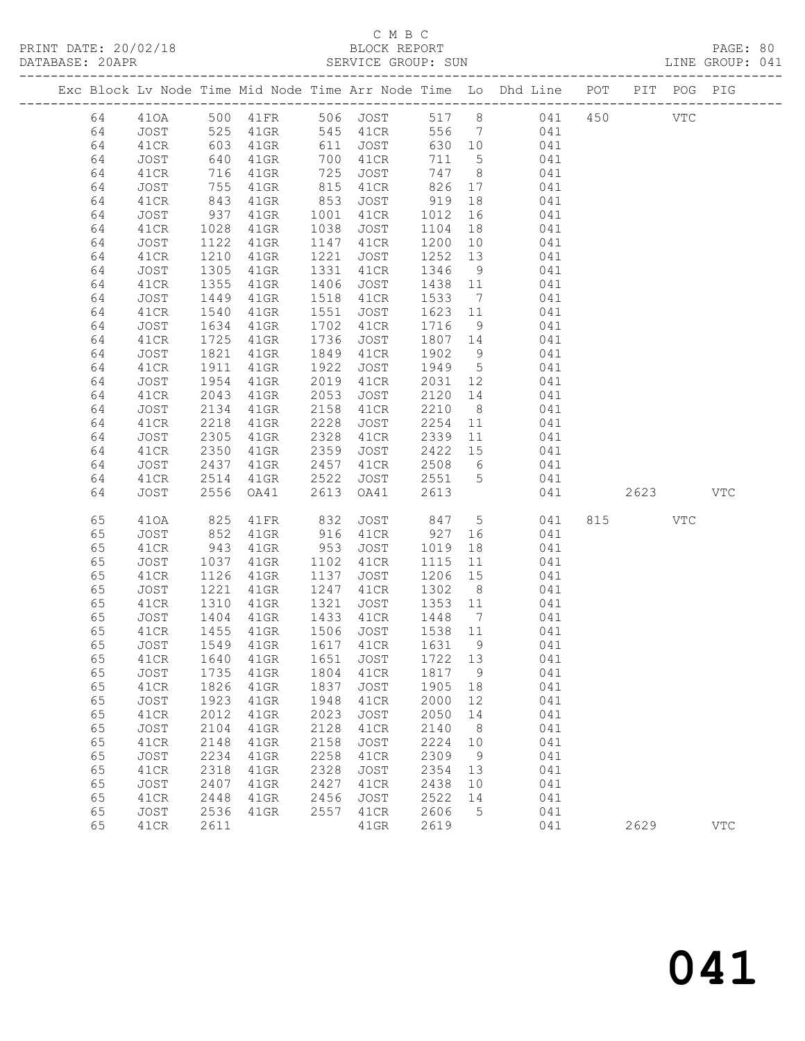#### C M B C<br>BLOCK REPORT SERVICE GROUP: SUN

|  |          |              |              |                 |              |                     |              |                 | Exc Block Lv Node Time Mid Node Time Arr Node Time Lo Dhd Line POT |      | PIT POG PIG  |              |
|--|----------|--------------|--------------|-----------------|--------------|---------------------|--------------|-----------------|--------------------------------------------------------------------|------|--------------|--------------|
|  | 64       | 410A         |              |                 |              |                     |              |                 | 500 41FR 506 JOST 517 8 041 450                                    |      | $_{\rm VTC}$ |              |
|  | 64       | JOST         | 525          | 41GR            |              | 545 41CR            |              |                 | 556 7 041                                                          |      |              |              |
|  | 64       | 41CR         |              | $41$ GR         |              | 611 JOST            |              |                 | 630 10 041                                                         |      |              |              |
|  | 64       | JOST         | 603<br>640   | $41$ GR         |              | 700 41CR            | 711 5        |                 | 041                                                                |      |              |              |
|  | 64       | 41CR         | 716          | $41$ GR         | 725          | JOST                | 747 8        |                 | 041                                                                |      |              |              |
|  | 64       | JOST         | 755          | 41GR            | 815          | 41CR                |              |                 | 826 17 041                                                         |      |              |              |
|  | 64       | 41CR         | 843<br>937   | 41GR            | 853          | JOST                | 919          | 18              | 041                                                                |      |              |              |
|  | 64       | JOST         |              | $41$ GR         | 1001         | 41CR                | 1012         | 16              | 041                                                                |      |              |              |
|  | 64       | 41CR         | 1028         | $41$ GR         | 1038         | JOST                | 1104         |                 | 18<br>041                                                          |      |              |              |
|  | 64       | JOST         | 1122         | $41$ GR         | 1147         | 41CR                | 1200         | 10              | 041                                                                |      |              |              |
|  | 64       | 41CR         | 1210         | $41$ GR         | 1221         | JOST                | 1252         | 13              | 041                                                                |      |              |              |
|  | 64       | JOST         | 1305         | 41GR            | 1331         | 41CR                | 1346         | 9               | 041                                                                |      |              |              |
|  | 64       | 41CR         | 1355         | $41$ GR         | 1406         | JOST                | 1438 11      |                 | 041                                                                |      |              |              |
|  | 64       | JOST         | 1449         | $41$ GR         | 1518         | 41CR                | 1533         | $7\overline{ }$ | 041                                                                |      |              |              |
|  | 64<br>64 | 41CR<br>JOST | 1540<br>1634 | $41$ GR<br>41GR | 1551<br>1702 | JOST<br>41CR        | 1623<br>1716 | 11<br>9         | 041<br>041                                                         |      |              |              |
|  | 64       | 41CR         | 1725         | $41$ GR         | 1736         | JOST                | 1807 14      |                 | 041                                                                |      |              |              |
|  | 64       | JOST         | 1821         | 41GR            | 1849         | 41CR                | 1902         | 9               | 041                                                                |      |              |              |
|  | 64       | 41CR         | 1911         | $41$ GR         | 1922         | JOST                | 1949 5       |                 | 041                                                                |      |              |              |
|  | 64       | JOST         | 1954         | 41GR            | 2019         | 41CR                | 2031 12      |                 | 041                                                                |      |              |              |
|  | 64       | 41CR         | 2043         | 41GR            | 2053         | JOST                | 2120 14      |                 | 041                                                                |      |              |              |
|  | 64       | JOST         | 2134         | 41GR            | 2158         | 41CR                | 2210         | 8 <sup>8</sup>  | 041                                                                |      |              |              |
|  | 64       | 41CR         | 2218         | 41GR            | 2228         | JOST                | 2254         |                 | 11<br>041                                                          |      |              |              |
|  | 64       | JOST         | 2305         | 41GR            | 2328         | 41CR                | 2339         | 11              | 041                                                                |      |              |              |
|  | 64       | 41CR         | 2350         | 41GR            | 2359         | JOST                | 2422         | 15              | 041                                                                |      |              |              |
|  | 64       | JOST         | 2437         | 41GR            | 2457         | 41CR                |              |                 | 2508 6<br>041                                                      |      |              |              |
|  | 64       | 41CR         | 2514         | 41GR            | 2522         | JOST                | 2551 5       |                 | 041                                                                |      |              |              |
|  | 64       | JOST         | 2556         | OA41            | 2613         | OA41                | 2613         |                 | 041                                                                | 2623 |              | <b>VTC</b>   |
|  | 65       | 410A         | 825          | 41FR            | 832          | JOST                |              |                 | 847 5<br>041                                                       | 815  | VTC          |              |
|  | 65       | JOST         | 852          | 41GR            | 916          | 41CR                | 927          |                 | 041                                                                |      |              |              |
|  | 65       | 41CR         | 943          | 41GR            | 953          | JOST                | 1019         | 18              | 041                                                                |      |              |              |
|  | 65       | JOST         | 1037         | 41GR            |              | 1102 41CR           | 1115         | 11              | 041                                                                |      |              |              |
|  | 65       | 41CR         | 1126         | $41$ GR         | 1137         | JOST                | 1206         | 15              | 041                                                                |      |              |              |
|  | 65       | JOST         | 1221         | $41$ GR         | 1247         | 41CR                | 1302         | 8 <sup>8</sup>  | 041                                                                |      |              |              |
|  | 65       | 41CR         | 1310         | $41$ GR         | 1321         | JOST                | 1353 11      |                 | 041                                                                |      |              |              |
|  | 65       | JOST         | 1404         | 41GR            | 1433         | 41CR                | 1448 7       |                 | 041                                                                |      |              |              |
|  | 65       | 41CR         | 1455         | 41GR            |              | 1506 JOST           | 1538 11      |                 | 041                                                                |      |              |              |
|  | 65       | JOST         | 1549         | 41GR            |              | 1617 41CR           | 1631         | 9               | 041                                                                |      |              |              |
|  | 65       | 41CR         | 1640         | 41GR            | 1651         | JOST                | 1722 13      |                 | 041                                                                |      |              |              |
|  | 65<br>65 | JOST<br>41CR | 1735<br>1826 | 41GR<br>41GR    | 1804<br>1837 | 41CR<br><b>JOST</b> | 1817<br>1905 | 9<br>18         | 041<br>041                                                         |      |              |              |
|  | 65       | JOST         | 1923         | 41GR            | 1948         | 41CR                | 2000         | 12              | 041                                                                |      |              |              |
|  | 65       | 41CR         | 2012         | 41GR            | 2023         | <b>JOST</b>         | 2050         | 14              | 041                                                                |      |              |              |
|  | 65       | JOST         | 2104         | 41GR            | 2128         | 41CR                | 2140         | 8               | 041                                                                |      |              |              |
|  | 65       | 41CR         | 2148         | 41GR            | 2158         | <b>JOST</b>         | 2224         | 10              | 041                                                                |      |              |              |
|  | 65       | JOST         | 2234         | 41GR            | 2258         | 41CR                | 2309         | 9               | 041                                                                |      |              |              |
|  | 65       | 41CR         | 2318         | 41GR            | 2328         | <b>JOST</b>         | 2354         | 13              | 041                                                                |      |              |              |
|  | 65       | JOST         | 2407         | 41GR            | 2427         | 41CR                | 2438         | 10              | 041                                                                |      |              |              |
|  | 65       | 41CR         | 2448         | 41GR            | 2456         | <b>JOST</b>         | 2522         | 14              | 041                                                                |      |              |              |
|  | 65       | JOST         | 2536         | 41GR            | 2557         | 41CR                | 2606         | 5               | 041                                                                |      |              |              |
|  | 65       | 41CR         | 2611         |                 |              | 41GR                | 2619         |                 | 041                                                                | 2629 |              | $_{\rm VTC}$ |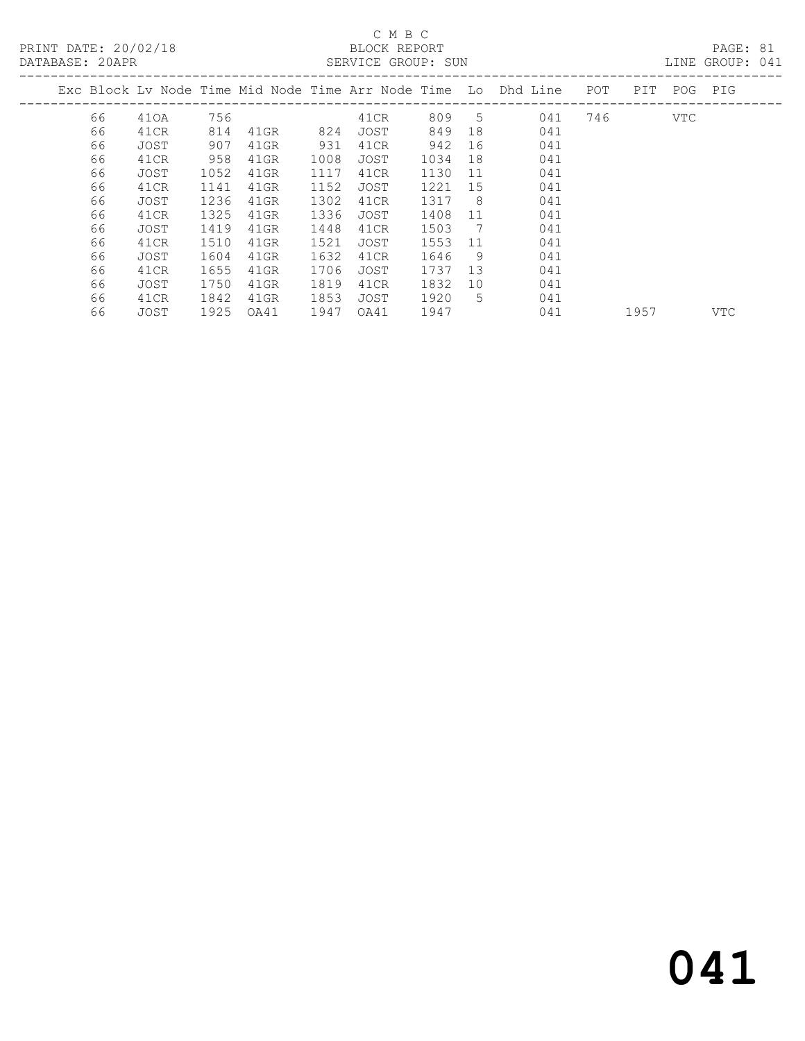### C M B C<br>BLOCK REPORT

PAGE: 81<br>LINE GROUP: 041

|    |      |      |         |      |      |      |     | Exc Block Lv Node Time Mid Node Time Arr Node Time Lo Dhd Line | POT | PIT  | POG  | PIG        |
|----|------|------|---------|------|------|------|-----|----------------------------------------------------------------|-----|------|------|------------|
| 66 | 410A | 756  |         |      | 41CR | 809  | 5   | 041                                                            | 746 |      | VTC. |            |
| 66 | 41CR | 814  | 41GR    | 824  | JOST | 849  | 18  | 041                                                            |     |      |      |            |
| 66 | JOST | 907  | 41GR    | 931  | 41CR | 942  | 16  | 041                                                            |     |      |      |            |
| 66 | 41CR | 958  | 41GR    | 1008 | JOST | 1034 | 18  | 041                                                            |     |      |      |            |
| 66 | JOST | 1052 | 41GR    | 1117 | 41CR | 1130 | 11  | 041                                                            |     |      |      |            |
| 66 | 41CR | 1141 | 41GR    | 1152 | JOST | 1221 | 15  | 041                                                            |     |      |      |            |
| 66 | JOST | 1236 | 41GR    | 1302 | 41CR | 1317 | - 8 | 041                                                            |     |      |      |            |
| 66 | 41CR | 1325 | 41GR    | 1336 | JOST | 1408 | 11  | 041                                                            |     |      |      |            |
| 66 | JOST | 1419 | 41GR    | 1448 | 41CR | 1503 | 7   | 041                                                            |     |      |      |            |
| 66 | 41CR | 1510 | 41GR    | 1521 | JOST | 1553 | 11  | 041                                                            |     |      |      |            |
| 66 | JOST | 1604 | 41GR    | 1632 | 41CR | 1646 | 9   | 041                                                            |     |      |      |            |
| 66 | 41CR | 1655 | $41$ GR | 1706 | JOST | 1737 | 13  | 041                                                            |     |      |      |            |
| 66 | JOST | 1750 | $41$ GR | 1819 | 41CR | 1832 | 10  | 041                                                            |     |      |      |            |
| 66 | 41CR | 1842 | 41GR    | 1853 | JOST | 1920 | 5.  | 041                                                            |     |      |      |            |
| 66 | JOST | 1925 | OA41    | 1947 | OA41 | 1947 |     | 041                                                            |     | 1957 |      | <b>VTC</b> |
|    |      |      |         |      |      |      |     |                                                                |     |      |      |            |